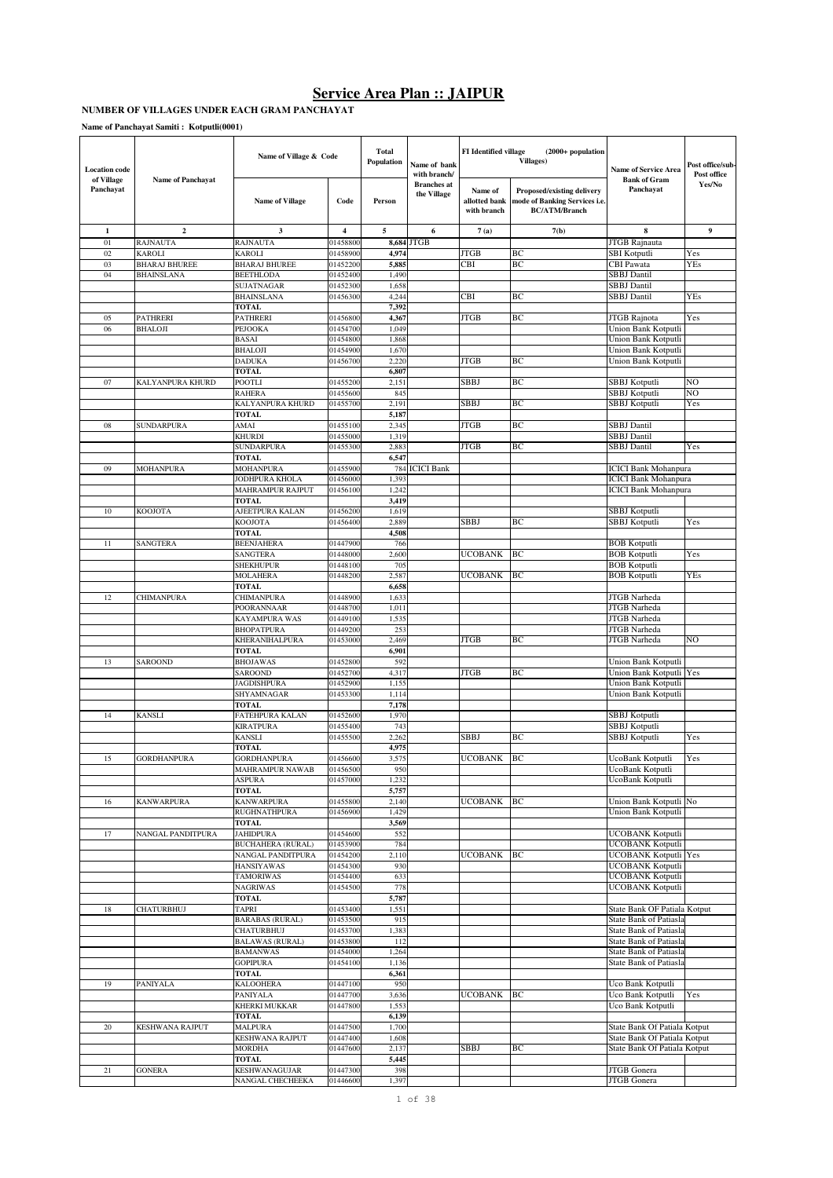#### **NUMBER OF VILLAGES UNDER EACH GRAM PANCHAYAT**

**Name of Panchayat Samiti : Kotputli(0001)**

| of Village<br><b>Name of Panchayat</b><br><b>Bank of Gram</b><br><b>Branches</b> at<br>Yes/No<br>Panchayat<br>Panchayat<br>Name of<br>Proposed/existing delivery<br>the Village<br><b>Name of Village</b><br>Code<br>Person<br>allotted bank<br>node of Banking Services i.e.<br><b>BC/ATM/Branch</b><br>with branch<br>5<br>$\boldsymbol{9}$<br>$\mathbf{1}$<br>$\mathbf{2}$<br>3<br>4<br>6<br>7(a)<br>7(b)<br>8<br><b>JTGB</b><br>01<br><b>RAJNAUTA</b><br>RAJNAUTA<br>01458800<br>JTGB Rajnauta<br>8,684<br><b>JTGB</b><br><b>SBI</b> Kotputli<br>02<br>KAROLI<br><b>KAROLI</b><br>01458900<br>4,974<br>BC<br>Yes<br>BC<br>03<br><b>BHARAJ BHUREE</b><br>01452200<br>5,885<br>CBI<br>CBI Pawata<br><b>YEs</b><br><b>BHARAJ BHUREE</b><br><b>SBBJ</b> Dantil<br>04<br><b>BHAINSLANA</b><br><b>BEETHLODA</b><br>01452400<br>1,490<br><b>SBBJ</b> Dantil<br><b>SUJATNAGAR</b><br>01452300<br>1,658<br>CBI<br>BC<br><b>SBBJ</b> Dantil<br><b>BHAINSLANA</b><br>4,244<br>YEs<br>01456300<br><b>TOTAL</b><br>7,392<br>BC<br>PATHRERI<br>4,367<br>JTGB<br>JTGB Rajnota<br>05<br><b>PATHRERI</b><br>01456800<br>Yes<br>06<br><b>BHALOJI</b><br>PEJOOKA<br>01454700<br>Union Bank Kotputli<br>1,049<br><b>BASAI</b><br>01454800<br>Union Bank Kotputli<br>1,868<br><b>BHALOJI</b><br>01454900<br>Union Bank Kotputli<br>1,670<br><b>DADUKA</b><br>01456700<br>2,220<br>JTGB<br>BC<br>Union Bank Kotputli<br><b>TOTAL</b><br>6,807<br>SBBJ<br>BC<br>NO<br>07<br>KALYANPURA KHURD<br><b>POOTLI</b><br>01455200<br>2,151<br>SBBJ Kotputli<br>NO<br>01455600<br>845<br>SBBJ Kotputli<br><b>RAHERA</b><br>SBBJ<br>BC<br><b>SBBJ</b> Kotputli<br>KALYANPURA KHURD<br>01455700<br>Yes<br>2,191<br>5,187<br><b>TOTAL</b><br><b>JTGB</b><br>BC<br><b>SBBJ</b> Dantil<br>08<br><b>SUNDARPURA</b><br>AMAI<br>01455100<br>2,345<br><b>SBBJ</b> Dantil<br><b>KHURDI</b><br>01455000<br>1,319<br><b>JTGB</b><br><b>SBBJ</b> Dantil<br><b>SUNDARPURA</b><br>01455300<br>2,883<br>BC<br>Yes<br><b>TOTAL</b><br>6,547<br><b>ICICI Bank</b><br>01455900<br><b>ICICI Bank Mohanpura</b><br>09<br>MOHANPURA<br><b>MOHANPURA</b><br>784<br>JODHPURA KHOLA<br>01456000<br>1,39<br><b>ICICI Bank Mohanpura</b><br>MAHRAMPUR RAJPUT<br>01456100<br><b>ICICI Bank Mohanpura</b><br>1,242<br>3,419<br>TOTAL<br>AJEETPURA KALAN<br>SBBJ Kotputli<br>10<br>KOOJOTA<br>01456200<br>1,619<br><b>SBBJ</b> Kotputli<br><b>KOOJOTA</b><br>01456400<br>2,889<br>SBBJ<br>BC<br>Yes<br><b>TOTAL</b><br>4,508<br>SANGTERA<br>01447900<br>766<br><b>BOB Kotputli</b><br>11<br><b>BEENJAHERA</b><br><b>BOB</b> Kotputli<br><b>SANGTERA</b><br>01448000<br>2,600<br><b>UCOBANK</b><br>BC<br>Yes<br><b>SHEKHUPUR</b><br>01448100<br>705<br><b>BOB Kotputli</b><br>01448200<br><b>UCOBANK</b><br>BC<br><b>BOB</b> Kotputli<br><b>MOLAHERA</b><br>2,587<br><b>YEs</b><br>6,658<br><b>TOTAL</b><br>JTGB Narheda<br><b>CHIMANPURA</b><br>12<br>CHIMANPURA<br>01448900<br>1,633<br>POORANNAAR<br>01448700<br>1,011<br>JTGB Narheda<br>KAYAMPURA WAS<br>01449100<br>1,535<br>JTGB Narheda<br>01449200<br>253<br>JTGB Narheda<br><b>BHOPATPURA</b><br>KHERANIHALPURA<br>01453000<br>2,469<br>JTGB<br>BC<br><b>JTGB</b> Narheda<br>NO<br><b>TOTAL</b><br>6,901<br>SAROOND<br>01452800<br>592<br>Union Bank Kotputli<br>13<br><b>BHOJAWAS</b><br><b>JTGB</b><br>BC<br><b>SAROOND</b><br>01452700<br>Union Bank Kotputli Yes<br>4,317<br><b>JAGDISHPURA</b><br>01452900<br>1,155<br>Union Bank Kotputli<br>01453300<br>SHYAMNAGAR<br>1,114<br>Union Bank Kotputli<br><b>TOTAL</b><br>7,178<br>KANSLI<br>FATEHPURA KALAN<br>01452600<br>1,970<br>SBBJ Kotputli<br>14<br><b>KIRATPURA</b><br>01455400<br>743<br><b>SBBJ</b> Kotputli<br>SBBJ<br>BC<br><b>SBBJ</b> Kotputli<br><b>KANSLI</b><br>01455500<br>2,262<br>Yes<br><b>TOTAL</b><br>4,975<br>BC<br><b>GORDHANPURA</b><br>3,575<br><b>UCOBANK</b><br>15<br><b>GORDHANPURA</b><br>01456600<br>UcoBank Kotputli<br>Yes<br><b>MAHRAMPUR NAWAB</b><br>01456500<br>950<br>UcoBank Kotputli<br>UcoBank Kotputli<br><b>ASPURA</b><br>01457000<br>1,232<br><b>TOTAL</b><br>5,757<br><b>KANWARPURA</b><br><b>UCOBANK</b><br>Union Bank Kotputli No<br>16<br><b>KANWARPURA</b><br>01455800<br>2,140<br>BC<br>RUGHNATHPURA<br>01456900<br>Union Bank Kotputli<br>1,429<br><b>TOTAL</b><br>3,569<br>NANGAL PANDITPURA<br><b>JAHIDPURA</b><br>552<br><b>UCOBANK Kotputli</b><br>17<br>01454600<br>01453900<br>784<br><b>UCOBANK Kotputli</b><br><b>BUCHAHERA (RURAL)</b><br><b>UCOBANK Kotputli Yes</b><br>NANGAL PANDITPURA<br>01454200<br>2,110<br>UCOBANK<br>BС<br>UCOBANK Kotputli<br>01454300<br><b>HANSIYAWAS</b><br>930<br><b>TAMORIWAS</b><br>01454400<br><b>UCOBANK Kotputli</b><br>633<br><b>UCOBANK Kotputli</b><br><b>NAGRIWAS</b><br>01454500<br>778<br><b>TOTAL</b><br>5,787<br>State Bank OF Patiala Kotput<br>18<br><b>CHATURBHUJ</b><br>TAPRI<br>01453400<br>1,551<br>01453500<br><b>State Bank of Patiasla</b><br><b>BARABAS (RURAL)</b><br>915<br><b>CHATURBHUJ</b><br>01453700<br>1,383<br><b>State Bank of Patiasla</b><br><b>State Bank of Patiasla</b><br><b>BALAWAS (RURAL)</b><br>01453800<br>112<br><b>BAMANWAS</b><br>01454000<br>1,264<br><b>State Bank of Patiasla</b><br><b>GOPIPURA</b><br>01454100<br>State Bank of Patiasla<br>1,136<br><b>TOTAL</b><br>6,361<br><b>KALOOHERA</b><br>01447100<br>Uco Bank Kotputli<br>19<br>PANIYALA<br>950<br>01447700<br><b>UCOBANK</b><br>Uco Bank Kotputli<br>PANIYALA<br>3,636<br>BC<br>Yes<br>01447800<br>1,553<br>Uco Bank Kotputli<br><b>KHERKI MUKKAR</b><br><b>TOTAL</b><br>6,139<br><b>MALPURA</b><br>20<br>01447500<br>1,700<br>State Bank Of Patiala Kotput<br>KESHWANA RAJPUT<br>01447400<br>State Bank Of Patiala Kotput<br><b>KESHWANA RAJPUT</b><br>1,608<br><b>SBBJ</b><br>BC<br>State Bank Of Patiala Kotput<br><b>MORDHA</b><br>01447600<br>2,137<br><b>TOTAL</b><br>5,445<br><b>GONERA</b><br>KESHWANAGUJAR<br>01447300<br>398<br>JTGB Gonera<br>21 | <b>Location</b> code | Name of Village & Code |          | <b>Total</b><br><b>Population</b> | Name of bank<br>with branch/ | FI Identified village | (2000+ population<br><b>Villages)</b> | <b>Name of Service Area</b> | Post office/sub-<br>Post office |
|-------------------------------------------------------------------------------------------------------------------------------------------------------------------------------------------------------------------------------------------------------------------------------------------------------------------------------------------------------------------------------------------------------------------------------------------------------------------------------------------------------------------------------------------------------------------------------------------------------------------------------------------------------------------------------------------------------------------------------------------------------------------------------------------------------------------------------------------------------------------------------------------------------------------------------------------------------------------------------------------------------------------------------------------------------------------------------------------------------------------------------------------------------------------------------------------------------------------------------------------------------------------------------------------------------------------------------------------------------------------------------------------------------------------------------------------------------------------------------------------------------------------------------------------------------------------------------------------------------------------------------------------------------------------------------------------------------------------------------------------------------------------------------------------------------------------------------------------------------------------------------------------------------------------------------------------------------------------------------------------------------------------------------------------------------------------------------------------------------------------------------------------------------------------------------------------------------------------------------------------------------------------------------------------------------------------------------------------------------------------------------------------------------------------------------------------------------------------------------------------------------------------------------------------------------------------------------------------------------------------------------------------------------------------------------------------------------------------------------------------------------------------------------------------------------------------------------------------------------------------------------------------------------------------------------------------------------------------------------------------------------------------------------------------------------------------------------------------------------------------------------------------------------------------------------------------------------------------------------------------------------------------------------------------------------------------------------------------------------------------------------------------------------------------------------------------------------------------------------------------------------------------------------------------------------------------------------------------------------------------------------------------------------------------------------------------------------------------------------------------------------------------------------------------------------------------------------------------------------------------------------------------------------------------------------------------------------------------------------------------------------------------------------------------------------------------------------------------------------------------------------------------------------------------------------------------------------------------------------------------------------------------------------------------------------------------------------------------------------------------------------------------------------------------------------------------------------------------------------------------------------------------------------------------------------------------------------------------------------------------------------------------------------------------------------------------------------------------------------------------------------------------------------------------------------------------------------------------------------------------------------------------------------------------------------------------------------------------------------------------------------------------------------------------------------------------------------------------------------------------------------------------------------------------------------------------------------------------------------------------------------------------------------------------------------------------------------------------------------------------------------------------------------------------------------------------------------------------------------------------------------------------------------------------------------------------------------------------------------------------------------------------------------------------------------------------------------------------------------------------------------------------------------------------------------------------------------------------------------------------------------------------------------------------------|----------------------|------------------------|----------|-----------------------------------|------------------------------|-----------------------|---------------------------------------|-----------------------------|---------------------------------|
|                                                                                                                                                                                                                                                                                                                                                                                                                                                                                                                                                                                                                                                                                                                                                                                                                                                                                                                                                                                                                                                                                                                                                                                                                                                                                                                                                                                                                                                                                                                                                                                                                                                                                                                                                                                                                                                                                                                                                                                                                                                                                                                                                                                                                                                                                                                                                                                                                                                                                                                                                                                                                                                                                                                                                                                                                                                                                                                                                                                                                                                                                                                                                                                                                                                                                                                                                                                                                                                                                                                                                                                                                                                                                                                                                                                                                                                                                                                                                                                                                                                                                                                                                                                                                                                                                                                                                                                                                                                                                                                                                                                                                                                                                                                                                                                                                                                                                                                                                                                                                                                                                                                                                                                                                                                                                                                                                                                                                                                                                                                                                                                                                                                                                                                                                                                                                                                                                                                         |                      |                        |          |                                   |                              |                       |                                       |                             |                                 |
|                                                                                                                                                                                                                                                                                                                                                                                                                                                                                                                                                                                                                                                                                                                                                                                                                                                                                                                                                                                                                                                                                                                                                                                                                                                                                                                                                                                                                                                                                                                                                                                                                                                                                                                                                                                                                                                                                                                                                                                                                                                                                                                                                                                                                                                                                                                                                                                                                                                                                                                                                                                                                                                                                                                                                                                                                                                                                                                                                                                                                                                                                                                                                                                                                                                                                                                                                                                                                                                                                                                                                                                                                                                                                                                                                                                                                                                                                                                                                                                                                                                                                                                                                                                                                                                                                                                                                                                                                                                                                                                                                                                                                                                                                                                                                                                                                                                                                                                                                                                                                                                                                                                                                                                                                                                                                                                                                                                                                                                                                                                                                                                                                                                                                                                                                                                                                                                                                                                         |                      |                        |          |                                   |                              |                       |                                       |                             |                                 |
|                                                                                                                                                                                                                                                                                                                                                                                                                                                                                                                                                                                                                                                                                                                                                                                                                                                                                                                                                                                                                                                                                                                                                                                                                                                                                                                                                                                                                                                                                                                                                                                                                                                                                                                                                                                                                                                                                                                                                                                                                                                                                                                                                                                                                                                                                                                                                                                                                                                                                                                                                                                                                                                                                                                                                                                                                                                                                                                                                                                                                                                                                                                                                                                                                                                                                                                                                                                                                                                                                                                                                                                                                                                                                                                                                                                                                                                                                                                                                                                                                                                                                                                                                                                                                                                                                                                                                                                                                                                                                                                                                                                                                                                                                                                                                                                                                                                                                                                                                                                                                                                                                                                                                                                                                                                                                                                                                                                                                                                                                                                                                                                                                                                                                                                                                                                                                                                                                                                         |                      |                        |          |                                   |                              |                       |                                       |                             |                                 |
|                                                                                                                                                                                                                                                                                                                                                                                                                                                                                                                                                                                                                                                                                                                                                                                                                                                                                                                                                                                                                                                                                                                                                                                                                                                                                                                                                                                                                                                                                                                                                                                                                                                                                                                                                                                                                                                                                                                                                                                                                                                                                                                                                                                                                                                                                                                                                                                                                                                                                                                                                                                                                                                                                                                                                                                                                                                                                                                                                                                                                                                                                                                                                                                                                                                                                                                                                                                                                                                                                                                                                                                                                                                                                                                                                                                                                                                                                                                                                                                                                                                                                                                                                                                                                                                                                                                                                                                                                                                                                                                                                                                                                                                                                                                                                                                                                                                                                                                                                                                                                                                                                                                                                                                                                                                                                                                                                                                                                                                                                                                                                                                                                                                                                                                                                                                                                                                                                                                         |                      |                        |          |                                   |                              |                       |                                       |                             |                                 |
|                                                                                                                                                                                                                                                                                                                                                                                                                                                                                                                                                                                                                                                                                                                                                                                                                                                                                                                                                                                                                                                                                                                                                                                                                                                                                                                                                                                                                                                                                                                                                                                                                                                                                                                                                                                                                                                                                                                                                                                                                                                                                                                                                                                                                                                                                                                                                                                                                                                                                                                                                                                                                                                                                                                                                                                                                                                                                                                                                                                                                                                                                                                                                                                                                                                                                                                                                                                                                                                                                                                                                                                                                                                                                                                                                                                                                                                                                                                                                                                                                                                                                                                                                                                                                                                                                                                                                                                                                                                                                                                                                                                                                                                                                                                                                                                                                                                                                                                                                                                                                                                                                                                                                                                                                                                                                                                                                                                                                                                                                                                                                                                                                                                                                                                                                                                                                                                                                                                         |                      |                        |          |                                   |                              |                       |                                       |                             |                                 |
|                                                                                                                                                                                                                                                                                                                                                                                                                                                                                                                                                                                                                                                                                                                                                                                                                                                                                                                                                                                                                                                                                                                                                                                                                                                                                                                                                                                                                                                                                                                                                                                                                                                                                                                                                                                                                                                                                                                                                                                                                                                                                                                                                                                                                                                                                                                                                                                                                                                                                                                                                                                                                                                                                                                                                                                                                                                                                                                                                                                                                                                                                                                                                                                                                                                                                                                                                                                                                                                                                                                                                                                                                                                                                                                                                                                                                                                                                                                                                                                                                                                                                                                                                                                                                                                                                                                                                                                                                                                                                                                                                                                                                                                                                                                                                                                                                                                                                                                                                                                                                                                                                                                                                                                                                                                                                                                                                                                                                                                                                                                                                                                                                                                                                                                                                                                                                                                                                                                         |                      |                        |          |                                   |                              |                       |                                       |                             |                                 |
|                                                                                                                                                                                                                                                                                                                                                                                                                                                                                                                                                                                                                                                                                                                                                                                                                                                                                                                                                                                                                                                                                                                                                                                                                                                                                                                                                                                                                                                                                                                                                                                                                                                                                                                                                                                                                                                                                                                                                                                                                                                                                                                                                                                                                                                                                                                                                                                                                                                                                                                                                                                                                                                                                                                                                                                                                                                                                                                                                                                                                                                                                                                                                                                                                                                                                                                                                                                                                                                                                                                                                                                                                                                                                                                                                                                                                                                                                                                                                                                                                                                                                                                                                                                                                                                                                                                                                                                                                                                                                                                                                                                                                                                                                                                                                                                                                                                                                                                                                                                                                                                                                                                                                                                                                                                                                                                                                                                                                                                                                                                                                                                                                                                                                                                                                                                                                                                                                                                         |                      |                        |          |                                   |                              |                       |                                       |                             |                                 |
|                                                                                                                                                                                                                                                                                                                                                                                                                                                                                                                                                                                                                                                                                                                                                                                                                                                                                                                                                                                                                                                                                                                                                                                                                                                                                                                                                                                                                                                                                                                                                                                                                                                                                                                                                                                                                                                                                                                                                                                                                                                                                                                                                                                                                                                                                                                                                                                                                                                                                                                                                                                                                                                                                                                                                                                                                                                                                                                                                                                                                                                                                                                                                                                                                                                                                                                                                                                                                                                                                                                                                                                                                                                                                                                                                                                                                                                                                                                                                                                                                                                                                                                                                                                                                                                                                                                                                                                                                                                                                                                                                                                                                                                                                                                                                                                                                                                                                                                                                                                                                                                                                                                                                                                                                                                                                                                                                                                                                                                                                                                                                                                                                                                                                                                                                                                                                                                                                                                         |                      |                        |          |                                   |                              |                       |                                       |                             |                                 |
|                                                                                                                                                                                                                                                                                                                                                                                                                                                                                                                                                                                                                                                                                                                                                                                                                                                                                                                                                                                                                                                                                                                                                                                                                                                                                                                                                                                                                                                                                                                                                                                                                                                                                                                                                                                                                                                                                                                                                                                                                                                                                                                                                                                                                                                                                                                                                                                                                                                                                                                                                                                                                                                                                                                                                                                                                                                                                                                                                                                                                                                                                                                                                                                                                                                                                                                                                                                                                                                                                                                                                                                                                                                                                                                                                                                                                                                                                                                                                                                                                                                                                                                                                                                                                                                                                                                                                                                                                                                                                                                                                                                                                                                                                                                                                                                                                                                                                                                                                                                                                                                                                                                                                                                                                                                                                                                                                                                                                                                                                                                                                                                                                                                                                                                                                                                                                                                                                                                         |                      |                        |          |                                   |                              |                       |                                       |                             |                                 |
|                                                                                                                                                                                                                                                                                                                                                                                                                                                                                                                                                                                                                                                                                                                                                                                                                                                                                                                                                                                                                                                                                                                                                                                                                                                                                                                                                                                                                                                                                                                                                                                                                                                                                                                                                                                                                                                                                                                                                                                                                                                                                                                                                                                                                                                                                                                                                                                                                                                                                                                                                                                                                                                                                                                                                                                                                                                                                                                                                                                                                                                                                                                                                                                                                                                                                                                                                                                                                                                                                                                                                                                                                                                                                                                                                                                                                                                                                                                                                                                                                                                                                                                                                                                                                                                                                                                                                                                                                                                                                                                                                                                                                                                                                                                                                                                                                                                                                                                                                                                                                                                                                                                                                                                                                                                                                                                                                                                                                                                                                                                                                                                                                                                                                                                                                                                                                                                                                                                         |                      |                        |          |                                   |                              |                       |                                       |                             |                                 |
|                                                                                                                                                                                                                                                                                                                                                                                                                                                                                                                                                                                                                                                                                                                                                                                                                                                                                                                                                                                                                                                                                                                                                                                                                                                                                                                                                                                                                                                                                                                                                                                                                                                                                                                                                                                                                                                                                                                                                                                                                                                                                                                                                                                                                                                                                                                                                                                                                                                                                                                                                                                                                                                                                                                                                                                                                                                                                                                                                                                                                                                                                                                                                                                                                                                                                                                                                                                                                                                                                                                                                                                                                                                                                                                                                                                                                                                                                                                                                                                                                                                                                                                                                                                                                                                                                                                                                                                                                                                                                                                                                                                                                                                                                                                                                                                                                                                                                                                                                                                                                                                                                                                                                                                                                                                                                                                                                                                                                                                                                                                                                                                                                                                                                                                                                                                                                                                                                                                         |                      |                        |          |                                   |                              |                       |                                       |                             |                                 |
|                                                                                                                                                                                                                                                                                                                                                                                                                                                                                                                                                                                                                                                                                                                                                                                                                                                                                                                                                                                                                                                                                                                                                                                                                                                                                                                                                                                                                                                                                                                                                                                                                                                                                                                                                                                                                                                                                                                                                                                                                                                                                                                                                                                                                                                                                                                                                                                                                                                                                                                                                                                                                                                                                                                                                                                                                                                                                                                                                                                                                                                                                                                                                                                                                                                                                                                                                                                                                                                                                                                                                                                                                                                                                                                                                                                                                                                                                                                                                                                                                                                                                                                                                                                                                                                                                                                                                                                                                                                                                                                                                                                                                                                                                                                                                                                                                                                                                                                                                                                                                                                                                                                                                                                                                                                                                                                                                                                                                                                                                                                                                                                                                                                                                                                                                                                                                                                                                                                         |                      |                        |          |                                   |                              |                       |                                       |                             |                                 |
|                                                                                                                                                                                                                                                                                                                                                                                                                                                                                                                                                                                                                                                                                                                                                                                                                                                                                                                                                                                                                                                                                                                                                                                                                                                                                                                                                                                                                                                                                                                                                                                                                                                                                                                                                                                                                                                                                                                                                                                                                                                                                                                                                                                                                                                                                                                                                                                                                                                                                                                                                                                                                                                                                                                                                                                                                                                                                                                                                                                                                                                                                                                                                                                                                                                                                                                                                                                                                                                                                                                                                                                                                                                                                                                                                                                                                                                                                                                                                                                                                                                                                                                                                                                                                                                                                                                                                                                                                                                                                                                                                                                                                                                                                                                                                                                                                                                                                                                                                                                                                                                                                                                                                                                                                                                                                                                                                                                                                                                                                                                                                                                                                                                                                                                                                                                                                                                                                                                         |                      |                        |          |                                   |                              |                       |                                       |                             |                                 |
|                                                                                                                                                                                                                                                                                                                                                                                                                                                                                                                                                                                                                                                                                                                                                                                                                                                                                                                                                                                                                                                                                                                                                                                                                                                                                                                                                                                                                                                                                                                                                                                                                                                                                                                                                                                                                                                                                                                                                                                                                                                                                                                                                                                                                                                                                                                                                                                                                                                                                                                                                                                                                                                                                                                                                                                                                                                                                                                                                                                                                                                                                                                                                                                                                                                                                                                                                                                                                                                                                                                                                                                                                                                                                                                                                                                                                                                                                                                                                                                                                                                                                                                                                                                                                                                                                                                                                                                                                                                                                                                                                                                                                                                                                                                                                                                                                                                                                                                                                                                                                                                                                                                                                                                                                                                                                                                                                                                                                                                                                                                                                                                                                                                                                                                                                                                                                                                                                                                         |                      |                        |          |                                   |                              |                       |                                       |                             |                                 |
|                                                                                                                                                                                                                                                                                                                                                                                                                                                                                                                                                                                                                                                                                                                                                                                                                                                                                                                                                                                                                                                                                                                                                                                                                                                                                                                                                                                                                                                                                                                                                                                                                                                                                                                                                                                                                                                                                                                                                                                                                                                                                                                                                                                                                                                                                                                                                                                                                                                                                                                                                                                                                                                                                                                                                                                                                                                                                                                                                                                                                                                                                                                                                                                                                                                                                                                                                                                                                                                                                                                                                                                                                                                                                                                                                                                                                                                                                                                                                                                                                                                                                                                                                                                                                                                                                                                                                                                                                                                                                                                                                                                                                                                                                                                                                                                                                                                                                                                                                                                                                                                                                                                                                                                                                                                                                                                                                                                                                                                                                                                                                                                                                                                                                                                                                                                                                                                                                                                         |                      |                        |          |                                   |                              |                       |                                       |                             |                                 |
|                                                                                                                                                                                                                                                                                                                                                                                                                                                                                                                                                                                                                                                                                                                                                                                                                                                                                                                                                                                                                                                                                                                                                                                                                                                                                                                                                                                                                                                                                                                                                                                                                                                                                                                                                                                                                                                                                                                                                                                                                                                                                                                                                                                                                                                                                                                                                                                                                                                                                                                                                                                                                                                                                                                                                                                                                                                                                                                                                                                                                                                                                                                                                                                                                                                                                                                                                                                                                                                                                                                                                                                                                                                                                                                                                                                                                                                                                                                                                                                                                                                                                                                                                                                                                                                                                                                                                                                                                                                                                                                                                                                                                                                                                                                                                                                                                                                                                                                                                                                                                                                                                                                                                                                                                                                                                                                                                                                                                                                                                                                                                                                                                                                                                                                                                                                                                                                                                                                         |                      |                        |          |                                   |                              |                       |                                       |                             |                                 |
|                                                                                                                                                                                                                                                                                                                                                                                                                                                                                                                                                                                                                                                                                                                                                                                                                                                                                                                                                                                                                                                                                                                                                                                                                                                                                                                                                                                                                                                                                                                                                                                                                                                                                                                                                                                                                                                                                                                                                                                                                                                                                                                                                                                                                                                                                                                                                                                                                                                                                                                                                                                                                                                                                                                                                                                                                                                                                                                                                                                                                                                                                                                                                                                                                                                                                                                                                                                                                                                                                                                                                                                                                                                                                                                                                                                                                                                                                                                                                                                                                                                                                                                                                                                                                                                                                                                                                                                                                                                                                                                                                                                                                                                                                                                                                                                                                                                                                                                                                                                                                                                                                                                                                                                                                                                                                                                                                                                                                                                                                                                                                                                                                                                                                                                                                                                                                                                                                                                         |                      |                        |          |                                   |                              |                       |                                       |                             |                                 |
|                                                                                                                                                                                                                                                                                                                                                                                                                                                                                                                                                                                                                                                                                                                                                                                                                                                                                                                                                                                                                                                                                                                                                                                                                                                                                                                                                                                                                                                                                                                                                                                                                                                                                                                                                                                                                                                                                                                                                                                                                                                                                                                                                                                                                                                                                                                                                                                                                                                                                                                                                                                                                                                                                                                                                                                                                                                                                                                                                                                                                                                                                                                                                                                                                                                                                                                                                                                                                                                                                                                                                                                                                                                                                                                                                                                                                                                                                                                                                                                                                                                                                                                                                                                                                                                                                                                                                                                                                                                                                                                                                                                                                                                                                                                                                                                                                                                                                                                                                                                                                                                                                                                                                                                                                                                                                                                                                                                                                                                                                                                                                                                                                                                                                                                                                                                                                                                                                                                         |                      |                        |          |                                   |                              |                       |                                       |                             |                                 |
|                                                                                                                                                                                                                                                                                                                                                                                                                                                                                                                                                                                                                                                                                                                                                                                                                                                                                                                                                                                                                                                                                                                                                                                                                                                                                                                                                                                                                                                                                                                                                                                                                                                                                                                                                                                                                                                                                                                                                                                                                                                                                                                                                                                                                                                                                                                                                                                                                                                                                                                                                                                                                                                                                                                                                                                                                                                                                                                                                                                                                                                                                                                                                                                                                                                                                                                                                                                                                                                                                                                                                                                                                                                                                                                                                                                                                                                                                                                                                                                                                                                                                                                                                                                                                                                                                                                                                                                                                                                                                                                                                                                                                                                                                                                                                                                                                                                                                                                                                                                                                                                                                                                                                                                                                                                                                                                                                                                                                                                                                                                                                                                                                                                                                                                                                                                                                                                                                                                         |                      |                        |          |                                   |                              |                       |                                       |                             |                                 |
|                                                                                                                                                                                                                                                                                                                                                                                                                                                                                                                                                                                                                                                                                                                                                                                                                                                                                                                                                                                                                                                                                                                                                                                                                                                                                                                                                                                                                                                                                                                                                                                                                                                                                                                                                                                                                                                                                                                                                                                                                                                                                                                                                                                                                                                                                                                                                                                                                                                                                                                                                                                                                                                                                                                                                                                                                                                                                                                                                                                                                                                                                                                                                                                                                                                                                                                                                                                                                                                                                                                                                                                                                                                                                                                                                                                                                                                                                                                                                                                                                                                                                                                                                                                                                                                                                                                                                                                                                                                                                                                                                                                                                                                                                                                                                                                                                                                                                                                                                                                                                                                                                                                                                                                                                                                                                                                                                                                                                                                                                                                                                                                                                                                                                                                                                                                                                                                                                                                         |                      |                        |          |                                   |                              |                       |                                       |                             |                                 |
|                                                                                                                                                                                                                                                                                                                                                                                                                                                                                                                                                                                                                                                                                                                                                                                                                                                                                                                                                                                                                                                                                                                                                                                                                                                                                                                                                                                                                                                                                                                                                                                                                                                                                                                                                                                                                                                                                                                                                                                                                                                                                                                                                                                                                                                                                                                                                                                                                                                                                                                                                                                                                                                                                                                                                                                                                                                                                                                                                                                                                                                                                                                                                                                                                                                                                                                                                                                                                                                                                                                                                                                                                                                                                                                                                                                                                                                                                                                                                                                                                                                                                                                                                                                                                                                                                                                                                                                                                                                                                                                                                                                                                                                                                                                                                                                                                                                                                                                                                                                                                                                                                                                                                                                                                                                                                                                                                                                                                                                                                                                                                                                                                                                                                                                                                                                                                                                                                                                         |                      |                        |          |                                   |                              |                       |                                       |                             |                                 |
|                                                                                                                                                                                                                                                                                                                                                                                                                                                                                                                                                                                                                                                                                                                                                                                                                                                                                                                                                                                                                                                                                                                                                                                                                                                                                                                                                                                                                                                                                                                                                                                                                                                                                                                                                                                                                                                                                                                                                                                                                                                                                                                                                                                                                                                                                                                                                                                                                                                                                                                                                                                                                                                                                                                                                                                                                                                                                                                                                                                                                                                                                                                                                                                                                                                                                                                                                                                                                                                                                                                                                                                                                                                                                                                                                                                                                                                                                                                                                                                                                                                                                                                                                                                                                                                                                                                                                                                                                                                                                                                                                                                                                                                                                                                                                                                                                                                                                                                                                                                                                                                                                                                                                                                                                                                                                                                                                                                                                                                                                                                                                                                                                                                                                                                                                                                                                                                                                                                         |                      |                        |          |                                   |                              |                       |                                       |                             |                                 |
|                                                                                                                                                                                                                                                                                                                                                                                                                                                                                                                                                                                                                                                                                                                                                                                                                                                                                                                                                                                                                                                                                                                                                                                                                                                                                                                                                                                                                                                                                                                                                                                                                                                                                                                                                                                                                                                                                                                                                                                                                                                                                                                                                                                                                                                                                                                                                                                                                                                                                                                                                                                                                                                                                                                                                                                                                                                                                                                                                                                                                                                                                                                                                                                                                                                                                                                                                                                                                                                                                                                                                                                                                                                                                                                                                                                                                                                                                                                                                                                                                                                                                                                                                                                                                                                                                                                                                                                                                                                                                                                                                                                                                                                                                                                                                                                                                                                                                                                                                                                                                                                                                                                                                                                                                                                                                                                                                                                                                                                                                                                                                                                                                                                                                                                                                                                                                                                                                                                         |                      |                        |          |                                   |                              |                       |                                       |                             |                                 |
|                                                                                                                                                                                                                                                                                                                                                                                                                                                                                                                                                                                                                                                                                                                                                                                                                                                                                                                                                                                                                                                                                                                                                                                                                                                                                                                                                                                                                                                                                                                                                                                                                                                                                                                                                                                                                                                                                                                                                                                                                                                                                                                                                                                                                                                                                                                                                                                                                                                                                                                                                                                                                                                                                                                                                                                                                                                                                                                                                                                                                                                                                                                                                                                                                                                                                                                                                                                                                                                                                                                                                                                                                                                                                                                                                                                                                                                                                                                                                                                                                                                                                                                                                                                                                                                                                                                                                                                                                                                                                                                                                                                                                                                                                                                                                                                                                                                                                                                                                                                                                                                                                                                                                                                                                                                                                                                                                                                                                                                                                                                                                                                                                                                                                                                                                                                                                                                                                                                         |                      |                        |          |                                   |                              |                       |                                       |                             |                                 |
|                                                                                                                                                                                                                                                                                                                                                                                                                                                                                                                                                                                                                                                                                                                                                                                                                                                                                                                                                                                                                                                                                                                                                                                                                                                                                                                                                                                                                                                                                                                                                                                                                                                                                                                                                                                                                                                                                                                                                                                                                                                                                                                                                                                                                                                                                                                                                                                                                                                                                                                                                                                                                                                                                                                                                                                                                                                                                                                                                                                                                                                                                                                                                                                                                                                                                                                                                                                                                                                                                                                                                                                                                                                                                                                                                                                                                                                                                                                                                                                                                                                                                                                                                                                                                                                                                                                                                                                                                                                                                                                                                                                                                                                                                                                                                                                                                                                                                                                                                                                                                                                                                                                                                                                                                                                                                                                                                                                                                                                                                                                                                                                                                                                                                                                                                                                                                                                                                                                         |                      |                        |          |                                   |                              |                       |                                       |                             |                                 |
|                                                                                                                                                                                                                                                                                                                                                                                                                                                                                                                                                                                                                                                                                                                                                                                                                                                                                                                                                                                                                                                                                                                                                                                                                                                                                                                                                                                                                                                                                                                                                                                                                                                                                                                                                                                                                                                                                                                                                                                                                                                                                                                                                                                                                                                                                                                                                                                                                                                                                                                                                                                                                                                                                                                                                                                                                                                                                                                                                                                                                                                                                                                                                                                                                                                                                                                                                                                                                                                                                                                                                                                                                                                                                                                                                                                                                                                                                                                                                                                                                                                                                                                                                                                                                                                                                                                                                                                                                                                                                                                                                                                                                                                                                                                                                                                                                                                                                                                                                                                                                                                                                                                                                                                                                                                                                                                                                                                                                                                                                                                                                                                                                                                                                                                                                                                                                                                                                                                         |                      |                        |          |                                   |                              |                       |                                       |                             |                                 |
|                                                                                                                                                                                                                                                                                                                                                                                                                                                                                                                                                                                                                                                                                                                                                                                                                                                                                                                                                                                                                                                                                                                                                                                                                                                                                                                                                                                                                                                                                                                                                                                                                                                                                                                                                                                                                                                                                                                                                                                                                                                                                                                                                                                                                                                                                                                                                                                                                                                                                                                                                                                                                                                                                                                                                                                                                                                                                                                                                                                                                                                                                                                                                                                                                                                                                                                                                                                                                                                                                                                                                                                                                                                                                                                                                                                                                                                                                                                                                                                                                                                                                                                                                                                                                                                                                                                                                                                                                                                                                                                                                                                                                                                                                                                                                                                                                                                                                                                                                                                                                                                                                                                                                                                                                                                                                                                                                                                                                                                                                                                                                                                                                                                                                                                                                                                                                                                                                                                         |                      |                        |          |                                   |                              |                       |                                       |                             |                                 |
|                                                                                                                                                                                                                                                                                                                                                                                                                                                                                                                                                                                                                                                                                                                                                                                                                                                                                                                                                                                                                                                                                                                                                                                                                                                                                                                                                                                                                                                                                                                                                                                                                                                                                                                                                                                                                                                                                                                                                                                                                                                                                                                                                                                                                                                                                                                                                                                                                                                                                                                                                                                                                                                                                                                                                                                                                                                                                                                                                                                                                                                                                                                                                                                                                                                                                                                                                                                                                                                                                                                                                                                                                                                                                                                                                                                                                                                                                                                                                                                                                                                                                                                                                                                                                                                                                                                                                                                                                                                                                                                                                                                                                                                                                                                                                                                                                                                                                                                                                                                                                                                                                                                                                                                                                                                                                                                                                                                                                                                                                                                                                                                                                                                                                                                                                                                                                                                                                                                         |                      |                        |          |                                   |                              |                       |                                       |                             |                                 |
|                                                                                                                                                                                                                                                                                                                                                                                                                                                                                                                                                                                                                                                                                                                                                                                                                                                                                                                                                                                                                                                                                                                                                                                                                                                                                                                                                                                                                                                                                                                                                                                                                                                                                                                                                                                                                                                                                                                                                                                                                                                                                                                                                                                                                                                                                                                                                                                                                                                                                                                                                                                                                                                                                                                                                                                                                                                                                                                                                                                                                                                                                                                                                                                                                                                                                                                                                                                                                                                                                                                                                                                                                                                                                                                                                                                                                                                                                                                                                                                                                                                                                                                                                                                                                                                                                                                                                                                                                                                                                                                                                                                                                                                                                                                                                                                                                                                                                                                                                                                                                                                                                                                                                                                                                                                                                                                                                                                                                                                                                                                                                                                                                                                                                                                                                                                                                                                                                                                         |                      |                        |          |                                   |                              |                       |                                       |                             |                                 |
|                                                                                                                                                                                                                                                                                                                                                                                                                                                                                                                                                                                                                                                                                                                                                                                                                                                                                                                                                                                                                                                                                                                                                                                                                                                                                                                                                                                                                                                                                                                                                                                                                                                                                                                                                                                                                                                                                                                                                                                                                                                                                                                                                                                                                                                                                                                                                                                                                                                                                                                                                                                                                                                                                                                                                                                                                                                                                                                                                                                                                                                                                                                                                                                                                                                                                                                                                                                                                                                                                                                                                                                                                                                                                                                                                                                                                                                                                                                                                                                                                                                                                                                                                                                                                                                                                                                                                                                                                                                                                                                                                                                                                                                                                                                                                                                                                                                                                                                                                                                                                                                                                                                                                                                                                                                                                                                                                                                                                                                                                                                                                                                                                                                                                                                                                                                                                                                                                                                         |                      |                        |          |                                   |                              |                       |                                       |                             |                                 |
|                                                                                                                                                                                                                                                                                                                                                                                                                                                                                                                                                                                                                                                                                                                                                                                                                                                                                                                                                                                                                                                                                                                                                                                                                                                                                                                                                                                                                                                                                                                                                                                                                                                                                                                                                                                                                                                                                                                                                                                                                                                                                                                                                                                                                                                                                                                                                                                                                                                                                                                                                                                                                                                                                                                                                                                                                                                                                                                                                                                                                                                                                                                                                                                                                                                                                                                                                                                                                                                                                                                                                                                                                                                                                                                                                                                                                                                                                                                                                                                                                                                                                                                                                                                                                                                                                                                                                                                                                                                                                                                                                                                                                                                                                                                                                                                                                                                                                                                                                                                                                                                                                                                                                                                                                                                                                                                                                                                                                                                                                                                                                                                                                                                                                                                                                                                                                                                                                                                         |                      |                        |          |                                   |                              |                       |                                       |                             |                                 |
|                                                                                                                                                                                                                                                                                                                                                                                                                                                                                                                                                                                                                                                                                                                                                                                                                                                                                                                                                                                                                                                                                                                                                                                                                                                                                                                                                                                                                                                                                                                                                                                                                                                                                                                                                                                                                                                                                                                                                                                                                                                                                                                                                                                                                                                                                                                                                                                                                                                                                                                                                                                                                                                                                                                                                                                                                                                                                                                                                                                                                                                                                                                                                                                                                                                                                                                                                                                                                                                                                                                                                                                                                                                                                                                                                                                                                                                                                                                                                                                                                                                                                                                                                                                                                                                                                                                                                                                                                                                                                                                                                                                                                                                                                                                                                                                                                                                                                                                                                                                                                                                                                                                                                                                                                                                                                                                                                                                                                                                                                                                                                                                                                                                                                                                                                                                                                                                                                                                         |                      |                        |          |                                   |                              |                       |                                       |                             |                                 |
|                                                                                                                                                                                                                                                                                                                                                                                                                                                                                                                                                                                                                                                                                                                                                                                                                                                                                                                                                                                                                                                                                                                                                                                                                                                                                                                                                                                                                                                                                                                                                                                                                                                                                                                                                                                                                                                                                                                                                                                                                                                                                                                                                                                                                                                                                                                                                                                                                                                                                                                                                                                                                                                                                                                                                                                                                                                                                                                                                                                                                                                                                                                                                                                                                                                                                                                                                                                                                                                                                                                                                                                                                                                                                                                                                                                                                                                                                                                                                                                                                                                                                                                                                                                                                                                                                                                                                                                                                                                                                                                                                                                                                                                                                                                                                                                                                                                                                                                                                                                                                                                                                                                                                                                                                                                                                                                                                                                                                                                                                                                                                                                                                                                                                                                                                                                                                                                                                                                         |                      |                        |          |                                   |                              |                       |                                       |                             |                                 |
|                                                                                                                                                                                                                                                                                                                                                                                                                                                                                                                                                                                                                                                                                                                                                                                                                                                                                                                                                                                                                                                                                                                                                                                                                                                                                                                                                                                                                                                                                                                                                                                                                                                                                                                                                                                                                                                                                                                                                                                                                                                                                                                                                                                                                                                                                                                                                                                                                                                                                                                                                                                                                                                                                                                                                                                                                                                                                                                                                                                                                                                                                                                                                                                                                                                                                                                                                                                                                                                                                                                                                                                                                                                                                                                                                                                                                                                                                                                                                                                                                                                                                                                                                                                                                                                                                                                                                                                                                                                                                                                                                                                                                                                                                                                                                                                                                                                                                                                                                                                                                                                                                                                                                                                                                                                                                                                                                                                                                                                                                                                                                                                                                                                                                                                                                                                                                                                                                                                         |                      |                        |          |                                   |                              |                       |                                       |                             |                                 |
|                                                                                                                                                                                                                                                                                                                                                                                                                                                                                                                                                                                                                                                                                                                                                                                                                                                                                                                                                                                                                                                                                                                                                                                                                                                                                                                                                                                                                                                                                                                                                                                                                                                                                                                                                                                                                                                                                                                                                                                                                                                                                                                                                                                                                                                                                                                                                                                                                                                                                                                                                                                                                                                                                                                                                                                                                                                                                                                                                                                                                                                                                                                                                                                                                                                                                                                                                                                                                                                                                                                                                                                                                                                                                                                                                                                                                                                                                                                                                                                                                                                                                                                                                                                                                                                                                                                                                                                                                                                                                                                                                                                                                                                                                                                                                                                                                                                                                                                                                                                                                                                                                                                                                                                                                                                                                                                                                                                                                                                                                                                                                                                                                                                                                                                                                                                                                                                                                                                         |                      |                        |          |                                   |                              |                       |                                       |                             |                                 |
|                                                                                                                                                                                                                                                                                                                                                                                                                                                                                                                                                                                                                                                                                                                                                                                                                                                                                                                                                                                                                                                                                                                                                                                                                                                                                                                                                                                                                                                                                                                                                                                                                                                                                                                                                                                                                                                                                                                                                                                                                                                                                                                                                                                                                                                                                                                                                                                                                                                                                                                                                                                                                                                                                                                                                                                                                                                                                                                                                                                                                                                                                                                                                                                                                                                                                                                                                                                                                                                                                                                                                                                                                                                                                                                                                                                                                                                                                                                                                                                                                                                                                                                                                                                                                                                                                                                                                                                                                                                                                                                                                                                                                                                                                                                                                                                                                                                                                                                                                                                                                                                                                                                                                                                                                                                                                                                                                                                                                                                                                                                                                                                                                                                                                                                                                                                                                                                                                                                         |                      |                        |          |                                   |                              |                       |                                       |                             |                                 |
|                                                                                                                                                                                                                                                                                                                                                                                                                                                                                                                                                                                                                                                                                                                                                                                                                                                                                                                                                                                                                                                                                                                                                                                                                                                                                                                                                                                                                                                                                                                                                                                                                                                                                                                                                                                                                                                                                                                                                                                                                                                                                                                                                                                                                                                                                                                                                                                                                                                                                                                                                                                                                                                                                                                                                                                                                                                                                                                                                                                                                                                                                                                                                                                                                                                                                                                                                                                                                                                                                                                                                                                                                                                                                                                                                                                                                                                                                                                                                                                                                                                                                                                                                                                                                                                                                                                                                                                                                                                                                                                                                                                                                                                                                                                                                                                                                                                                                                                                                                                                                                                                                                                                                                                                                                                                                                                                                                                                                                                                                                                                                                                                                                                                                                                                                                                                                                                                                                                         |                      |                        |          |                                   |                              |                       |                                       |                             |                                 |
|                                                                                                                                                                                                                                                                                                                                                                                                                                                                                                                                                                                                                                                                                                                                                                                                                                                                                                                                                                                                                                                                                                                                                                                                                                                                                                                                                                                                                                                                                                                                                                                                                                                                                                                                                                                                                                                                                                                                                                                                                                                                                                                                                                                                                                                                                                                                                                                                                                                                                                                                                                                                                                                                                                                                                                                                                                                                                                                                                                                                                                                                                                                                                                                                                                                                                                                                                                                                                                                                                                                                                                                                                                                                                                                                                                                                                                                                                                                                                                                                                                                                                                                                                                                                                                                                                                                                                                                                                                                                                                                                                                                                                                                                                                                                                                                                                                                                                                                                                                                                                                                                                                                                                                                                                                                                                                                                                                                                                                                                                                                                                                                                                                                                                                                                                                                                                                                                                                                         |                      |                        |          |                                   |                              |                       |                                       |                             |                                 |
|                                                                                                                                                                                                                                                                                                                                                                                                                                                                                                                                                                                                                                                                                                                                                                                                                                                                                                                                                                                                                                                                                                                                                                                                                                                                                                                                                                                                                                                                                                                                                                                                                                                                                                                                                                                                                                                                                                                                                                                                                                                                                                                                                                                                                                                                                                                                                                                                                                                                                                                                                                                                                                                                                                                                                                                                                                                                                                                                                                                                                                                                                                                                                                                                                                                                                                                                                                                                                                                                                                                                                                                                                                                                                                                                                                                                                                                                                                                                                                                                                                                                                                                                                                                                                                                                                                                                                                                                                                                                                                                                                                                                                                                                                                                                                                                                                                                                                                                                                                                                                                                                                                                                                                                                                                                                                                                                                                                                                                                                                                                                                                                                                                                                                                                                                                                                                                                                                                                         |                      |                        |          |                                   |                              |                       |                                       |                             |                                 |
|                                                                                                                                                                                                                                                                                                                                                                                                                                                                                                                                                                                                                                                                                                                                                                                                                                                                                                                                                                                                                                                                                                                                                                                                                                                                                                                                                                                                                                                                                                                                                                                                                                                                                                                                                                                                                                                                                                                                                                                                                                                                                                                                                                                                                                                                                                                                                                                                                                                                                                                                                                                                                                                                                                                                                                                                                                                                                                                                                                                                                                                                                                                                                                                                                                                                                                                                                                                                                                                                                                                                                                                                                                                                                                                                                                                                                                                                                                                                                                                                                                                                                                                                                                                                                                                                                                                                                                                                                                                                                                                                                                                                                                                                                                                                                                                                                                                                                                                                                                                                                                                                                                                                                                                                                                                                                                                                                                                                                                                                                                                                                                                                                                                                                                                                                                                                                                                                                                                         |                      |                        |          |                                   |                              |                       |                                       |                             |                                 |
|                                                                                                                                                                                                                                                                                                                                                                                                                                                                                                                                                                                                                                                                                                                                                                                                                                                                                                                                                                                                                                                                                                                                                                                                                                                                                                                                                                                                                                                                                                                                                                                                                                                                                                                                                                                                                                                                                                                                                                                                                                                                                                                                                                                                                                                                                                                                                                                                                                                                                                                                                                                                                                                                                                                                                                                                                                                                                                                                                                                                                                                                                                                                                                                                                                                                                                                                                                                                                                                                                                                                                                                                                                                                                                                                                                                                                                                                                                                                                                                                                                                                                                                                                                                                                                                                                                                                                                                                                                                                                                                                                                                                                                                                                                                                                                                                                                                                                                                                                                                                                                                                                                                                                                                                                                                                                                                                                                                                                                                                                                                                                                                                                                                                                                                                                                                                                                                                                                                         |                      |                        |          |                                   |                              |                       |                                       |                             |                                 |
|                                                                                                                                                                                                                                                                                                                                                                                                                                                                                                                                                                                                                                                                                                                                                                                                                                                                                                                                                                                                                                                                                                                                                                                                                                                                                                                                                                                                                                                                                                                                                                                                                                                                                                                                                                                                                                                                                                                                                                                                                                                                                                                                                                                                                                                                                                                                                                                                                                                                                                                                                                                                                                                                                                                                                                                                                                                                                                                                                                                                                                                                                                                                                                                                                                                                                                                                                                                                                                                                                                                                                                                                                                                                                                                                                                                                                                                                                                                                                                                                                                                                                                                                                                                                                                                                                                                                                                                                                                                                                                                                                                                                                                                                                                                                                                                                                                                                                                                                                                                                                                                                                                                                                                                                                                                                                                                                                                                                                                                                                                                                                                                                                                                                                                                                                                                                                                                                                                                         |                      |                        |          |                                   |                              |                       |                                       |                             |                                 |
|                                                                                                                                                                                                                                                                                                                                                                                                                                                                                                                                                                                                                                                                                                                                                                                                                                                                                                                                                                                                                                                                                                                                                                                                                                                                                                                                                                                                                                                                                                                                                                                                                                                                                                                                                                                                                                                                                                                                                                                                                                                                                                                                                                                                                                                                                                                                                                                                                                                                                                                                                                                                                                                                                                                                                                                                                                                                                                                                                                                                                                                                                                                                                                                                                                                                                                                                                                                                                                                                                                                                                                                                                                                                                                                                                                                                                                                                                                                                                                                                                                                                                                                                                                                                                                                                                                                                                                                                                                                                                                                                                                                                                                                                                                                                                                                                                                                                                                                                                                                                                                                                                                                                                                                                                                                                                                                                                                                                                                                                                                                                                                                                                                                                                                                                                                                                                                                                                                                         |                      |                        |          |                                   |                              |                       |                                       |                             |                                 |
|                                                                                                                                                                                                                                                                                                                                                                                                                                                                                                                                                                                                                                                                                                                                                                                                                                                                                                                                                                                                                                                                                                                                                                                                                                                                                                                                                                                                                                                                                                                                                                                                                                                                                                                                                                                                                                                                                                                                                                                                                                                                                                                                                                                                                                                                                                                                                                                                                                                                                                                                                                                                                                                                                                                                                                                                                                                                                                                                                                                                                                                                                                                                                                                                                                                                                                                                                                                                                                                                                                                                                                                                                                                                                                                                                                                                                                                                                                                                                                                                                                                                                                                                                                                                                                                                                                                                                                                                                                                                                                                                                                                                                                                                                                                                                                                                                                                                                                                                                                                                                                                                                                                                                                                                                                                                                                                                                                                                                                                                                                                                                                                                                                                                                                                                                                                                                                                                                                                         |                      |                        |          |                                   |                              |                       |                                       |                             |                                 |
|                                                                                                                                                                                                                                                                                                                                                                                                                                                                                                                                                                                                                                                                                                                                                                                                                                                                                                                                                                                                                                                                                                                                                                                                                                                                                                                                                                                                                                                                                                                                                                                                                                                                                                                                                                                                                                                                                                                                                                                                                                                                                                                                                                                                                                                                                                                                                                                                                                                                                                                                                                                                                                                                                                                                                                                                                                                                                                                                                                                                                                                                                                                                                                                                                                                                                                                                                                                                                                                                                                                                                                                                                                                                                                                                                                                                                                                                                                                                                                                                                                                                                                                                                                                                                                                                                                                                                                                                                                                                                                                                                                                                                                                                                                                                                                                                                                                                                                                                                                                                                                                                                                                                                                                                                                                                                                                                                                                                                                                                                                                                                                                                                                                                                                                                                                                                                                                                                                                         |                      |                        |          |                                   |                              |                       |                                       |                             |                                 |
|                                                                                                                                                                                                                                                                                                                                                                                                                                                                                                                                                                                                                                                                                                                                                                                                                                                                                                                                                                                                                                                                                                                                                                                                                                                                                                                                                                                                                                                                                                                                                                                                                                                                                                                                                                                                                                                                                                                                                                                                                                                                                                                                                                                                                                                                                                                                                                                                                                                                                                                                                                                                                                                                                                                                                                                                                                                                                                                                                                                                                                                                                                                                                                                                                                                                                                                                                                                                                                                                                                                                                                                                                                                                                                                                                                                                                                                                                                                                                                                                                                                                                                                                                                                                                                                                                                                                                                                                                                                                                                                                                                                                                                                                                                                                                                                                                                                                                                                                                                                                                                                                                                                                                                                                                                                                                                                                                                                                                                                                                                                                                                                                                                                                                                                                                                                                                                                                                                                         |                      |                        |          |                                   |                              |                       |                                       |                             |                                 |
|                                                                                                                                                                                                                                                                                                                                                                                                                                                                                                                                                                                                                                                                                                                                                                                                                                                                                                                                                                                                                                                                                                                                                                                                                                                                                                                                                                                                                                                                                                                                                                                                                                                                                                                                                                                                                                                                                                                                                                                                                                                                                                                                                                                                                                                                                                                                                                                                                                                                                                                                                                                                                                                                                                                                                                                                                                                                                                                                                                                                                                                                                                                                                                                                                                                                                                                                                                                                                                                                                                                                                                                                                                                                                                                                                                                                                                                                                                                                                                                                                                                                                                                                                                                                                                                                                                                                                                                                                                                                                                                                                                                                                                                                                                                                                                                                                                                                                                                                                                                                                                                                                                                                                                                                                                                                                                                                                                                                                                                                                                                                                                                                                                                                                                                                                                                                                                                                                                                         |                      |                        |          |                                   |                              |                       |                                       |                             |                                 |
|                                                                                                                                                                                                                                                                                                                                                                                                                                                                                                                                                                                                                                                                                                                                                                                                                                                                                                                                                                                                                                                                                                                                                                                                                                                                                                                                                                                                                                                                                                                                                                                                                                                                                                                                                                                                                                                                                                                                                                                                                                                                                                                                                                                                                                                                                                                                                                                                                                                                                                                                                                                                                                                                                                                                                                                                                                                                                                                                                                                                                                                                                                                                                                                                                                                                                                                                                                                                                                                                                                                                                                                                                                                                                                                                                                                                                                                                                                                                                                                                                                                                                                                                                                                                                                                                                                                                                                                                                                                                                                                                                                                                                                                                                                                                                                                                                                                                                                                                                                                                                                                                                                                                                                                                                                                                                                                                                                                                                                                                                                                                                                                                                                                                                                                                                                                                                                                                                                                         |                      |                        |          |                                   |                              |                       |                                       |                             |                                 |
|                                                                                                                                                                                                                                                                                                                                                                                                                                                                                                                                                                                                                                                                                                                                                                                                                                                                                                                                                                                                                                                                                                                                                                                                                                                                                                                                                                                                                                                                                                                                                                                                                                                                                                                                                                                                                                                                                                                                                                                                                                                                                                                                                                                                                                                                                                                                                                                                                                                                                                                                                                                                                                                                                                                                                                                                                                                                                                                                                                                                                                                                                                                                                                                                                                                                                                                                                                                                                                                                                                                                                                                                                                                                                                                                                                                                                                                                                                                                                                                                                                                                                                                                                                                                                                                                                                                                                                                                                                                                                                                                                                                                                                                                                                                                                                                                                                                                                                                                                                                                                                                                                                                                                                                                                                                                                                                                                                                                                                                                                                                                                                                                                                                                                                                                                                                                                                                                                                                         |                      |                        |          |                                   |                              |                       |                                       |                             |                                 |
|                                                                                                                                                                                                                                                                                                                                                                                                                                                                                                                                                                                                                                                                                                                                                                                                                                                                                                                                                                                                                                                                                                                                                                                                                                                                                                                                                                                                                                                                                                                                                                                                                                                                                                                                                                                                                                                                                                                                                                                                                                                                                                                                                                                                                                                                                                                                                                                                                                                                                                                                                                                                                                                                                                                                                                                                                                                                                                                                                                                                                                                                                                                                                                                                                                                                                                                                                                                                                                                                                                                                                                                                                                                                                                                                                                                                                                                                                                                                                                                                                                                                                                                                                                                                                                                                                                                                                                                                                                                                                                                                                                                                                                                                                                                                                                                                                                                                                                                                                                                                                                                                                                                                                                                                                                                                                                                                                                                                                                                                                                                                                                                                                                                                                                                                                                                                                                                                                                                         |                      |                        |          |                                   |                              |                       |                                       |                             |                                 |
|                                                                                                                                                                                                                                                                                                                                                                                                                                                                                                                                                                                                                                                                                                                                                                                                                                                                                                                                                                                                                                                                                                                                                                                                                                                                                                                                                                                                                                                                                                                                                                                                                                                                                                                                                                                                                                                                                                                                                                                                                                                                                                                                                                                                                                                                                                                                                                                                                                                                                                                                                                                                                                                                                                                                                                                                                                                                                                                                                                                                                                                                                                                                                                                                                                                                                                                                                                                                                                                                                                                                                                                                                                                                                                                                                                                                                                                                                                                                                                                                                                                                                                                                                                                                                                                                                                                                                                                                                                                                                                                                                                                                                                                                                                                                                                                                                                                                                                                                                                                                                                                                                                                                                                                                                                                                                                                                                                                                                                                                                                                                                                                                                                                                                                                                                                                                                                                                                                                         |                      |                        |          |                                   |                              |                       |                                       |                             |                                 |
|                                                                                                                                                                                                                                                                                                                                                                                                                                                                                                                                                                                                                                                                                                                                                                                                                                                                                                                                                                                                                                                                                                                                                                                                                                                                                                                                                                                                                                                                                                                                                                                                                                                                                                                                                                                                                                                                                                                                                                                                                                                                                                                                                                                                                                                                                                                                                                                                                                                                                                                                                                                                                                                                                                                                                                                                                                                                                                                                                                                                                                                                                                                                                                                                                                                                                                                                                                                                                                                                                                                                                                                                                                                                                                                                                                                                                                                                                                                                                                                                                                                                                                                                                                                                                                                                                                                                                                                                                                                                                                                                                                                                                                                                                                                                                                                                                                                                                                                                                                                                                                                                                                                                                                                                                                                                                                                                                                                                                                                                                                                                                                                                                                                                                                                                                                                                                                                                                                                         |                      |                        |          |                                   |                              |                       |                                       |                             |                                 |
|                                                                                                                                                                                                                                                                                                                                                                                                                                                                                                                                                                                                                                                                                                                                                                                                                                                                                                                                                                                                                                                                                                                                                                                                                                                                                                                                                                                                                                                                                                                                                                                                                                                                                                                                                                                                                                                                                                                                                                                                                                                                                                                                                                                                                                                                                                                                                                                                                                                                                                                                                                                                                                                                                                                                                                                                                                                                                                                                                                                                                                                                                                                                                                                                                                                                                                                                                                                                                                                                                                                                                                                                                                                                                                                                                                                                                                                                                                                                                                                                                                                                                                                                                                                                                                                                                                                                                                                                                                                                                                                                                                                                                                                                                                                                                                                                                                                                                                                                                                                                                                                                                                                                                                                                                                                                                                                                                                                                                                                                                                                                                                                                                                                                                                                                                                                                                                                                                                                         |                      |                        |          |                                   |                              |                       |                                       |                             |                                 |
|                                                                                                                                                                                                                                                                                                                                                                                                                                                                                                                                                                                                                                                                                                                                                                                                                                                                                                                                                                                                                                                                                                                                                                                                                                                                                                                                                                                                                                                                                                                                                                                                                                                                                                                                                                                                                                                                                                                                                                                                                                                                                                                                                                                                                                                                                                                                                                                                                                                                                                                                                                                                                                                                                                                                                                                                                                                                                                                                                                                                                                                                                                                                                                                                                                                                                                                                                                                                                                                                                                                                                                                                                                                                                                                                                                                                                                                                                                                                                                                                                                                                                                                                                                                                                                                                                                                                                                                                                                                                                                                                                                                                                                                                                                                                                                                                                                                                                                                                                                                                                                                                                                                                                                                                                                                                                                                                                                                                                                                                                                                                                                                                                                                                                                                                                                                                                                                                                                                         |                      |                        |          |                                   |                              |                       |                                       |                             |                                 |
|                                                                                                                                                                                                                                                                                                                                                                                                                                                                                                                                                                                                                                                                                                                                                                                                                                                                                                                                                                                                                                                                                                                                                                                                                                                                                                                                                                                                                                                                                                                                                                                                                                                                                                                                                                                                                                                                                                                                                                                                                                                                                                                                                                                                                                                                                                                                                                                                                                                                                                                                                                                                                                                                                                                                                                                                                                                                                                                                                                                                                                                                                                                                                                                                                                                                                                                                                                                                                                                                                                                                                                                                                                                                                                                                                                                                                                                                                                                                                                                                                                                                                                                                                                                                                                                                                                                                                                                                                                                                                                                                                                                                                                                                                                                                                                                                                                                                                                                                                                                                                                                                                                                                                                                                                                                                                                                                                                                                                                                                                                                                                                                                                                                                                                                                                                                                                                                                                                                         |                      |                        |          |                                   |                              |                       |                                       |                             |                                 |
|                                                                                                                                                                                                                                                                                                                                                                                                                                                                                                                                                                                                                                                                                                                                                                                                                                                                                                                                                                                                                                                                                                                                                                                                                                                                                                                                                                                                                                                                                                                                                                                                                                                                                                                                                                                                                                                                                                                                                                                                                                                                                                                                                                                                                                                                                                                                                                                                                                                                                                                                                                                                                                                                                                                                                                                                                                                                                                                                                                                                                                                                                                                                                                                                                                                                                                                                                                                                                                                                                                                                                                                                                                                                                                                                                                                                                                                                                                                                                                                                                                                                                                                                                                                                                                                                                                                                                                                                                                                                                                                                                                                                                                                                                                                                                                                                                                                                                                                                                                                                                                                                                                                                                                                                                                                                                                                                                                                                                                                                                                                                                                                                                                                                                                                                                                                                                                                                                                                         |                      |                        |          |                                   |                              |                       |                                       |                             |                                 |
|                                                                                                                                                                                                                                                                                                                                                                                                                                                                                                                                                                                                                                                                                                                                                                                                                                                                                                                                                                                                                                                                                                                                                                                                                                                                                                                                                                                                                                                                                                                                                                                                                                                                                                                                                                                                                                                                                                                                                                                                                                                                                                                                                                                                                                                                                                                                                                                                                                                                                                                                                                                                                                                                                                                                                                                                                                                                                                                                                                                                                                                                                                                                                                                                                                                                                                                                                                                                                                                                                                                                                                                                                                                                                                                                                                                                                                                                                                                                                                                                                                                                                                                                                                                                                                                                                                                                                                                                                                                                                                                                                                                                                                                                                                                                                                                                                                                                                                                                                                                                                                                                                                                                                                                                                                                                                                                                                                                                                                                                                                                                                                                                                                                                                                                                                                                                                                                                                                                         |                      |                        |          |                                   |                              |                       |                                       |                             |                                 |
|                                                                                                                                                                                                                                                                                                                                                                                                                                                                                                                                                                                                                                                                                                                                                                                                                                                                                                                                                                                                                                                                                                                                                                                                                                                                                                                                                                                                                                                                                                                                                                                                                                                                                                                                                                                                                                                                                                                                                                                                                                                                                                                                                                                                                                                                                                                                                                                                                                                                                                                                                                                                                                                                                                                                                                                                                                                                                                                                                                                                                                                                                                                                                                                                                                                                                                                                                                                                                                                                                                                                                                                                                                                                                                                                                                                                                                                                                                                                                                                                                                                                                                                                                                                                                                                                                                                                                                                                                                                                                                                                                                                                                                                                                                                                                                                                                                                                                                                                                                                                                                                                                                                                                                                                                                                                                                                                                                                                                                                                                                                                                                                                                                                                                                                                                                                                                                                                                                                         |                      |                        |          |                                   |                              |                       |                                       |                             |                                 |
|                                                                                                                                                                                                                                                                                                                                                                                                                                                                                                                                                                                                                                                                                                                                                                                                                                                                                                                                                                                                                                                                                                                                                                                                                                                                                                                                                                                                                                                                                                                                                                                                                                                                                                                                                                                                                                                                                                                                                                                                                                                                                                                                                                                                                                                                                                                                                                                                                                                                                                                                                                                                                                                                                                                                                                                                                                                                                                                                                                                                                                                                                                                                                                                                                                                                                                                                                                                                                                                                                                                                                                                                                                                                                                                                                                                                                                                                                                                                                                                                                                                                                                                                                                                                                                                                                                                                                                                                                                                                                                                                                                                                                                                                                                                                                                                                                                                                                                                                                                                                                                                                                                                                                                                                                                                                                                                                                                                                                                                                                                                                                                                                                                                                                                                                                                                                                                                                                                                         |                      |                        |          |                                   |                              |                       |                                       |                             |                                 |
|                                                                                                                                                                                                                                                                                                                                                                                                                                                                                                                                                                                                                                                                                                                                                                                                                                                                                                                                                                                                                                                                                                                                                                                                                                                                                                                                                                                                                                                                                                                                                                                                                                                                                                                                                                                                                                                                                                                                                                                                                                                                                                                                                                                                                                                                                                                                                                                                                                                                                                                                                                                                                                                                                                                                                                                                                                                                                                                                                                                                                                                                                                                                                                                                                                                                                                                                                                                                                                                                                                                                                                                                                                                                                                                                                                                                                                                                                                                                                                                                                                                                                                                                                                                                                                                                                                                                                                                                                                                                                                                                                                                                                                                                                                                                                                                                                                                                                                                                                                                                                                                                                                                                                                                                                                                                                                                                                                                                                                                                                                                                                                                                                                                                                                                                                                                                                                                                                                                         |                      |                        |          |                                   |                              |                       |                                       |                             |                                 |
|                                                                                                                                                                                                                                                                                                                                                                                                                                                                                                                                                                                                                                                                                                                                                                                                                                                                                                                                                                                                                                                                                                                                                                                                                                                                                                                                                                                                                                                                                                                                                                                                                                                                                                                                                                                                                                                                                                                                                                                                                                                                                                                                                                                                                                                                                                                                                                                                                                                                                                                                                                                                                                                                                                                                                                                                                                                                                                                                                                                                                                                                                                                                                                                                                                                                                                                                                                                                                                                                                                                                                                                                                                                                                                                                                                                                                                                                                                                                                                                                                                                                                                                                                                                                                                                                                                                                                                                                                                                                                                                                                                                                                                                                                                                                                                                                                                                                                                                                                                                                                                                                                                                                                                                                                                                                                                                                                                                                                                                                                                                                                                                                                                                                                                                                                                                                                                                                                                                         |                      |                        |          |                                   |                              |                       |                                       |                             |                                 |
|                                                                                                                                                                                                                                                                                                                                                                                                                                                                                                                                                                                                                                                                                                                                                                                                                                                                                                                                                                                                                                                                                                                                                                                                                                                                                                                                                                                                                                                                                                                                                                                                                                                                                                                                                                                                                                                                                                                                                                                                                                                                                                                                                                                                                                                                                                                                                                                                                                                                                                                                                                                                                                                                                                                                                                                                                                                                                                                                                                                                                                                                                                                                                                                                                                                                                                                                                                                                                                                                                                                                                                                                                                                                                                                                                                                                                                                                                                                                                                                                                                                                                                                                                                                                                                                                                                                                                                                                                                                                                                                                                                                                                                                                                                                                                                                                                                                                                                                                                                                                                                                                                                                                                                                                                                                                                                                                                                                                                                                                                                                                                                                                                                                                                                                                                                                                                                                                                                                         |                      |                        |          |                                   |                              |                       |                                       |                             |                                 |
|                                                                                                                                                                                                                                                                                                                                                                                                                                                                                                                                                                                                                                                                                                                                                                                                                                                                                                                                                                                                                                                                                                                                                                                                                                                                                                                                                                                                                                                                                                                                                                                                                                                                                                                                                                                                                                                                                                                                                                                                                                                                                                                                                                                                                                                                                                                                                                                                                                                                                                                                                                                                                                                                                                                                                                                                                                                                                                                                                                                                                                                                                                                                                                                                                                                                                                                                                                                                                                                                                                                                                                                                                                                                                                                                                                                                                                                                                                                                                                                                                                                                                                                                                                                                                                                                                                                                                                                                                                                                                                                                                                                                                                                                                                                                                                                                                                                                                                                                                                                                                                                                                                                                                                                                                                                                                                                                                                                                                                                                                                                                                                                                                                                                                                                                                                                                                                                                                                                         |                      |                        |          |                                   |                              |                       |                                       |                             |                                 |
|                                                                                                                                                                                                                                                                                                                                                                                                                                                                                                                                                                                                                                                                                                                                                                                                                                                                                                                                                                                                                                                                                                                                                                                                                                                                                                                                                                                                                                                                                                                                                                                                                                                                                                                                                                                                                                                                                                                                                                                                                                                                                                                                                                                                                                                                                                                                                                                                                                                                                                                                                                                                                                                                                                                                                                                                                                                                                                                                                                                                                                                                                                                                                                                                                                                                                                                                                                                                                                                                                                                                                                                                                                                                                                                                                                                                                                                                                                                                                                                                                                                                                                                                                                                                                                                                                                                                                                                                                                                                                                                                                                                                                                                                                                                                                                                                                                                                                                                                                                                                                                                                                                                                                                                                                                                                                                                                                                                                                                                                                                                                                                                                                                                                                                                                                                                                                                                                                                                         |                      |                        |          |                                   |                              |                       |                                       |                             |                                 |
|                                                                                                                                                                                                                                                                                                                                                                                                                                                                                                                                                                                                                                                                                                                                                                                                                                                                                                                                                                                                                                                                                                                                                                                                                                                                                                                                                                                                                                                                                                                                                                                                                                                                                                                                                                                                                                                                                                                                                                                                                                                                                                                                                                                                                                                                                                                                                                                                                                                                                                                                                                                                                                                                                                                                                                                                                                                                                                                                                                                                                                                                                                                                                                                                                                                                                                                                                                                                                                                                                                                                                                                                                                                                                                                                                                                                                                                                                                                                                                                                                                                                                                                                                                                                                                                                                                                                                                                                                                                                                                                                                                                                                                                                                                                                                                                                                                                                                                                                                                                                                                                                                                                                                                                                                                                                                                                                                                                                                                                                                                                                                                                                                                                                                                                                                                                                                                                                                                                         |                      |                        |          |                                   |                              |                       |                                       |                             |                                 |
|                                                                                                                                                                                                                                                                                                                                                                                                                                                                                                                                                                                                                                                                                                                                                                                                                                                                                                                                                                                                                                                                                                                                                                                                                                                                                                                                                                                                                                                                                                                                                                                                                                                                                                                                                                                                                                                                                                                                                                                                                                                                                                                                                                                                                                                                                                                                                                                                                                                                                                                                                                                                                                                                                                                                                                                                                                                                                                                                                                                                                                                                                                                                                                                                                                                                                                                                                                                                                                                                                                                                                                                                                                                                                                                                                                                                                                                                                                                                                                                                                                                                                                                                                                                                                                                                                                                                                                                                                                                                                                                                                                                                                                                                                                                                                                                                                                                                                                                                                                                                                                                                                                                                                                                                                                                                                                                                                                                                                                                                                                                                                                                                                                                                                                                                                                                                                                                                                                                         |                      |                        |          |                                   |                              |                       |                                       |                             |                                 |
|                                                                                                                                                                                                                                                                                                                                                                                                                                                                                                                                                                                                                                                                                                                                                                                                                                                                                                                                                                                                                                                                                                                                                                                                                                                                                                                                                                                                                                                                                                                                                                                                                                                                                                                                                                                                                                                                                                                                                                                                                                                                                                                                                                                                                                                                                                                                                                                                                                                                                                                                                                                                                                                                                                                                                                                                                                                                                                                                                                                                                                                                                                                                                                                                                                                                                                                                                                                                                                                                                                                                                                                                                                                                                                                                                                                                                                                                                                                                                                                                                                                                                                                                                                                                                                                                                                                                                                                                                                                                                                                                                                                                                                                                                                                                                                                                                                                                                                                                                                                                                                                                                                                                                                                                                                                                                                                                                                                                                                                                                                                                                                                                                                                                                                                                                                                                                                                                                                                         |                      |                        |          |                                   |                              |                       |                                       |                             |                                 |
|                                                                                                                                                                                                                                                                                                                                                                                                                                                                                                                                                                                                                                                                                                                                                                                                                                                                                                                                                                                                                                                                                                                                                                                                                                                                                                                                                                                                                                                                                                                                                                                                                                                                                                                                                                                                                                                                                                                                                                                                                                                                                                                                                                                                                                                                                                                                                                                                                                                                                                                                                                                                                                                                                                                                                                                                                                                                                                                                                                                                                                                                                                                                                                                                                                                                                                                                                                                                                                                                                                                                                                                                                                                                                                                                                                                                                                                                                                                                                                                                                                                                                                                                                                                                                                                                                                                                                                                                                                                                                                                                                                                                                                                                                                                                                                                                                                                                                                                                                                                                                                                                                                                                                                                                                                                                                                                                                                                                                                                                                                                                                                                                                                                                                                                                                                                                                                                                                                                         |                      |                        |          |                                   |                              |                       |                                       |                             |                                 |
|                                                                                                                                                                                                                                                                                                                                                                                                                                                                                                                                                                                                                                                                                                                                                                                                                                                                                                                                                                                                                                                                                                                                                                                                                                                                                                                                                                                                                                                                                                                                                                                                                                                                                                                                                                                                                                                                                                                                                                                                                                                                                                                                                                                                                                                                                                                                                                                                                                                                                                                                                                                                                                                                                                                                                                                                                                                                                                                                                                                                                                                                                                                                                                                                                                                                                                                                                                                                                                                                                                                                                                                                                                                                                                                                                                                                                                                                                                                                                                                                                                                                                                                                                                                                                                                                                                                                                                                                                                                                                                                                                                                                                                                                                                                                                                                                                                                                                                                                                                                                                                                                                                                                                                                                                                                                                                                                                                                                                                                                                                                                                                                                                                                                                                                                                                                                                                                                                                                         |                      |                        |          |                                   |                              |                       |                                       |                             |                                 |
|                                                                                                                                                                                                                                                                                                                                                                                                                                                                                                                                                                                                                                                                                                                                                                                                                                                                                                                                                                                                                                                                                                                                                                                                                                                                                                                                                                                                                                                                                                                                                                                                                                                                                                                                                                                                                                                                                                                                                                                                                                                                                                                                                                                                                                                                                                                                                                                                                                                                                                                                                                                                                                                                                                                                                                                                                                                                                                                                                                                                                                                                                                                                                                                                                                                                                                                                                                                                                                                                                                                                                                                                                                                                                                                                                                                                                                                                                                                                                                                                                                                                                                                                                                                                                                                                                                                                                                                                                                                                                                                                                                                                                                                                                                                                                                                                                                                                                                                                                                                                                                                                                                                                                                                                                                                                                                                                                                                                                                                                                                                                                                                                                                                                                                                                                                                                                                                                                                                         |                      |                        |          |                                   |                              |                       |                                       |                             |                                 |
|                                                                                                                                                                                                                                                                                                                                                                                                                                                                                                                                                                                                                                                                                                                                                                                                                                                                                                                                                                                                                                                                                                                                                                                                                                                                                                                                                                                                                                                                                                                                                                                                                                                                                                                                                                                                                                                                                                                                                                                                                                                                                                                                                                                                                                                                                                                                                                                                                                                                                                                                                                                                                                                                                                                                                                                                                                                                                                                                                                                                                                                                                                                                                                                                                                                                                                                                                                                                                                                                                                                                                                                                                                                                                                                                                                                                                                                                                                                                                                                                                                                                                                                                                                                                                                                                                                                                                                                                                                                                                                                                                                                                                                                                                                                                                                                                                                                                                                                                                                                                                                                                                                                                                                                                                                                                                                                                                                                                                                                                                                                                                                                                                                                                                                                                                                                                                                                                                                                         |                      |                        |          |                                   |                              |                       |                                       |                             |                                 |
|                                                                                                                                                                                                                                                                                                                                                                                                                                                                                                                                                                                                                                                                                                                                                                                                                                                                                                                                                                                                                                                                                                                                                                                                                                                                                                                                                                                                                                                                                                                                                                                                                                                                                                                                                                                                                                                                                                                                                                                                                                                                                                                                                                                                                                                                                                                                                                                                                                                                                                                                                                                                                                                                                                                                                                                                                                                                                                                                                                                                                                                                                                                                                                                                                                                                                                                                                                                                                                                                                                                                                                                                                                                                                                                                                                                                                                                                                                                                                                                                                                                                                                                                                                                                                                                                                                                                                                                                                                                                                                                                                                                                                                                                                                                                                                                                                                                                                                                                                                                                                                                                                                                                                                                                                                                                                                                                                                                                                                                                                                                                                                                                                                                                                                                                                                                                                                                                                                                         |                      |                        |          |                                   |                              |                       |                                       |                             |                                 |
|                                                                                                                                                                                                                                                                                                                                                                                                                                                                                                                                                                                                                                                                                                                                                                                                                                                                                                                                                                                                                                                                                                                                                                                                                                                                                                                                                                                                                                                                                                                                                                                                                                                                                                                                                                                                                                                                                                                                                                                                                                                                                                                                                                                                                                                                                                                                                                                                                                                                                                                                                                                                                                                                                                                                                                                                                                                                                                                                                                                                                                                                                                                                                                                                                                                                                                                                                                                                                                                                                                                                                                                                                                                                                                                                                                                                                                                                                                                                                                                                                                                                                                                                                                                                                                                                                                                                                                                                                                                                                                                                                                                                                                                                                                                                                                                                                                                                                                                                                                                                                                                                                                                                                                                                                                                                                                                                                                                                                                                                                                                                                                                                                                                                                                                                                                                                                                                                                                                         |                      |                        |          |                                   |                              |                       |                                       |                             |                                 |
|                                                                                                                                                                                                                                                                                                                                                                                                                                                                                                                                                                                                                                                                                                                                                                                                                                                                                                                                                                                                                                                                                                                                                                                                                                                                                                                                                                                                                                                                                                                                                                                                                                                                                                                                                                                                                                                                                                                                                                                                                                                                                                                                                                                                                                                                                                                                                                                                                                                                                                                                                                                                                                                                                                                                                                                                                                                                                                                                                                                                                                                                                                                                                                                                                                                                                                                                                                                                                                                                                                                                                                                                                                                                                                                                                                                                                                                                                                                                                                                                                                                                                                                                                                                                                                                                                                                                                                                                                                                                                                                                                                                                                                                                                                                                                                                                                                                                                                                                                                                                                                                                                                                                                                                                                                                                                                                                                                                                                                                                                                                                                                                                                                                                                                                                                                                                                                                                                                                         |                      |                        |          |                                   |                              |                       |                                       |                             |                                 |
|                                                                                                                                                                                                                                                                                                                                                                                                                                                                                                                                                                                                                                                                                                                                                                                                                                                                                                                                                                                                                                                                                                                                                                                                                                                                                                                                                                                                                                                                                                                                                                                                                                                                                                                                                                                                                                                                                                                                                                                                                                                                                                                                                                                                                                                                                                                                                                                                                                                                                                                                                                                                                                                                                                                                                                                                                                                                                                                                                                                                                                                                                                                                                                                                                                                                                                                                                                                                                                                                                                                                                                                                                                                                                                                                                                                                                                                                                                                                                                                                                                                                                                                                                                                                                                                                                                                                                                                                                                                                                                                                                                                                                                                                                                                                                                                                                                                                                                                                                                                                                                                                                                                                                                                                                                                                                                                                                                                                                                                                                                                                                                                                                                                                                                                                                                                                                                                                                                                         |                      |                        |          |                                   |                              |                       |                                       |                             |                                 |
|                                                                                                                                                                                                                                                                                                                                                                                                                                                                                                                                                                                                                                                                                                                                                                                                                                                                                                                                                                                                                                                                                                                                                                                                                                                                                                                                                                                                                                                                                                                                                                                                                                                                                                                                                                                                                                                                                                                                                                                                                                                                                                                                                                                                                                                                                                                                                                                                                                                                                                                                                                                                                                                                                                                                                                                                                                                                                                                                                                                                                                                                                                                                                                                                                                                                                                                                                                                                                                                                                                                                                                                                                                                                                                                                                                                                                                                                                                                                                                                                                                                                                                                                                                                                                                                                                                                                                                                                                                                                                                                                                                                                                                                                                                                                                                                                                                                                                                                                                                                                                                                                                                                                                                                                                                                                                                                                                                                                                                                                                                                                                                                                                                                                                                                                                                                                                                                                                                                         |                      | NANGAL CHECHEEKA       | 01446600 | 1,397                             |                              |                       |                                       | JTGB Gonera                 |                                 |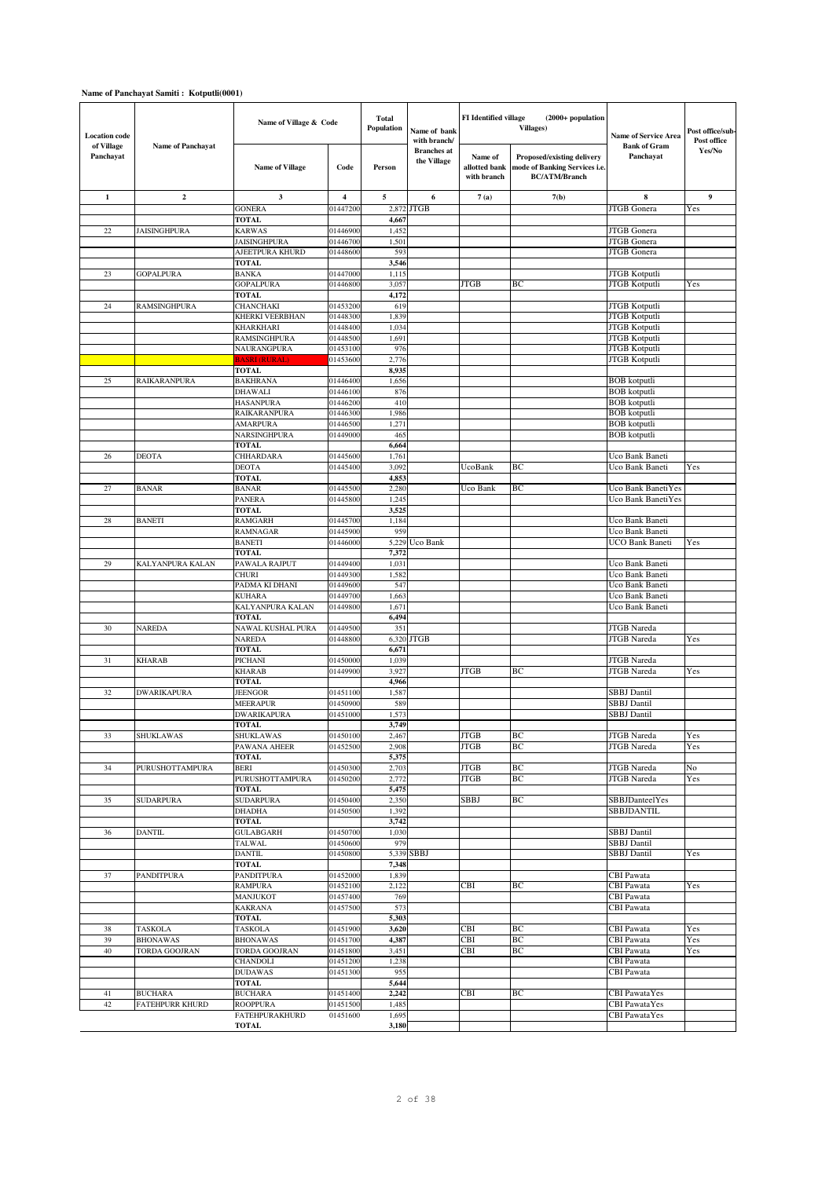## **Name of Panchayat Samiti : Kotputli(0001)**

| <b>Location</b> code    |                                   | Name of Village & Code                |                      | <b>Total</b><br><b>Population</b> | Name of bank<br>with branch/      | FI Identified village                   | $(2000+$ population<br><b>Villages</b> )                                            | Name of Service Area                   | Post office/sub-<br>Post office |
|-------------------------|-----------------------------------|---------------------------------------|----------------------|-----------------------------------|-----------------------------------|-----------------------------------------|-------------------------------------------------------------------------------------|----------------------------------------|---------------------------------|
| of Village<br>Panchayat | <b>Name of Panchayat</b>          | <b>Name of Village</b>                | Code                 | Person                            | <b>Branches</b> at<br>the Village | Name of<br>allotted bank<br>with branch | Proposed/existing delivery<br>mode of Banking Services i.e.<br><b>BC/ATM/Branch</b> | <b>Bank of Gram</b><br>Panchayat       | Yes/No                          |
| $\mathbf{1}$            | $\mathbf{2}$                      | 3                                     | 4                    | 5                                 | 6                                 | 7(a)                                    | 7(b)                                                                                | ${\bf 8}$                              | 9                               |
|                         |                                   | <b>GONERA</b>                         | 01447200             | 2,872                             | JTGB                              |                                         |                                                                                     | JTGB Gonera                            | Yes                             |
|                         |                                   | <b>TOTAL</b>                          |                      | 4,667                             |                                   |                                         |                                                                                     |                                        |                                 |
| 22                      | <b>JAISINGHPURA</b>               | <b>KARWAS</b>                         | 01446900             | 1,452                             |                                   |                                         |                                                                                     | JTGB Gonera                            |                                 |
|                         |                                   | <b>JAISINGHPURA</b>                   | 01446700             | 1,501<br>593                      |                                   |                                         |                                                                                     | <b>JTGB</b> Gonera<br>JTGB Gonera      |                                 |
|                         |                                   | AJEETPURA KHURD<br><b>TOTAL</b>       | 01448600             | 3,546                             |                                   |                                         |                                                                                     |                                        |                                 |
| 23                      | <b>GOPALPURA</b>                  | <b>BANKA</b>                          | 01447000             | 1,115                             |                                   |                                         |                                                                                     | JTGB Kotputli                          |                                 |
|                         |                                   | <b>GOPALPURA</b>                      | 01446800             | 3,057                             |                                   | <b>JTGB</b>                             | ВC                                                                                  | JTGB Kotputli                          | Yes                             |
|                         |                                   | <b>TOTAL</b>                          |                      | 4,172                             |                                   |                                         |                                                                                     |                                        |                                 |
| 24                      | RAMSINGHPURA                      | CHANCHAKI                             | 01453200             | 619                               |                                   |                                         |                                                                                     | JTGB Kotputli                          |                                 |
|                         |                                   | KHERKI VEERBHAN                       | 01448300             | 1,839                             |                                   |                                         |                                                                                     | <b>JTGB</b> Kotputli                   |                                 |
|                         |                                   | <b>KHARKHARI</b>                      | 01448400             | 1,034                             |                                   |                                         |                                                                                     | JTGB Kotputli                          |                                 |
|                         |                                   | RAMSINGHPURA                          | 01448500             | 1,691                             |                                   |                                         |                                                                                     | JTGB Kotputli                          |                                 |
|                         |                                   | NAURANGPURA<br><b>BASRI (RURAL)</b>   | 01453100<br>01453600 | 976<br>2,776                      |                                   |                                         |                                                                                     | JTGB Kotputli<br>JTGB Kotputli         |                                 |
|                         |                                   | <b>TOTAL</b>                          |                      | 8,935                             |                                   |                                         |                                                                                     |                                        |                                 |
| 25                      | <b>RAIKARANPURA</b>               | <b>BAKHRANA</b>                       | 01446400             | 1,656                             |                                   |                                         |                                                                                     | <b>BOB</b> kotputli                    |                                 |
|                         |                                   | <b>DHAWALI</b>                        | 01446100             | 876                               |                                   |                                         |                                                                                     | <b>BOB</b> kotputli                    |                                 |
|                         |                                   | <b>HASANPURA</b>                      | 01446200             | 410                               |                                   |                                         |                                                                                     | <b>BOB</b> kotputli                    |                                 |
|                         |                                   | RAIKARANPURA                          | 01446300             | 1,986                             |                                   |                                         |                                                                                     | <b>BOB</b> kotputli                    |                                 |
|                         |                                   | AMARPURA                              | 01446500             | 1,271                             |                                   |                                         |                                                                                     | <b>BOB</b> kotputli                    |                                 |
|                         |                                   | NARSINGHPURA                          | 01449000             | 465                               |                                   |                                         |                                                                                     | <b>BOB</b> kotputli                    |                                 |
|                         | <b>DEOTA</b>                      | TOTAL<br><b>CHHARDARA</b>             |                      | 6,664                             |                                   |                                         |                                                                                     | Uco Bank Baneti                        |                                 |
| 26                      |                                   | <b>DEOTA</b>                          | 01445600<br>01445400 | 1,761<br>3,092                    |                                   | UcoBank                                 | ВC                                                                                  | Uco Bank Baneti                        | Yes                             |
|                         |                                   | <b>TOTAL</b>                          |                      | 4,853                             |                                   |                                         |                                                                                     |                                        |                                 |
| 27                      | <b>BANAR</b>                      | <b>BANAR</b>                          | 01445500             | 2,280                             |                                   | Uco Bank                                | BC                                                                                  | Uco Bank BanetiYes                     |                                 |
|                         |                                   | <b>PANERA</b>                         | 01445800             | 1,245                             |                                   |                                         |                                                                                     | Uco Bank BanetiYes                     |                                 |
|                         |                                   | <b>TOTAL</b>                          |                      | 3,525                             |                                   |                                         |                                                                                     |                                        |                                 |
| 28                      | <b>BANETI</b>                     | <b>RAMGARH</b>                        | 01445700             | 1,184                             |                                   |                                         |                                                                                     | Uco Bank Baneti                        |                                 |
|                         |                                   | <b>RAMNAGAR</b>                       | 01445900             | 959                               |                                   |                                         |                                                                                     | Uco Bank Baneti                        |                                 |
|                         |                                   | <b>BANETI</b>                         | 01446000             | 5,229                             | Uco Bank                          |                                         |                                                                                     | <b>UCO Bank Baneti</b>                 | Yes                             |
| 29                      | KALYANPURA KALAN                  | <b>TOTAL</b><br>PAWALA RAJPUT         | 01449400             | 7,372<br>1,031                    |                                   |                                         |                                                                                     | Uco Bank Baneti                        |                                 |
|                         |                                   | <b>CHURI</b>                          | 01449300             | 1,582                             |                                   |                                         |                                                                                     | Uco Bank Baneti                        |                                 |
|                         |                                   | PADMA KI DHANI                        | 01449600             | 547                               |                                   |                                         |                                                                                     | Uco Bank Baneti                        |                                 |
|                         |                                   | <b>KUHARA</b>                         | 01449700             | 1,663                             |                                   |                                         |                                                                                     | Uco Bank Baneti                        |                                 |
|                         |                                   | KALYANPURA KALAN                      | 01449800             | 1,671                             |                                   |                                         |                                                                                     | Uco Bank Baneti                        |                                 |
|                         |                                   | <b>TOTAL</b>                          |                      | 6,494                             |                                   |                                         |                                                                                     |                                        |                                 |
| 30                      | <b>NAREDA</b>                     | NAWAL KUSHAL PURA                     | 01449500             | 351                               |                                   |                                         |                                                                                     | <b>JTGB</b> Nareda                     |                                 |
|                         |                                   | <b>NAREDA</b><br><b>TOTAL</b>         | 01448800             | 6,320                             | <b>JTGB</b>                       |                                         |                                                                                     | <b>JTGB</b> Nareda                     | Yes                             |
| 31                      | <b>KHARAB</b>                     | PICHANI                               | 01450000             | 6,671<br>1,039                    |                                   |                                         |                                                                                     | JTGB Nareda                            |                                 |
|                         |                                   | <b>KHARAB</b>                         | 01449900             | 3,927                             |                                   | <b>JTGB</b>                             | ВC                                                                                  | <b>JTGB</b> Nareda                     | Yes                             |
|                         |                                   | <b>TOTAL</b>                          |                      | 4,966                             |                                   |                                         |                                                                                     |                                        |                                 |
| 32                      | <b>DWARIKAPURA</b>                | <b>JEENGOR</b>                        | 01451100             | 1,587                             |                                   |                                         |                                                                                     | <b>SBBJ</b> Dantil                     |                                 |
|                         |                                   | <b>MEERAPUR</b>                       | 01450900             | 589                               |                                   |                                         |                                                                                     | SBBJ Dantil                            |                                 |
|                         |                                   | <b>DWARIKAPURA</b>                    | 01451000             | 1,573                             |                                   |                                         |                                                                                     | <b>SBBJ</b> Dantil                     |                                 |
|                         |                                   | <b>TOTAL</b>                          |                      | 3,749                             |                                   |                                         |                                                                                     |                                        |                                 |
| 33                      | SHUKLAWAS                         | <b>SHUKLAWAS</b><br>PAWANA AHEER      | 01450100<br>01452500 | 2,467<br>2,908                    |                                   | <b>JTGB</b><br><b>JTGB</b>              | BС<br>ВC                                                                            | JTGB Nareda<br>JTGB Nareda             | Yes<br>Yes                      |
|                         |                                   | <b>TOTAL</b>                          |                      | 5,375                             |                                   |                                         |                                                                                     |                                        |                                 |
| 34                      | PURUSHOTTAMPURA                   | <b>BERI</b>                           | 01450300             | 2,703                             |                                   | <b>JTGB</b>                             | ВC                                                                                  | JTGB Nareda                            | No                              |
|                         |                                   | PURUSHOTTAMPURA                       | 01450200             | 2,772                             |                                   | <b>JTGB</b>                             | ВC                                                                                  | JTGB Nareda                            | Yes                             |
|                         |                                   | TOTAL                                 |                      | 5,475                             |                                   |                                         |                                                                                     |                                        |                                 |
| 35                      | <b>SUDARPURA</b>                  | <b>SUDARPURA</b>                      | 01450400             | 2,350                             |                                   | SBBJ                                    | BС                                                                                  | <b>SBBJDanteelYes</b>                  |                                 |
|                         |                                   | <b>DHADHA</b>                         | 01450500             | 1,392                             |                                   |                                         |                                                                                     | SBBJDANTIL                             |                                 |
| 36                      | <b>DANTIL</b>                     | <b>TOTAL</b><br><b>GULABGARH</b>      | 01450700             | 3,742<br>1,030                    |                                   |                                         |                                                                                     | SBBJ Dantil                            |                                 |
|                         |                                   | TALWAL                                | 01450600             | 979                               |                                   |                                         |                                                                                     | <b>SBBJ</b> Dantil                     |                                 |
|                         |                                   | <b>DANTIL</b>                         | 01450800             | 5,339                             | <b>SBBJ</b>                       |                                         |                                                                                     | <b>SBBJ</b> Dantil                     | Yes                             |
|                         |                                   | <b>TOTAL</b>                          |                      | 7,348                             |                                   |                                         |                                                                                     |                                        |                                 |
| 37                      | PANDITPURA                        | PANDITPURA                            | 01452000             | 1,839                             |                                   |                                         |                                                                                     | <b>CBI</b> Pawata                      |                                 |
|                         |                                   | <b>RAMPURA</b>                        | 01452100             | 2,122                             |                                   | CBI                                     | BС                                                                                  | <b>CBI</b> Pawata                      | Yes                             |
|                         |                                   | <b>MANJUKOT</b>                       | 01457400             | 769                               |                                   |                                         |                                                                                     | <b>CBI</b> Pawata                      |                                 |
|                         |                                   | <b>KAKRANA</b>                        | 01457500             | 573                               |                                   |                                         |                                                                                     | <b>CBI</b> Pawata                      |                                 |
|                         |                                   | TOTAL                                 |                      | 5,303                             |                                   | CBI                                     | ВC                                                                                  |                                        |                                 |
| 38<br>39                | <b>TASKOLA</b><br><b>BHONAWAS</b> | TASKOLA<br><b>BHONAWAS</b>            | 01451900<br>01451700 | 3,620<br>4,387                    |                                   | <b>CBI</b>                              | ВC                                                                                  | <b>CBI</b> Pawata<br><b>CBI</b> Pawata | Yes<br>Yes                      |
| 40                      | TORDA GOOJRAN                     | TORDA GOOJRAN                         | 01451800             | 3,451                             |                                   | CBI                                     | ВC                                                                                  | <b>CBI</b> Pawata                      | Yes                             |
|                         |                                   | CHANDOLI                              | 01451200             | 1,238                             |                                   |                                         |                                                                                     | CBI Pawata                             |                                 |
|                         |                                   | <b>DUDAWAS</b>                        | 01451300             | 955                               |                                   |                                         |                                                                                     | <b>CBI</b> Pawata                      |                                 |
|                         |                                   | <b>TOTAL</b>                          |                      | 5,644                             |                                   |                                         |                                                                                     |                                        |                                 |
| 41                      | <b>BUCHARA</b>                    | <b>BUCHARA</b>                        | 01451400             | 2,242                             |                                   | CBI                                     | ВC                                                                                  | <b>CBI</b> PawataYes                   |                                 |
| 42                      | FATEHPURR KHURD                   | <b>ROOPPURA</b>                       | 01451500             | 1,485                             |                                   |                                         |                                                                                     | <b>CBI</b> PawataYes                   |                                 |
|                         |                                   | <b>FATEHPURAKHURD</b><br><b>TOTAL</b> | 01451600             | 1,695<br>3,180                    |                                   |                                         |                                                                                     | <b>CBI</b> PawataYes                   |                                 |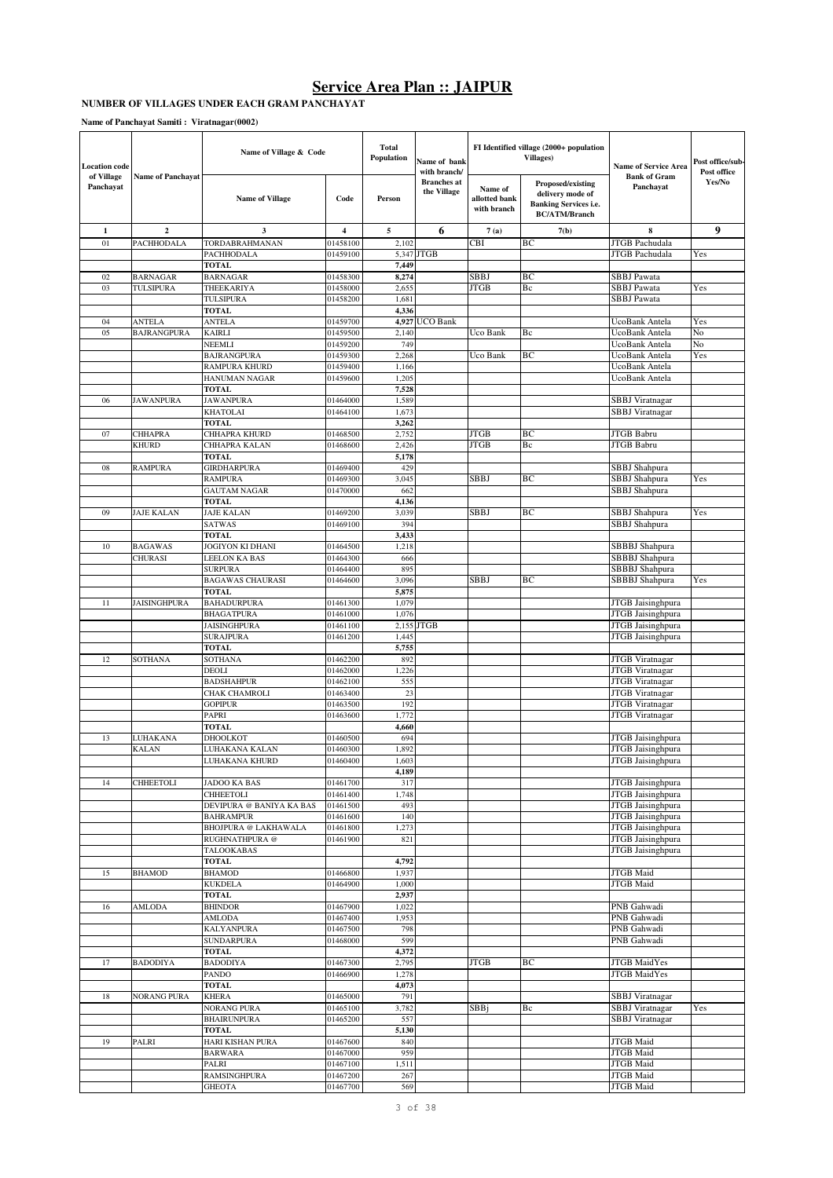### **NUMBER OF VILLAGES UNDER EACH GRAM PANCHAYAT**

**Name of Panchayat Samiti : Viratnagar(0002)**

| <b>Location</b> code<br>of Village<br><b>Name of Panchayat</b> |                          | Name of Village & Code                       |                      | <b>Total</b><br>Population | Name of bank<br>with branch/      |                                         | FI Identified village (2000+ population<br>Villages)                                          | <b>Name of Service Area</b>            | Post office/sub-<br>Post office |
|----------------------------------------------------------------|--------------------------|----------------------------------------------|----------------------|----------------------------|-----------------------------------|-----------------------------------------|-----------------------------------------------------------------------------------------------|----------------------------------------|---------------------------------|
| Panchayat                                                      |                          | <b>Name of Village</b>                       | Code                 | Person                     | <b>Branches</b> at<br>the Village | Name of<br>allotted bank<br>with branch | Proposed/existing<br>delivery mode of<br><b>Banking Services i.e.</b><br><b>BC/ATM/Branch</b> | <b>Bank of Gram</b><br>Panchayat       | Yes/No                          |
| 1                                                              | $\mathbf 2$              | 3                                            | 4                    | 5                          | 6                                 | 7(a)                                    | 7(b)                                                                                          | 8                                      | 9                               |
| 01                                                             | PACHHODALA               | <b>TORDABRAHMANAN</b>                        | 01458100             | 2,102                      |                                   | CBI                                     | BC                                                                                            | JTGB Pachudala                         |                                 |
|                                                                |                          | PACHHODALA                                   | 01459100             |                            | 5,347 JTGB                        |                                         |                                                                                               | JTGB Pachudala                         | Yes                             |
| 02                                                             | BARNAGAR                 | <b>TOTAL</b><br>BARNAGAR                     | 01458300             | 7,449<br>8,274             |                                   | SBBJ                                    | BC                                                                                            | <b>SBBJ</b> Pawata                     |                                 |
| 03                                                             | TULSIPURA                | THEEKARIYA                                   | 01458000             | 2,655                      |                                   | <b>JTGB</b>                             | Вc                                                                                            | SBBJ Pawata                            | Yes                             |
|                                                                |                          | TULSIPURA                                    | 01458200             | 1,681                      |                                   |                                         |                                                                                               | SBBJ Pawata                            |                                 |
|                                                                |                          | <b>TOTAL</b>                                 |                      | 4,336                      |                                   |                                         |                                                                                               |                                        |                                 |
| 04                                                             | ANTELA                   | ANTELA                                       | 01459700             |                            | 4,927 UCO Bank                    |                                         |                                                                                               | UcoBank Antela                         | Yes                             |
| 05                                                             | <b>BAJRANGPURA</b>       | KAIRLI                                       | 01459500             | 2,140                      |                                   | Uco Bank                                | Bc                                                                                            | UcoBank Antela                         | No                              |
|                                                                |                          | NEEMLI<br><b>BAJRANGPURA</b>                 | 01459200<br>01459300 | 749<br>2,268               |                                   | Uco Bank                                | BC                                                                                            | UcoBank Antela<br>UcoBank Antela       | No<br>Yes                       |
|                                                                |                          | RAMPURA KHURD                                | 01459400             | 1,166                      |                                   |                                         |                                                                                               | UcoBank Antela                         |                                 |
|                                                                |                          | HANUMAN NAGAR                                | 01459600             | 1,205                      |                                   |                                         |                                                                                               | UcoBank Antela                         |                                 |
|                                                                |                          | <b>TOTAL</b>                                 |                      | 7,528                      |                                   |                                         |                                                                                               |                                        |                                 |
| 06                                                             | <b>JAWANPURA</b>         | <b>JAWANPURA</b>                             | 01464000             | 1,589                      |                                   |                                         |                                                                                               | <b>SBBJ</b> Viratnagar                 |                                 |
|                                                                |                          | KHATOLAI<br><b>TOTAL</b>                     | 01464100             | 1,673                      |                                   |                                         |                                                                                               | SBBJ Viratnagar                        |                                 |
| 07                                                             | <b>CHHAPRA</b>           | CHHAPRA KHURD                                | 01468500             | 3,262<br>2,752             |                                   | <b>JTGB</b>                             | BC                                                                                            | JTGB Babru                             |                                 |
|                                                                | KHURD                    | CHHAPRA KALAN                                | 01468600             | 2,426                      |                                   | <b>JTGB</b>                             | Bc                                                                                            | JTGB Babru                             |                                 |
|                                                                |                          | <b>TOTAL</b>                                 |                      | 5,178                      |                                   |                                         |                                                                                               |                                        |                                 |
| 08                                                             | <b>RAMPURA</b>           | <b>GIRDHARPURA</b>                           | 01469400             | 429                        |                                   |                                         |                                                                                               | SBBJ Shahpura                          |                                 |
|                                                                |                          | RAMPURA                                      | 01469300             | 3,045                      |                                   | SBBJ                                    | ВC                                                                                            | SBBJ Shahpura                          | Yes                             |
|                                                                |                          | <b>GAUTAM NAGAR</b><br><b>TOTAL</b>          | 01470000             | 662<br>4,136               |                                   |                                         |                                                                                               | SBBJ Shahpura                          |                                 |
| 09                                                             | JAJE KALAN               | JAJE KALAN                                   | 01469200             | 3,039                      |                                   | <b>SBBJ</b>                             | BC                                                                                            | SBBJ Shahpura                          | Yes                             |
|                                                                |                          | SATWAS                                       | 01469100             | 394                        |                                   |                                         |                                                                                               | SBBJ Shahpura                          |                                 |
|                                                                |                          | <b>TOTAL</b>                                 |                      | 3,433                      |                                   |                                         |                                                                                               |                                        |                                 |
| 10                                                             | <b>BAGAWAS</b>           | JOGIYON KI DHANI                             | 01464500             | 1,218                      |                                   |                                         |                                                                                               | SBBBJ Shahpura                         |                                 |
|                                                                | CHURASI                  | <b>LEELON KA BAS</b>                         | 01464300             | 666                        |                                   |                                         |                                                                                               | SBBBJ Shahpura                         |                                 |
|                                                                |                          | <b>SURPURA</b><br><b>BAGAWAS CHAURASI</b>    | 01464400<br>01464600 | 895<br>3,096               |                                   | SBBJ                                    | ВC                                                                                            | SBBBJ Shahpura                         | Yes                             |
|                                                                |                          | <b>TOTAL</b>                                 |                      | 5,875                      |                                   |                                         |                                                                                               | SBBBJ Shahpura                         |                                 |
| 11                                                             | <b>JAISINGHPURA</b>      | BAHADURPURA                                  | 01461300             | 1,079                      |                                   |                                         |                                                                                               | JTGB Jaisinghpura                      |                                 |
|                                                                |                          | <b>BHAGATPURA</b>                            | 01461000             | 1,076                      |                                   |                                         |                                                                                               | JTGB Jaisinghpura                      |                                 |
|                                                                |                          | JAISINGHPURA                                 | 01461100             |                            | 2,155 JTGB                        |                                         |                                                                                               | JTGB Jaisinghpura                      |                                 |
|                                                                |                          | <b>SURAJPURA</b>                             | 01461200             | 1,445                      |                                   |                                         |                                                                                               | JTGB Jaisinghpura                      |                                 |
| 12                                                             | SOTHANA                  | <b>TOTAL</b><br>SOTHANA                      | 01462200             | 5,755<br>892               |                                   |                                         |                                                                                               | JTGB Viratnagar                        |                                 |
|                                                                |                          | DEOLI                                        | 01462000             | 1,226                      |                                   |                                         |                                                                                               | <b>JTGB</b> Viratnagar                 |                                 |
|                                                                |                          | BADSHAHPUR                                   | 01462100             | 555                        |                                   |                                         |                                                                                               | <b>JTGB</b> Viratnagar                 |                                 |
|                                                                |                          | CHAK CHAMROLI                                | 01463400             | 23                         |                                   |                                         |                                                                                               | <b>JTGB</b> Viratnagar                 |                                 |
|                                                                |                          | GOPIPUR                                      | 01463500             | 192                        |                                   |                                         |                                                                                               | JTGB Viratnagar                        |                                 |
|                                                                |                          | PAPRI                                        | 01463600             | 1,772                      |                                   |                                         |                                                                                               | JTGB Viratnagar                        |                                 |
| 13                                                             |                          | <b>TOTAL</b><br>DHOOLKOT                     |                      | 4,660<br>694               |                                   |                                         |                                                                                               |                                        |                                 |
|                                                                | <b>JUHAKANA</b><br>KALAN | LUHAKANA KALAN                               | 01460500<br>01460300 | 1,892                      |                                   |                                         |                                                                                               | JTGB Jaisinghpura<br>JTGB Jaisinghpura |                                 |
|                                                                |                          | LUHAKANA KHURD                               | 01460400             | 1,603                      |                                   |                                         |                                                                                               | JTGB Jaisinghpura                      |                                 |
|                                                                |                          |                                              |                      | 4,189                      |                                   |                                         |                                                                                               |                                        |                                 |
| 14                                                             | CHHEETOLI                | <b>JADOO KA BAS</b>                          | 01461700             | 317                        |                                   |                                         |                                                                                               | JTGB Jaisinghpura                      |                                 |
|                                                                |                          | <b>CHHEETOLI</b>                             | 01461400             | 1,748                      |                                   |                                         |                                                                                               | JTGB Jaisinghpura                      |                                 |
|                                                                |                          | DEVIPURA @ BANIYA KA BAS<br><b>BAHRAMPUR</b> | 01461500<br>01461600 | 493<br>140                 |                                   |                                         |                                                                                               | JTGB Jaisinghpura<br>JTGB Jaisinghpura |                                 |
|                                                                |                          | <b>BHOJPURA @ LAKHAWALA</b>                  | 01461800             | 1,273                      |                                   |                                         |                                                                                               | <b>JTGB</b> Jaisinghpura               |                                 |
|                                                                |                          | RUGHNATHPURA @                               | 01461900             | 821                        |                                   |                                         |                                                                                               | JTGB Jaisinghpura                      |                                 |
|                                                                |                          | TALOOKABAS                                   |                      |                            |                                   |                                         |                                                                                               | JTGB Jaisinghpura                      |                                 |
|                                                                |                          | <b>TOTAL</b>                                 |                      | 4,792                      |                                   |                                         |                                                                                               |                                        |                                 |
| 15                                                             | <b>BHAMOD</b>            | <b>BHAMOD</b><br><b>KUKDELA</b>              | 01466800             | 1,937                      |                                   |                                         |                                                                                               | JTGB Maid<br><b>JTGB</b> Maid          |                                 |
|                                                                |                          | <b>TOTAL</b>                                 | 01464900             | 1,000<br>2,937             |                                   |                                         |                                                                                               |                                        |                                 |
| 16                                                             | AMLODA                   | <b>BHINDOR</b>                               | 01467900             | 1,022                      |                                   |                                         |                                                                                               | PNB Gahwadi                            |                                 |
|                                                                |                          | AMLODA                                       | 01467400             | 1,953                      |                                   |                                         |                                                                                               | PNB Gahwadi                            |                                 |
|                                                                |                          | KALYANPURA                                   | 01467500             | 798                        |                                   |                                         |                                                                                               | PNB Gahwadi                            |                                 |
|                                                                |                          | <b>SUNDARPURA</b>                            | 01468000             | 599                        |                                   |                                         |                                                                                               | PNB Gahwadi                            |                                 |
| 17                                                             | <b>BADODIYA</b>          | <b>TOTAL</b><br><b>BADODIYA</b>              |                      | 4,372<br>2,795             |                                   | <b>JTGB</b>                             | BC                                                                                            | JTGB MaidYes                           |                                 |
|                                                                |                          | PANDO                                        | 01467300<br>01466900 | 1,278                      |                                   |                                         |                                                                                               | JTGB MaidYes                           |                                 |
|                                                                |                          | <b>TOTAL</b>                                 |                      | 4,073                      |                                   |                                         |                                                                                               |                                        |                                 |
| 18                                                             | <b>NORANG PURA</b>       | <b>KHERA</b>                                 | 01465000             | 791                        |                                   |                                         |                                                                                               | <b>SBBJ</b> Viratnagar                 |                                 |
|                                                                |                          | NORANG PURA                                  | 01465100             | 3,782                      |                                   | SBBj                                    | Bc                                                                                            | <b>SBBJ</b> Viratnagar                 | Yes                             |
|                                                                |                          | <b>BHAIRUNPURA</b>                           | 01465200             | 557                        |                                   |                                         |                                                                                               | <b>SBBJ</b> Viratnagar                 |                                 |
| 19                                                             | PALRI                    | TOTAL<br>HARI KISHAN PURA                    | 01467600             | 5,130<br>840               |                                   |                                         |                                                                                               | JTGB Maid                              |                                 |
|                                                                |                          | <b>BARWARA</b>                               | 01467000             | 959                        |                                   |                                         |                                                                                               | JTGB Maid                              |                                 |
|                                                                |                          | PALRI                                        | 01467100             | 1,511                      |                                   |                                         |                                                                                               | JTGB Maid                              |                                 |
|                                                                |                          | RAMSINGHPURA                                 | 01467200             | 267                        |                                   |                                         |                                                                                               | JTGB Maid                              |                                 |
|                                                                |                          | GHEOTA                                       | 01467700             | 569                        |                                   |                                         |                                                                                               | JTGB Maid                              |                                 |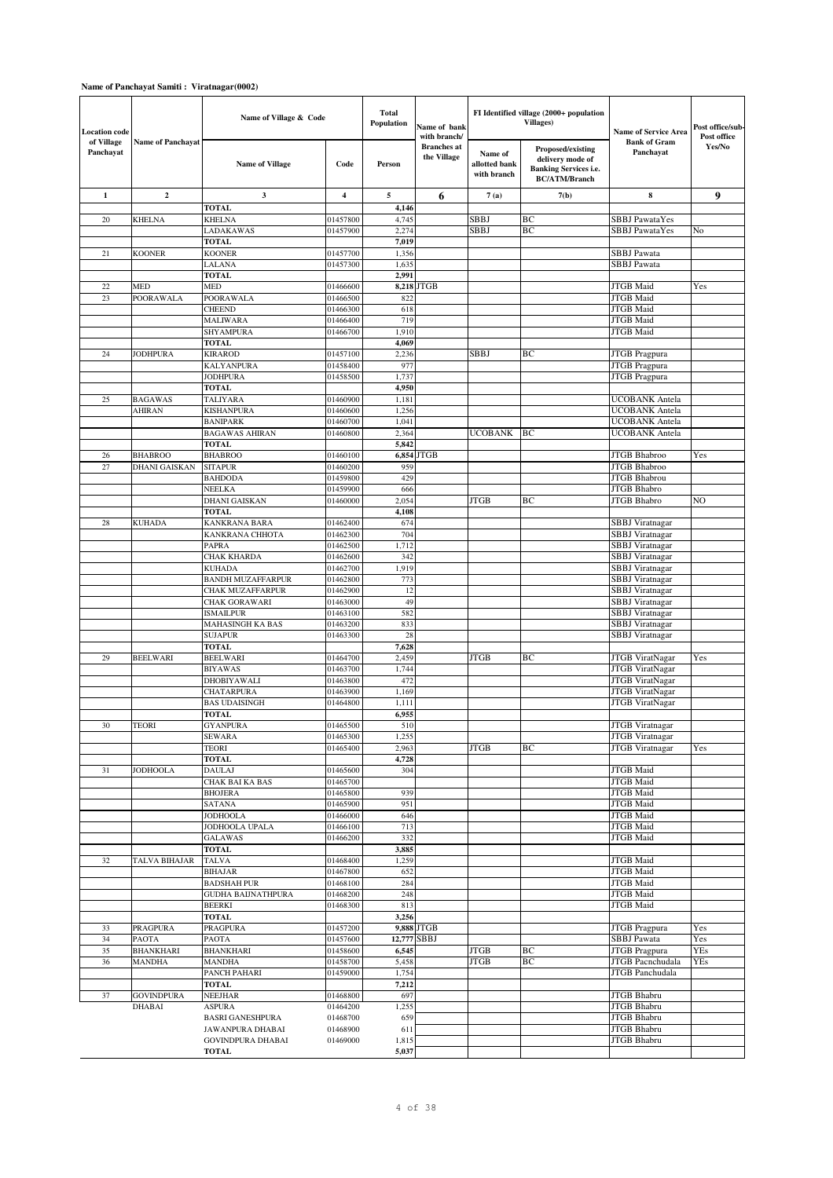### **Name of Panchayat Samiti : Viratnagar(0002)**

| <b>Location code</b><br>of Village<br><b>Name of Panchayat</b> |                   | Name of Village & Code                   |                      | <b>Total</b><br>Population | Name of bank<br>with branch/      |                                         | FI Identified village (2000+ population<br><b>Villages</b> )                                         | <b>Name of Service Area</b>                    | Post office/sub-<br>Post office |
|----------------------------------------------------------------|-------------------|------------------------------------------|----------------------|----------------------------|-----------------------------------|-----------------------------------------|------------------------------------------------------------------------------------------------------|------------------------------------------------|---------------------------------|
| Panchayat                                                      |                   | <b>Name of Village</b>                   | Code                 | Person                     | <b>Branches</b> at<br>the Village | Name of<br>allotted bank<br>with branch | <b>Proposed/existing</b><br>delivery mode of<br><b>Banking Services i.e.</b><br><b>BC/ATM/Branch</b> | <b>Bank of Gram</b><br>Panchayat               | Yes/No                          |
| 1                                                              | $\mathbf 2$       | 3                                        | 4                    | 5                          | 6                                 | 7(a)                                    | 7(b)                                                                                                 | 8                                              | 9                               |
|                                                                |                   | <b>TOTAL</b>                             |                      | 4,146                      |                                   |                                         |                                                                                                      |                                                |                                 |
| 20                                                             | KHELNA            | <b>KHELNA</b><br>LADAKAWAS               | 01457800             | 4,745                      |                                   | <b>SBBJ</b><br>SBBJ                     | BC<br>BC                                                                                             | <b>SBBJ</b> PawataYes<br><b>SBBJ</b> PawataYes |                                 |
|                                                                |                   | <b>TOTAL</b>                             | 01457900             | 2,274<br>7,019             |                                   |                                         |                                                                                                      |                                                | No                              |
| 21                                                             | <b>KOONER</b>     | <b>KOONER</b>                            | 01457700             | 1,356                      |                                   |                                         |                                                                                                      | SBBJ Pawata                                    |                                 |
|                                                                |                   | LALANA                                   | 01457300             | 1,635                      |                                   |                                         |                                                                                                      | <b>SBBJ</b> Pawata                             |                                 |
|                                                                |                   | <b>TOTAL</b>                             |                      | 2,991                      |                                   |                                         |                                                                                                      |                                                |                                 |
| 22                                                             | <b>MED</b>        | <b>MED</b>                               | 01466600             |                            | 8,218 JTGB                        |                                         |                                                                                                      | <b>JTGB</b> Maid                               | Yes                             |
| 23                                                             | <b>POORAWALA</b>  | POORAWALA<br><b>CHEEND</b>               | 01466500<br>01466300 | 822<br>618                 |                                   |                                         |                                                                                                      | JTGB Maid<br>JTGB Maid                         |                                 |
|                                                                |                   | <b>MALIWARA</b>                          | 01466400             | 719                        |                                   |                                         |                                                                                                      | <b>JTGB</b> Maid                               |                                 |
|                                                                |                   | SHYAMPURA                                | 01466700             | 1,910                      |                                   |                                         |                                                                                                      | JTGB Maid                                      |                                 |
|                                                                |                   | <b>TOTAL</b>                             |                      | 4,069                      |                                   |                                         |                                                                                                      |                                                |                                 |
| 24                                                             | <b>JODHPURA</b>   | <b>KIRAROD</b>                           | 01457100             | 2,236                      |                                   | <b>SBBJ</b>                             | BC                                                                                                   | JTGB Pragpura                                  |                                 |
|                                                                |                   | KALYANPURA                               | 01458400             | 977                        |                                   |                                         |                                                                                                      | JTGB Pragpura                                  |                                 |
|                                                                |                   | <b>JODHPURA</b><br><b>TOTAL</b>          | 01458500             | 1,737<br>4,950             |                                   |                                         |                                                                                                      | JTGB Pragpura                                  |                                 |
| 25                                                             | <b>BAGAWAS</b>    | TALIYARA                                 | 01460900             | 1,181                      |                                   |                                         |                                                                                                      | <b>UCOBANK</b> Antela                          |                                 |
|                                                                | AHIRAN            | <b>KISHANPURA</b>                        | 01460600             | 1,256                      |                                   |                                         |                                                                                                      | <b>UCOBANK</b> Antela                          |                                 |
|                                                                |                   | <b>BANIPARK</b>                          | 01460700             | 1,041                      |                                   |                                         |                                                                                                      | <b>UCOBANK</b> Antela                          |                                 |
|                                                                |                   | <b>BAGAWAS AHIRAN</b>                    | 01460800             | 2,364                      |                                   | <b>UCOBANK</b>                          | BС                                                                                                   | <b>UCOBANK</b> Antela                          |                                 |
|                                                                | <b>BHABROO</b>    | <b>TOTAL</b><br><b>BHABROO</b>           |                      | 5,842                      | 6,854 JTGB                        |                                         |                                                                                                      | <b>JTGB</b> Bhabroo                            | Yes                             |
| 26<br>27                                                       | DHANI GAISKAN     | <b>SITAPUR</b>                           | 01460100<br>01460200 | 959                        |                                   |                                         |                                                                                                      | <b>JTGB</b> Bhabroo                            |                                 |
|                                                                |                   | <b>BAHDODA</b>                           | 01459800             | 429                        |                                   |                                         |                                                                                                      | <b>JTGB Bhabrou</b>                            |                                 |
|                                                                |                   | NEELKA                                   | 01459900             | 666                        |                                   |                                         |                                                                                                      | <b>JTGB</b> Bhabro                             |                                 |
|                                                                |                   | DHANI GAISKAN                            | 01460000             | 2,054                      |                                   | <b>JTGB</b>                             | ВC                                                                                                   | <b>JTGB</b> Bhabro                             | NO                              |
|                                                                |                   | <b>TOTAL</b>                             |                      | 4,108                      |                                   |                                         |                                                                                                      |                                                |                                 |
| 28                                                             | KUHADA            | KANKRANA BARA                            | 01462400             | 674                        |                                   |                                         |                                                                                                      | SBBJ Viratnagar                                |                                 |
|                                                                |                   | KANKRANA CHHOTA<br>PAPRA                 | 01462300<br>01462500 | 704<br>1,712               |                                   |                                         |                                                                                                      | <b>SBBJ</b> Viratnagar<br>SBBJ Viratnagar      |                                 |
|                                                                |                   | <b>CHAK KHARDA</b>                       | 01462600             | 342                        |                                   |                                         |                                                                                                      | <b>SBBJ</b> Viratnagar                         |                                 |
|                                                                |                   | <b>KUHADA</b>                            | 01462700             | 1,919                      |                                   |                                         |                                                                                                      | <b>SBBJ</b> Viratnagar                         |                                 |
|                                                                |                   | <b>BANDH MUZAFFARPUR</b>                 | 01462800             | 773                        |                                   |                                         |                                                                                                      | SBBJ Viratnagar                                |                                 |
|                                                                |                   | <b>CHAK MUZAFFARPUR</b>                  | 01462900             | 12                         |                                   |                                         |                                                                                                      | SBBJ Viratnagar                                |                                 |
|                                                                |                   | <b>CHAK GORAWARI</b><br><b>ISMAILPUR</b> | 01463000<br>01463100 | 49<br>582                  |                                   |                                         |                                                                                                      | <b>SBBJ</b> Viratnagar<br>SBBJ Viratnagar      |                                 |
|                                                                |                   | MAHASINGH KA BAS                         | 01463200             | 833                        |                                   |                                         |                                                                                                      | SBBJ Viratnagar                                |                                 |
|                                                                |                   | <b>SUJAPUR</b>                           | 01463300             | 28                         |                                   |                                         |                                                                                                      | SBBJ Viratnagar                                |                                 |
|                                                                |                   | <b>TOTAL</b>                             |                      | 7,628                      |                                   |                                         |                                                                                                      |                                                |                                 |
| 29                                                             | <b>BEELWARI</b>   | <b>BEELWARI</b>                          | 01464700             | 2,459                      |                                   | <b>JTGB</b>                             | BC                                                                                                   | JTGB ViratNagar                                | Yes                             |
|                                                                |                   | <b>BIYAWAS</b>                           | 01463700<br>01463800 | 1,744<br>472               |                                   |                                         |                                                                                                      | JTGB ViratNagar                                |                                 |
|                                                                |                   | DHOBIYAWALI<br><b>CHATARPURA</b>         | 01463900             | 1,169                      |                                   |                                         |                                                                                                      | JTGB ViratNagar<br><b>JTGB ViratNagar</b>      |                                 |
|                                                                |                   | <b>BAS UDAISINGH</b>                     | 01464800             | 1,111                      |                                   |                                         |                                                                                                      | JTGB ViratNagar                                |                                 |
|                                                                |                   | <b>TOTAL</b>                             |                      | 6,955                      |                                   |                                         |                                                                                                      |                                                |                                 |
| 30                                                             | TEORI             | GYANPURA                                 | 01465500             | 510                        |                                   |                                         |                                                                                                      | JTGB Viratnagar                                |                                 |
|                                                                |                   | <b>SEWARA</b>                            | 01465300             | 1,255                      |                                   |                                         |                                                                                                      | <b>JTGB</b> Viratnagar                         |                                 |
|                                                                |                   | <b>TEORI</b><br><b>TOTAL</b>             | 01465400             | 2,963<br>4,728             |                                   | <b>JTGB</b>                             | ВC                                                                                                   | <b>JTGB</b> Viratnagar                         | Yes                             |
| 31                                                             | <b>JODHOOLA</b>   | <b>DAULAJ</b>                            | 01465600             | 304                        |                                   |                                         |                                                                                                      | JTGB Maid                                      |                                 |
|                                                                |                   | CHAK BAI KA BAS                          | 01465700             |                            |                                   |                                         |                                                                                                      | <b>JTGB</b> Maid                               |                                 |
|                                                                |                   | <b>BHOJERA</b>                           | 01465800             | 939                        |                                   |                                         |                                                                                                      | JTGB Maid                                      |                                 |
|                                                                |                   | SATANA                                   | 01465900             | 951                        |                                   |                                         |                                                                                                      | <b>JTGB</b> Maid                               |                                 |
|                                                                |                   | <b>JODHOOLA</b>                          | 01466000             | 646                        |                                   |                                         |                                                                                                      | JTGB Maid                                      |                                 |
|                                                                |                   | JODHOOLA UPALA<br><b>GALAWAS</b>         | 01466100<br>01466200 | 713<br>332                 |                                   |                                         |                                                                                                      | <b>JTGB</b> Maid<br><b>JTGB</b> Maid           |                                 |
|                                                                |                   | <b>TOTAL</b>                             |                      | 3,885                      |                                   |                                         |                                                                                                      |                                                |                                 |
| 32                                                             | TALVA BIHAJAR     | <b>TALVA</b>                             | 01468400             | 1,259                      |                                   |                                         |                                                                                                      | <b>JTGB</b> Maid                               |                                 |
|                                                                |                   | <b>BIHAJAR</b>                           | 01467800             | 652                        |                                   |                                         |                                                                                                      | JTGB Maid                                      |                                 |
|                                                                |                   | <b>BADSHAH PUR</b>                       | 01468100             | 284                        |                                   |                                         |                                                                                                      | <b>JTGB</b> Maid                               |                                 |
|                                                                |                   | <b>GUDHA BAIJNATHPURA</b>                | 01468200             | 248                        |                                   |                                         |                                                                                                      | JTGB Maid                                      |                                 |
|                                                                |                   | <b>BEERKI</b><br><b>TOTAL</b>            | 01468300             | 813<br>3,256               |                                   |                                         |                                                                                                      | <b>JTGB</b> Maid                               |                                 |
| 33                                                             | PRAGPURA          | PRAGPURA                                 | 01457200             |                            | 9,888 JTGB                        |                                         |                                                                                                      | JTGB Pragpura                                  | Yes                             |
| 34                                                             | PAOTA             | <b>PAOTA</b>                             | 01457600             |                            | 12,777 SBBJ                       |                                         |                                                                                                      | <b>SBBJ</b> Pawata                             | Yes                             |
| 35                                                             | <b>BHANKHARI</b>  | BHANKHARI                                | 01458600             | 6,545                      |                                   | <b>JTGB</b>                             | ВC                                                                                                   | <b>JTGB</b> Pragpura                           | <b>YEs</b>                      |
| 36                                                             | MANDHA            | <b>MANDHA</b>                            | 01458700             | 5,458                      |                                   | JTGB                                    | BC                                                                                                   | <b>JTGB</b> Pacnchudala                        | <b>YEs</b>                      |
|                                                                |                   | PANCH PAHARI<br><b>TOTAL</b>             | 01459000             | 1,754<br>7,212             |                                   |                                         |                                                                                                      | <b>JTGB</b> Panchudala                         |                                 |
| 37                                                             | <b>GOVINDPURA</b> | <b>NEEJHAR</b>                           | 01468800             | 697                        |                                   |                                         |                                                                                                      | JTGB Bhabru                                    |                                 |
|                                                                | DHABAI            | <b>ASPURA</b>                            | 01464200             | 1,255                      |                                   |                                         |                                                                                                      | <b>JTGB</b> Bhabru                             |                                 |
|                                                                |                   | <b>BASRI GANESHPURA</b>                  | 01468700             | 659                        |                                   |                                         |                                                                                                      | <b>JTGB</b> Bhabru                             |                                 |
|                                                                |                   | JAWANPURA DHABAI                         | 01468900             | 611                        |                                   |                                         |                                                                                                      | <b>JTGB</b> Bhabru                             |                                 |
|                                                                |                   | <b>GOVINDPURA DHABAI</b><br><b>TOTAL</b> | 01469000             | 1,815<br>5,037             |                                   |                                         |                                                                                                      | JTGB Bhabru                                    |                                 |
|                                                                |                   |                                          |                      |                            |                                   |                                         |                                                                                                      |                                                |                                 |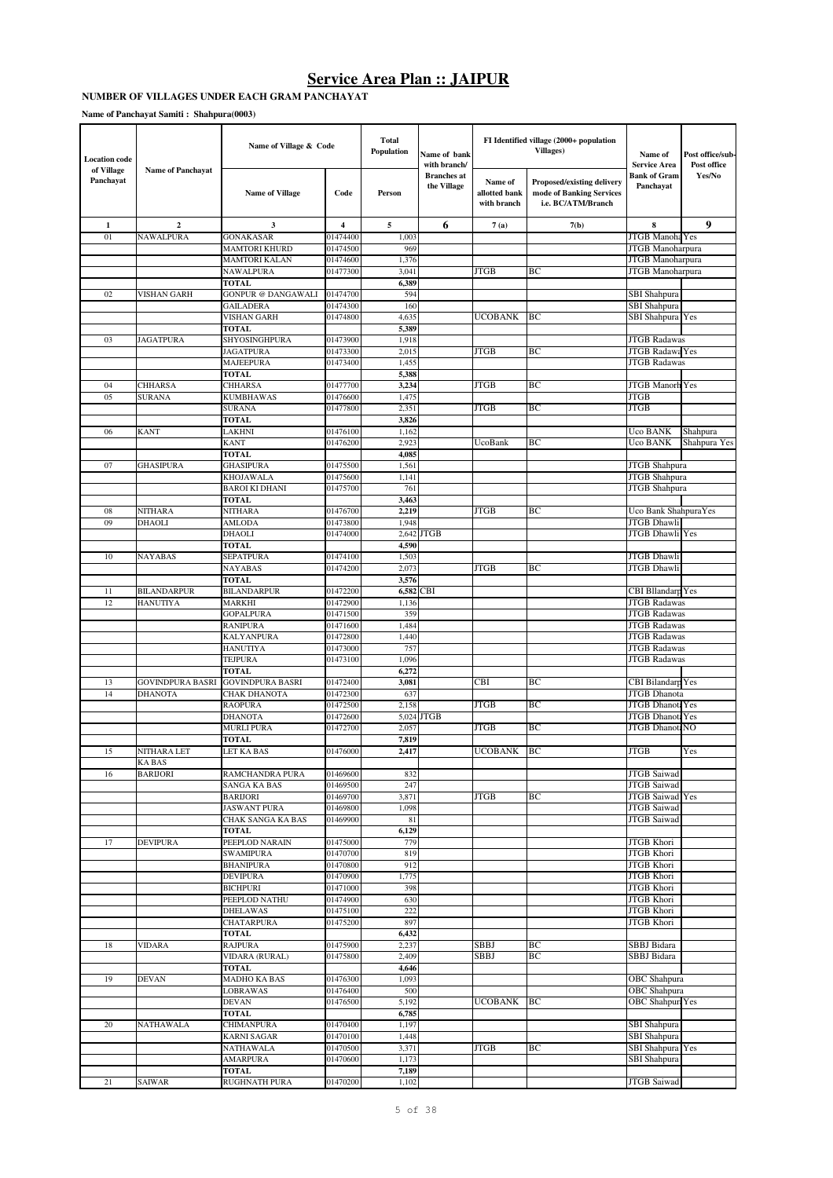#### **NUMBER OF VILLAGES UNDER EACH GRAM PANCHAYAT**

**Name of Panchayat Samiti : Shahpura(0003)**

| <b>Location</b> code<br>of Village | <b>Name of Panchayat</b> | Name of Village & Code                        |                      | Total<br>Population<br>Name of bank<br>with branch/ |                                   |                                         | FI Identified village (2000+ population<br><b>Villages</b> )                        | Name of<br><b>Service Area</b>             | Post office/sub-<br>Post office |
|------------------------------------|--------------------------|-----------------------------------------------|----------------------|-----------------------------------------------------|-----------------------------------|-----------------------------------------|-------------------------------------------------------------------------------------|--------------------------------------------|---------------------------------|
| Panchayat                          |                          | <b>Name of Village</b>                        | Code                 | Person                                              | <b>Branches</b> at<br>the Village | Name of<br>allotted bank<br>with branch | <b>Proposed/existing delivery</b><br>mode of Banking Services<br>i.e. BC/ATM/Branch | <b>Bank of Gram</b><br>Panchayat           | Yes/No                          |
| $\mathbf{1}$                       | $\overline{2}$           | $\mathbf{3}$                                  | $\overline{4}$       | 5                                                   | 6                                 | 7(a)                                    | 7(b)                                                                                | 8                                          | 9                               |
| 01                                 | <b>NAWALPURA</b>         | <b>GONAKASAR</b>                              | 01474400             | 1,003                                               |                                   |                                         |                                                                                     | JTGB Manoha Yes                            |                                 |
|                                    |                          | <b>MAMTORI KHURD</b>                          | 01474500             | 969                                                 |                                   |                                         |                                                                                     | JTGB Manoharpura                           |                                 |
|                                    |                          | <b>MAMTORI KALAN</b>                          | 01474600             | 1,376                                               |                                   |                                         |                                                                                     | JTGB Manoharpura                           |                                 |
|                                    |                          | <b>NAWALPURA</b>                              | 01477300             | 3,041                                               |                                   | <b>JTGB</b>                             | BC                                                                                  | JTGB Manoharpura                           |                                 |
|                                    |                          | <b>TOTAL</b>                                  |                      | 6,389                                               |                                   |                                         |                                                                                     |                                            |                                 |
| 02                                 | VISHAN GARH              | <b>GONPUR @ DANGAWALI</b><br><b>GAILADERA</b> | 01474700<br>01474300 | 594<br>160                                          |                                   |                                         |                                                                                     | <b>SBI</b> Shahpura<br>SBI Shahpura        |                                 |
|                                    |                          | <b>VISHAN GARH</b>                            | 01474800             | 4,635                                               |                                   | UCOBANK                                 | ВC                                                                                  | <b>SBI Shahpura</b> Yes                    |                                 |
|                                    |                          | TOTAL                                         |                      | 5,389                                               |                                   |                                         |                                                                                     |                                            |                                 |
| 03                                 | <b>JAGATPURA</b>         | SHYOSINGHPURA                                 | 01473900             | 1,918                                               |                                   |                                         |                                                                                     | <b>JTGB Radawas</b>                        |                                 |
|                                    |                          | <b>JAGATPURA</b>                              | 01473300             | 2,015                                               |                                   | <b>JTGB</b>                             | BC                                                                                  | JTGB Radawa Yes                            |                                 |
|                                    |                          | <b>MAJEEPURA</b>                              | 01473400             | 1,455                                               |                                   |                                         |                                                                                     | <b>JTGB Radawas</b>                        |                                 |
|                                    |                          | <b>TOTAL</b>                                  |                      | 5,388                                               |                                   |                                         |                                                                                     |                                            |                                 |
| 04                                 | <b>CHHARSA</b>           | <b>CHHARSA</b>                                | 01477700             | 3,234                                               |                                   | <b>JTGB</b>                             | BC                                                                                  | <b>JTGB Manorh Yes</b>                     |                                 |
| 05                                 | <b>SURANA</b>            | <b>KUMBHAWAS</b><br><b>SURANA</b>             | 01476600<br>01477800 | 1,475<br>2,351                                      |                                   | <b>JTGB</b>                             | ВC                                                                                  | <b>JTGB</b><br><b>JTGB</b>                 |                                 |
|                                    |                          | <b>TOTAL</b>                                  |                      | 3,826                                               |                                   |                                         |                                                                                     |                                            |                                 |
| 06                                 | <b>KANT</b>              | LAKHNI                                        | 01476100             | 1,162                                               |                                   |                                         |                                                                                     | Uco BANK                                   | Shahpura                        |
|                                    |                          | <b>KANT</b>                                   | 01476200             | 2,923                                               |                                   | UcoBank                                 | ВC                                                                                  | Uco BANK                                   | Shahpura Yes                    |
|                                    |                          | <b>TOTAL</b>                                  |                      | 4,085                                               |                                   |                                         |                                                                                     |                                            |                                 |
| 07                                 | <b>GHASIPURA</b>         | <b>GHASIPURA</b>                              | 01475500             | 1,561                                               |                                   |                                         |                                                                                     | JTGB Shahpura                              |                                 |
|                                    |                          | <b>KHOJAWALA</b>                              | 01475600             | 1,141                                               |                                   |                                         |                                                                                     | JTGB Shahpura                              |                                 |
|                                    |                          | <b>BAROI KI DHANI</b>                         | 01475700             | 761                                                 |                                   |                                         |                                                                                     | JTGB Shahpura                              |                                 |
|                                    |                          | <b>TOTAL</b>                                  |                      | 3,463                                               |                                   |                                         |                                                                                     |                                            |                                 |
| 08                                 | NITHARA                  | <b>NITHARA</b>                                | 01476700<br>01473800 | 2,219                                               |                                   | <b>JTGB</b>                             | BC                                                                                  | Uco Bank ShahpuraYes                       |                                 |
| 09                                 | <b>DHAOLI</b>            | <b>AMLODA</b><br>DHAOLI                       | 01474000             | 1,948<br>2,642                                      | <b>JTGB</b>                       |                                         |                                                                                     | JTGB Dhawli<br><b>JTGB</b> Dhawli          | Yes                             |
|                                    |                          | <b>TOTAL</b>                                  |                      | 4,590                                               |                                   |                                         |                                                                                     |                                            |                                 |
| 10                                 | NAYABAS                  | <b>SEPATPURA</b>                              | 01474100             | 1,503                                               |                                   |                                         |                                                                                     | JTGB Dhawli                                |                                 |
|                                    |                          | <b>NAYABAS</b>                                | 01474200             | 2,073                                               |                                   | <b>JTGB</b>                             | ВC                                                                                  | JTGB Dhawli                                |                                 |
|                                    |                          | <b>TOTAL</b>                                  |                      | 3,576                                               |                                   |                                         |                                                                                     |                                            |                                 |
| 11                                 | <b>BILANDARPUR</b>       | <b>BILANDARPUR</b>                            | 01472200             | 6,582                                               | CBI                               |                                         |                                                                                     | CBI Bllandarp Yes                          |                                 |
| 12                                 | <b>HANUTIYA</b>          | <b>MARKHI</b>                                 | 01472900             | 1,136                                               |                                   |                                         |                                                                                     | <b>JTGB Radawas</b>                        |                                 |
|                                    |                          | <b>GOPALPURA</b>                              | 01471500             | 359                                                 |                                   |                                         |                                                                                     | <b>JTGB Radawas</b>                        |                                 |
|                                    |                          | <b>RANIPURA</b><br><b>KALYANPURA</b>          | 01471600<br>01472800 | 1,484<br>1,440                                      |                                   |                                         |                                                                                     | <b>JTGB</b> Radawas<br><b>JTGB Radawas</b> |                                 |
|                                    |                          | <b>HANUTIYA</b>                               | 01473000             | 757                                                 |                                   |                                         |                                                                                     | <b>JTGB Radawas</b>                        |                                 |
|                                    |                          | <b>TEJPURA</b>                                | 01473100             | 1,096                                               |                                   |                                         |                                                                                     | <b>JTGB Radawas</b>                        |                                 |
|                                    |                          | <b>TOTAL</b>                                  |                      | 6,272                                               |                                   |                                         |                                                                                     |                                            |                                 |
| 13                                 | GOVINDPURA BASRI         | <b>GOVINDPURA BASRI</b>                       | 01472400             | 3,081                                               |                                   | <b>CBI</b>                              | BC                                                                                  | CBI Bilandarp Yes                          |                                 |
| 14                                 | <b>DHANOTA</b>           | <b>CHAK DHANOTA</b>                           | 01472300             | 637                                                 |                                   |                                         |                                                                                     | <b>JTGB</b> Dhanota                        |                                 |
|                                    |                          | <b>RAOPURA</b>                                | 01472500             | 2,158                                               |                                   | <b>JTGB</b>                             | BC                                                                                  | <b>JTGB</b> Dhanota Yes                    |                                 |
|                                    |                          | <b>DHANOTA</b>                                | 01472600             | 5,024                                               | <b>JTGB</b>                       |                                         |                                                                                     | <b>JTGB</b> Dhanot                         | Yes                             |
|                                    |                          | <b>MURLI PURA</b>                             | 01472700             | 2,057                                               |                                   | <b>JTGB</b>                             | BC                                                                                  | <b>JTGB DhanotaNO</b>                      |                                 |
| 15                                 | NITHARA LET              | TOTAL<br>LET KA BAS                           | 01476000             | 7,819<br>2.417                                      |                                   | <b>UCOBANK</b>                          | BC                                                                                  | <b>JTGB</b>                                | Yes                             |
|                                    | <b>KABAS</b>             |                                               |                      |                                                     |                                   |                                         |                                                                                     |                                            |                                 |
| 16                                 | <b>BARIJORI</b>          | <b>RAMCHANDRA PURA</b>                        | 01469600             | 832                                                 |                                   |                                         |                                                                                     | JTGB Saiwad                                |                                 |
|                                    |                          | <b>SANGA KA BAS</b>                           | 01469500             | 247                                                 |                                   |                                         |                                                                                     | <b>JTGB</b> Saiwad                         |                                 |
|                                    |                          | <b>BARIJORI</b>                               | 01469700             | 3,871                                               |                                   | <b>JTGB</b>                             | BС                                                                                  | <b>JTGB</b> Saiwad Yes                     |                                 |
|                                    |                          | <b>JASWANT PURA</b>                           | 01469800             | 1,098                                               |                                   |                                         |                                                                                     | <b>JTGB</b> Saiwad                         |                                 |
|                                    |                          | <b>CHAK SANGA KA BAS</b>                      | 01469900             | 81                                                  |                                   |                                         |                                                                                     | <b>JTGB</b> Saiwad                         |                                 |
|                                    |                          | <b>TOTAL</b>                                  |                      | 6,129                                               |                                   |                                         |                                                                                     | <b>JTGB</b> Khori                          |                                 |
| 17                                 | <b>DEVIPURA</b>          | PEEPLOD NARAIN<br><b>SWAMIPURA</b>            | 01475000<br>01470700 | 779<br>819                                          |                                   |                                         |                                                                                     | <b>JTGB</b> Khori                          |                                 |
|                                    |                          | <b>BHANIPURA</b>                              | 01470800             | 912                                                 |                                   |                                         |                                                                                     | JTGB Khori                                 |                                 |
|                                    |                          | <b>DEVIPURA</b>                               | 01470900             | 1,775                                               |                                   |                                         |                                                                                     | <b>JTGB</b> Khori                          |                                 |
|                                    |                          | <b>BICHPURI</b>                               | 01471000             | 398                                                 |                                   |                                         |                                                                                     | <b>JTGB</b> Khori                          |                                 |
|                                    |                          | PEEPLOD NATHU                                 | 01474900             | 630                                                 |                                   |                                         |                                                                                     | JTGB Khori                                 |                                 |
|                                    |                          | <b>DHELAWAS</b>                               | 01475100             | 222                                                 |                                   |                                         |                                                                                     | <b>JTGB</b> Khori                          |                                 |
|                                    |                          | <b>CHATARPURA</b>                             | 01475200             | 897                                                 |                                   |                                         |                                                                                     | JTGB Khori                                 |                                 |
|                                    |                          | <b>TOTAL</b>                                  |                      | 6,432                                               |                                   |                                         |                                                                                     |                                            |                                 |
| 18                                 | <b>VIDARA</b>            | <b>RAJPURA</b><br>VIDARA (RURAL)              | 01475900<br>01475800 | 2,237<br>2,409                                      |                                   | SBBJ<br><b>SBBJ</b>                     | ВC<br>ВC                                                                            | SBBJ Bidara<br>SBBJ Bidara                 |                                 |
|                                    |                          | <b>TOTAL</b>                                  |                      | 4,646                                               |                                   |                                         |                                                                                     |                                            |                                 |
| 19                                 | <b>DEVAN</b>             | MADHO KA BAS                                  | 01476300             | 1,093                                               |                                   |                                         |                                                                                     | <b>OBC</b> Shahpura                        |                                 |
|                                    |                          | <b>LOBRAWAS</b>                               | 01476400             | 500                                                 |                                   |                                         |                                                                                     | <b>OBC</b> Shahpura                        |                                 |
|                                    |                          | <b>DEVAN</b>                                  | 01476500             | 5,192                                               |                                   | <b>UCOBANK</b>                          | ВC                                                                                  | <b>OBC</b> Shahpura Yes                    |                                 |
|                                    |                          | <b>TOTAL</b>                                  |                      | 6,785                                               |                                   |                                         |                                                                                     |                                            |                                 |
| 20                                 | <b>NATHAWALA</b>         | <b>CHIMANPURA</b>                             | 01470400             | 1,197                                               |                                   |                                         |                                                                                     | SBI Shahpura                               |                                 |
|                                    |                          | <b>KARNI SAGAR</b>                            | 01470100             | 1,448                                               |                                   |                                         |                                                                                     | <b>SBI</b> Shahpura                        |                                 |
|                                    |                          | <b>NATHAWALA</b>                              | 01470500             | 3,371                                               |                                   | JTGB                                    | BС                                                                                  | SBI Shahpura Yes                           |                                 |
|                                    |                          | <b>AMARPURA</b><br><b>TOTAL</b>               | 01470600             | 1,173<br>7,189                                      |                                   |                                         |                                                                                     | <b>SBI</b> Shahpura                        |                                 |
| 21                                 | <b>SAIWAR</b>            | RUGHNATH PURA                                 | 01470200             | 1,102                                               |                                   |                                         |                                                                                     | JTGB Saiwad                                |                                 |
|                                    |                          |                                               |                      |                                                     |                                   |                                         |                                                                                     |                                            |                                 |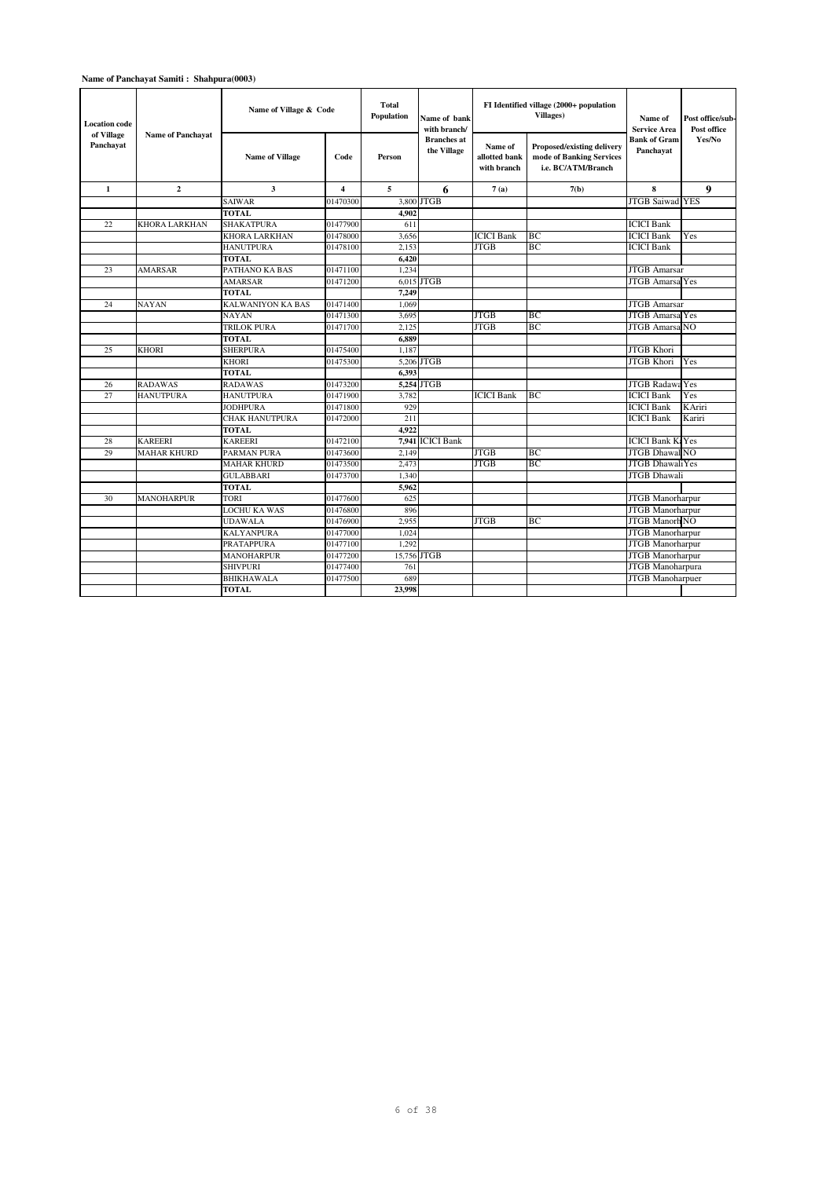### **Name of Panchayat Samiti : Shahpura(0003)**

| <b>Location code</b>    | <b>Name of Panchavat</b> | Name of Village & Code   |                         | Total<br><b>Population</b><br>Name of hank<br>with branch/ |                                   |                                         | FI Identified village (2000+ population<br><b>Villages</b> )                        | Name of<br><b>Service Area</b>   | Post office/sub-<br>Post office |
|-------------------------|--------------------------|--------------------------|-------------------------|------------------------------------------------------------|-----------------------------------|-----------------------------------------|-------------------------------------------------------------------------------------|----------------------------------|---------------------------------|
| of Village<br>Panchavat |                          | <b>Name of Village</b>   | Code                    | Person                                                     | <b>Branches</b> at<br>the Village | Name of<br>allotted bank<br>with branch | <b>Proposed/existing delivery</b><br>mode of Banking Services<br>i.e. BC/ATM/Branch | <b>Bank of Gram</b><br>Panchayat | Yes/No                          |
| $\mathbf{1}$            | $\overline{2}$           | 3                        | $\overline{\mathbf{4}}$ | 5                                                          | 6                                 | 7(a)                                    | 7(b)                                                                                | 8                                | 9                               |
|                         |                          | <b>SAIWAR</b>            | 01470300                |                                                            | 3,800 JTGB                        |                                         |                                                                                     | <b>JTGB Saiwad YES</b>           |                                 |
|                         |                          | <b>TOTAL</b>             |                         | 4.902                                                      |                                   |                                         |                                                                                     |                                  |                                 |
| 22                      | KHORA LARKHAN            | <b>SHAKATPURA</b>        | 01477900                | 611                                                        |                                   |                                         |                                                                                     | <b>ICICI Bank</b>                |                                 |
|                         |                          | <b>KHORA LARKHAN</b>     | 01478000                | 3.656                                                      |                                   | <b>ICICI Bank</b>                       | BC                                                                                  | <b>ICICI Bank</b>                | Yes                             |
|                         |                          | <b>HANUTPURA</b>         | 01478100                | 2.153                                                      |                                   | <b>JTGB</b>                             | BC                                                                                  | <b>ICICI Bank</b>                |                                 |
|                         |                          | <b>TOTAL</b>             |                         | 6.420                                                      |                                   |                                         |                                                                                     |                                  |                                 |
| 23                      | <b>AMARSAR</b>           | PATHANO KA BAS           | 01471100                | 1.234                                                      |                                   |                                         |                                                                                     | <b>JTGB</b> Amarsar              |                                 |
|                         |                          | <b>AMARSAR</b>           | 01471200                |                                                            | $6.015$ JTGB                      |                                         |                                                                                     | <b>JTGB Amarsa Yes</b>           |                                 |
|                         |                          | <b>TOTAL</b>             |                         | 7,249                                                      |                                   |                                         |                                                                                     |                                  |                                 |
| 24                      | <b>NAYAN</b>             | <b>KALWANIYON KA BAS</b> | 01471400                | 1.069                                                      |                                   |                                         |                                                                                     | <b>JTGB</b> Amarsar              |                                 |
|                         |                          | <b>NAYAN</b>             | 01471300                | 3,695                                                      |                                   | <b>JTGB</b>                             | BC                                                                                  | <b>JTGB Amarsa</b> Yes           |                                 |
|                         |                          | <b>TRILOK PURA</b>       | 01471700                | 2.125                                                      |                                   | <b>JTGB</b>                             | BC                                                                                  | <b>JTGB Amarsa NO</b>            |                                 |
|                         |                          | <b>TOTAL</b>             |                         | 6.889                                                      |                                   |                                         |                                                                                     |                                  |                                 |
| 25                      | <b>KHORI</b>             | <b>SHERPURA</b>          | 01475400                | 1.187                                                      |                                   |                                         |                                                                                     | <b>JTGB</b> Khori                |                                 |
|                         |                          | <b>KHORI</b>             | 01475300                |                                                            | 5,206 JTGB                        |                                         |                                                                                     | <b>JTGB</b> Khori                | Yes                             |
|                         |                          | <b>TOTAL</b>             |                         | 6,393                                                      |                                   |                                         |                                                                                     |                                  |                                 |
| 26                      | <b>RADAWAS</b>           | <b>RADAWAS</b>           | 01473200                |                                                            | 5,254 JTGB                        |                                         |                                                                                     | <b>JTGB Radawa Yes</b>           |                                 |
| 27                      | <b>HANUTPURA</b>         | <b>HANUTPURA</b>         | 01471900                | 3,782                                                      |                                   | <b>ICICI Bank</b>                       | BC                                                                                  | <b>ICICI Bank</b>                | Yes                             |
|                         |                          | <b>JODHPURA</b>          | 01471800                | 929                                                        |                                   |                                         |                                                                                     | <b>ICICI Bank</b>                | KAriri                          |
|                         |                          | <b>CHAK HANUTPURA</b>    | 01472000                | 211                                                        |                                   |                                         |                                                                                     | <b>ICICI Bank</b>                | Kariri                          |
|                         |                          | <b>TOTAL</b>             |                         | 4.922                                                      |                                   |                                         |                                                                                     |                                  |                                 |
| 28                      | <b>KAREERI</b>           | <b>KAREERI</b>           | 01472100                |                                                            | 7.941 ICICI Bank                  |                                         |                                                                                     | <b>ICICI Bank K: Yes</b>         |                                 |
| 29                      | <b>MAHAR KHURD</b>       | PARMAN PURA              | 01473600                | 2.149                                                      |                                   | <b>JTGB</b>                             | BC                                                                                  | <b>JTGB</b> Dhawal NO            |                                 |
|                         |                          | <b>MAHAR KHURD</b>       | 01473500                | 2.473                                                      |                                   | <b>JTGB</b>                             | BC                                                                                  | <b>JTGB</b> DhawaliYes           |                                 |
|                         |                          | <b>GULABBARI</b>         | 01473700                | 1,340                                                      |                                   |                                         |                                                                                     | <b>JTGB</b> Dhawali              |                                 |
|                         |                          | <b>TOTAL</b>             |                         | 5,962                                                      |                                   |                                         |                                                                                     |                                  |                                 |
| 30                      | <b>MANOHARPUR</b>        | <b>TORI</b>              | 01477600                | 625                                                        |                                   |                                         |                                                                                     | <b>JTGB</b> Manorharpur          |                                 |
|                         |                          | <b>LOCHU KA WAS</b>      | 01476800                | 896                                                        |                                   |                                         |                                                                                     | <b>JTGB</b> Manorharpur          |                                 |
|                         |                          | <b>UDAWALA</b>           | 01476900                | 2.955                                                      |                                   | <b>JTGB</b>                             | BC.                                                                                 | <b>JTGB Manorh NO</b>            |                                 |
|                         |                          | <b>KALYANPURA</b>        | 01477000                | 1,024                                                      |                                   |                                         |                                                                                     | <b>JTGB</b> Manorharpur          |                                 |
|                         |                          | <b>PRATAPPURA</b>        | 01477100                | 1,292                                                      |                                   |                                         |                                                                                     | <b>JTGB</b> Manorharpur          |                                 |
|                         |                          | <b>MANOHARPUR</b>        | 01477200                |                                                            | 15,756 JTGB                       |                                         |                                                                                     | <b>JTGB</b> Manorharpur          |                                 |
|                         |                          | <b>SHIVPURI</b>          | 01477400                | 761                                                        |                                   |                                         |                                                                                     | <b>JTGB</b> Manoharpura          |                                 |
|                         |                          | <b>BHIKHAWALA</b>        | 01477500                | 689                                                        |                                   |                                         |                                                                                     | <b>JTGB</b> Manoharpuer          |                                 |
|                         |                          | <b>TOTAL</b>             |                         | 23,998                                                     |                                   |                                         |                                                                                     |                                  |                                 |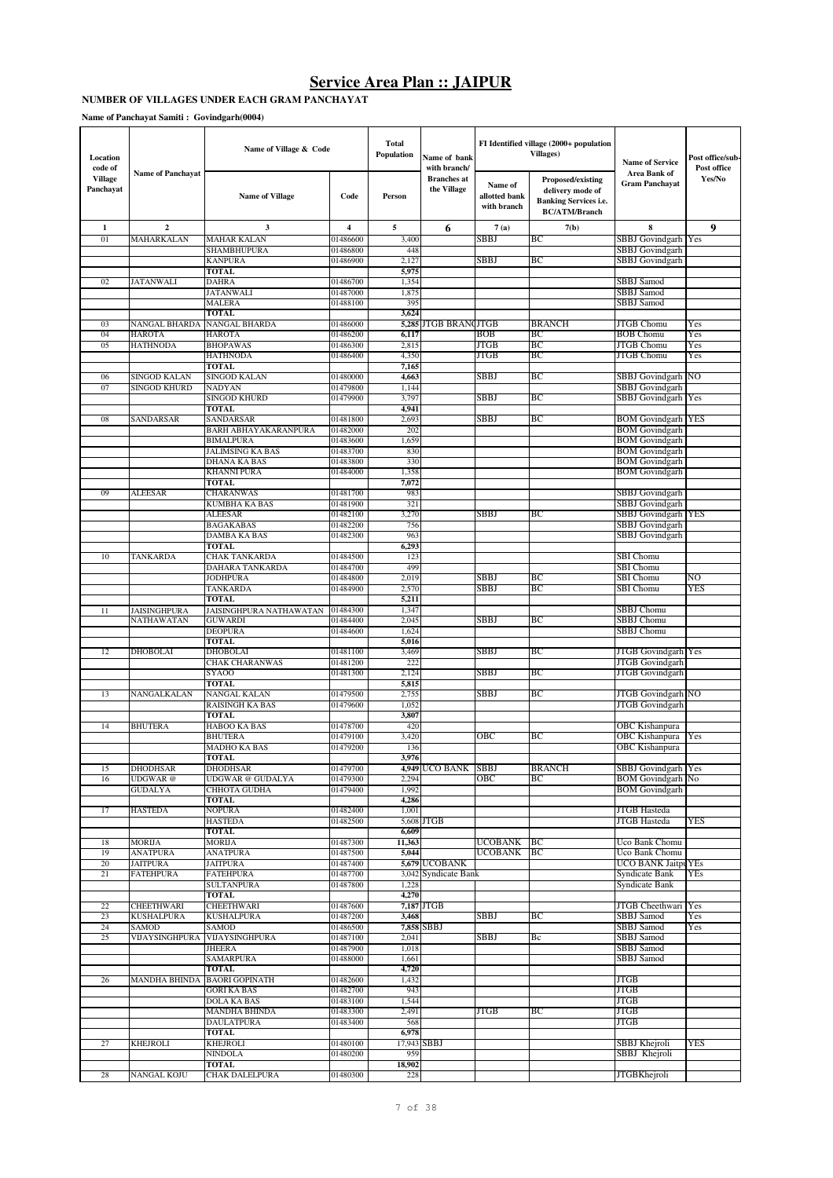#### **NUMBER OF VILLAGES UNDER EACH GRAM PANCHAYAT**

**Name of Panchayat Samiti : Govindgarh(0004)**

| Location<br>code of         |                                    | Name of Village & Code                         |                      | Total<br>Population | Name of bank<br>with branch/      |                                         | FI Identified village (2000+ population<br><b>Villages</b> )                                  | <b>Name of Service</b>                          | Post office/sub-<br>Post office |
|-----------------------------|------------------------------------|------------------------------------------------|----------------------|---------------------|-----------------------------------|-----------------------------------------|-----------------------------------------------------------------------------------------------|-------------------------------------------------|---------------------------------|
| <b>Village</b><br>Panchayat | <b>Name of Panchayat</b>           | <b>Name of Village</b>                         | Code                 | Person              | <b>Branches</b> at<br>the Village | Name of<br>allotted bank<br>with branch | Proposed/existing<br>delivery mode of<br><b>Banking Services i.e.</b><br><b>BC/ATM/Branch</b> | <b>Area Bank of</b><br><b>Gram Panchayat</b>    | Yes/No                          |
| 1                           | $\overline{2}$                     | 3                                              | 4                    | 5                   | 6                                 | 7(a)                                    | 7(b)                                                                                          | 8                                               | 9                               |
| 01                          | MAHARKALAN                         | <b>MAHAR KALAN</b>                             | 01486600             | 3,400               |                                   | SBBJ                                    | BС                                                                                            | SBBJ Govindgarh Yes                             |                                 |
|                             |                                    | SHAMBHUPURA                                    | 01486800             | 448                 |                                   |                                         |                                                                                               | SBBJ Govindgarh                                 |                                 |
|                             |                                    | <b>KANPURA</b>                                 | 01486900             | 2,127               |                                   | <b>SBBJ</b>                             | BС                                                                                            | SBBJ Govindgarh                                 |                                 |
| 02                          | <b>JATANWALI</b>                   | <b>TOTAL</b><br><b>DAHRA</b>                   | 01486700             | 5,975<br>1,354      |                                   |                                         |                                                                                               | SBBJ Samod                                      |                                 |
|                             |                                    | <b>JATANWALI</b>                               | 01487000             | 1,875               |                                   |                                         |                                                                                               | SBBJ Samod                                      |                                 |
|                             |                                    | MALERA                                         | 01488100             | 395                 |                                   |                                         |                                                                                               | SBBJ Samod                                      |                                 |
|                             |                                    | <b>TOTAL</b>                                   |                      | 3,624               |                                   |                                         |                                                                                               |                                                 |                                 |
| 03                          | <b>NANGAL BHARDA</b>               | <b>NANGAL BHARDA</b>                           | 01486000             | 5,285               | <b>JTGB BRANCJTGB</b>             |                                         | <b>BRANCH</b>                                                                                 | <b>JTGB Chomu</b>                               | Yes                             |
| 04                          | <b>HAROTA</b>                      | HAROTA                                         | 01486200             | 6,117               |                                   | BOB                                     | ВC                                                                                            | <b>BOB Chomu</b>                                | Yes                             |
| 05                          | <b>HATHNODA</b>                    | <b>BHOPAWAS</b><br><b>HATHNODA</b>             | 01486300<br>01486400 | 2,815<br>4,350      |                                   | <b>JTGB</b><br>JTGB                     | BC<br>ВC                                                                                      | JTGB Chomu<br>JTGB Chomu                        | Yes<br>Yes                      |
|                             |                                    | <b>TOTAL</b>                                   |                      | 7,165               |                                   |                                         |                                                                                               |                                                 |                                 |
| 06                          | SINGOD KALAN                       | <b>SINGOD KALAN</b>                            | 01480000             | 4,663               |                                   | SBBJ                                    | BС                                                                                            | SBBJ Govindgarh NO                              |                                 |
| 07                          | <b>SINGOD KHURD</b>                | <b>NADYAN</b>                                  | 01479800             | 1,144               |                                   |                                         |                                                                                               | <b>SBBJ</b> Govindgarh                          |                                 |
|                             |                                    | <b>SINGOD KHURD</b>                            | 01479900             | 3,797               |                                   | SBBJ                                    | BC                                                                                            | SBBJ Govindgarh Yes                             |                                 |
|                             |                                    | TOTAL                                          |                      | 4,941               |                                   |                                         |                                                                                               |                                                 |                                 |
| 08                          | SANDARSAR                          | SANDARSAR                                      | 01481800             | 2,693               |                                   | SBBJ                                    | ВC                                                                                            | <b>BOM Govindgarh YES</b>                       |                                 |
|                             |                                    | BARH ABHAYAKARANPURA<br><b>BIMALPURA</b>       | 01482000<br>01483600 | 202<br>1,659        |                                   |                                         |                                                                                               | <b>BOM Govindgarh</b><br><b>BOM Govindgarh</b>  |                                 |
|                             |                                    | JALIMSING KA BAS                               | 01483700             | 830                 |                                   |                                         |                                                                                               | <b>BOM</b> Govindgarh                           |                                 |
|                             |                                    | DHANA KA BAS                                   | 01483800             | 330                 |                                   |                                         |                                                                                               | <b>BOM Govindgarh</b>                           |                                 |
|                             |                                    | KHANNI PURA                                    | 01484000             | 1,358               |                                   |                                         |                                                                                               | <b>BOM Govindgarh</b>                           |                                 |
|                             |                                    | <b>TOTAL</b>                                   |                      | 7,072               |                                   |                                         |                                                                                               |                                                 |                                 |
| 09                          | <b>ALEESAR</b>                     | CHARANWAS                                      | 01481700             | 983                 |                                   |                                         |                                                                                               | SBBJ Govindgarh                                 |                                 |
|                             |                                    | KUMBHA KA BAS                                  | 01481900             | 321                 |                                   |                                         |                                                                                               | SBBJ Govindgarh                                 |                                 |
|                             |                                    | <b>ALEESAR</b><br><b>BAGAKABAS</b>             | 01482100<br>01482200 | 3,270<br>756        |                                   | SBBJ                                    | BC                                                                                            | <b>SBBJ</b> Govindgarh YES<br>SBBJ Govindgarh   |                                 |
|                             |                                    | DAMBA KA BAS                                   | 01482300             | 963                 |                                   |                                         |                                                                                               | SBBJ Govindgarh                                 |                                 |
|                             |                                    | TOTAL                                          |                      | 6,293               |                                   |                                         |                                                                                               |                                                 |                                 |
| 10                          | TANKARDA                           | <b>CHAK TANKARDA</b>                           | 01484500             | 123                 |                                   |                                         |                                                                                               | SBI Chomu                                       |                                 |
|                             |                                    | DAHARA TANKARDA                                | 01484700             | 499                 |                                   |                                         |                                                                                               | SBI Chomu                                       |                                 |
|                             |                                    | <b>JODHPURA</b>                                | 01484800             | 2,019               |                                   | SBBJ                                    | BС                                                                                            | <b>SBI Chomu</b>                                | NO                              |
|                             |                                    | TANKARDA                                       | 01484900             | 2,570               |                                   | SBBJ                                    | BC                                                                                            | <b>SBI Chomu</b>                                | YES                             |
| 11                          |                                    | <b>TOTAL</b><br><b>JAISINGHPURA NATHAWATAN</b> | 01484300             | 5,211<br>1,347      |                                   |                                         |                                                                                               | SBBJ Chomu                                      |                                 |
|                             | <b>JAISINGHPURA</b><br>NATHAWATAN  | <b>GUWARDI</b>                                 | 01484400             | 2,045               |                                   | SBBJ                                    | BС                                                                                            | SBBJ Chomu                                      |                                 |
|                             |                                    | <b>DEOPURA</b>                                 | 01484600             | 1,624               |                                   |                                         |                                                                                               | SBBJ Chomu                                      |                                 |
|                             |                                    | <b>TOTAL</b>                                   |                      | 5,016               |                                   |                                         |                                                                                               |                                                 |                                 |
| 12                          | <b>DHOBOLAI</b>                    | DHOBOLAI                                       | 01481100             | 3,469               |                                   | SBBJ                                    | ВC                                                                                            | JTGB Govindgarh Yes                             |                                 |
|                             |                                    | <b>CHAK CHARANWAS</b>                          | 01481200             | 222                 |                                   |                                         |                                                                                               | <b>JTGB</b> Govindgarh                          |                                 |
|                             |                                    | <b>SYAOO</b>                                   | 01481300             | 2,124               |                                   | SBBJ                                    | ВC                                                                                            | JTGB Govindgarh                                 |                                 |
| 13                          | NANGALKALAN                        | <b>TOTAL</b><br>NANGAL KALAN                   | 01479500             | 5,815<br>2,755      |                                   | SBBJ                                    | ВC                                                                                            | <b>JTGB Govindgarh NO</b>                       |                                 |
|                             |                                    | <b>RAISINGH KA BAS</b>                         | 01479600             | 1,052               |                                   |                                         |                                                                                               | <b>JTGB</b> Govindgarh                          |                                 |
|                             |                                    | <b>TOTAL</b>                                   |                      | 3,807               |                                   |                                         |                                                                                               |                                                 |                                 |
| 14                          | <b>BHUTERA</b>                     | HABOO KA BAS                                   | 01478700             | 420                 |                                   |                                         |                                                                                               | OBC Kishanpura                                  |                                 |
|                             |                                    | <b>BHUTERA</b>                                 | 01479100             | 3,420               |                                   | овс                                     | ВC                                                                                            | OBC Kishanpura                                  | Yes                             |
|                             |                                    | MADHO KA BAS                                   | 01479200             | 136                 |                                   |                                         |                                                                                               | OBC Kishanpura                                  |                                 |
|                             |                                    | <b>TOTAL</b>                                   |                      | 3,976               |                                   |                                         |                                                                                               |                                                 |                                 |
| 15<br>16                    | <b>DHODHSAR</b><br><b>UDGWAR</b> @ | <b>DHODHSAR</b><br><b>UDGWAR</b> @ GUDALYA     | 01479700<br>01479300 | 2,294               | 4,949 UCO BANK                    | <b>SBBJ</b><br>OBC                      | <b>BRANCH</b><br>BC                                                                           | SBBJ Govindgarh Yes<br><b>BOM</b> Govindgarh No |                                 |
|                             | <b>GUDALYA</b>                     | CHHOTA GUDHA                                   | 01479400             | 1,992               |                                   |                                         |                                                                                               | <b>BOM</b> Govindgarh                           |                                 |
|                             |                                    | TOTAL                                          |                      | 4,286               |                                   |                                         |                                                                                               |                                                 |                                 |
| 17                          | <b>HASTEDA</b>                     | NOPURA                                         | 01482400             | 1,001               |                                   |                                         |                                                                                               | JTGB Hasteda                                    |                                 |
|                             |                                    | HASTEDA                                        | 01482500             |                     | 5,608 JTGB                        |                                         |                                                                                               | JTGB Hasteda                                    | YES                             |
|                             |                                    | <b>TOTAL</b>                                   |                      | 6,609               |                                   |                                         |                                                                                               |                                                 |                                 |
| 18<br>19                    | <b>MORIJA</b><br><b>ANATPURA</b>   | MORIJA<br>ANATPURA                             | 01487300<br>01487500 | 11,363<br>5,044     |                                   | UCOBANK<br><b>UCOBANK</b>               | BС<br>BС                                                                                      | Uco Bank Chomu<br>Uco Bank Chomu                |                                 |
| 20                          | <b>JAITPURA</b>                    | <b>JAITPURA</b>                                | 01487400             |                     | 5,679 UCOBANK                     |                                         |                                                                                               | UCO BANK Jaitpu YEs                             |                                 |
| 21                          | <b>FATEHPURA</b>                   | <b>FATEHPURA</b>                               | 01487700             |                     | 3.042 Syndicate Bank              |                                         |                                                                                               | Syndicate Bank                                  | <b>YEs</b>                      |
|                             |                                    | <b>SULTANPURA</b>                              | 01487800             | 1,228               |                                   |                                         |                                                                                               | Syndicate Bank                                  |                                 |
|                             |                                    | <b>TOTAL</b>                                   |                      | 4,270               |                                   |                                         |                                                                                               |                                                 |                                 |
| 22                          | CHEETHWARI                         | <b>CHEETHWARI</b>                              | 01487600             |                     | 7,187 JTGB                        |                                         |                                                                                               | JTGB Cheethwari Yes                             |                                 |
| 23                          | <b>KUSHALPURA</b>                  | <b>KUSHALPURA</b>                              | 01487200             | 3,468               |                                   | <b>SBBJ</b>                             | BC                                                                                            | SBBJ Samod                                      | Yes                             |
| 24<br>25                    | SAMOD<br>VIJAYSINGHPURA            | SAMOD<br>VIJAYSINGHPURA                        | 01486500<br>01487100 | 2,041               | 7,858 SBBJ                        | SBBJ                                    | Bc                                                                                            | SBBJ Samod<br>SBBJ Samod                        | Yes                             |
|                             |                                    | <b>JHEERA</b>                                  | 01487900             | 1,018               |                                   |                                         |                                                                                               | SBBJ Samod                                      |                                 |
|                             |                                    | <b>SAMARPURA</b>                               | 01488000             | 1,661               |                                   |                                         |                                                                                               | SBBJ Samod                                      |                                 |
|                             |                                    | <b>TOTAL</b>                                   |                      | 4,720               |                                   |                                         |                                                                                               |                                                 |                                 |
| 26                          | <b>MANDHA BHINDA</b>               | <b>BAORI GOPINATH</b>                          | 01482600             | 1,432               |                                   |                                         |                                                                                               | <b>JTGB</b>                                     |                                 |
|                             |                                    | GORI KA BAS                                    | 01482700             | 943                 |                                   |                                         |                                                                                               | JTGB                                            |                                 |
|                             |                                    | <b>DOLA KA BAS</b>                             | 01483100             | 1,544               |                                   |                                         |                                                                                               | JTGB                                            |                                 |
|                             |                                    | MANDHA BHINDA<br><b>DAULATPURA</b>             | 01483300<br>01483400 | 2,491<br>568        |                                   | JTGB                                    | BС                                                                                            | JTGB<br>JTGB                                    |                                 |
|                             |                                    | <b>TOTAL</b>                                   |                      | 6,978               |                                   |                                         |                                                                                               |                                                 |                                 |
| 27                          | <b>KHEJROLI</b>                    | <b>KHEJROLI</b>                                | 01480100             |                     | 17,943 SBBJ                       |                                         |                                                                                               | SBBJ Khejroli                                   | <b>YES</b>                      |
|                             |                                    | NINDOLA                                        | 01480200             | 959                 |                                   |                                         |                                                                                               | SBBJ Khejroli                                   |                                 |
|                             |                                    | TOTAL                                          |                      | 18,902              |                                   |                                         |                                                                                               |                                                 |                                 |
| 28                          | <b>NANGAL KOJU</b>                 | CHAK DALELPURA                                 | 01480300             | 228                 |                                   |                                         |                                                                                               | <b>JTGBKhejroli</b>                             |                                 |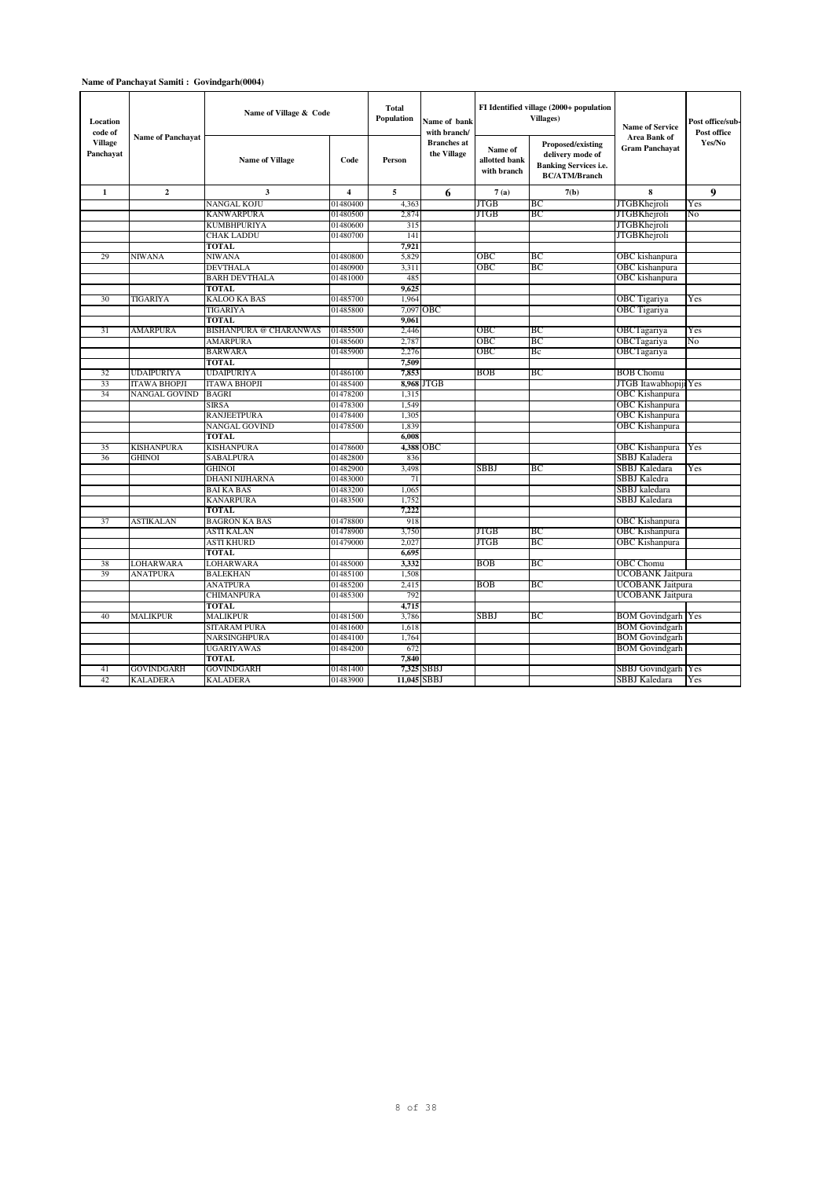### **Name of Panchayat Samiti : Govindgarh(0004)**

| Location<br>code of         | <b>Name of Panchayat</b> | Name of Village & Code        |                | <b>Total</b><br>Population | Name of bank<br>with branch/      |                                         | FI Identified village (2000+ population<br>Villages)                                                 | <b>Name of Service</b><br>Area Bank of | Post office/sub-<br>Post office |
|-----------------------------|--------------------------|-------------------------------|----------------|----------------------------|-----------------------------------|-----------------------------------------|------------------------------------------------------------------------------------------------------|----------------------------------------|---------------------------------|
| <b>Village</b><br>Panchayat |                          | <b>Name of Village</b>        | Code           | Person                     | <b>Branches</b> at<br>the Village | Name of<br>allotted bank<br>with branch | <b>Proposed/existing</b><br>delivery mode of<br><b>Banking Services i.e.</b><br><b>BC/ATM/Branch</b> | <b>Gram Panchavat</b>                  | Yes/No                          |
| $\mathbf{1}$                | $\mathbf{2}$             | $\mathbf{3}$                  | $\overline{4}$ | 5                          | 6                                 | 7(a)                                    | 7(b)                                                                                                 | 8                                      | 9                               |
|                             |                          | <b>NANGAL KOJU</b>            | 01480400       | 4,363                      |                                   | JTGB                                    | ВC                                                                                                   | <b>JTGBKhejroli</b>                    | Yes                             |
|                             |                          | <b>KANWARPURA</b>             | 01480500       | 2,874                      |                                   | JTGB                                    | BC                                                                                                   | <b>JTGBKhejroli</b>                    | No                              |
|                             |                          | <b>KUMBHPURIYA</b>            | 01480600       | 315                        |                                   |                                         |                                                                                                      | <b>JTGBKhejroli</b>                    |                                 |
|                             |                          | <b>CHAK LADDU</b>             | 01480700       | 14 <sub>1</sub>            |                                   |                                         |                                                                                                      | <b>JTGBKhejroli</b>                    |                                 |
|                             |                          | <b>TOTAL</b>                  |                | 7,921                      |                                   |                                         |                                                                                                      |                                        |                                 |
| 29                          | <b>NIWANA</b>            | <b>NIWANA</b>                 | 01480800       | 5,829                      |                                   | ОВС                                     | ВC                                                                                                   | OBC kishanpura                         |                                 |
|                             |                          | <b>DEVTHALA</b>               | 01480900       | 3,31                       |                                   | ОВС                                     | ВC                                                                                                   | OBC kishanpura                         |                                 |
|                             |                          | <b>BARH DEVTHALA</b>          | 01481000       | 485                        |                                   |                                         |                                                                                                      | OBC kishanpura                         |                                 |
|                             |                          | <b>TOTAL</b>                  |                | 9,625                      |                                   |                                         |                                                                                                      |                                        |                                 |
| 30                          | TIGARIYA                 | <b>KALOO KA BAS</b>           | 01485700       | 1,964                      |                                   |                                         |                                                                                                      | OBC Tigariya                           | Yes                             |
|                             |                          | <b>TIGARIYA</b>               | 01485800       | 7,097                      | OBC                               |                                         |                                                                                                      | OBC Tigariya                           |                                 |
|                             |                          | <b>TOTAL</b>                  |                | 9.061                      |                                   |                                         |                                                                                                      |                                        |                                 |
| 31                          | <b>AMARPURA</b>          | <b>BISHANPURA @ CHARANWAS</b> | 01485500       | 2,446                      |                                   | ОВС                                     | ВC                                                                                                   | OBCTagariya                            | Yes                             |
|                             |                          | <b>AMARPURA</b>               | 01485600       | 2,787                      |                                   | OBC                                     | BC                                                                                                   | OBCTagariya                            | No                              |
|                             |                          | <b>BARWARA</b>                | 01485900       | 2.276                      |                                   | OBC                                     | Bc                                                                                                   | OBCTagariya                            |                                 |
|                             |                          | <b>TOTAL</b>                  |                | 7,509                      |                                   |                                         |                                                                                                      |                                        |                                 |
| 32                          | <b>UDAIPURIYA</b>        | <b>UDAIPURIYA</b>             | 01486100       | 7,853                      |                                   | BOB                                     | ВC                                                                                                   | <b>BOB</b> Chomu                       |                                 |
| 33                          | <b>ITAWA BHOPJI</b>      | <b>ITAWA BHOPJI</b>           | 01485400       |                            | 8,968 JTGB                        |                                         |                                                                                                      | JTGB Itawabhopiji                      | Yes                             |
| 34                          | NANGAL GOVIND            | <b>BAGRI</b>                  | 01478200       | 1,315                      |                                   |                                         |                                                                                                      | OBC Kishanpura                         |                                 |
|                             |                          | <b>SIRSA</b>                  | 01478300       | 1,549                      |                                   |                                         |                                                                                                      | <b>OBC</b> Kishanpura                  |                                 |
|                             |                          | <b>RANJEETPURA</b>            | 01478400       | 1,305                      |                                   |                                         |                                                                                                      | <b>OBC Kishanpura</b>                  |                                 |
|                             |                          | <b>NANGAL GOVIND</b>          | 01478500       | 1,839                      |                                   |                                         |                                                                                                      | OBC Kishanpura                         |                                 |
|                             |                          | TOTAL                         |                | 6,008                      |                                   |                                         |                                                                                                      |                                        |                                 |
| 35                          | <b>KISHANPURA</b>        | <b>KISHANPURA</b>             | 01478600       |                            | 4,388 OBC                         |                                         |                                                                                                      | OBC Kishanpura                         | Yes                             |
| 36                          | <b>GHINOI</b>            | <b>SABALPURA</b>              | 01482800       | 836                        |                                   |                                         |                                                                                                      | SBBJ Kaladera                          |                                 |
|                             |                          | <b>GHINOI</b>                 | 01482900       | 3,498                      |                                   | <b>SBBJ</b>                             | BC                                                                                                   | SBBJ Kaledara                          | Yes                             |
|                             |                          | <b>DHANI NIJHARNA</b>         | 01483000       | 7 <sup>1</sup>             |                                   |                                         |                                                                                                      | SBBJ Kaledra                           |                                 |
|                             |                          | <b>BAI KA BAS</b>             | 01483200       | 1.065                      |                                   |                                         |                                                                                                      | SBBJ kaledara                          |                                 |
|                             |                          | <b>KANARPURA</b>              | 01483500       | 1.752                      |                                   |                                         |                                                                                                      | SBBJ Kaledara                          |                                 |
|                             |                          | <b>TOTAL</b>                  |                | 7,222                      |                                   |                                         |                                                                                                      |                                        |                                 |
| 37                          | <b>ASTIKALAN</b>         | <b>BAGRON KA BAS</b>          | 01478800       | 918                        |                                   |                                         |                                                                                                      | OBC Kishanpura                         |                                 |
|                             |                          | <b>ASTI KALAN</b>             | 01478900       | 3,750                      |                                   | JTGB                                    | BC                                                                                                   | OBC Kishanpura                         |                                 |
|                             |                          | <b>ASTI KHURD</b>             | 01479000       | 2.027                      |                                   | JTGB                                    | BC                                                                                                   | OBC Kishanpura                         |                                 |
|                             |                          | <b>TOTAL</b>                  |                | 6.695                      |                                   |                                         |                                                                                                      |                                        |                                 |
| 38                          | <b>LOHARWARA</b>         | <b>LOHARWARA</b>              | 01485000       | 3,332                      |                                   | BOB                                     | BС                                                                                                   | OBC Chomu                              |                                 |
| 39                          | <b>ANATPURA</b>          | <b>BALEKHAN</b>               | 01485100       | 1,508                      |                                   |                                         |                                                                                                      | UCOBANK Jaitpura                       |                                 |
|                             |                          | <b>ANATPURA</b>               | 01485200       | 2.415                      |                                   | BOB                                     | ВC                                                                                                   | UCOBANK Jaitpura                       |                                 |
|                             |                          | <b>CHIMANPURA</b>             | 01485300       | 792                        |                                   |                                         |                                                                                                      | UCOBANK Jaitpura                       |                                 |
|                             |                          | <b>TOTAL</b>                  |                | 4,715                      |                                   |                                         |                                                                                                      |                                        |                                 |
| 40                          | <b>MALIKPUR</b>          | <b>MALIKPUR</b>               | 01481500       | 3,786                      |                                   | SBBJ                                    | BC                                                                                                   | <b>BOM</b> Govindgarh                  | Yes                             |
|                             |                          | <b>SITARAM PURA</b>           | 01481600       | 1,618                      |                                   |                                         |                                                                                                      | <b>BOM Govindgarh</b>                  |                                 |
|                             |                          | NARSINGHPURA                  | 01484100       | 1,764                      |                                   |                                         |                                                                                                      | <b>BOM</b> Govindgarh                  |                                 |
|                             |                          | <b>UGARIYAWAS</b>             | 01484200       | 672                        |                                   |                                         |                                                                                                      | <b>BOM</b> Govindgarh                  |                                 |
|                             |                          | <b>TOTAL</b>                  |                | 7,840                      |                                   |                                         |                                                                                                      |                                        |                                 |
| 41                          | <b>GOVINDGARH</b>        | <b>GOVINDGARH</b>             | 01481400       | 7,325                      | <b>SBBJ</b>                       |                                         |                                                                                                      | SBBJ Govindgarh Yes                    |                                 |
| 42                          | <b>KALADERA</b>          | <b>KALADERA</b>               | 01483900       |                            | 11,045 SBBJ                       |                                         |                                                                                                      | SBBJ Kaledara                          | Yes                             |
|                             |                          |                               |                |                            |                                   |                                         |                                                                                                      |                                        |                                 |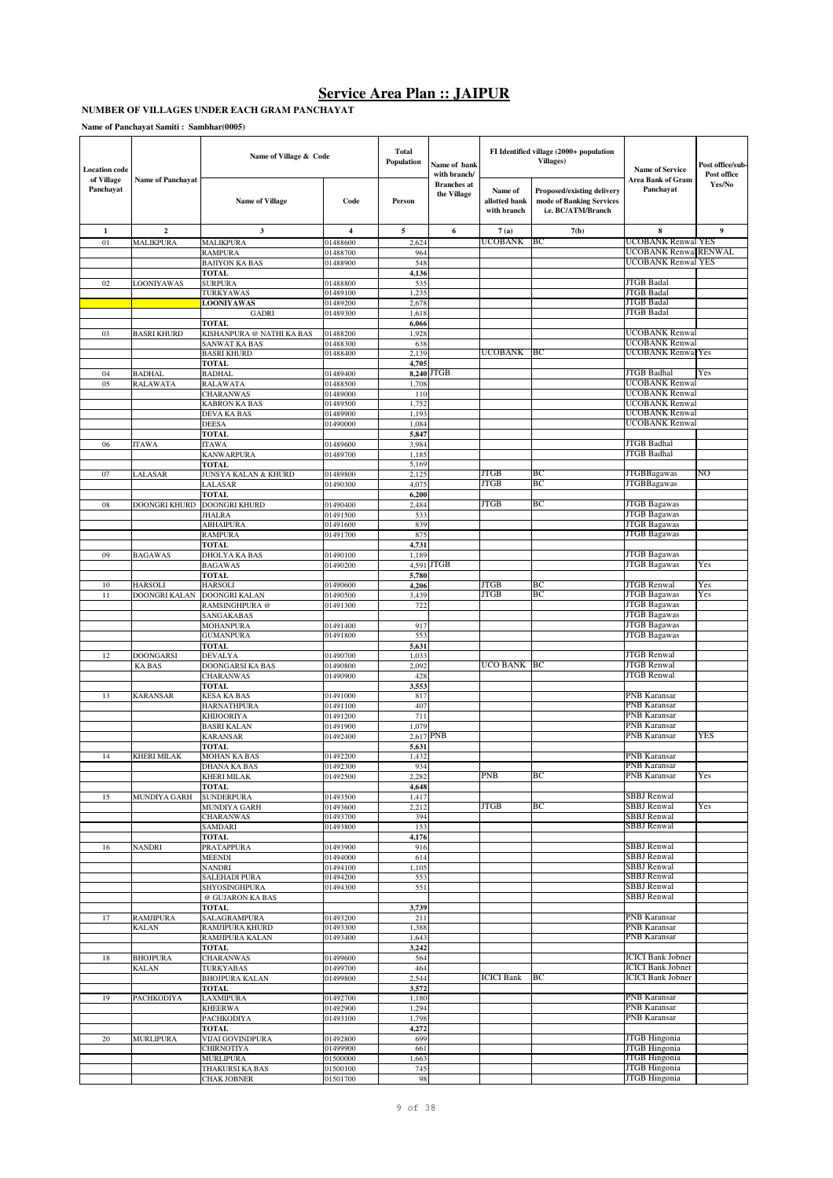#### **NUMBER OF VILLAGES UNDER EACH GRAM PANCHAYAT**

**Name of Panchayat Samiti : Sambhar(0005)**

| <b>Location</b> code    |                          | Name of Village & Code                       |                      | Total<br>Population | Name of bank<br>with branch/      |                                         | FI Identified village (2000+ population<br><b>Villages)</b>                  | <b>Name of Service</b>                               | Post office/sub-<br>Post office |
|-------------------------|--------------------------|----------------------------------------------|----------------------|---------------------|-----------------------------------|-----------------------------------------|------------------------------------------------------------------------------|------------------------------------------------------|---------------------------------|
| of Village<br>Panchayat | <b>Name of Panchayat</b> | <b>Name of Village</b>                       | Code                 | Person              | <b>Branches</b> at<br>the Village | Name of<br>allotted bank<br>with branch | Proposed/existing delivery<br>mode of Banking Services<br>i.e. BC/ATM/Branch | Area Bank of Gram<br>Panchayat                       | Yes/No                          |
| $\mathbf{1}$            | $\overline{2}$           | 3                                            | $\overline{4}$       | 5                   | 6                                 | 7(a)                                    | 7(b)                                                                         | 8                                                    | $\boldsymbol{9}$                |
| 01                      | MALIKPURA                | <b>MALIKPURA</b>                             | 01488600             | 2,624               |                                   | UCOBANK                                 | BС                                                                           | UCOBANK Renwal YES                                   |                                 |
|                         |                          | RAMPURA                                      | 01488700             | 964                 |                                   |                                         |                                                                              | UCOBANK RenwalRENWAL                                 |                                 |
|                         |                          | <b>BAJIYON KA BAS</b>                        | 01488900             | 548                 |                                   |                                         |                                                                              | <b>UCOBANK Renwal YES</b>                            |                                 |
| 02                      | LOONIYAWAS               | <b>TOTAL</b><br><b>SURPURA</b>               | 01488800             | 4,136<br>535        |                                   |                                         |                                                                              | <b>JTGB</b> Badal                                    |                                 |
|                         |                          | TURKYAWAS                                    | 01489100             | 1,235               |                                   |                                         |                                                                              | <b>JTGB</b> Badal                                    |                                 |
|                         |                          | <b>LOONIYAWAS</b>                            | 01489200             | 2,678               |                                   |                                         |                                                                              | <b>JTGB</b> Badal                                    |                                 |
|                         |                          | <b>GADRI</b>                                 | 01489300             | 1,618               |                                   |                                         |                                                                              | <b>JTGB</b> Badal                                    |                                 |
|                         |                          | <b>TOTAL</b>                                 |                      | 6,066               |                                   |                                         |                                                                              |                                                      |                                 |
| 03                      | <b>BASRI KHURD</b>       | KISHANPURA @ NATHI KA BAS<br>SANWAT KA BAS   | 01488200<br>01488300 | 1,928<br>638        |                                   |                                         |                                                                              | <b>UCOBANK Renwal</b><br><b>UCOBANK Renwal</b>       |                                 |
|                         |                          | <b>BASRI KHURD</b>                           | 01488400             | 2,139               |                                   | <b>UCOBANK</b>                          | BС                                                                           | <b>UCOBANK Renwal Yes</b>                            |                                 |
|                         |                          | <b>TOTAL</b>                                 |                      | 4,705               |                                   |                                         |                                                                              |                                                      |                                 |
| 04                      | <b>BADHAL</b>            | <b>BADHAL</b>                                | 01489400             |                     | 8,240 JTGB                        |                                         |                                                                              | <b>JTGB</b> Badhal                                   | Yes                             |
| 05                      | RALAWATA                 | RALAWATA                                     | 01488500             | 1,708               |                                   |                                         |                                                                              | <b>UCOBANK</b> Renwal                                |                                 |
|                         |                          | <b>CHARANWAS</b><br><b>KABRON KA BAS</b>     | 01489000<br>01489500 | 110<br>1,752        |                                   |                                         |                                                                              | <b>UCOBANK Renwal</b><br><b>UCOBANK</b> Renwal       |                                 |
|                         |                          | DEVA KA BAS                                  | 01489900             | 1,193               |                                   |                                         |                                                                              | <b>UCOBANK Renwal</b>                                |                                 |
|                         |                          | <b>DEESA</b>                                 | 01490000             | 1,084               |                                   |                                         |                                                                              | <b>UCOBANK Renwal</b>                                |                                 |
|                         |                          | <b>TOTAL</b>                                 |                      | 5,847               |                                   |                                         |                                                                              |                                                      |                                 |
| 06                      | <b>ITAWA</b>             | <b>ITAWA</b>                                 | 01489600             | 3,984               |                                   |                                         |                                                                              | <b>JTGB</b> Badhal                                   |                                 |
|                         |                          | <b>KANWARPURA</b>                            | 01489700             | 1,185               |                                   |                                         |                                                                              | <b>JTGB</b> Badhal                                   |                                 |
| 07                      | LALASAR                  | <b>TOTAL</b>                                 | 01489800             | 5,169<br>2,125      |                                   | <b>JTGB</b>                             | BС                                                                           | <b>JTGBBagawas</b>                                   | NO                              |
|                         |                          | JUNSYA KALAN & KHURD<br>LALASAR              | 01490300             | 4,075               |                                   | JTGB                                    | BC                                                                           | <b>JTGBBagawas</b>                                   |                                 |
|                         |                          | TOTAL                                        |                      | 6,200               |                                   |                                         |                                                                              |                                                      |                                 |
| 08                      | <b>DOONGRI KHURD</b>     | DOONGRI KHURD                                | 01490400             | 2,484               |                                   | JTGB                                    | BC                                                                           | <b>JTGB</b> Bagawas                                  |                                 |
|                         |                          | <b>JHALRA</b>                                | 01491500             | 533                 |                                   |                                         |                                                                              | <b>JTGB Bagawas</b>                                  |                                 |
|                         |                          | <b>ABHAIPURA</b>                             | 01491600             | 839                 |                                   |                                         |                                                                              | <b>JTGB</b> Bagawas                                  |                                 |
|                         |                          | <b>RAMPURA</b>                               | 01491700             | 875                 |                                   |                                         |                                                                              | <b>JTGB</b> Bagawas                                  |                                 |
| 09                      | <b>BAGAWAS</b>           | TOTAL<br>DHOLYA KA BAS                       | 01490100             | 4,731<br>1,189      |                                   |                                         |                                                                              | <b>JTGB</b> Bagawas                                  |                                 |
|                         |                          | <b>BAGAWAS</b>                               | 01490200             | 4,591               | <b>JTGB</b>                       |                                         |                                                                              | <b>JTGB Bagawas</b>                                  | Yes                             |
|                         |                          | <b>TOTAL</b>                                 |                      | 5,780               |                                   |                                         |                                                                              |                                                      |                                 |
| 10                      | <b>HARSOLI</b>           | <b>HARSOLI</b>                               | 01490600             | 4,206               |                                   | <b>JTGB</b>                             | BC                                                                           | <b>JTGB</b> Renwal                                   | Yes                             |
| 11                      | <b>DOONGRI KALAN</b>     | DOONGRI KALAN                                | 01490500             | 3,439               |                                   | <b>JTGB</b>                             | BC                                                                           | <b>JTGB Bagawas</b>                                  | Yes                             |
|                         |                          | RAMSINGHPURA @                               | 01491300             | 722                 |                                   |                                         |                                                                              | <b>JTGB Bagawas</b>                                  |                                 |
|                         |                          | SANGAKABAS<br><b>MOHANPURA</b>               | 01491400             | 917                 |                                   |                                         |                                                                              | <b>JTGB</b> Bagawas<br><b>JTGB</b> Bagawas           |                                 |
|                         |                          | <b>GUMANPURA</b>                             | 01491800             | 553                 |                                   |                                         |                                                                              | <b>JTGB</b> Bagawas                                  |                                 |
|                         |                          | TOTAL                                        |                      | 5,631               |                                   |                                         |                                                                              |                                                      |                                 |
| 12                      | <b>DOONGARSI</b>         | DEVALYA                                      | 01490700             | 1,033               |                                   |                                         |                                                                              | <b>JTGB</b> Renwal                                   |                                 |
|                         | KA BAS                   | DOONGARSI KA BAS                             | 01490800             | 2,092               |                                   | UCO BANK                                | BC                                                                           | <b>JTGB</b> Renwal                                   |                                 |
|                         |                          | <b>CHARANWAS</b>                             | 01490900             | 428                 |                                   |                                         |                                                                              | <b>JTGB</b> Renwal                                   |                                 |
|                         |                          | <b>TOTAL</b>                                 |                      | 3,553               |                                   |                                         |                                                                              | PNB Karansar                                         |                                 |
| 13                      | <b>KARANSAR</b>          | <b>KESA KA BAS</b><br><b>HARNATHPURA</b>     | 01491000<br>01491100 | 817<br>407          |                                   |                                         |                                                                              | PNB Karansar                                         |                                 |
|                         |                          | <b>KHIJOORIYA</b>                            | 01491200             | 711                 |                                   |                                         |                                                                              | PNB Karansar                                         |                                 |
|                         |                          | <b>BASRI KALAN</b>                           | 01491900             | 1,079               |                                   |                                         |                                                                              | PNB Karansar                                         |                                 |
|                         |                          | <b>KARANSAR</b>                              | 01492400             |                     | 2,617 PNB                         |                                         |                                                                              | PNB Karansar                                         | YES                             |
|                         |                          | TOTAL                                        |                      | 5,631               |                                   |                                         |                                                                              |                                                      |                                 |
| 14                      | KHERI MILAK              | MOHAN KA BAS                                 | 01492200             | 1,432               |                                   |                                         |                                                                              | PNB Karansar                                         |                                 |
|                         |                          | DHANA KA BAS<br>KHERI MILAK                  | 01492300<br>01492500 | 934<br>2,282        |                                   | <b>PNB</b>                              | BC                                                                           | PNB Karansar<br><b>PNB</b> Karansar                  | Yes                             |
|                         |                          | <b>TOTAL</b>                                 |                      | 4,648               |                                   |                                         |                                                                              |                                                      |                                 |
| 15                      | MUNDIYA GARH             | <b>SUNDERPURA</b>                            | 01493500             | 1,417               |                                   |                                         |                                                                              | <b>SBBJ</b> Renwal                                   |                                 |
|                         |                          | MUNDIYA GARH                                 | 01493600             | 2,212               |                                   | <b>JTGB</b>                             | BC                                                                           | <b>SBBJ</b> Renwal                                   | Yes                             |
|                         |                          | <b>CHARANWAS</b>                             | 01493700             | 394                 |                                   |                                         |                                                                              | <b>SBBJ</b> Renwal<br><b>SBBJ</b> Renwal             |                                 |
|                         |                          | SAMDARI<br><b>TOTAL</b>                      | 01493800             | 153<br>4,176        |                                   |                                         |                                                                              |                                                      |                                 |
| 16                      | <b>NANDRI</b>            | <b>PRATAPPURA</b>                            | 01493900             | 916                 |                                   |                                         |                                                                              | <b>SBBJ</b> Renwal                                   |                                 |
|                         |                          | <b>MEENDI</b>                                | 01494000             | 614                 |                                   |                                         |                                                                              | <b>SBBJ</b> Renwal                                   |                                 |
|                         |                          | <b>NANDRI</b>                                | 01494100             | 1,105               |                                   |                                         |                                                                              | SBBJ Renwal                                          |                                 |
|                         |                          | <b>SALEHADI PURA</b>                         | 01494200             | 553                 |                                   |                                         |                                                                              | <b>SBBJ</b> Renwal                                   |                                 |
|                         |                          | SHYOSINGHPURA<br>@ GUJARON KA BAS            | 01494300             | 551                 |                                   |                                         |                                                                              | <b>SBBJ</b> Renwal<br><b>SBBJ</b> Renwal             |                                 |
|                         |                          | <b>TOTAL</b>                                 |                      | 3,739               |                                   |                                         |                                                                              |                                                      |                                 |
| 17                      | <b>RAMJIPURA</b>         | SALAGRAMPURA                                 | 01493200             | 211                 |                                   |                                         |                                                                              | PNB Karansar                                         |                                 |
|                         | <b>KALAN</b>             | RAMJIPURA KHURD                              | 01493300             | 1,388               |                                   |                                         |                                                                              | PNB Karansar                                         |                                 |
|                         |                          | RAMJIPURA KALAN                              | 01493400             | 1,643               |                                   |                                         |                                                                              | PNB Karansar                                         |                                 |
|                         |                          | <b>TOTAL</b>                                 |                      | 3,242               |                                   |                                         |                                                                              |                                                      |                                 |
| $18\,$                  | <b>BHOJPURA</b>          | <b>CHARANWAS</b>                             | 01499600<br>01499700 | 564<br>464          |                                   |                                         |                                                                              | <b>ICICI</b> Bank Jobner<br><b>ICICI Bank Jobner</b> |                                 |
|                         | <b>KALAN</b>             | <b>TURKYABAS</b><br><b>BHOJPURA KALAN</b>    | 01499800             | 2,544               |                                   | <b>ICICI Bank</b>                       | ВC                                                                           | <b>ICICI Bank Jobner</b>                             |                                 |
|                         |                          | <b>TOTAL</b>                                 |                      | 3,572               |                                   |                                         |                                                                              |                                                      |                                 |
| 19                      | PACHKODIYA               | <b>LAXMIPURA</b>                             | 01492700             | 1,180               |                                   |                                         |                                                                              | PNB Karansar                                         |                                 |
|                         |                          | <b>KHEERWA</b>                               | 01492900             | 1,294               |                                   |                                         |                                                                              | PNB Karansar                                         |                                 |
|                         |                          | <b>PACHKODIYA</b>                            | 01493100             | 1,798               |                                   |                                         |                                                                              | PNB Karansar                                         |                                 |
|                         |                          | TOTAL                                        |                      | 4,272               |                                   |                                         |                                                                              | <b>JTGB</b> Hingonia                                 |                                 |
| $20\,$                  | <b>MURLIPURA</b>         | <b>VIJAI GOVINDPURA</b><br><b>CHIRNOTIYA</b> | 01492800<br>01499900 | 699<br>661          |                                   |                                         |                                                                              | <b>JTGB</b> Hingonia                                 |                                 |
|                         |                          | <b>MURLIPURA</b>                             | 01500000             | 1,663               |                                   |                                         |                                                                              | <b>JTGB</b> Hingonia                                 |                                 |
|                         |                          | THAKURSI KA BAS                              | 01500100             | 745                 |                                   |                                         |                                                                              | <b>JTGB</b> Hingonia                                 |                                 |
|                         |                          | <b>CHAK JOBNER</b>                           | 01501700             | 98                  |                                   |                                         |                                                                              | <b>JTGB</b> Hingonia                                 |                                 |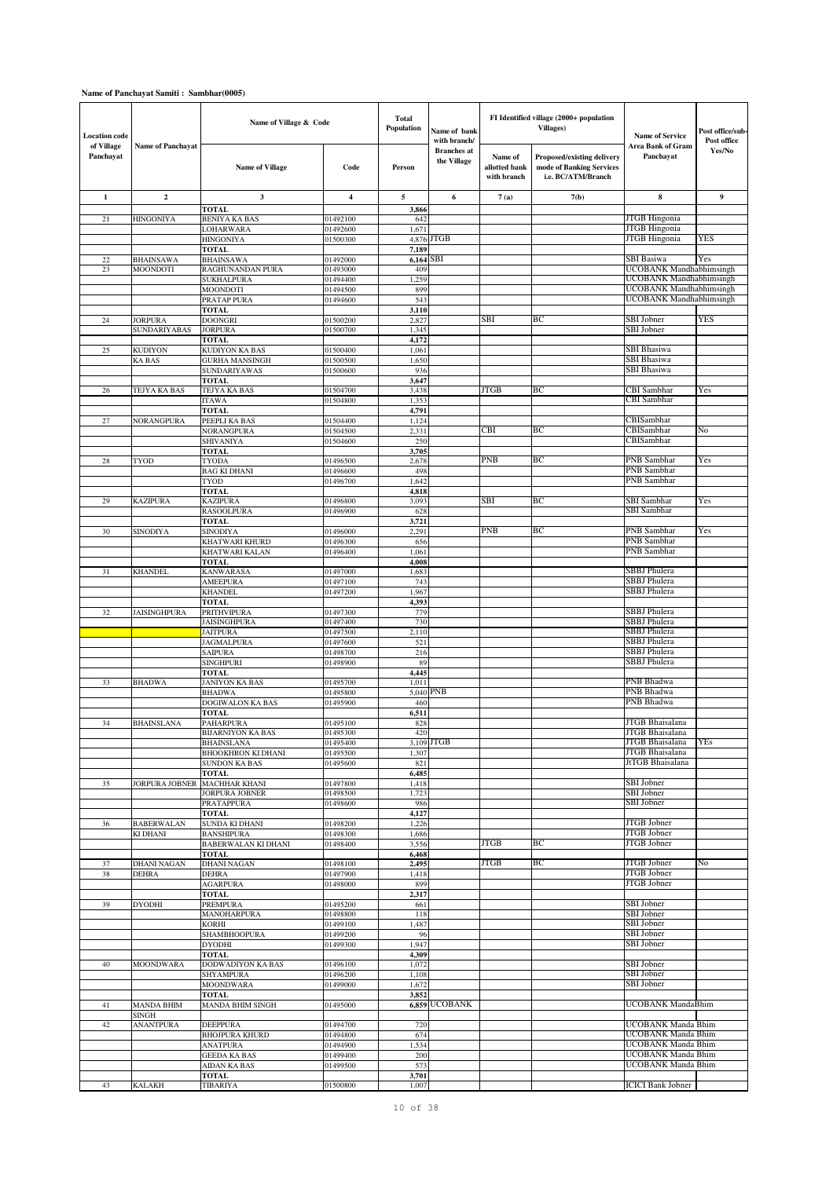### **Name of Panchayat Samiti : Sambhar(0005)**

| <b>Location</b> code    |                                       | Name of Village & Code                   |                      | Total<br>Population  | Name of bank<br>with branch/      |                                         | FI Identified village (2000+ population<br><b>Villages)</b>                  | <b>Name of Service</b>                                    | Post office/sub<br>Post office |
|-------------------------|---------------------------------------|------------------------------------------|----------------------|----------------------|-----------------------------------|-----------------------------------------|------------------------------------------------------------------------------|-----------------------------------------------------------|--------------------------------|
| of Village<br>Panchayat | <b>Name of Panchayat</b>              | <b>Name of Village</b>                   | Code                 | Person               | <b>Branches</b> at<br>the Village | Name of<br>allotted bank<br>with branch | Proposed/existing delivery<br>mode of Banking Services<br>i.e. BC/ATM/Branch | Area Bank of Gram<br>Panchayat                            | Yes/No                         |
| $\mathbf{1}$            | $\mathbf{2}$                          | 3                                        | 4                    | 5                    | 6                                 | 7(a)                                    | 7(b)                                                                         | 8                                                         | 9                              |
| 21                      | <b>HINGONIYA</b>                      | <b>TOTAL</b><br><b>BENIYA KA BAS</b>     | 01492100             | 3,866<br>642         |                                   |                                         |                                                                              | <b>JTGB</b> Hingonia                                      |                                |
|                         |                                       | LOHARWARA                                | 01492600             | 1,671                |                                   |                                         |                                                                              | JTGB Hingonia                                             |                                |
|                         |                                       | <b>HINGONIYA</b>                         | 01500300             | 4,876                | <b>JTGB</b>                       |                                         |                                                                              | <b>JTGB</b> Hingonia                                      | <b>YES</b>                     |
| 22                      | <b>BHAINSAWA</b>                      | <b>TOTAL</b><br><b>BHAINSAWA</b>         | 01492000             | 7,189<br>$6,164$ SBI |                                   |                                         |                                                                              | SBI Basiwa                                                | Yes                            |
| 23                      | MOONDOTI                              | RAGHUNANDAN PURA                         | 01493000             | 409                  |                                   |                                         |                                                                              | <b>UCOBANK Mandhabhimsingh</b>                            |                                |
|                         |                                       | <b>SUKHALPURA</b>                        | 01494400             | 1,259                |                                   |                                         |                                                                              | UCOBANK Mandhabhimsingh                                   |                                |
|                         |                                       | MOONDOTI<br>PRATAP PURA                  | 01494500<br>01494600 | 899<br>543           |                                   |                                         |                                                                              | <b>UCOBANK</b> Mandhabhimsingh<br>UCOBANK Mandhabhimsingh |                                |
|                         |                                       | <b>TOTAL</b>                             |                      | 3,110                |                                   |                                         |                                                                              |                                                           |                                |
| 24                      | <b>JORPURA</b><br><b>SUNDARIYABAS</b> | <b>DOONGRI</b><br><b>JORPURA</b>         | 01500200<br>01500700 | 2,827<br>1,345       |                                   | SBI                                     | ВC                                                                           | SBI Jobner<br>SBI Jobner                                  | YES                            |
|                         |                                       | <b>TOTAL</b>                             |                      | 4,172                |                                   |                                         |                                                                              |                                                           |                                |
| 25                      | <b>KUDIYON</b>                        | <b>KUDIYON KA BAS</b>                    | 01500400             | 1,061                |                                   |                                         |                                                                              | SBI Bhasiwa                                               |                                |
|                         | <b>KABAS</b>                          | <b>GURHA MANSINGH</b><br>SUNDARIYAWAS    | 01500500<br>01500600 | 1,650<br>936         |                                   |                                         |                                                                              | SBI Bhasiwa<br>SBI Bhasiwa                                |                                |
|                         |                                       | <b>TOTAL</b>                             |                      | 3,647                |                                   |                                         |                                                                              |                                                           |                                |
| 26                      | TEJYA KA BAS                          | TEJYA KA BAS                             | 01504700             | 3,438                |                                   | <b>JTGB</b>                             | ВC                                                                           | CBI Sambhar                                               | Yes                            |
|                         |                                       | <b>ITAWA</b><br><b>TOTAL</b>             | 01504800             | 1,353<br>4,791       |                                   |                                         |                                                                              | <b>CBI</b> Sambhar                                        |                                |
| 27                      | NORANGPURA                            | PEEPLI KA BAS                            | 01504400             | 1,124                |                                   |                                         |                                                                              | CBISambhar                                                |                                |
|                         |                                       | <b>NORANGPURA</b>                        | 01504500             | 2,331                |                                   | CBI                                     | BС                                                                           | CBISambhar<br>CBISambhar                                  | No                             |
|                         |                                       | <b>SHIVANIYA</b><br><b>TOTAL</b>         | 01504600             | 250<br>3,705         |                                   |                                         |                                                                              |                                                           |                                |
| 28                      | <b>TYOD</b>                           | <b>TYODA</b>                             | 01496500             | 2,678                |                                   | PNB                                     | ВC                                                                           | PNB Sambhar                                               | Yes                            |
|                         |                                       | <b>BAG KI DHANI</b>                      | 01496600             | 498                  |                                   |                                         |                                                                              | PNB Sambhar                                               |                                |
|                         |                                       | <b>TYOD</b><br><b>TOTAL</b>              | 01496700             | 1,642<br>4,818       |                                   |                                         |                                                                              | PNB Sambhar                                               |                                |
| 29                      | <b>KAZIPURA</b>                       | <b>KAZIPURA</b>                          | 01496800             | 3,093                |                                   | SBI                                     | BС                                                                           | SBI Sambhar                                               | Yes                            |
|                         |                                       | <b>RASOOLPURA</b>                        | 01496900             | 628                  |                                   |                                         |                                                                              | SBI Sambhar                                               |                                |
| 30                      | <b>SINODIYA</b>                       | <b>TOTAL</b><br><b>SINODIYA</b>          | 01496000             | 3,721<br>2,291       |                                   | <b>PNB</b>                              | BС                                                                           | PNB Sambhar                                               | Yes                            |
|                         |                                       | KHATWARI KHURD                           | 01496300             | 656                  |                                   |                                         |                                                                              | PNB Sambhar                                               |                                |
|                         |                                       | KHATWARI KALAN<br><b>TOTAL</b>           | 01496400             | 1,061<br>4,008       |                                   |                                         |                                                                              | PNB Sambhar                                               |                                |
| 31                      | <b>KHANDEL</b>                        | <b>KANWARASA</b>                         | 01497000             | 1,683                |                                   |                                         |                                                                              | SBBJ Phulera                                              |                                |
|                         |                                       | <b>AMEEPURA</b>                          | 01497100             | 743                  |                                   |                                         |                                                                              | SBBJ Phulera                                              |                                |
|                         |                                       | <b>KHANDEL</b><br><b>TOTAL</b>           | 01497200             | 1,967<br>4,393       |                                   |                                         |                                                                              | SBBJ Phulera                                              |                                |
| 32                      | <b>JAISINGHPURA</b>                   | <b>PRITHVIPURA</b>                       | 01497300             | 779                  |                                   |                                         |                                                                              | SBBJ Phulera                                              |                                |
|                         |                                       | <b>JAISINGHPURA</b>                      | 01497400             | 730                  |                                   |                                         |                                                                              | SBBJ Phulera                                              |                                |
|                         |                                       | <b>JAITPURA</b><br><b>JAGMALPURA</b>     | 01497500<br>01497600 | 2,110<br>521         |                                   |                                         |                                                                              | SBBJ Phulera<br>SBBJ Phulera                              |                                |
|                         |                                       | <b>SAIPURA</b>                           | 01498700             | 216                  |                                   |                                         |                                                                              | <b>SBBJ</b> Phulera                                       |                                |
|                         |                                       | <b>SINGHPURI</b>                         | 01498900             | 89                   |                                   |                                         |                                                                              | SBBJ Phulera                                              |                                |
| 33                      | <b>BHADWA</b>                         | <b>TOTAL</b><br><b>JANIYON KA BAS</b>    | 01495700             | 4,445<br>1,011       |                                   |                                         |                                                                              | PNB Bhadwa                                                |                                |
|                         |                                       | <b>BHADWA</b>                            | 01495800             | 5,040                | <b>PNB</b>                        |                                         |                                                                              | PNB Bhadwa                                                |                                |
|                         |                                       | DOGIWALON KA BAS<br>TOTAL                | 01495900             | 460<br>6,511         |                                   |                                         |                                                                              | PNB Bhadwa                                                |                                |
| 34                      | <b>BHAINSLANA</b>                     | <b>PAHARPURA</b>                         | 01495100             | 828                  |                                   |                                         |                                                                              | JTGB Bhaisalana                                           |                                |
|                         |                                       | <b>BIJARNIYON KA BAS</b>                 | 01495300             | 420                  |                                   |                                         |                                                                              | JTGB Bhaisalana                                           |                                |
|                         |                                       | <b>BHAINSLANA</b><br>BHOOKHRON KI DHANI  | 01495400<br>01495500 | 1,307                | 3,109 JTGB                        |                                         |                                                                              | JTGB Bhaisalana<br>JTGB Bhaisalana                        | YEs                            |
|                         |                                       | <b>SUNDON KA BAS</b>                     | 01495600             | 821                  |                                   |                                         |                                                                              | JtTGB Bhaisalana                                          |                                |
| 35                      | JORPURA JOBNER                        | <b>TOTAL</b><br><b>MACHHAR KHANI</b>     | 01497800             | 6,485<br>1,418       |                                   |                                         |                                                                              | SBI Jobner                                                |                                |
|                         |                                       | JORPURA JOBNER                           | 01498500             | 1,723                |                                   |                                         |                                                                              | SBI Jobner                                                |                                |
|                         |                                       | PRATAPPURA                               | 01498600             | 986                  |                                   |                                         |                                                                              | SBI Jobner                                                |                                |
| 36                      | <b>BABERWALAN</b>                     | <b>TOTAL</b><br>SUNDA KI DHANI           | 01498200             | 4,127<br>1,226       |                                   |                                         |                                                                              | JTGB Jobner                                               |                                |
|                         | KI DHANI                              | <b>BANSHIPURA</b>                        | 01498300             | 1,686                |                                   |                                         |                                                                              | <b>JTGB</b> Jobner                                        |                                |
|                         |                                       | <b>BABERWALAN KI DHANI</b>               | 01498400             | 3,556                |                                   | <b>JTGB</b>                             | BС                                                                           | JTGB Jobner                                               |                                |
| 37                      | <b>DHANI NAGAN</b>                    | <b>TOTAL</b><br><b>DHANI NAGAN</b>       | 01498100             | 6,468<br>2,495       |                                   | JTGB                                    | BC                                                                           | <b>JTGB</b> Jobner                                        | No                             |
| 38                      | <b>DEHRA</b>                          | <b>DEHRA</b>                             | 01497900             | 1,418                |                                   |                                         |                                                                              | <b>JTGB</b> Jobner                                        |                                |
|                         |                                       | <b>AGARPURA</b><br><b>TOTAL</b>          | 01498000             | 899                  |                                   |                                         |                                                                              | JTGB Jobner                                               |                                |
| 39                      | <b>DYODHI</b>                         | <b>PREMPURA</b>                          | 01495200             | 2,317<br>661         |                                   |                                         |                                                                              | SBI Jobner                                                |                                |
|                         |                                       | MANOHARPURA                              | 01498800             | 118                  |                                   |                                         |                                                                              | SBI Jobner                                                |                                |
|                         |                                       | KORHI<br>SHAMBHOOPURA                    | 01499100<br>01499200 | 1,487<br>96          |                                   |                                         |                                                                              | SBI Jobner<br>SBI Jobner                                  |                                |
|                         |                                       | <b>DYODHI</b>                            | 01499300             | 1,947                |                                   |                                         |                                                                              | SBI Jobner                                                |                                |
|                         |                                       | <b>TOTAL</b>                             |                      | 4,309                |                                   |                                         |                                                                              | SBI Jobner                                                |                                |
| 40                      | <b>MOONDWARA</b>                      | DODWADIYON KA BAS<br><b>SHYAMPURA</b>    | 01496100<br>01496200 | 1,072<br>1,108       |                                   |                                         |                                                                              | SBI Jobner                                                |                                |
|                         |                                       | <b>MOONDWARA</b>                         | 01499000             | 1,672                |                                   |                                         |                                                                              | SBI Jobner                                                |                                |
| 41                      |                                       | <b>TOTAL</b>                             |                      | 3,852                | 6,859 UCOBANK                     |                                         |                                                                              | UCOBANK MandaBhim                                         |                                |
|                         | <b>MANDA BHIM</b><br><b>SINGH</b>     | <b>MANDA BHIM SINGH</b>                  | 01495000             |                      |                                   |                                         |                                                                              |                                                           |                                |
| 42                      | <b>ANANTPURA</b>                      | <b>DEEPPURA</b>                          | 01494700             | 720                  |                                   |                                         |                                                                              | UCOBANK Manda Bhim                                        |                                |
|                         |                                       | <b>BHOJPURA KHURD</b><br><b>ANATPURA</b> | 01494800<br>01494900 | 674<br>1,534         |                                   |                                         |                                                                              | UCOBANK Manda Bhim<br>UCOBANK Manda Bhim                  |                                |
|                         |                                       | <b>GEEDA KA BAS</b>                      | 01499400             | 200                  |                                   |                                         |                                                                              | UCOBANK Manda Bhim                                        |                                |
|                         |                                       | <b>AIDAN KA BAS</b>                      | 01499500             | 573                  |                                   |                                         |                                                                              | UCOBANK Manda Bhim                                        |                                |
| 43                      | <b>KALAKH</b>                         | TOTAL<br>TIBARIYA                        | 01500800             | 3,701<br>1,007       |                                   |                                         |                                                                              | <b>ICICI Bank Jobner</b>                                  |                                |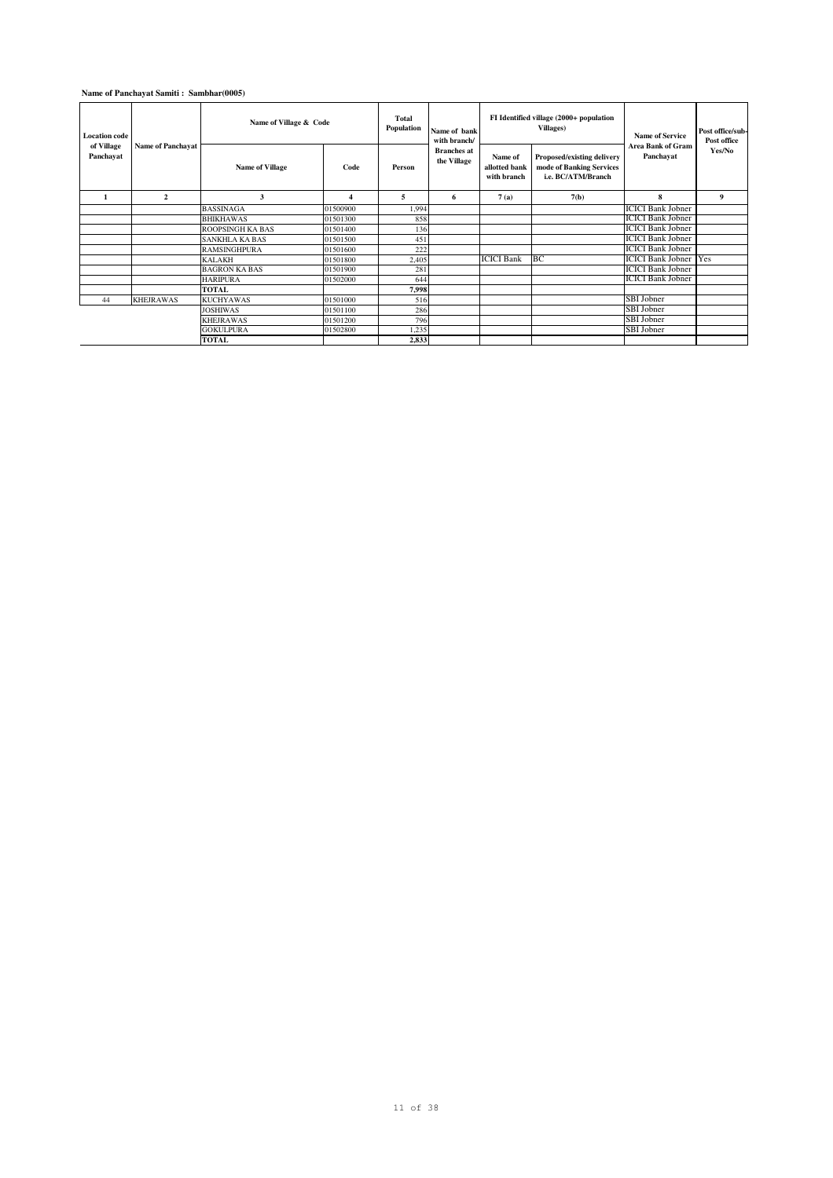### **Name of Panchayat Samiti : Sambhar(0005)**

| <b>Location</b> code    | <b>Name of Panchayat</b> | Name of Village & Code  |                         | Total<br>Population | Name of bank<br>with branch/      |                                         | FI Identified village (2000+ population<br><b>Villages</b> )                 | <b>Name of Service</b><br>Area Bank of Gram | Post office/sub-<br>Post office |
|-------------------------|--------------------------|-------------------------|-------------------------|---------------------|-----------------------------------|-----------------------------------------|------------------------------------------------------------------------------|---------------------------------------------|---------------------------------|
| of Village<br>Panchavat |                          | <b>Name of Village</b>  | Code                    | Person              | <b>Branches</b> at<br>the Village | Name of<br>allotted bank<br>with branch | Proposed/existing delivery<br>mode of Banking Services<br>i.e. BC/ATM/Branch | Panchavat                                   | Yes/No                          |
|                         | $\mathbf{2}$             | 3                       | $\overline{\mathbf{4}}$ | 5                   | 6                                 | 7(a)                                    | 7(b)                                                                         | 8                                           | 9                               |
|                         |                          | <b>BASSINAGA</b>        | 01500900                | 1,994               |                                   |                                         |                                                                              | <b>ICICI Bank Jobner</b>                    |                                 |
|                         |                          | <b>BHIKHAWAS</b>        | 01501300                | 858                 |                                   |                                         |                                                                              | <b>ICICI Bank Jobner</b>                    |                                 |
|                         |                          | <b>ROOPSINGH KA BAS</b> | 01501400                | 136                 |                                   |                                         |                                                                              | <b>ICICI Bank Jobner</b>                    |                                 |
|                         |                          | <b>SANKHLA KA BAS</b>   | 01501500                | 451                 |                                   |                                         |                                                                              | <b>ICICI Bank Jobner</b>                    |                                 |
|                         |                          | <b>RAMSINGHPURA</b>     | 01501600                | 222                 |                                   |                                         |                                                                              | <b>ICICI Bank Jobner</b>                    |                                 |
|                         |                          | <b>KALAKH</b>           | 01501800                | 2,405               |                                   | <b>ICICI Bank</b>                       | BC                                                                           | <b>ICICI Bank Jobner</b>                    | <b>Yes</b>                      |
|                         |                          | <b>BAGRON KA BAS</b>    | 01501900                | 281                 |                                   |                                         |                                                                              | <b>ICICI Bank Jobner</b>                    |                                 |
|                         |                          | <b>HARIPURA</b>         | 01502000                | 644                 |                                   |                                         |                                                                              | <b>ICICI Bank Jobner</b>                    |                                 |
|                         |                          | TOTAL                   |                         | 7,998               |                                   |                                         |                                                                              |                                             |                                 |
| 44                      | <b>KHEJRAWAS</b>         | <b>KUCHYAWAS</b>        | 01501000                | 516                 |                                   |                                         |                                                                              | SBI Jobner                                  |                                 |
|                         |                          | <b>JOSHIWAS</b>         | 01501100                | 286                 |                                   |                                         |                                                                              | SBI Jobner                                  |                                 |
|                         |                          | <b>KHEJRAWAS</b>        | 01501200                | 796                 |                                   |                                         |                                                                              | SBI Jobner                                  |                                 |
|                         |                          | <b>GOKULPURA</b>        | 01502800                | 1,235               |                                   |                                         |                                                                              | SBI Jobner                                  |                                 |
|                         |                          | <b>TOTAL</b>            |                         | 2,833               |                                   |                                         |                                                                              |                                             |                                 |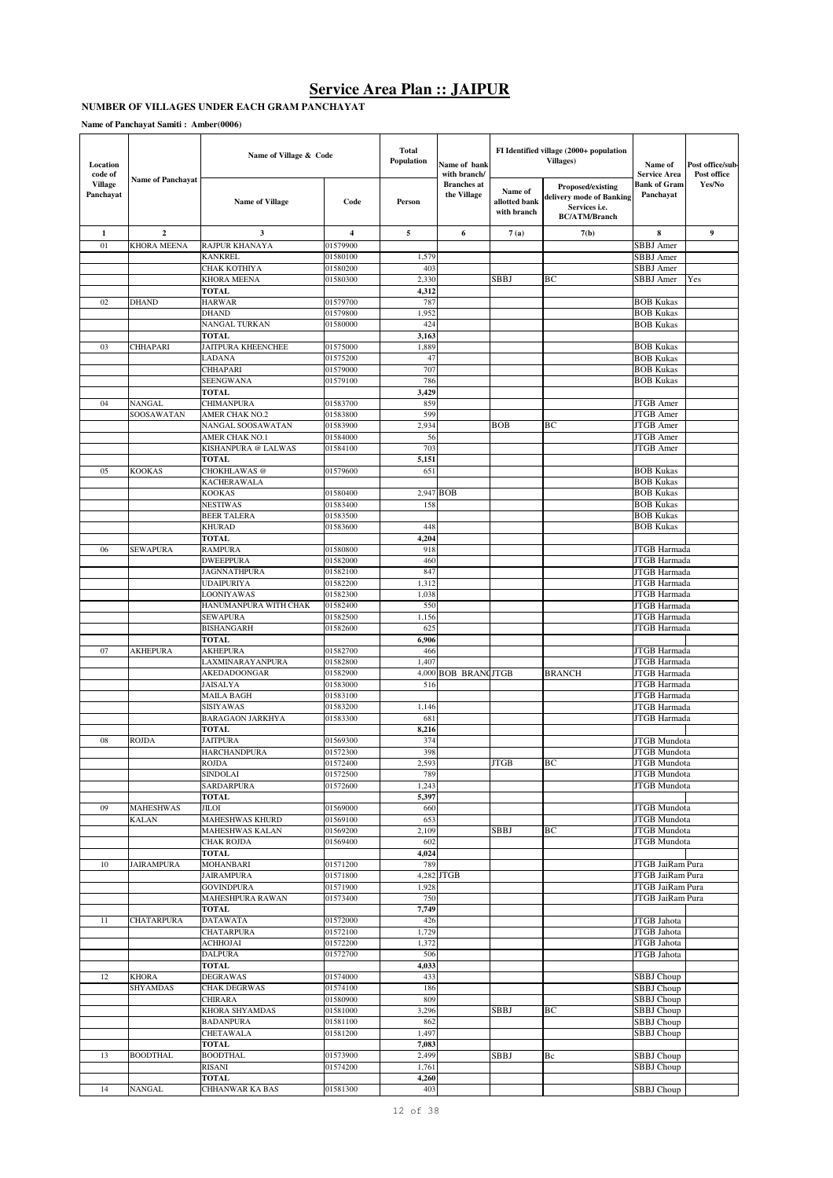#### **NUMBER OF VILLAGES UNDER EACH GRAM PANCHAYAT**

| Location<br>code of<br><b>Name of Panchayat</b> | Name of Village & Code |                                      | Total<br>Population     | Name of bank<br>with branch/ |                                   | FI Identified village (2000+ population<br>Villages) | Name of<br><b>Service Area</b>                                                         | Post office/sub-<br>Post office      |                  |
|-------------------------------------------------|------------------------|--------------------------------------|-------------------------|------------------------------|-----------------------------------|------------------------------------------------------|----------------------------------------------------------------------------------------|--------------------------------------|------------------|
| <b>Village</b><br>Panchayat                     |                        | <b>Name of Village</b>               | Code                    | Person                       | <b>Branches</b> at<br>the Village | Name of<br>allotted bank<br>with branch              | Proposed/existing<br>delivery mode of Banking<br>Services i.e.<br><b>BC/ATM/Branch</b> | <b>Bank of Gram</b><br>Panchayat     | Yes/No           |
| $\mathbf 1$                                     | $\overline{2}$         | 3                                    | $\overline{\mathbf{4}}$ | 5                            | 6                                 | 7(a)                                                 | 7(b)                                                                                   | 8                                    | $\boldsymbol{9}$ |
| 01                                              | <b>KHORA MEENA</b>     | RAJPUR KHANAYA                       | 01579900                |                              |                                   |                                                      |                                                                                        | SBBJ Amer                            |                  |
|                                                 |                        | <b>KANKREL</b>                       | 01580100                | 1,579                        |                                   |                                                      |                                                                                        | SBBJ Amer                            |                  |
|                                                 |                        | СНАК КОТНІҮА                         | 01580200                | 403                          |                                   |                                                      |                                                                                        | SBBJ Amer                            |                  |
|                                                 |                        | <b>KHORA MEENA</b>                   | 01580300                | 2,330                        |                                   | SBBJ                                                 | BС                                                                                     | SBBJ Amer                            | Yes              |
| 02                                              | <b>DHAND</b>           | <b>TOTAL</b><br>HARWAR               | 01579700                | 4,312<br>787                 |                                   |                                                      |                                                                                        | <b>BOB Kukas</b>                     |                  |
|                                                 |                        | <b>DHAND</b>                         | 01579800                | 1,952                        |                                   |                                                      |                                                                                        | <b>BOB Kukas</b>                     |                  |
|                                                 |                        | NANGAL TURKAN                        | 01580000                | 424                          |                                   |                                                      |                                                                                        | <b>BOB Kukas</b>                     |                  |
|                                                 |                        | <b>TOTAL</b>                         |                         | 3,163                        |                                   |                                                      |                                                                                        |                                      |                  |
| 03                                              | CHHAPARI               | <b>JAITPURA KHEENCHEE</b>            | 01575000                | 1,889                        |                                   |                                                      |                                                                                        | <b>BOB Kukas</b>                     |                  |
|                                                 |                        | LADANA                               | 01575200                | 47                           |                                   |                                                      |                                                                                        | <b>BOB Kukas</b>                     |                  |
|                                                 |                        | CHHAPARI                             | 01579000                | 707                          |                                   |                                                      |                                                                                        | <b>BOB Kukas</b>                     |                  |
|                                                 |                        | SEENGWANA                            | 01579100                | 786                          |                                   |                                                      |                                                                                        | <b>BOB Kukas</b>                     |                  |
|                                                 |                        | TOTAL                                |                         | 3,429                        |                                   |                                                      |                                                                                        |                                      |                  |
| 04                                              | NANGAL<br>SOOSAWATAN   | CHIMANPURA<br>AMER CHAK NO.2         | 01583700                | 859<br>599                   |                                   |                                                      |                                                                                        | <b>JTGB</b> Amer<br><b>JTGB</b> Amer |                  |
|                                                 |                        | NANGAL SOOSAWATAN                    | 01583800<br>01583900    | 2,934                        |                                   | <b>BOB</b>                                           | BС                                                                                     | JTGB Amer                            |                  |
|                                                 |                        | AMER CHAK NO.1                       | 01584000                | 56                           |                                   |                                                      |                                                                                        | JTGB Amer                            |                  |
|                                                 |                        | KISHANPURA @ LALWAS                  | 01584100                | 703                          |                                   |                                                      |                                                                                        | JTGB Amer                            |                  |
|                                                 |                        | <b>TOTAL</b>                         |                         | 5,151                        |                                   |                                                      |                                                                                        |                                      |                  |
| 05                                              | <b>KOOKAS</b>          | CHOKHLAWAS <sup>@</sup>              | 01579600                | 651                          |                                   |                                                      |                                                                                        | <b>BOB Kukas</b>                     |                  |
|                                                 |                        | KACHERAWALA                          |                         |                              |                                   |                                                      |                                                                                        | <b>BOB Kukas</b>                     |                  |
|                                                 |                        | <b>KOOKAS</b>                        | 01580400                |                              | 2,947 BOB                         |                                                      |                                                                                        | <b>BOB Kukas</b>                     |                  |
|                                                 |                        | NESTIWAS                             | 01583400                | 158                          |                                   |                                                      |                                                                                        | <b>BOB Kukas</b>                     |                  |
|                                                 |                        | <b>BEER TALERA</b><br><b>KHURAD</b>  | 01583500<br>01583600    | 448                          |                                   |                                                      |                                                                                        | <b>BOB Kukas</b><br><b>BOB Kukas</b> |                  |
|                                                 |                        | <b>TOTAL</b>                         |                         | 4,204                        |                                   |                                                      |                                                                                        |                                      |                  |
| 06                                              | <b>SEWAPURA</b>        | <b>RAMPURA</b>                       | 01580800                | 918                          |                                   |                                                      |                                                                                        | JTGB Harmada                         |                  |
|                                                 |                        | <b>DWEEPPURA</b>                     | 01582000                | 460                          |                                   |                                                      |                                                                                        | JTGB Harmada                         |                  |
|                                                 |                        | JAGNNATHPURA                         | 01582100                | 847                          |                                   |                                                      |                                                                                        | JTGB Harmada                         |                  |
|                                                 |                        | UDAIPURIYA                           | 01582200                | 1,312                        |                                   |                                                      |                                                                                        | JTGB Harmada                         |                  |
|                                                 |                        | LOONIYAWAS                           | 01582300                | 1,038                        |                                   |                                                      |                                                                                        | JTGB Harmada                         |                  |
|                                                 |                        | HANUMANPURA WITH CHAK                | 01582400                | 550                          |                                   |                                                      |                                                                                        | JTGB Harmada                         |                  |
|                                                 |                        | <b>SEWAPURA</b><br><b>BISHANGARH</b> | 01582500<br>01582600    | 1,156<br>625                 |                                   |                                                      |                                                                                        | JTGB Harmada<br>JTGB Harmada         |                  |
|                                                 |                        | TOTAL                                |                         | 6,906                        |                                   |                                                      |                                                                                        |                                      |                  |
| 07                                              | AKHEPURA               | <b>AKHEPURA</b>                      | 01582700                | 466                          |                                   |                                                      |                                                                                        | JTGB Harmada                         |                  |
|                                                 |                        | LAXMINARAYANPURA                     | 01582800                | 1,407                        |                                   |                                                      |                                                                                        | JTGB Harmada                         |                  |
|                                                 |                        | <b>AKEDADOONGAR</b>                  | 01582900                |                              | 4,000 BOB BRANCJTGB               |                                                      | <b>BRANCH</b>                                                                          | JTGB Harmada                         |                  |
|                                                 |                        | <b>JAISALYA</b>                      | 01583000                | 516                          |                                   |                                                      |                                                                                        | JTGB Harmada                         |                  |
|                                                 |                        | MAILA BAGH                           | 01583100                |                              |                                   |                                                      |                                                                                        | JTGB Harmada                         |                  |
|                                                 |                        | SISIYAWAS                            | 01583200                | 1,146                        |                                   |                                                      |                                                                                        | JTGB Harmada                         |                  |
|                                                 |                        | <b>BARAGAON JARKHYA</b>              | 01583300                | 681<br>8,216                 |                                   |                                                      |                                                                                        | JTGB Harmada                         |                  |
| 08                                              | ROJDA                  | TOTAL<br><b>JAITPURA</b>             | 01569300                | 374                          |                                   |                                                      |                                                                                        | <b>JTGB</b> Mundota                  |                  |
|                                                 |                        | <b>HARCHANDPURA</b>                  | 01572300                | 398                          |                                   |                                                      |                                                                                        | JTGB Mundota                         |                  |
|                                                 |                        | ROJDA                                | 01572400                | 2,593                        |                                   | <b>JTGB</b>                                          | ВC                                                                                     | <b>JTGB</b> Mundota                  |                  |
|                                                 |                        | <b>SINDOLAI</b>                      | 01572500                | 789                          |                                   |                                                      |                                                                                        | <b>JTGB</b> Mundota                  |                  |
|                                                 |                        | <b>SARDARPURA</b>                    | 01572600                | 1,243                        |                                   |                                                      |                                                                                        | <b>JTGB</b> Mundota                  |                  |
|                                                 |                        | <b>TOTAL</b>                         |                         | 5,397                        |                                   |                                                      |                                                                                        |                                      |                  |
| 09                                              | MAHESHWAS              | JILOI                                | 01569000                | 660                          |                                   |                                                      |                                                                                        | JTGB Mundota                         |                  |
|                                                 | <b>KALAN</b>           | MAHESHWAS KHURD<br>MAHESHWAS KALAN   | 01569100<br>01569200    | 653<br>2,109                 |                                   | SBBJ                                                 | BС                                                                                     | JTGB Mundota<br><b>JTGB</b> Mundota  |                  |
|                                                 |                        | CHAK ROJDA                           | 01569400                | 602                          |                                   |                                                      |                                                                                        | <b>JTGB</b> Mundota                  |                  |
|                                                 |                        | TOTAL                                |                         | 4,024                        |                                   |                                                      |                                                                                        |                                      |                  |
| 10                                              | JAIRAMPURA             | MOHANBARI                            | 01571200                | 789                          |                                   |                                                      |                                                                                        | <b>JTGB JaiRam Pura</b>              |                  |
|                                                 |                        | <b>JAIRAMPURA</b>                    | 01571800                |                              | 4,282 JTGB                        |                                                      |                                                                                        | JTGB JaiRam Pura                     |                  |
|                                                 |                        | <b>GOVINDPURA</b>                    | 01571900                | 1,928                        |                                   |                                                      |                                                                                        | JTGB JaiRam Pura                     |                  |
|                                                 |                        | MAHESHPURA RAWAN                     | 01573400                | 750                          |                                   |                                                      |                                                                                        | JTGB JaiRam Pura                     |                  |
|                                                 |                        | <b>TOTAL</b>                         |                         | 7,749                        |                                   |                                                      |                                                                                        |                                      |                  |
| 11                                              | CHATARPURA             | <b>DATAWATA</b><br>CHATARPURA        | 01572000<br>01572100    | 426<br>1,729                 |                                   |                                                      |                                                                                        | JTGB Jahota<br>JTGB Jahota           |                  |
|                                                 |                        | <b>ACHHOJAI</b>                      | 01572200                | 1,372                        |                                   |                                                      |                                                                                        | JTGB Jahota                          |                  |
|                                                 |                        | <b>DALPURA</b>                       | 01572700                | 506                          |                                   |                                                      |                                                                                        | JTGB Jahota                          |                  |
|                                                 |                        | <b>TOTAL</b>                         |                         | 4,033                        |                                   |                                                      |                                                                                        |                                      |                  |
| 12                                              | KHORA                  | <b>DEGRAWAS</b>                      | 01574000                | 433                          |                                   |                                                      |                                                                                        | SBBJ Choup                           |                  |
|                                                 | <b>SHYAMDAS</b>        | CHAK DEGRWAS                         | 01574100                | 186                          |                                   |                                                      |                                                                                        | <b>SBBJ</b> Choup                    |                  |
|                                                 |                        | CHIRARA                              | 01580900                | 809                          |                                   |                                                      |                                                                                        | SBBJ Choup                           |                  |
|                                                 |                        | KHORA SHYAMDAS                       | 01581000                | 3,296                        |                                   | SBBJ                                                 | ВC                                                                                     | SBBJ Choup                           |                  |
|                                                 |                        | <b>BADANPURA</b>                     | 01581100                | 862                          |                                   |                                                      |                                                                                        | SBBJ Choup                           |                  |
|                                                 |                        | CHETAWALA<br>TOTAL                   | 01581200                | 1,497<br>7,083               |                                   |                                                      |                                                                                        | SBBJ Choup                           |                  |
| 13                                              | <b>BOODTHAL</b>        | <b>BOODTHAL</b>                      | 01573900                | 2,499                        |                                   | <b>SBBJ</b>                                          | Bc                                                                                     | SBBJ Choup                           |                  |
|                                                 |                        | RISANI                               | 01574200                | 1,761                        |                                   |                                                      |                                                                                        | <b>SBBJ</b> Choup                    |                  |
|                                                 |                        | <b>TOTAL</b>                         |                         | 4,260                        |                                   |                                                      |                                                                                        |                                      |                  |
| 14                                              | <b>NANGAL</b>          | CHHANWAR KA BAS                      | 01581300                | 403                          |                                   |                                                      |                                                                                        | SBBJ Choup                           |                  |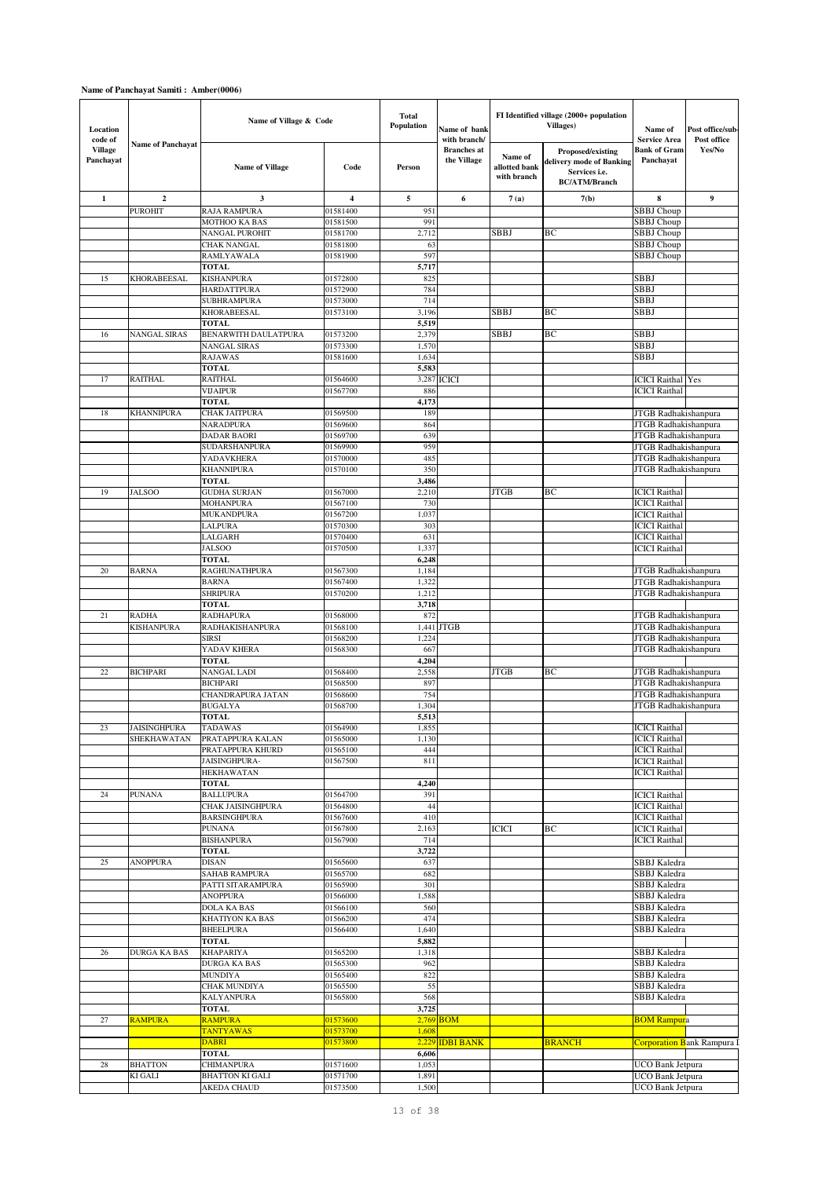| Location<br>code of         |                          | Name of Village & Code                |                      | <b>Total</b><br>Population | Name of bank<br>with branch/      |                                         | FI Identified village (2000+ population<br><b>Villages</b> )                           | Name of<br><b>Service Area</b>   | Post office/sub-<br>Post office    |
|-----------------------------|--------------------------|---------------------------------------|----------------------|----------------------------|-----------------------------------|-----------------------------------------|----------------------------------------------------------------------------------------|----------------------------------|------------------------------------|
| <b>Village</b><br>Panchayat | <b>Name of Panchavat</b> | <b>Name of Village</b>                | Code                 | Person                     | <b>Branches</b> at<br>the Village | Name of<br>allotted bank<br>with branch | Proposed/existing<br>delivery mode of Banking<br>Services i.e.<br><b>BC/ATM/Branch</b> | <b>Bank of Gram</b><br>Panchayat | Yes/No                             |
| 1                           | $\overline{2}$           | 3                                     | 4                    | 5                          | 6                                 | 7(a)                                    | 7(b)                                                                                   | 8                                | 9                                  |
|                             | <b>PUROHIT</b>           | <b>RAJA RAMPURA</b>                   | 01581400             | 951                        |                                   |                                         |                                                                                        | <b>SBBJ</b> Choup                |                                    |
|                             |                          | MOTHOO KA BAS                         | 01581500             | 991                        |                                   |                                         |                                                                                        | SBBJ Choup                       |                                    |
|                             |                          | NANGAL PUROHIT                        | 01581700             | 2,712                      |                                   | SBBJ                                    | BC                                                                                     | SBBJ Choup                       |                                    |
|                             |                          | <b>CHAK NANGAL</b>                    | 01581800             | 63                         |                                   |                                         |                                                                                        | SBBJ Choup                       |                                    |
|                             |                          | RAMLYAWALA                            | 01581900             | 597                        |                                   |                                         |                                                                                        | SBBJ Choup                       |                                    |
|                             |                          | <b>TOTAL</b>                          |                      | 5,717                      |                                   |                                         |                                                                                        |                                  |                                    |
| 15                          | KHORABEESAL              | <b>KISHANPURA</b>                     | 01572800             | 825                        |                                   |                                         |                                                                                        | <b>SBBJ</b>                      |                                    |
|                             |                          | HARDATTPURA                           | 01572900             | 784                        |                                   |                                         |                                                                                        | <b>SBBJ</b>                      |                                    |
|                             |                          | <b>SUBHRAMPURA</b>                    | 01573000             | 714                        |                                   |                                         |                                                                                        | <b>SBBJ</b>                      |                                    |
|                             |                          | KHORABEESAL<br><b>TOTAL</b>           | 01573100             | 3,196<br>5,519             |                                   | SBBJ                                    | ВC                                                                                     | <b>SBBJ</b>                      |                                    |
| 16                          | <b>NANGAL SIRAS</b>      | BENARWITH DAULATPURA                  | 01573200             | 2,379                      |                                   | SBBJ                                    | BC                                                                                     | <b>SBBJ</b>                      |                                    |
|                             |                          | <b>NANGAL SIRAS</b>                   | 01573300             | 1,570                      |                                   |                                         |                                                                                        | SBBJ                             |                                    |
|                             |                          | <b>RAJAWAS</b>                        | 01581600             | 1,634                      |                                   |                                         |                                                                                        | <b>SBBJ</b>                      |                                    |
|                             |                          | <b>TOTAL</b>                          |                      | 5,583                      |                                   |                                         |                                                                                        |                                  |                                    |
| 17                          | <b>RAITHAL</b>           | <b>RAITHAL</b>                        | 01564600             | 3,287                      | <b>ICICI</b>                      |                                         |                                                                                        | <b>ICICI</b> Raithal Yes         |                                    |
|                             |                          | <b>VIJAIPUR</b>                       | 01567700             | 886                        |                                   |                                         |                                                                                        | <b>ICICI</b> Raithal             |                                    |
|                             |                          | <b>TOTAL</b>                          |                      | 4,173                      |                                   |                                         |                                                                                        |                                  |                                    |
| 18                          | <b>KHANNIPURA</b>        | CHAK JAITPURA                         | 01569500             | 189                        |                                   |                                         |                                                                                        | JTGB Radhakishanpura             |                                    |
|                             |                          | NARADPURA                             | 01569600             | 864                        |                                   |                                         |                                                                                        | JTGB Radhakishanpura             |                                    |
|                             |                          | DADAR BAORI                           | 01569700             | 639                        |                                   |                                         |                                                                                        | JTGB Radhakishanpura             |                                    |
|                             |                          | <b>SUDARSHANPURA</b>                  | 01569900             | 959                        |                                   |                                         |                                                                                        | JTGB Radhakishanpura             |                                    |
|                             |                          | YADAVKHERA                            | 01570000             | 485                        |                                   |                                         |                                                                                        | JTGB Radhakishanpura             |                                    |
|                             |                          | <b>KHANNIPURA</b>                     | 01570100             | 350                        |                                   |                                         |                                                                                        | JTGB Radhakishanpura             |                                    |
| 19                          | <b>JALSOO</b>            | <b>TOTAL</b><br><b>GUDHA SURJAN</b>   | 01567000             | 3,486<br>2,210             |                                   | <b>JTGB</b>                             | BC                                                                                     | <b>ICICI</b> Raithal             |                                    |
|                             |                          | MOHANPURA                             | 01567100             | 730                        |                                   |                                         |                                                                                        | <b>ICICI</b> Raithal             |                                    |
|                             |                          | MUKANDPURA                            | 01567200             | 1,037                      |                                   |                                         |                                                                                        | <b>ICICI</b> Raithal             |                                    |
|                             |                          | LALPURA                               | 01570300             | 303                        |                                   |                                         |                                                                                        | <b>ICICI</b> Raithal             |                                    |
|                             |                          | LALGARH                               | 01570400             | 631                        |                                   |                                         |                                                                                        | <b>ICICI</b> Raithal             |                                    |
|                             |                          | <b>JALSOO</b>                         | 01570500             | 1,337                      |                                   |                                         |                                                                                        | <b>ICICI</b> Raithal             |                                    |
|                             |                          | <b>TOTAL</b>                          |                      | 6,248                      |                                   |                                         |                                                                                        |                                  |                                    |
| 20                          | <b>BARNA</b>             | <b>RAGHUNATHPURA</b>                  | 01567300             | 1,184                      |                                   |                                         |                                                                                        | JTGB Radhakishanpura             |                                    |
|                             |                          | <b>BARNA</b>                          | 01567400             | 1,322                      |                                   |                                         |                                                                                        | JTGB Radhakishanpura             |                                    |
|                             |                          | <b>SHRIPURA</b>                       | 01570200             | 1,212                      |                                   |                                         |                                                                                        | JTGB Radhakishanpura             |                                    |
|                             |                          | <b>TOTAL</b>                          |                      | 3,718                      |                                   |                                         |                                                                                        |                                  |                                    |
| 21                          | <b>RADHA</b>             | <b>RADHAPURA</b>                      | 01568000             | 872                        |                                   |                                         |                                                                                        | JTGB Radhakishanpura             |                                    |
|                             | <b>KISHANPURA</b>        | RADHAKISHANPURA                       | 01568100             | 1,441                      | <b>JTGB</b>                       |                                         |                                                                                        | JTGB Radhakishanpura             |                                    |
|                             |                          | <b>SIRSI</b>                          | 01568200             | 1,224                      |                                   |                                         |                                                                                        | JTGB Radhakishanpura             |                                    |
|                             |                          | YADAV KHERA                           | 01568300             | 667                        |                                   |                                         |                                                                                        | JTGB Radhakishanpura             |                                    |
| 22                          | <b>BICHPARI</b>          | <b>TOTAL</b><br><b>NANGAL LADI</b>    | 01568400             | 4,204<br>2,558             |                                   | <b>JTGB</b>                             | BC                                                                                     | JTGB Radhakishanpura             |                                    |
|                             |                          | <b>BICHPARI</b>                       | 01568500             | 897                        |                                   |                                         |                                                                                        | JTGB Radhakishanpura             |                                    |
|                             |                          | CHANDRAPURA JATAN                     | 01568600             | 754                        |                                   |                                         |                                                                                        | JTGB Radhakishanpura             |                                    |
|                             |                          | <b>BUGALYA</b>                        | 01568700             | 1,304                      |                                   |                                         |                                                                                        | JTGB Radhakishanpura             |                                    |
|                             |                          | <b>TOTAL</b>                          |                      | 5,513                      |                                   |                                         |                                                                                        |                                  |                                    |
| 23                          | JAISINGHPURA             | <b>TADAWAS</b>                        | 01564900             | 1,855                      |                                   |                                         |                                                                                        | <b>ICICI</b> Raithal             |                                    |
|                             | SHEKHAWATAN              | PRATAPPURA KALAN                      | 01565000             | 1,130                      |                                   |                                         |                                                                                        | <b>ICICI</b> Raithal             |                                    |
|                             |                          | PRATAPPURA KHURD                      | 01565100             | 444                        |                                   |                                         |                                                                                        | <b>ICICI</b> Raithal             |                                    |
|                             |                          | JAISINGHPURA-                         | 01567500             | 811                        |                                   |                                         |                                                                                        | <b>ICICI</b> Raithal             |                                    |
|                             |                          | HEKHAWATAN                            |                      |                            |                                   |                                         |                                                                                        | <b>ICICI</b> Raithal             |                                    |
|                             |                          | <b>TOTAL</b>                          | 01564700             | 4,240                      |                                   |                                         |                                                                                        | <b>ICICI</b> Raithal             |                                    |
| 24                          | <b>PUNANA</b>            | <b>BALLUPURA</b><br>CHAK JAISINGHPURA | 01564800             | 391<br>44                  |                                   |                                         |                                                                                        | <b>ICICI</b> Raithal             |                                    |
|                             |                          | <b>BARSINGHPURA</b>                   | 01567600             | 410                        |                                   |                                         |                                                                                        | <b>ICICI</b> Raithal             |                                    |
|                             |                          | <b>PUNANA</b>                         | 01567800             | 2,163                      |                                   | ICICI                                   | ВC                                                                                     | <b>ICICI</b> Raithal             |                                    |
|                             |                          | <b>BISHANPURA</b>                     | 01567900             | 714                        |                                   |                                         |                                                                                        | <b>ICICI</b> Raithal             |                                    |
|                             |                          | <b>TOTAL</b>                          |                      | 3,722                      |                                   |                                         |                                                                                        |                                  |                                    |
| 25                          | <b>ANOPPURA</b>          | DISAN                                 | 01565600             | 637                        |                                   |                                         |                                                                                        | SBBJ Kaledra                     |                                    |
|                             |                          | <b>SAHAB RAMPURA</b>                  | 01565700             | 682                        |                                   |                                         |                                                                                        | SBBJ Kaledra                     |                                    |
|                             |                          | PATTI SITARAMPURA                     | 01565900             | 301                        |                                   |                                         |                                                                                        | SBBJ Kaledra                     |                                    |
|                             |                          | <b>ANOPPURA</b>                       | 01566000             | 1,588                      |                                   |                                         |                                                                                        | SBBJ Kaledra                     |                                    |
|                             |                          | <b>DOLA KA BAS</b>                    | 01566100             | 560                        |                                   |                                         |                                                                                        | SBBJ Kaledra                     |                                    |
|                             |                          | KHATIYON KA BAS                       | 01566200             | 474                        |                                   |                                         |                                                                                        | SBBJ Kaledra                     |                                    |
|                             |                          | <b>BHEELPURA</b>                      | 01566400             | 1,640                      |                                   |                                         |                                                                                        | SBBJ Kaledra                     |                                    |
|                             |                          | <b>TOTAL</b>                          |                      | 5,882                      |                                   |                                         |                                                                                        |                                  |                                    |
| 26                          | DURGA KA BAS             | <b>KHAPARIYA</b>                      | 01565200             | 1,318                      |                                   |                                         |                                                                                        | SBBJ Kaledra                     |                                    |
|                             |                          | <b>DURGA KA BAS</b>                   | 01565300             | 962<br>822                 |                                   |                                         |                                                                                        | SBBJ Kaledra<br>SBBJ Kaledra     |                                    |
|                             |                          | MUNDIYA<br>CHAK MUNDIYA               | 01565400             | 55                         |                                   |                                         |                                                                                        | SBBJ Kaledra                     |                                    |
|                             |                          | <b>KALYANPURA</b>                     | 01565500<br>01565800 | 568                        |                                   |                                         |                                                                                        | SBBJ Kaledra                     |                                    |
|                             |                          | TOTAL                                 |                      | 3,725                      |                                   |                                         |                                                                                        |                                  |                                    |
| $27\,$                      | <b>RAMPURA</b>           | RAMPURA                               | 01573600             |                            | $2,769$ BOM                       |                                         |                                                                                        | <b>BOM Rampura</b>               |                                    |
|                             |                          | <b>TANTYAWAS</b>                      | 01573700             | 1,608                      |                                   |                                         |                                                                                        |                                  |                                    |
|                             |                          | <b>DABRI</b>                          | 01573800             |                            | 2,229 IDBI BANK                   |                                         | <b>BRANCH</b>                                                                          |                                  | <b>Corporation B</b> ank Rampura I |
|                             |                          | <b>TOTAL</b>                          |                      | 6,606                      |                                   |                                         |                                                                                        |                                  |                                    |
| 28                          | <b>BHATTON</b>           | <b>CHIMANPURA</b>                     | 01571600             | 1,053                      |                                   |                                         |                                                                                        | <b>UCO Bank Jetpura</b>          |                                    |
|                             | KI GALI                  | <b>BHATTON KI GALI</b>                | 01571700             | 1,891                      |                                   |                                         |                                                                                        | <b>UCO</b> Bank Jetpura          |                                    |
|                             |                          | AKEDA CHAUD                           | 01573500             | 1,500                      |                                   |                                         |                                                                                        | <b>UCO Bank Jetpura</b>          |                                    |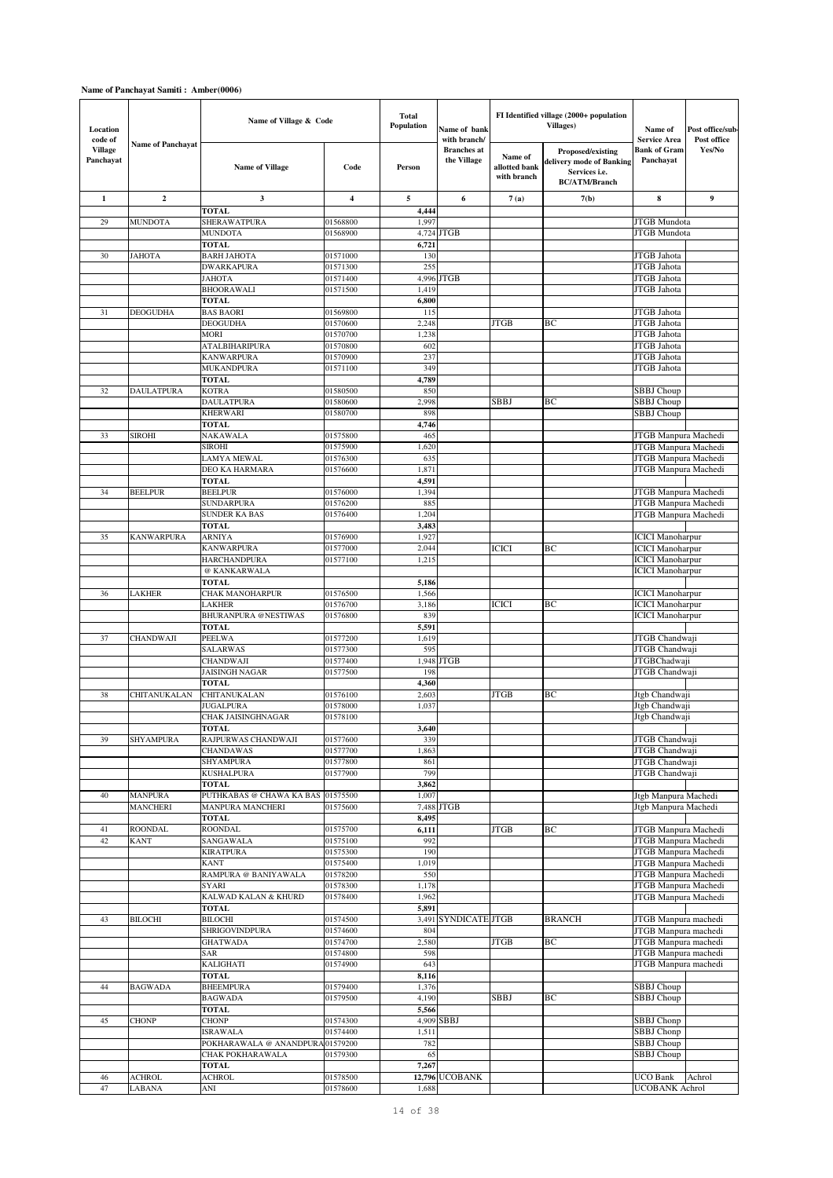| Location<br>code of         |                          | Name of Village & Code                      |                         | Total<br><b>Population</b> | Name of bank<br>with branch/      |                                         | FI Identified village (2000+ population<br>Villages)                                   | Name of<br><b>Service Area</b>                     | Post office/sub<br>Post office |
|-----------------------------|--------------------------|---------------------------------------------|-------------------------|----------------------------|-----------------------------------|-----------------------------------------|----------------------------------------------------------------------------------------|----------------------------------------------------|--------------------------------|
| <b>Village</b><br>Panchayat | <b>Name of Panchayat</b> | <b>Name of Village</b>                      | Code                    | Person                     | <b>Branches</b> at<br>the Village | Name of<br>allotted bank<br>with branch | Proposed/existing<br>delivery mode of Banking<br>Services i.e.<br><b>BC/ATM/Branch</b> | <b>Bank of Gram</b><br>Panchavat                   | Yes/No                         |
| $\mathbf{1}$                | $\overline{2}$           | $\overline{\mathbf{3}}$                     | $\overline{\mathbf{4}}$ | 5                          | 6                                 | 7(a)                                    | 7(b)                                                                                   | 8                                                  | $\boldsymbol{9}$               |
|                             |                          | <b>TOTAL</b>                                |                         | 4,444                      |                                   |                                         |                                                                                        |                                                    |                                |
| 29                          | <b>MUNDOTA</b>           | SHERAWATPURA                                | 01568800                | 1,997                      |                                   |                                         |                                                                                        | JTGB Mundota                                       |                                |
|                             |                          | MUNDOTA<br><b>TOTAL</b>                     | 01568900                | 6,721                      | 4,724 JTGB                        |                                         |                                                                                        | <b>JTGB</b> Mundota                                |                                |
| 30                          | <b>JAHOTA</b>            | BARH JAHOTA                                 | 01571000                | 130                        |                                   |                                         |                                                                                        | JTGB Jahota                                        |                                |
|                             |                          | <b>DWARKAPURA</b>                           | 01571300                | 255                        |                                   |                                         |                                                                                        | JTGB Jahota                                        |                                |
|                             |                          | ЈАНОТА                                      | 01571400                |                            | 4,996 JTGB                        |                                         |                                                                                        | JTGB Jahota                                        |                                |
|                             |                          | BHOORAWALI                                  | 01571500                | 1,419                      |                                   |                                         |                                                                                        | JTGB Jahota                                        |                                |
| 31                          | DEOGUDHA                 | <b>TOTAL</b><br><b>BAS BAORI</b>            | 01569800                | 6,800<br>115               |                                   |                                         |                                                                                        | JTGB Jahota                                        |                                |
|                             |                          | DEOGUDHA                                    | 01570600                | 2,248                      |                                   | <b>JTGB</b>                             | BС                                                                                     | JTGB Jahota                                        |                                |
|                             |                          | MORI                                        | 01570700                | 1.238                      |                                   |                                         |                                                                                        | JTGB Jahota                                        |                                |
|                             |                          | ATALBIHARIPURA                              | 01570800                | 602                        |                                   |                                         |                                                                                        | JTGB Jahota                                        |                                |
|                             |                          | KANWARPURA                                  | 01570900                | 237                        |                                   |                                         |                                                                                        | JTGB Jahota                                        |                                |
|                             |                          | MUKANDPURA                                  | 01571100                | 349                        |                                   |                                         |                                                                                        | JTGB Jahota                                        |                                |
| 32                          | <b>DAULATPURA</b>        | <b>TOTAL</b><br>KOTRA                       | 01580500                | 4,789<br>850               |                                   |                                         |                                                                                        | SBBJ Choup                                         |                                |
|                             |                          | DAULATPURA                                  | 01580600                | 2,998                      |                                   | SBBJ                                    | BС                                                                                     | SBBJ Choup                                         |                                |
|                             |                          | KHERWARI                                    | 01580700                | 898                        |                                   |                                         |                                                                                        | <b>SBBJ</b> Choup                                  |                                |
|                             |                          | TOTAL                                       |                         | 4,746                      |                                   |                                         |                                                                                        |                                                    |                                |
| 33                          | SIROHI                   | NAKAWALA                                    | 01575800                | 465                        |                                   |                                         |                                                                                        | JTGB Manpura Machedi                               |                                |
|                             |                          | SIROHI                                      | 01575900                | 1,620                      |                                   |                                         |                                                                                        | JTGB Manpura Machedi                               |                                |
|                             |                          | LAMYA MEWAL<br>DEO KA HARMARA               | 01576300<br>01576600    | 635<br>1,871               |                                   |                                         |                                                                                        | JTGB Manpura Machedi<br>JTGB Manpura Machedi       |                                |
|                             |                          | <b>TOTAL</b>                                |                         | 4,591                      |                                   |                                         |                                                                                        |                                                    |                                |
| 34                          | <b>BEELPUR</b>           | <b>BEELPUR</b>                              | 01576000                | 1,394                      |                                   |                                         |                                                                                        | JTGB Manpura Machedi                               |                                |
|                             |                          | <b>SUNDARPURA</b>                           | 01576200                | 885                        |                                   |                                         |                                                                                        | JTGB Manpura Machedi                               |                                |
|                             |                          | SUNDER KA BAS                               | 01576400                | 1,204                      |                                   |                                         |                                                                                        | JTGB Manpura Machedi                               |                                |
|                             |                          | <b>TOTAL</b>                                |                         | 3,483                      |                                   |                                         |                                                                                        |                                                    |                                |
| 35                          | KANWARPURA               | ARNIYA<br>KANWARPURA                        | 01576900<br>01577000    | 1,927<br>2,044             |                                   | <b>ICICI</b>                            | BС                                                                                     | <b>ICICI</b> Manoharpur<br><b>ICICI</b> Manoharpur |                                |
|                             |                          | HARCHANDPURA                                | 01577100                | 1,215                      |                                   |                                         |                                                                                        | <b>ICICI</b> Manoharpur                            |                                |
|                             |                          | @ KANKARWALA                                |                         |                            |                                   |                                         |                                                                                        | <b>ICICI</b> Manoharpur                            |                                |
|                             |                          | <b>TOTAL</b>                                |                         | 5,186                      |                                   |                                         |                                                                                        |                                                    |                                |
| 36                          | LAKHER                   | CHAK MANOHARPUR                             | 01576500                | 1,566                      |                                   |                                         |                                                                                        | <b>ICICI</b> Manoharpur                            |                                |
|                             |                          | LAKHER                                      | 01576700                | 3,186                      |                                   | ICICI                                   | BС                                                                                     | <b>ICICI</b> Manoharpur                            |                                |
|                             |                          | BHURANPURA @NESTIWAS<br><b>TOTAL</b>        | 01576800                | 839<br>5,591               |                                   |                                         |                                                                                        | <b>ICICI</b> Manoharpur                            |                                |
| 37                          | <b>CHANDWAJI</b>         | <b>PEELWA</b>                               | 01577200                | 1,619                      |                                   |                                         |                                                                                        | JTGB Chandwaji                                     |                                |
|                             |                          | SALARWAS                                    | 01577300                | 595                        |                                   |                                         |                                                                                        | JTGB Chandwaji                                     |                                |
|                             |                          | CHANDWAJI                                   | 01577400                | 1,948                      | <b>JTGB</b>                       |                                         |                                                                                        | JTGBChadwaji                                       |                                |
|                             |                          | JAISINGH NAGAR                              | 01577500                | 198                        |                                   |                                         |                                                                                        | JTGB Chandwaji                                     |                                |
| 38                          | CHITANUKALAN             | <b>TOTAL</b><br>CHITANUKALAN                | 01576100                | 4,360<br>2,603             |                                   | <b>JTGB</b>                             | BС                                                                                     | Jtgb Chandwaji                                     |                                |
|                             |                          | <b>JUGALPURA</b>                            | 01578000                | 1,037                      |                                   |                                         |                                                                                        | Jtgb Chandwaji                                     |                                |
|                             |                          | CHAK JAISINGHNAGAR                          | 01578100                |                            |                                   |                                         |                                                                                        | Jtgb Chandwaji                                     |                                |
|                             |                          | TOTAL                                       |                         | 3,640                      |                                   |                                         |                                                                                        |                                                    |                                |
| 39                          | <b>SHYAMPURA</b>         | RAJPURWAS CHANDWAJI                         | 01577600                | 339                        |                                   |                                         |                                                                                        | JTGB Chandwaji                                     |                                |
|                             |                          | <b>CHANDAWAS</b>                            | 01577700<br>01577800    | 1,863<br>861               |                                   |                                         |                                                                                        | JTGB Chandwaji                                     |                                |
|                             |                          | SHYAMPURA<br><b>KUSHALPURA</b>              | 01577900                | 799                        |                                   |                                         |                                                                                        | JTGB Chandwaji<br>JTGB Chandwaji                   |                                |
|                             |                          | <b>TOTAL</b>                                |                         | 3,862                      |                                   |                                         |                                                                                        |                                                    |                                |
| 40                          | <b>MANPURA</b>           | PUTHKABAS @ CHAWA KA BAS                    | 01575500                | 1,007                      |                                   |                                         |                                                                                        | Jtgb Manpura Machedi                               |                                |
|                             | <b>MANCHERI</b>          | MANPURA MANCHERI                            | 01575600                |                            | 7,488 JTGB                        |                                         |                                                                                        | Jtgb Manpura Machedi                               |                                |
| 41                          | <b>ROONDAL</b>           | <b>TOTAL</b><br>ROONDAL                     |                         | 8,495                      |                                   | <b>JTGB</b>                             |                                                                                        | JTGB Manpura Machedi                               |                                |
| 42                          | KANT                     | SANGAWALA                                   | 01575700<br>01575100    | 6,111<br>992               |                                   |                                         | BС                                                                                     | JTGB Manpura Machedi                               |                                |
|                             |                          | <b>KIRATPURA</b>                            | 01575300                | 190                        |                                   |                                         |                                                                                        | JTGB Manpura Machedi                               |                                |
|                             |                          | KANT                                        | 01575400                | 1,019                      |                                   |                                         |                                                                                        | JTGB Manpura Machedi                               |                                |
|                             |                          | RAMPURA @ BANIYAWALA                        | 01578200                | 550                        |                                   |                                         |                                                                                        | JTGB Manpura Machedi                               |                                |
|                             |                          | SYARI                                       | 01578300                | 1,178                      |                                   |                                         |                                                                                        | JTGB Manpura Machedi                               |                                |
|                             |                          | KALWAD KALAN & KHURD<br><b>TOTAL</b>        | 01578400                | 1,962<br>5,891             |                                   |                                         |                                                                                        | JTGB Manpura Machedi                               |                                |
| 43                          | BILOCHI                  | BILOCHI                                     | 01574500                | 3,491                      | SYNDICATE JTGB                    |                                         | <b>BRANCH</b>                                                                          | JTGB Manpura machedi                               |                                |
|                             |                          | SHRIGOVINDPURA                              | 01574600                | 804                        |                                   |                                         |                                                                                        | JTGB Manpura machedi                               |                                |
|                             |                          | GHATWADA                                    | 01574700                | 2,580                      |                                   | <b>JTGB</b>                             | ВC                                                                                     | JTGB Manpura machedi                               |                                |
|                             |                          | SAR                                         | 01574800                | 598                        |                                   |                                         |                                                                                        | JTGB Manpura machedi                               |                                |
|                             |                          | KALIGHATI                                   | 01574900                | 643                        |                                   |                                         |                                                                                        | JTGB Manpura machedi                               |                                |
| $44$                        | <b>BAGWADA</b>           | TOTAL<br>BHEEMPURA                          | 01579400                | 8,116<br>1,376             |                                   |                                         |                                                                                        | SBBJ Choup                                         |                                |
|                             |                          | BAGWADA                                     | 01579500                | 4,190                      |                                   | SBBJ                                    | ВC                                                                                     | SBBJ Choup                                         |                                |
|                             |                          | TOTAL                                       |                         | 5,566                      |                                   |                                         |                                                                                        |                                                    |                                |
| 45                          | <b>CHONP</b>             | <b>CHONP</b>                                | 01574300                |                            | 4,909 SBBJ                        |                                         |                                                                                        | SBBJ Chonp                                         |                                |
|                             |                          | ISRAWALA                                    | 01574400                | 1,511                      |                                   |                                         |                                                                                        | SBBJ Chonp                                         |                                |
|                             |                          | POKHARAWALA @ ANANDPUR.<br>CHAK POKHARAWALA | 01579200<br>01579300    | 782<br>65                  |                                   |                                         |                                                                                        | SBBJ Choup<br>SBBJ Choup                           |                                |
|                             |                          | TOTAL                                       |                         | 7,267                      |                                   |                                         |                                                                                        |                                                    |                                |
| 46                          | <b>ACHROL</b>            | <b>ACHROL</b>                               | 01578500                |                            | 12,796 UCOBANK                    |                                         |                                                                                        | UCO Bank                                           | Achrol                         |
| 47                          | LABANA                   | ANI                                         | 01578600                | 1,688                      |                                   |                                         |                                                                                        | <b>UCOBANK Achrol</b>                              |                                |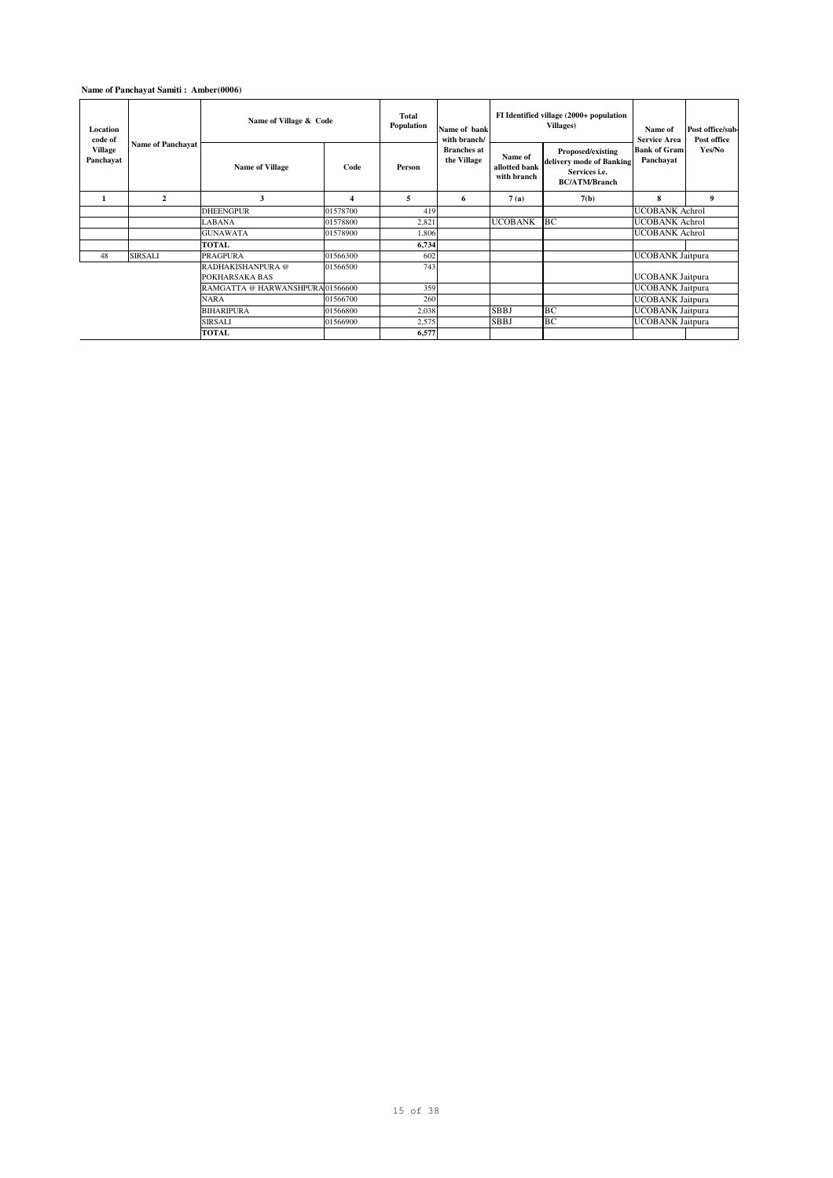| Location<br>code of<br>Village | <b>Name of Panchayat</b> | Name of Village & Code              |          | Total<br>Population<br>Name of bank<br>with branch/ |                                   |                                         | FI Identified village (2000+ population<br>Villages)                                   | Name of<br><b>Service Area</b>   | Post office/sub-<br>Post office |
|--------------------------------|--------------------------|-------------------------------------|----------|-----------------------------------------------------|-----------------------------------|-----------------------------------------|----------------------------------------------------------------------------------------|----------------------------------|---------------------------------|
| Panchayat                      |                          | <b>Name of Village</b>              | Code     | Person                                              | <b>Branches</b> at<br>the Village | Name of<br>allotted bank<br>with branch | Proposed/existing<br>delivery mode of Banking<br>Services i.e.<br><b>BC/ATM/Branch</b> | <b>Bank of Gram</b><br>Panchayat | Yes/No                          |
| 1                              | $\overline{2}$           | 3                                   | 4        | 5                                                   | 6                                 | 7(a)                                    | 7(b)                                                                                   | 8                                | 9                               |
|                                |                          | <b>DHEENGPUR</b>                    | 01578700 | 419                                                 |                                   |                                         |                                                                                        | <b>UCOBANK</b> Achrol            |                                 |
|                                |                          | <b>LABANA</b>                       | 01578800 | 2,821                                               |                                   | <b>UCOBANK</b>                          | BC                                                                                     | <b>UCOBANK</b> Achrol            |                                 |
|                                |                          | <b>GUNAWATA</b>                     | 01578900 | 1,806                                               |                                   |                                         |                                                                                        | <b>UCOBANK</b> Achrol            |                                 |
|                                |                          | <b>TOTAL</b>                        |          | 6,734                                               |                                   |                                         |                                                                                        |                                  |                                 |
| 48                             | <b>SIRSALI</b>           | <b>PRAGPURA</b>                     | 01566300 | 602                                                 |                                   |                                         |                                                                                        | <b>UCOBANK Jaitpura</b>          |                                 |
|                                |                          | RADHAKISHANPURA @<br>POKHARSAKA BAS | 01566500 | 743                                                 |                                   |                                         |                                                                                        | <b>UCOBANK</b> Jaitpura          |                                 |
|                                |                          | RAMGATTA @ HARWANSHPURA01566600     |          | 359                                                 |                                   |                                         |                                                                                        | <b>UCOBANK Jaitpura</b>          |                                 |
|                                |                          | <b>NARA</b>                         | 01566700 | 260                                                 |                                   |                                         |                                                                                        | <b>UCOBANK Jaitpura</b>          |                                 |
|                                |                          | <b>BIHARIPURA</b>                   | 01566800 | 2,038                                               |                                   | <b>SBBJ</b>                             | BC                                                                                     | <b>UCOBANK Jaitpura</b>          |                                 |
|                                |                          | <b>SIRSALI</b>                      | 01566900 | 2,575                                               |                                   | <b>SBBJ</b>                             | BC                                                                                     | <b>UCOBANK Jaitpura</b>          |                                 |
|                                | <b>TOTAL</b>             |                                     | 6,577    |                                                     |                                   |                                         |                                                                                        |                                  |                                 |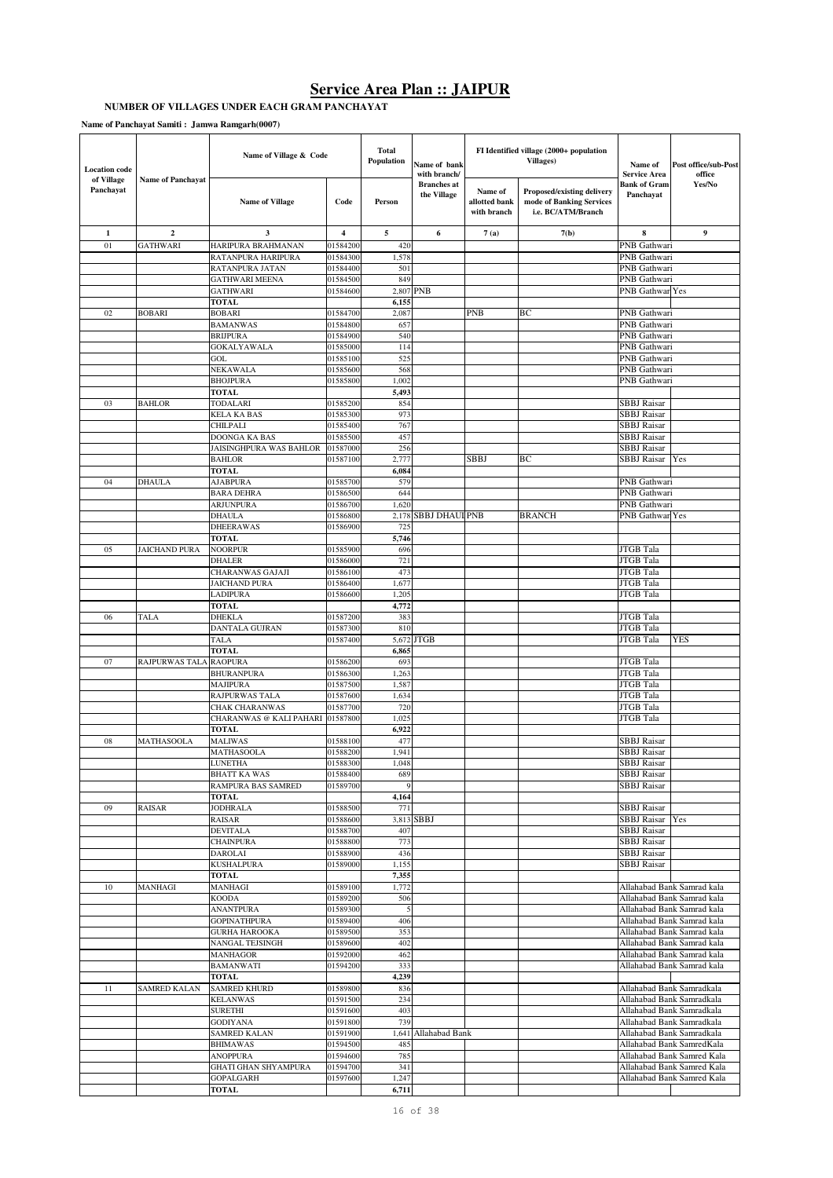#### **NUMBER OF VILLAGES UNDER EACH GRAM PANCHAYAT**

| <b>Location</b> code    |                          | Name of Village & Code                   |                         | <b>Total</b><br>Population | Name of bank<br>with branch/      |                                         | FI Identified village (2000+ population<br>Villages)                         | Name of<br><b>Service Area</b>    | Post office/sub-Post<br>office                           |
|-------------------------|--------------------------|------------------------------------------|-------------------------|----------------------------|-----------------------------------|-----------------------------------------|------------------------------------------------------------------------------|-----------------------------------|----------------------------------------------------------|
| of Village<br>Panchayat | <b>Name of Panchayat</b> | <b>Name of Village</b>                   | Code                    | Person                     | <b>Branches</b> at<br>the Village | Name of<br>allotted bank<br>with branch | Proposed/existing delivery<br>mode of Banking Services<br>i.e. BC/ATM/Branch | <b>Bank of Gram</b><br>Panchayat  | Yes/No                                                   |
| 1                       | $\mathbf{2}$             | 3                                        | $\overline{\mathbf{4}}$ | 5                          | 6                                 | 7(a)                                    | 7(b)                                                                         | 8                                 | 9                                                        |
| 01                      | GATHWARI                 | HARIPURA BRAHMANAN                       | 01584200                | 420                        |                                   |                                         |                                                                              | PNB Gathwari                      |                                                          |
|                         |                          | RATANPURA HARIPURA                       | 01584300                | 1,578                      |                                   |                                         |                                                                              | PNB Gathwari                      |                                                          |
|                         |                          | RATANPURA JATAN                          | 01584400                | 501                        |                                   |                                         |                                                                              | PNB Gathwari                      |                                                          |
|                         |                          | <b>GATHWARI MEENA</b>                    | 01584500                | 849                        |                                   |                                         |                                                                              | PNB Gathwari                      |                                                          |
|                         |                          | <b>GATHWARI</b>                          | 01584600                | 2,807                      | PNB                               |                                         |                                                                              | PNB Gathwar Yes                   |                                                          |
| 02                      | <b>BOBARI</b>            | <b>TOTAL</b><br><b>BOBARI</b>            | 01584700                | 6,155<br>2,087             |                                   | PNB                                     | ВC                                                                           | PNB Gathwari                      |                                                          |
|                         |                          | <b>BAMANWAS</b>                          | 01584800                | 657                        |                                   |                                         |                                                                              | PNB Gathwari                      |                                                          |
|                         |                          | <b>BRIJPURA</b>                          | 01584900                | 540                        |                                   |                                         |                                                                              | <b>PNB</b> Gathwari               |                                                          |
|                         |                          | <b>GOKALYAWALA</b>                       | 01585000                | 114                        |                                   |                                         |                                                                              | PNB Gathwari                      |                                                          |
|                         |                          | GOL                                      | 01585100                | 525                        |                                   |                                         |                                                                              | PNB Gathwari                      |                                                          |
|                         |                          | NEKAWALA                                 | 01585600                | 568                        |                                   |                                         |                                                                              | PNB Gathwari                      |                                                          |
|                         |                          | <b>BHOJPURA</b>                          | 01585800                | 1,002                      |                                   |                                         |                                                                              | PNB Gathwari                      |                                                          |
|                         |                          | <b>TOTAL</b>                             |                         | 5,493                      |                                   |                                         |                                                                              |                                   |                                                          |
| 03                      | <b>BAHLOR</b>            | TODALARI                                 | 01585200                | 854                        |                                   |                                         |                                                                              | SBBJ Raisar                       |                                                          |
|                         |                          | KELA KA BAS                              | 01585300                | 973                        |                                   |                                         |                                                                              | <b>SBBJ</b> Raisar                |                                                          |
|                         |                          | CHILPALI<br>DOONGA KA BAS                | 01585400<br>01585500    | 767<br>457                 |                                   |                                         |                                                                              | SBBJ Raisar<br><b>SBBJ</b> Raisar |                                                          |
|                         |                          | JAISINGHPURA WAS BAHLOR                  | 01587000                | 256                        |                                   |                                         |                                                                              | <b>SBBJ</b> Raisar                |                                                          |
|                         |                          | <b>BAHLOR</b>                            | 01587100                | 2,777                      |                                   | SBBJ                                    | ВC                                                                           | SBBJ Raisar                       | Yes                                                      |
|                         |                          | TOTAL                                    |                         | 6,084                      |                                   |                                         |                                                                              |                                   |                                                          |
| 04                      | <b>DHAULA</b>            | AJABPURA                                 | 01585700                | 579                        |                                   |                                         |                                                                              | PNB Gathwari                      |                                                          |
|                         |                          | <b>BARA DEHRA</b>                        | 01586500                | 644                        |                                   |                                         |                                                                              | PNB Gathwari                      |                                                          |
|                         |                          | <b>ARJUNPURA</b>                         | 01586700                | 1,620                      |                                   |                                         |                                                                              | PNB Gathwari                      |                                                          |
|                         |                          | <b>DHAULA</b>                            | 01586800                | 2,178                      | <b>SBBJ DHAUI PNB</b>             |                                         | <b>BRANCH</b>                                                                | PNB Gathwar Yes                   |                                                          |
|                         |                          | <b>DHEERAWAS</b>                         | 01586900                | 72:                        |                                   |                                         |                                                                              |                                   |                                                          |
| 05                      | JAICHAND PURA            | <b>TOTAL</b><br><b>NOORPUR</b>           | 01585900                | 5,746<br>696               |                                   |                                         |                                                                              | <b>JTGB</b> Tala                  |                                                          |
|                         |                          | <b>DHALER</b>                            | 01586000                | 721                        |                                   |                                         |                                                                              | <b>JTGB</b> Tala                  |                                                          |
|                         |                          | CHARANWAS GAJAJI                         | 01586100                | 473                        |                                   |                                         |                                                                              | JTGB Tala                         |                                                          |
|                         |                          | JAICHAND PURA                            | 01586400                | 1,677                      |                                   |                                         |                                                                              | JTGB Tala                         |                                                          |
|                         |                          | LADIPURA                                 | 01586600                | 1,205                      |                                   |                                         |                                                                              | JTGB Tala                         |                                                          |
|                         |                          | <b>TOTAL</b>                             |                         | 4,772                      |                                   |                                         |                                                                              |                                   |                                                          |
| 06                      | <b>TALA</b>              | DHEKLA                                   | 01587200                | 383                        |                                   |                                         |                                                                              | JTGB Tala                         |                                                          |
|                         |                          | DANTALA GUJRAN                           | 01587300                | 810                        |                                   |                                         |                                                                              | JTGB Tala                         |                                                          |
|                         |                          | TALA                                     | 01587400                | 5,672                      | <b>JTGB</b>                       |                                         |                                                                              | JTGB Tala                         | YES                                                      |
| 07                      |                          | <b>TOTAL</b>                             |                         | 6,865<br>693               |                                   |                                         |                                                                              |                                   |                                                          |
|                         | RAJPURWAS TALA           | <b>RAOPURA</b><br><b>BHURANPURA</b>      | 01586200<br>01586300    | 1,263                      |                                   |                                         |                                                                              | JTGB Tala<br>JTGB Tala            |                                                          |
|                         |                          | MAJIPURA                                 | 01587500                | 1,587                      |                                   |                                         |                                                                              | JTGB Tala                         |                                                          |
|                         |                          | RAJPURWAS TALA                           | 01587600                | 1,634                      |                                   |                                         |                                                                              | JTGB Tala                         |                                                          |
|                         |                          | CHAK CHARANWAS                           | 01587700                | 720                        |                                   |                                         |                                                                              | JTGB Tala                         |                                                          |
|                         |                          | CHARANWAS @ KALI PAHARI                  | 01587800                | 1,025                      |                                   |                                         |                                                                              | JTGB Tala                         |                                                          |
|                         |                          | <b>TOTAL</b>                             |                         | 6,922                      |                                   |                                         |                                                                              |                                   |                                                          |
| 08                      | MATHASOOLA               | MALIWAS                                  | 01588100                | 477                        |                                   |                                         |                                                                              | SBBJ Raisar                       |                                                          |
|                         |                          | MATHASOOLA                               | 01588200<br>01588300    | 1,941                      |                                   |                                         |                                                                              | SBBJ Raisar<br><b>SBBJ</b> Raisar |                                                          |
|                         |                          | LUNETHA<br><b>BHATT KA WAS</b>           | 01588400                | 1,048<br>689               |                                   |                                         |                                                                              | <b>SBBJ</b> Raisar                |                                                          |
|                         |                          | RAMPURA BAS SAMRED                       | 01589700                | 9                          |                                   |                                         |                                                                              | <b>SBBJ</b> Raisar                |                                                          |
|                         |                          | TOTAL                                    |                         | 4,164                      |                                   |                                         |                                                                              |                                   |                                                          |
| 09                      | RAISAR                   | <b>JODHRALA</b>                          | 01588500                | 771                        |                                   |                                         |                                                                              | <b>SBBJ</b> Raisar                |                                                          |
|                         |                          | RAISAR                                   | 01588600                |                            | 3,813 SBBJ                        |                                         |                                                                              | <b>SBBJ</b> Raisar Yes            |                                                          |
|                         |                          | <b>DEVITALA</b>                          | 01588700                | 407                        |                                   |                                         |                                                                              | <b>SBBJ</b> Raisar                |                                                          |
|                         |                          | <b>CHAINPURA</b>                         | 01588800                | 773                        |                                   |                                         |                                                                              | <b>SBBJ</b> Raisar                |                                                          |
|                         |                          | DAROLAI<br>KUSHALPURA                    | 01588900<br>01589000    | 436<br>1,155               |                                   |                                         |                                                                              | SBBJ Raisar<br><b>SBBJ</b> Raisar |                                                          |
|                         |                          | TOTAL                                    |                         | 7,355                      |                                   |                                         |                                                                              |                                   |                                                          |
| 10                      | MANHAGI                  | MANHAGI                                  | 01589100                | 1,772                      |                                   |                                         |                                                                              |                                   | Allahabad Bank Samrad kala                               |
|                         |                          | KOODA                                    | 01589200                | 506                        |                                   |                                         |                                                                              |                                   | Allahabad Bank Samrad kala                               |
|                         |                          | <b>ANANTPURA</b>                         | 01589300                | 5                          |                                   |                                         |                                                                              |                                   | Allahabad Bank Samrad kala                               |
|                         |                          | <b>GOPINATHPURA</b>                      | 01589400                | 406                        |                                   |                                         |                                                                              |                                   | Allahabad Bank Samrad kala                               |
|                         |                          | <b>GURHA HAROOKA</b>                     | 01589500                | 353                        |                                   |                                         |                                                                              |                                   | Allahabad Bank Samrad kala                               |
|                         |                          | <b>NANGAL TEJSINGH</b>                   | 01589600                | 402                        |                                   |                                         |                                                                              |                                   | Allahabad Bank Samrad kala                               |
|                         |                          | MANHAGOR                                 | 01592000                | 462                        |                                   |                                         |                                                                              |                                   | Allahabad Bank Samrad kala                               |
|                         |                          | <b>BAMANWATI</b><br><b>TOTAL</b>         | 01594200                | 333<br>4,239               |                                   |                                         |                                                                              |                                   | Allahabad Bank Samrad kala                               |
| 11                      | SAMRED KALAN             | <b>SAMRED KHURD</b>                      | 01589800                | 836                        |                                   |                                         |                                                                              |                                   | Allahabad Bank Samradkala                                |
|                         |                          | <b>KELANWAS</b>                          | 01591500                | 234                        |                                   |                                         |                                                                              |                                   | Allahabad Bank Samradkala                                |
|                         |                          | <b>SURETHI</b>                           | 01591600                | 403                        |                                   |                                         |                                                                              |                                   | Allahabad Bank Samradkala                                |
|                         |                          | <b>GODIYANA</b>                          | 01591800                | 739                        |                                   |                                         |                                                                              |                                   | Allahabad Bank Samradkala                                |
|                         |                          | <b>SAMRED KALAN</b>                      | 01591900                | 1,641                      | Allahabad Bank                    |                                         |                                                                              |                                   | Allahabad Bank Samradkala                                |
|                         |                          | <b>BHIMAWAS</b>                          | 01594500                | 485                        |                                   |                                         |                                                                              |                                   | Allahabad Bank SamredKala                                |
|                         |                          | <b>ANOPPURA</b>                          | 01594600                | 785                        |                                   |                                         |                                                                              |                                   | Allahabad Bank Samred Kala                               |
|                         |                          | GHATI GHAN SHYAMPURA<br><b>GOPALGARH</b> | 01594700<br>01597600    | 341                        |                                   |                                         |                                                                              |                                   | Allahabad Bank Samred Kala<br>Allahabad Bank Samred Kala |
|                         |                          | TOTAL                                    |                         | 1,247<br>6,711             |                                   |                                         |                                                                              |                                   |                                                          |
|                         |                          |                                          |                         |                            |                                   |                                         |                                                                              |                                   |                                                          |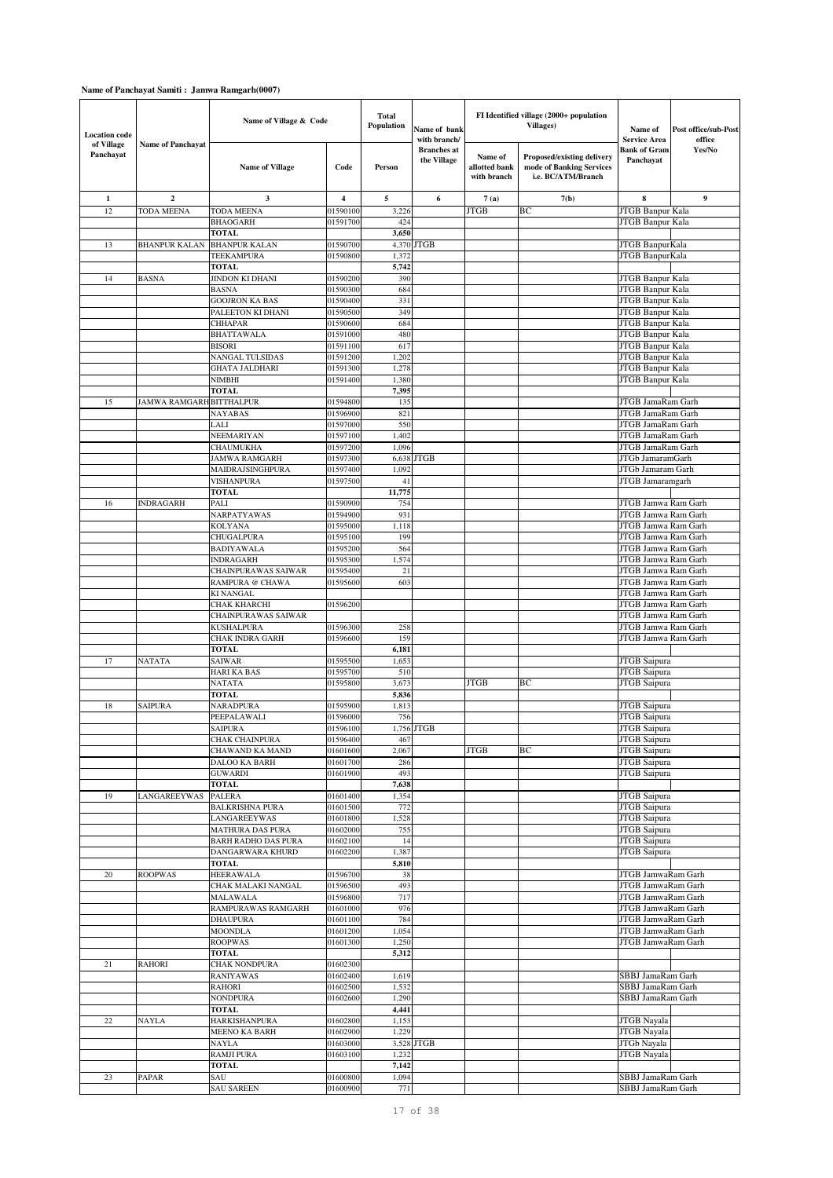| <b>Location code</b>    |                          | Name of Village & Code                         |                      | <b>Total</b><br>Population | Name of bank<br>with branch/      |                                         | FI Identified village (2000+ population<br>Villages)                         | Name of<br><b>Service Area</b>                       | Post office/sub-Post<br>office |
|-------------------------|--------------------------|------------------------------------------------|----------------------|----------------------------|-----------------------------------|-----------------------------------------|------------------------------------------------------------------------------|------------------------------------------------------|--------------------------------|
| of Village<br>Panchayat | <b>Name of Panchayat</b> | <b>Name of Village</b>                         | Code                 | Person                     | <b>Branches</b> at<br>the Village | Name of<br>allotted bank<br>with branch | Proposed/existing delivery<br>mode of Banking Services<br>i.e. BC/ATM/Branch | <b>Bank of Gram</b><br>Panchayat                     | Yes/No                         |
| 1                       | $\overline{a}$           | 3                                              | 4                    | $\sqrt{5}$                 | 6                                 | 7(a)                                    | 7(b)                                                                         | 8                                                    | $\boldsymbol{9}$               |
| 12                      | TODA MEENA               | <b>TODA MEENA</b>                              | 01590100             | 3,226                      |                                   | <b>JTGB</b>                             | BC                                                                           | JTGB Banpur Kala                                     |                                |
|                         |                          | <b>BHAOGARH</b><br><b>TOTAL</b>                | 01591700             | 424<br>3,650               |                                   |                                         |                                                                              | <b>JTGB Banpur Kala</b>                              |                                |
| 13                      | <b>BHANPUR KALAN</b>     | <b>BHANPUR KALAN</b>                           | 01590700             |                            | 4,370 JTGB                        |                                         |                                                                              | JTGB BanpurKala                                      |                                |
|                         |                          | TEEKAMPURA                                     | 01590800             | 1,372                      |                                   |                                         |                                                                              | JTGB BanpurKala                                      |                                |
|                         |                          | <b>TOTAL</b>                                   |                      | 5,742                      |                                   |                                         |                                                                              |                                                      |                                |
| 14                      | <b>BASNA</b>             | JINDON KI DHANI                                | 01590200             | 390                        |                                   |                                         |                                                                              | JTGB Banpur Kala                                     |                                |
|                         |                          | <b>BASNA</b><br><b>GOOJRON KA BAS</b>          | 01590300<br>01590400 | 684<br>331                 |                                   |                                         |                                                                              | JTGB Banpur Kala<br>JTGB Banpur Kala                 |                                |
|                         |                          | PALEETON KI DHANI                              | 01590500             | 349                        |                                   |                                         |                                                                              | JTGB Banpur Kala                                     |                                |
|                         |                          | <b>CHHAPAR</b>                                 | 01590600             | 684                        |                                   |                                         |                                                                              | JTGB Banpur Kala                                     |                                |
|                         |                          | <b>BHATTAWALA</b>                              | 01591000             | 480                        |                                   |                                         |                                                                              | JTGB Banpur Kala                                     |                                |
|                         |                          | <b>BISORI</b><br><b>NANGAL TULSIDAS</b>        | 01591100<br>01591200 | 617<br>1,202               |                                   |                                         |                                                                              | JTGB Banpur Kala<br>JTGB Banpur Kala                 |                                |
|                         |                          | <b>GHATA JALDHARI</b>                          | 01591300             | 1,278                      |                                   |                                         |                                                                              | JTGB Banpur Kala                                     |                                |
|                         |                          | <b>NIMBHI</b>                                  | 01591400             | 1,380                      |                                   |                                         |                                                                              | JTGB Banpur Kala                                     |                                |
|                         |                          | <b>TOTAL</b>                                   |                      | 7,395                      |                                   |                                         |                                                                              |                                                      |                                |
| 15                      | JAMWA RAMGARH BITTHALPUR |                                                | 01594800             | 135                        |                                   |                                         |                                                                              | JTGB JamaRam Garh                                    |                                |
|                         |                          | NAYABAS<br>LALI                                | 01596900<br>01597000 | 821<br>550                 |                                   |                                         |                                                                              | <b>JTGB</b> JamaRam Garh<br><b>JTGB JamaRam Garh</b> |                                |
|                         |                          | <b>NEEMARIYAN</b>                              | 01597100             | 1,402                      |                                   |                                         |                                                                              | JTGB JamaRam Garh                                    |                                |
|                         |                          | CHAUMUKHA                                      | 01597200             | 1,096                      |                                   |                                         |                                                                              | <b>JTGB</b> JamaRam Garh                             |                                |
|                         |                          | <b>JAMWA RAMGARH</b>                           | 01597300             | 6,638                      | <b>JTGB</b>                       |                                         |                                                                              | JTGb JamaramGarh                                     |                                |
|                         |                          | MAIDRAJSINGHPURA                               | 01597400             | 1.092                      |                                   |                                         |                                                                              | JTGb Jamaram Garh                                    |                                |
|                         |                          | <b>VISHANPURA</b><br><b>TOTAL</b>              | 01597500             | 41<br>11,775               |                                   |                                         |                                                                              | JTGB Jamaramgarh                                     |                                |
| 16                      | <b>INDRAGARH</b>         | PALI                                           | 01590900             | 754                        |                                   |                                         |                                                                              | <b>JTGB Jamwa Ram Garh</b>                           |                                |
|                         |                          | NARPATYAWAS                                    | 01594900             | 931                        |                                   |                                         |                                                                              | JTGB Jamwa Ram Garh                                  |                                |
|                         |                          | KOLYANA                                        | 01595000             | 1,118                      |                                   |                                         |                                                                              | JTGB Jamwa Ram Garh                                  |                                |
|                         |                          | CHUGALPURA                                     | 01595100<br>01595200 | 199<br>564                 |                                   |                                         |                                                                              | JTGB Jamwa Ram Garh<br>JTGB Jamwa Ram Garh           |                                |
|                         |                          | <b>BADIYAWALA</b><br><b>INDRAGARH</b>          | 01595300             | 1,574                      |                                   |                                         |                                                                              | JTGB Jamwa Ram Garh                                  |                                |
|                         |                          | CHAINPURAWAS SAIWAR                            | 01595400             | 21                         |                                   |                                         |                                                                              | JTGB Jamwa Ram Garh                                  |                                |
|                         |                          | RAMPURA @ CHAWA                                | 01595600             | 603                        |                                   |                                         |                                                                              | JTGB Jamwa Ram Garh                                  |                                |
|                         |                          | <b>KI NANGAL</b>                               |                      |                            |                                   |                                         |                                                                              | JTGB Jamwa Ram Garh                                  |                                |
|                         |                          | CHAK KHARCHI<br>CHAINPURAWAS SAIWAR            | 01596200             |                            |                                   |                                         |                                                                              | JTGB Jamwa Ram Garh<br>JTGB Jamwa Ram Garh           |                                |
|                         |                          | KUSHALPURA                                     | 01596300             | 258                        |                                   |                                         |                                                                              | JTGB Jamwa Ram Garh                                  |                                |
|                         |                          | <b>CHAK INDRA GARH</b>                         | 0159660              | 159                        |                                   |                                         |                                                                              | JTGB Jamwa Ram Garh                                  |                                |
|                         |                          | <b>TOTAL</b>                                   |                      | 6,181                      |                                   |                                         |                                                                              |                                                      |                                |
| 17                      | <b>NATATA</b>            | <b>SAIWAR</b><br><b>HARI KA BAS</b>            | 01595500<br>01595700 | 1,653<br>510               |                                   |                                         |                                                                              | JTGB Saipura<br><b>JTGB</b> Saipura                  |                                |
|                         |                          | <b>NATATA</b>                                  | 01595800             | 3,673                      |                                   | <b>JTGB</b>                             | ВC                                                                           | JTGB Saipura                                         |                                |
|                         |                          | <b>TOTAL</b>                                   |                      | 5,836                      |                                   |                                         |                                                                              |                                                      |                                |
| 18                      | <b>SAIPURA</b>           | NARADPURA                                      | 01595900             | 1,813                      |                                   |                                         |                                                                              | <b>JTGB</b> Saipura                                  |                                |
|                         |                          | PEEPALAWALI<br>SAIPURA                         | 01596000             | 756                        |                                   |                                         |                                                                              | <b>JTGB</b> Saipura                                  |                                |
|                         |                          | <b>CHAK CHAINPURA</b>                          | 01596100<br>01596400 | 467                        | 1,756 JTGB                        |                                         |                                                                              | JTGB Saipura<br>JTGB Saipura                         |                                |
|                         |                          | CHAWAND KA MAND                                | 01601600             | 2,067                      |                                   | <b>JTGB</b>                             | BC                                                                           | <b>JTGB</b> Saipura                                  |                                |
|                         |                          | DALOO KA BARH                                  | 01601700             | 286                        |                                   |                                         |                                                                              | JTGB Saipura                                         |                                |
|                         |                          | GUWARDI                                        | 01601900             | 493                        |                                   |                                         |                                                                              | JTGB Saipura                                         |                                |
| 19                      | LANGAREEYWAS             | <b>TOTAL</b><br><b>PALERA</b>                  | 01601400             | 7,638<br>1,354             |                                   |                                         |                                                                              | <b>JTGB</b> Saipura                                  |                                |
|                         |                          | <b>BALKRISHNA PURA</b>                         | 01601500             | 772                        |                                   |                                         |                                                                              | JTGB Saipura                                         |                                |
|                         |                          | LANGAREEYWAS                                   | 01601800             | 1,528                      |                                   |                                         |                                                                              | <b>JTGB</b> Saipura                                  |                                |
|                         |                          | <b>MATHURA DAS PURA</b>                        | 01602000<br>01602100 | 755                        |                                   |                                         |                                                                              | <b>JTGB</b> Saipura<br>JTGB Saipura                  |                                |
|                         |                          | <b>BARH RADHO DAS PURA</b><br>DANGARWARA KHURD | 01602200             | 14<br>1,387                |                                   |                                         |                                                                              | <b>JTGB</b> Saipura                                  |                                |
|                         |                          | TOTAL                                          |                      | 5,810                      |                                   |                                         |                                                                              |                                                      |                                |
| $20\,$                  | <b>ROOPWAS</b>           | <b>HEERAWALA</b>                               | 01596700             | 38                         |                                   |                                         |                                                                              | JTGB JamwaRam Garh                                   |                                |
|                         |                          | CHAK MALAKI NANGAL                             | 01596500             | 493                        |                                   |                                         |                                                                              | JTGB JamwaRam Garh                                   |                                |
|                         |                          | MALAWALA<br>RAMPURAWAS RAMGARH                 | 01596800<br>01601000 | 717<br>976                 |                                   |                                         |                                                                              | JTGB JamwaRam Garh<br>JTGB JamwaRam Garh             |                                |
|                         |                          | <b>DHAUPURA</b>                                | 01601100             | 784                        |                                   |                                         |                                                                              | JTGB JamwaRam Garh                                   |                                |
|                         |                          | <b>MOONDLA</b>                                 | 01601200             | 1,054                      |                                   |                                         |                                                                              | JTGB JamwaRam Garh                                   |                                |
|                         |                          | <b>ROOPWAS</b>                                 | 01601300             | 1,250                      |                                   |                                         |                                                                              | JTGB JamwaRam Garh                                   |                                |
|                         |                          | <b>TOTAL</b>                                   |                      | 5,312                      |                                   |                                         |                                                                              |                                                      |                                |
| 21                      | <b>RAHORI</b>            | <b>CHAK NONDPURA</b><br><b>RANIYAWAS</b>       | 01602300<br>01602400 | 1,619                      |                                   |                                         |                                                                              | SBBJ JamaRam Garh                                    |                                |
|                         |                          | <b>RAHORI</b>                                  | 01602500             | 1,532                      |                                   |                                         |                                                                              | SBBJ JamaRam Garh                                    |                                |
|                         |                          | <b>NONDPURA</b>                                | 01602600             | 1,290                      |                                   |                                         |                                                                              | SBBJ JamaRam Garh                                    |                                |
|                         |                          | <b>TOTAL</b>                                   |                      | 4,441                      |                                   |                                         |                                                                              |                                                      |                                |
| $22\,$                  | NAYLA                    | HARKISHANPURA<br><b>MEENO KA BARH</b>          | 01602800<br>01602900 | 1,153<br>1,229             |                                   |                                         |                                                                              | <b>JTGB</b> Nayala<br>JTGB Nayala                    |                                |
|                         |                          | <b>NAYLA</b>                                   | 01603000             |                            | 3,528 JTGB                        |                                         |                                                                              | JTGb Nayala                                          |                                |
|                         |                          | <b>RAMJI PURA</b>                              | 01603100             | 1,232                      |                                   |                                         |                                                                              | <b>JTGB</b> Nayala                                   |                                |
|                         |                          | <b>TOTAL</b>                                   |                      | 7,142                      |                                   |                                         |                                                                              |                                                      |                                |
| 23                      | PAPAR                    | SAU                                            | 01600800             | 1,094                      |                                   |                                         |                                                                              | SBBJ JamaRam Garh                                    |                                |
|                         |                          | <b>SAU SAREEN</b>                              | 01600900             | 771                        |                                   |                                         |                                                                              | SBBJ JamaRam Garh                                    |                                |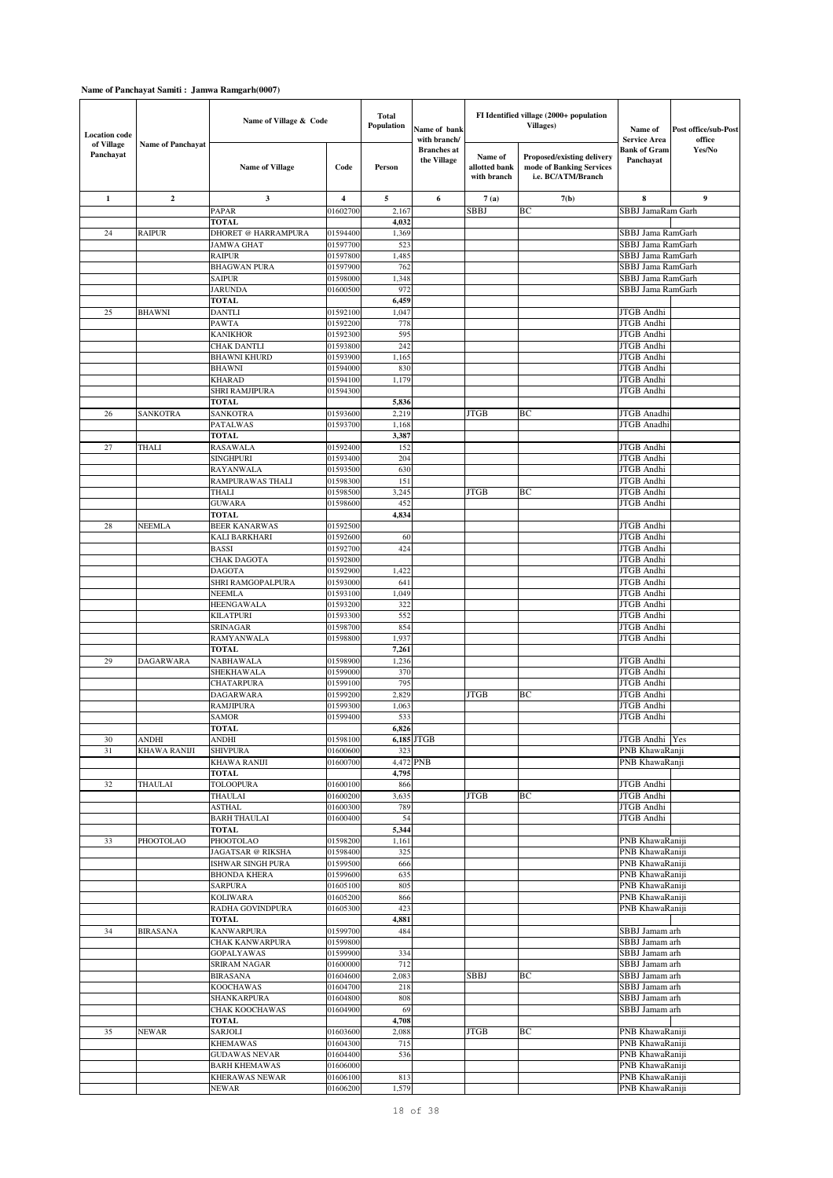| <b>Location</b> code    |                          | Name of Village & Code                          |                         | <b>Total</b><br>Population | Name of bank<br>with branch/      |                                         | FI Identified village (2000+ population<br><b>Villages)</b>                  | Name of<br><b>Service Area</b>         | Post office/sub-Post<br>office |
|-------------------------|--------------------------|-------------------------------------------------|-------------------------|----------------------------|-----------------------------------|-----------------------------------------|------------------------------------------------------------------------------|----------------------------------------|--------------------------------|
| of Village<br>Panchayat | <b>Name of Panchayat</b> | <b>Name of Village</b>                          | Code                    | Person                     | <b>Branches</b> at<br>the Village | Name of<br>allotted bank<br>with branch | Proposed/existing delivery<br>mode of Banking Services<br>i.e. BC/ATM/Branch | Bank of Gram<br>Panchayat              | Yes/No                         |
| 1                       | $\boldsymbol{2}$         | 3                                               | $\overline{\mathbf{4}}$ | 5                          | 6                                 | 7(a)                                    | 7(b)                                                                         | 8                                      | $\boldsymbol{9}$               |
|                         |                          | PAPAR                                           | 01602700                | 2,167                      |                                   | <b>SBBJ</b>                             | ВC                                                                           | SBBJ JamaRam Garh                      |                                |
|                         |                          | <b>TOTAL</b>                                    | 01594400                | 4,032                      |                                   |                                         |                                                                              | SBBJ Jama RamGarh                      |                                |
| 24                      | <b>RAIPUR</b>            | <b>DHORET @ HARRAMPURA</b><br><b>JAMWA GHAT</b> | 01597700                | 1,369<br>523               |                                   |                                         |                                                                              | SBBJ Jama RamGarh                      |                                |
|                         |                          | <b>RAIPUR</b>                                   | 01597800                | 1,485                      |                                   |                                         |                                                                              | SBBJ Jama RamGarh                      |                                |
|                         |                          | <b>BHAGWAN PURA</b>                             | 01597900                | 762                        |                                   |                                         |                                                                              | SBBJ Jama RamGarh                      |                                |
|                         |                          | <b>SAIPUR</b>                                   | 01598000                | 1,348                      |                                   |                                         |                                                                              | SBBJ Jama RamGarh                      |                                |
|                         |                          | <b>JARUNDA</b><br><b>TOTAL</b>                  | 01600500                | 972<br>6,459               |                                   |                                         |                                                                              | SBBJ Jama RamGarh                      |                                |
| 25                      | <b>BHAWNI</b>            | <b>DANTLI</b>                                   | 01592100                | 1,047                      |                                   |                                         |                                                                              | <b>JTGB</b> Andhi                      |                                |
|                         |                          | PAWTA                                           | 01592200                | 778                        |                                   |                                         |                                                                              | JTGB Andhi                             |                                |
|                         |                          | <b>KANIKHOR</b>                                 | 01592300                | 595                        |                                   |                                         |                                                                              | JTGB Andhi                             |                                |
|                         |                          | <b>CHAK DANTLI</b>                              | 01593800                | 242                        |                                   |                                         |                                                                              | <b>JTGB</b> Andhi<br>JTGB Andhi        |                                |
|                         |                          | <b>BHAWNI KHURD</b><br><b>BHAWNI</b>            | 01593900<br>01594000    | 1,165<br>830               |                                   |                                         |                                                                              | JTGB Andhi                             |                                |
|                         |                          | <b>KHARAD</b>                                   | 01594100                | 1,179                      |                                   |                                         |                                                                              | JTGB Andhi                             |                                |
|                         |                          | SHRI RAMJIPURA                                  | 01594300                |                            |                                   |                                         |                                                                              | JTGB Andhi                             |                                |
|                         |                          | <b>TOTAL</b>                                    |                         | 5,836                      |                                   |                                         |                                                                              |                                        |                                |
| 26                      | SANKOTRA                 | SANKOTRA<br>PATALWAS                            | 01593600<br>01593700    | 2,219<br>1,168             |                                   | <b>JTGB</b>                             | ВC                                                                           | <b>JTGB</b> Anadhi<br>JTGB Anadhi      |                                |
|                         |                          | <b>TOTAL</b>                                    |                         | 3,387                      |                                   |                                         |                                                                              |                                        |                                |
| 27                      | <b>THALI</b>             | <b>RASAWALA</b>                                 | 01592400                | 152                        |                                   |                                         |                                                                              | JTGB Andhi                             |                                |
|                         |                          | <b>SINGHPURI</b>                                | 01593400                | 204                        |                                   |                                         |                                                                              | JTGB Andhi                             |                                |
|                         |                          | <b>RAYANWALA</b>                                | 01593500                | 630                        |                                   |                                         |                                                                              | <b>JTGB</b> Andhi                      |                                |
|                         |                          | RAMPURAWAS THALI<br><b>THALI</b>                | 01598300<br>01598500    | 151<br>3,245               |                                   | <b>JTGB</b>                             | ВC                                                                           | JTGB Andhi<br>JTGB Andhi               |                                |
|                         |                          | <b>GUWARA</b>                                   | 01598600                | 452                        |                                   |                                         |                                                                              | JTGB Andhi                             |                                |
|                         |                          | <b>TOTAL</b>                                    |                         | 4,834                      |                                   |                                         |                                                                              |                                        |                                |
| 28                      | NEEMLA                   | <b>BEER KANARWAS</b>                            | 01592500                |                            |                                   |                                         |                                                                              | JTGB Andhi                             |                                |
|                         |                          | KALI BARKHARI<br><b>BASSI</b>                   | 01592600<br>01592700    | 60<br>424                  |                                   |                                         |                                                                              | JTGB Andhi<br>JTGB Andhi               |                                |
|                         |                          | <b>CHAK DAGOTA</b>                              | 01592800                |                            |                                   |                                         |                                                                              | JTGB Andhi                             |                                |
|                         |                          | <b>DAGOTA</b>                                   | 01592900                | 1,422                      |                                   |                                         |                                                                              | JTGB Andhi                             |                                |
|                         |                          | SHRI RAMGOPALPURA                               | 01593000                | 641                        |                                   |                                         |                                                                              | JTGB Andhi                             |                                |
|                         |                          | NEEMLA<br><b>HEENGAWALA</b>                     | 01593100<br>01593200    | 1,049<br>322               |                                   |                                         |                                                                              | JTGB Andhi<br>JTGB Andhi               |                                |
|                         |                          | <b>KILATPURI</b>                                | 01593300                | 552                        |                                   |                                         |                                                                              | JTGB Andhi                             |                                |
|                         |                          | <b>SRINAGAR</b>                                 | 01598700                | 854                        |                                   |                                         |                                                                              | JTGB Andhi                             |                                |
|                         |                          | RAMYANWALA                                      | 0159880                 | 1,937                      |                                   |                                         |                                                                              | JTGB Andhi                             |                                |
|                         |                          | <b>TOTAL</b>                                    |                         | 7,261                      |                                   |                                         |                                                                              |                                        |                                |
| 29                      | <b>DAGARWARA</b>         | <b>NABHAWALA</b><br>SHEKHAWALA                  | 01598900<br>01599000    | 1,236<br>370               |                                   |                                         |                                                                              | <b>JTGB</b> Andhi<br><b>JTGB</b> Andhi |                                |
|                         |                          | <b>CHATARPURA</b>                               | 01599100                | 795                        |                                   |                                         |                                                                              | <b>JTGB</b> Andhi                      |                                |
|                         |                          | <b>DAGARWARA</b>                                | 01599200                | 2,829                      |                                   | <b>JTGB</b>                             | ВC                                                                           | JTGB Andhi                             |                                |
|                         |                          | RAMJIPURA                                       | 01599300                | 1,063                      |                                   |                                         |                                                                              | JTGB Andhi                             |                                |
|                         |                          | <b>SAMOR</b><br>TOTAL                           | 01599400                | 533<br>6,826               |                                   |                                         |                                                                              | JTGB Andhi                             |                                |
| 30                      | ANDHI                    | ANDHI                                           | 01598100                |                            | 6,185 JTGB                        |                                         |                                                                              | JTGB Andhi Yes                         |                                |
| 31                      | KHAWA RANIJI             | <b>SHIVPURA</b>                                 | 01600600                | 323                        |                                   |                                         |                                                                              | PNB KhawaRanji                         |                                |
|                         |                          | <b>KHAWA RANIJI</b>                             | 01600700                |                            | 4,472 PNB                         |                                         |                                                                              | PNB KhawaRanji                         |                                |
| 32                      | THAULAI                  | <b>TOTAL</b><br>TOLOOPURA                       | 01600100                | 4,795<br>866               |                                   |                                         |                                                                              | JTGB Andhi                             |                                |
|                         |                          | THAULAI                                         | 01600200                | 3,635                      |                                   | <b>JTGB</b>                             | ВC                                                                           | JTGB Andhi                             |                                |
|                         |                          | <b>ASTHAL</b>                                   | 01600300                | 789                        |                                   |                                         |                                                                              | JTGB Andhi                             |                                |
|                         |                          | <b>BARH THAULAI</b>                             | 01600400                | 54                         |                                   |                                         |                                                                              | <b>JTGB</b> Andhi                      |                                |
|                         | PHOOTOLAO                | <b>TOTAL</b><br>PHOOTOLAO                       |                         | 5,344                      |                                   |                                         |                                                                              |                                        |                                |
| 33                      |                          | <b>JAGATSAR</b> @ RIKSHA                        | 01598200<br>01598400    | 1,161<br>325               |                                   |                                         |                                                                              | PNB KhawaRaniji<br>PNB KhawaRaniji     |                                |
|                         |                          | ISHWAR SINGH PURA                               | 01599500                | 666                        |                                   |                                         |                                                                              | PNB KhawaRaniji                        |                                |
|                         |                          | <b>BHONDA KHERA</b>                             | 01599600                | 635                        |                                   |                                         |                                                                              | PNB KhawaRaniji                        |                                |
|                         |                          | <b>SARPURA</b>                                  | 01605100                | 805                        |                                   |                                         |                                                                              | PNB KhawaRaniji                        |                                |
|                         |                          | <b>KOLIWARA</b><br>RADHA GOVINDPURA             | 01605200<br>01605300    | 866<br>423                 |                                   |                                         |                                                                              | PNB KhawaRaniji<br>PNB KhawaRaniji     |                                |
|                         |                          | <b>TOTAL</b>                                    |                         | 4,881                      |                                   |                                         |                                                                              |                                        |                                |
| 34                      | <b>BIRASANA</b>          | <b>KANWARPURA</b>                               | 01599700                | 484                        |                                   |                                         |                                                                              | SBBJ Jamam arh                         |                                |
|                         |                          | <b>CHAK KANWARPURA</b>                          | 01599800                |                            |                                   |                                         |                                                                              | SBBJ Jamam arh                         |                                |
|                         |                          | <b>GOPALYAWAS</b><br>SRIRAM NAGAR               | 01599900<br>01600000    | 334<br>712                 |                                   |                                         |                                                                              | SBBJ Jamam arh<br>SBBJ Jamam arh       |                                |
|                         |                          | <b>BIRASANA</b>                                 | 01604600                | 2,083                      |                                   | SBBJ                                    | BС                                                                           | SBBJ Jamam arh                         |                                |
|                         |                          | <b>KOOCHAWAS</b>                                | 01604700                | 218                        |                                   |                                         |                                                                              | SBBJ Jamam arh                         |                                |
|                         |                          | SHANKARPURA                                     | 01604800                | 808                        |                                   |                                         |                                                                              | SBBJ Jamam arh                         |                                |
|                         |                          | CHAK KOOCHAWAS                                  | 01604900                | 69                         |                                   |                                         |                                                                              | SBBJ Jamam arh                         |                                |
| 35                      | NEWAR                    | <b>TOTAL</b><br>SARJOLI                         | 01603600                | 4,708<br>2,088             |                                   | <b>JTGB</b>                             | ВC                                                                           | PNB KhawaRaniji                        |                                |
|                         |                          | <b>KHEMAWAS</b>                                 | 01604300                | 715                        |                                   |                                         |                                                                              | PNB KhawaRaniji                        |                                |
|                         |                          | <b>GUDAWAS NEVAR</b>                            | 01604400                | 536                        |                                   |                                         |                                                                              | PNB KhawaRaniji                        |                                |
|                         |                          | <b>BARH KHEMAWAS</b>                            | 01606000                |                            |                                   |                                         |                                                                              | PNB KhawaRaniji                        |                                |
|                         |                          | <b>KHERAWAS NEWAR</b><br>NEWAR                  | 01606100<br>01606200    | 813<br>1,579               |                                   |                                         |                                                                              | PNB KhawaRaniji<br>PNB KhawaRaniji     |                                |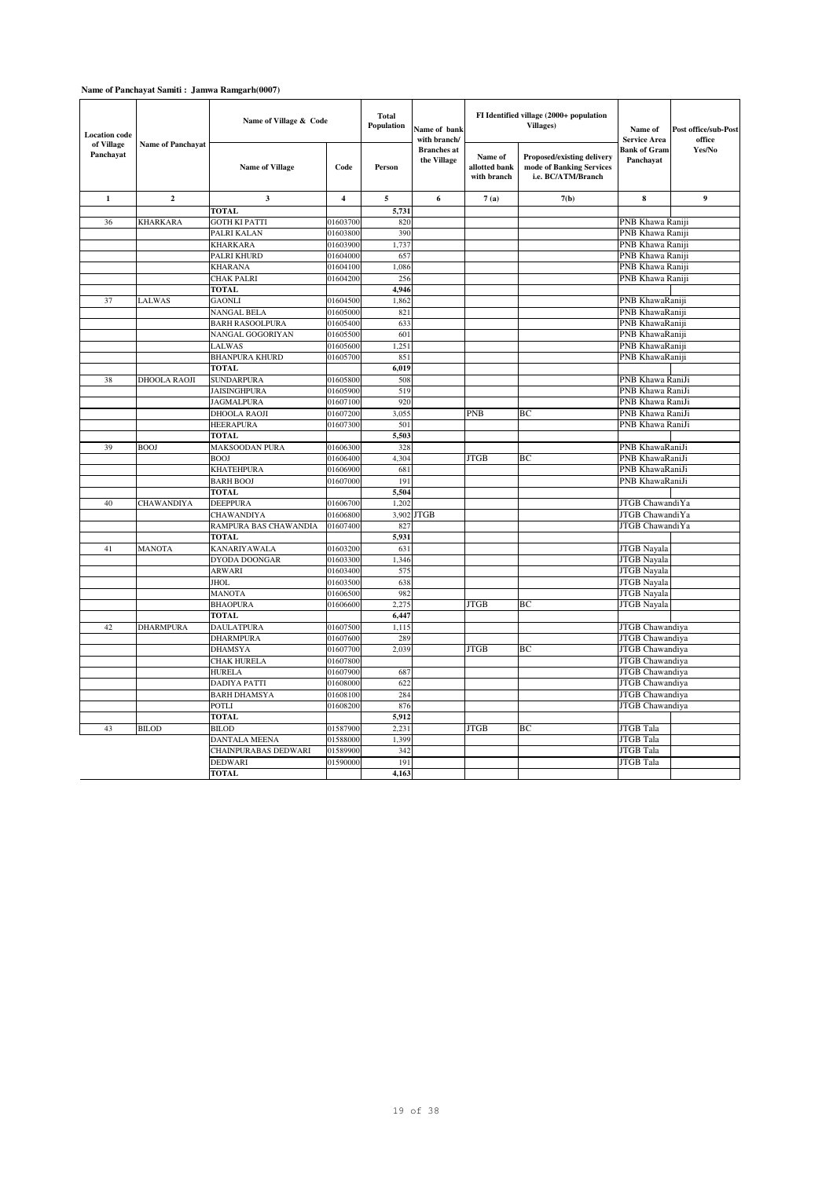| <b>Location</b> code<br>of Village |                          | Name of Village & Code              |                      | <b>Total</b><br>Population | Name of bank<br>with branch/      | FI Identified village (2000+ population<br><b>Villages)</b> |                                                                                     | Name of<br>Service Area            | Post office/sub-Post<br>office |
|------------------------------------|--------------------------|-------------------------------------|----------------------|----------------------------|-----------------------------------|-------------------------------------------------------------|-------------------------------------------------------------------------------------|------------------------------------|--------------------------------|
| Panchavat                          | <b>Name of Panchayat</b> | <b>Name of Village</b>              | Code                 | Person                     | <b>Branches</b> at<br>the Village | Name of<br>allotted bank<br>with branch                     | <b>Proposed/existing delivery</b><br>mode of Banking Services<br>i.e. BC/ATM/Branch | <b>Bank of Gram</b><br>Panchayat   | Yes/No                         |
| $\mathbf{1}$                       | $\overline{2}$           | 3                                   | $\overline{4}$       | $\overline{5}$             | 6                                 | 7(a)                                                        | 7(b)                                                                                | 8                                  | 9                              |
|                                    |                          | <b>TOTAL</b>                        |                      | 5,731                      |                                   |                                                             |                                                                                     |                                    |                                |
| 36                                 | <b>KHARKARA</b>          | <b>GOTH KI PATTI</b>                | 01603700             | 820                        |                                   |                                                             |                                                                                     | PNB Khawa Raniji                   |                                |
|                                    |                          | PALRI KALAN                         | 0160380              | 390                        |                                   |                                                             |                                                                                     | PNB Khawa Raniji                   |                                |
|                                    |                          | KHARKARA                            | 01603900             | 1,737                      |                                   |                                                             |                                                                                     | PNB Khawa Raniji                   |                                |
|                                    |                          | PALRI KHURD                         | 01604000             | 657                        |                                   |                                                             |                                                                                     | PNB Khawa Raniji                   |                                |
|                                    |                          | <b>KHARANA</b>                      | 01604100             | 1,086                      |                                   |                                                             |                                                                                     | PNB Khawa Raniji                   |                                |
|                                    |                          | <b>CHAK PALRI</b>                   | 01604200             | 256                        |                                   |                                                             |                                                                                     | PNB Khawa Raniji                   |                                |
|                                    |                          | <b>TOTAL</b>                        |                      | 4.946                      |                                   |                                                             |                                                                                     |                                    |                                |
| 37                                 | LALWAS                   | <b>GAONLI</b>                       | 01604500             | 1,862                      |                                   |                                                             |                                                                                     | PNB KhawaRaniji                    |                                |
|                                    |                          | NANGAL BELA                         | 01605000             | 821                        |                                   |                                                             |                                                                                     | PNB KhawaRaniji                    |                                |
|                                    |                          | <b>BARH RASOOLPURA</b>              | 01605400             | 633                        |                                   |                                                             |                                                                                     | PNB KhawaRaniji                    |                                |
|                                    |                          | NANGAL GOGORIYAN                    | 01605500             | 601                        |                                   |                                                             |                                                                                     | PNB KhawaRaniji                    |                                |
|                                    |                          | LALWAS                              | 01605600             | 1,251                      |                                   |                                                             |                                                                                     | PNB KhawaRaniji                    |                                |
|                                    |                          | <b>BHANPURA KHURD</b>               | 01605700             | 851                        |                                   |                                                             |                                                                                     | PNB KhawaRaniji                    |                                |
|                                    |                          | <b>TOTAL</b>                        |                      | 6,019                      |                                   |                                                             |                                                                                     |                                    |                                |
| 38                                 | DHOOLA RAOJI             | <b>SUNDARPURA</b>                   | 01605800             | 508                        |                                   |                                                             |                                                                                     | PNB Khawa RaniJi                   |                                |
|                                    |                          | <b>JAISINGHPURA</b>                 | 01605900             | 519                        |                                   |                                                             |                                                                                     | PNB Khawa RaniJi                   |                                |
|                                    |                          | <b>JAGMALPURA</b>                   | 01607100             | 920                        |                                   |                                                             |                                                                                     | PNB Khawa RaniJi                   |                                |
|                                    |                          | DHOOLA RAOJI                        | 01607200             | 3,055                      |                                   | PNB                                                         | BС                                                                                  | PNB Khawa RaniJi                   |                                |
|                                    |                          | <b>HEERAPURA</b>                    | 01607300             | 501                        |                                   |                                                             |                                                                                     | PNB Khawa RaniJi                   |                                |
|                                    |                          | <b>TOTAL</b>                        |                      | 5,503                      |                                   |                                                             |                                                                                     |                                    |                                |
| 39                                 | <b>BOOJ</b>              | <b>MAKSOODAN PURA</b>               | 01606300             | 328                        |                                   |                                                             |                                                                                     | PNB KhawaRaniJi                    |                                |
|                                    |                          | <b>BOOJ</b>                         | 01606400             | 4,304                      |                                   | <b>JTGB</b>                                                 | BC                                                                                  | PNB KhawaRaniJi                    |                                |
|                                    |                          | <b>KHATEHPURA</b>                   | 01606900             | 681                        |                                   |                                                             |                                                                                     | PNB KhawaRaniJi                    |                                |
|                                    |                          | <b>BARH BOOJ</b>                    | 01607000             | 191                        |                                   |                                                             |                                                                                     | PNB KhawaRaniJi                    |                                |
|                                    |                          | <b>TOTAL</b>                        |                      | 5,504                      |                                   |                                                             |                                                                                     |                                    |                                |
| 40                                 | <b>CHAWANDIYA</b>        | DEEPPURA                            | 01606700             | 1,202                      |                                   |                                                             |                                                                                     | JTGB ChawandiYa                    |                                |
|                                    |                          | CHAWANDIYA                          | 01606800             | 3,902                      | <b>JTGB</b>                       |                                                             |                                                                                     | JTGB ChawandiYa                    |                                |
|                                    |                          | RAMPURA BAS CHAWANDIA               | 01607400             | 827                        |                                   |                                                             |                                                                                     | <b>JTGB</b> ChawandiYa             |                                |
|                                    |                          | <b>TOTAL</b>                        |                      | 5,931                      |                                   |                                                             |                                                                                     |                                    |                                |
| 41                                 | <b>MANOTA</b>            | KANARIYAWALA                        | 01603200             | 631                        |                                   |                                                             |                                                                                     | <b>JTGB</b> Nayala                 |                                |
|                                    |                          | DYODA DOONGAR                       | 01603300             | 1,346                      |                                   |                                                             |                                                                                     | <b>JTGB</b> Nayala                 |                                |
|                                    |                          | <b>ARWARI</b>                       | 01603400             | 575                        |                                   |                                                             |                                                                                     | <b>JTGB</b> Nayala                 |                                |
|                                    |                          | <b>JHOL</b>                         | 01603500             | 638                        |                                   |                                                             |                                                                                     | <b>JTGB</b> Nayala                 |                                |
|                                    |                          | MANOTA                              | 01606500             | 982                        |                                   |                                                             |                                                                                     | <b>JTGB</b> Nayala                 |                                |
|                                    |                          | <b>BHAOPURA</b>                     | 01606600             | 2,275                      |                                   | <b>JTGB</b>                                                 | BC                                                                                  | <b>JTGB</b> Nayala                 |                                |
|                                    |                          | <b>TOTAL</b>                        |                      | 6,447                      |                                   |                                                             |                                                                                     | <b>JTGB</b> Chawandiya             |                                |
| 42                                 | <b>DHARMPURA</b>         | <b>DAULATPURA</b>                   | 01607500             | 1,115                      |                                   |                                                             |                                                                                     |                                    |                                |
|                                    |                          | <b>DHARMPURA</b>                    | 01607600             | 289                        |                                   |                                                             | BC                                                                                  | JTGB Chawandiya                    |                                |
|                                    |                          | <b>DHAMSYA</b>                      | 01607700             | 2,039                      |                                   | JTGB                                                        |                                                                                     | JTGB Chawandiya                    |                                |
|                                    |                          | <b>CHAK HURELA</b><br><b>HURELA</b> | 01607800             |                            |                                   |                                                             |                                                                                     | JTGB Chawandiya<br>JTGB Chawandiya |                                |
|                                    |                          |                                     | 01607900<br>01608000 | 687                        |                                   |                                                             |                                                                                     |                                    |                                |
|                                    |                          | DADIYA PATTI                        |                      | 622                        |                                   |                                                             |                                                                                     | JTGB Chawandiya                    |                                |
|                                    |                          | <b>BARH DHAMSYA</b><br>POTLI        | 01608100<br>01608200 | 284<br>876                 |                                   |                                                             |                                                                                     | JTGB Chawandiya<br>JTGB Chawandiya |                                |
|                                    |                          |                                     |                      |                            |                                   |                                                             |                                                                                     |                                    |                                |
| 43                                 | <b>BILOD</b>             | <b>TOTAL</b><br><b>BILOD</b>        | 01587900             | 5,912<br>2,231             |                                   | <b>JTGB</b>                                                 | BC                                                                                  | <b>JTGB</b> Tala                   |                                |
|                                    |                          |                                     |                      |                            |                                   |                                                             |                                                                                     | <b>JTGB</b> Tala                   |                                |
|                                    |                          | DANTALA MEENA                       | 01588000             | 1,399                      |                                   |                                                             |                                                                                     |                                    |                                |
|                                    |                          | CHAINPURABAS DEDWARI                | 01589900             | 342                        |                                   |                                                             |                                                                                     | JTGB Tala                          |                                |
|                                    |                          | <b>DEDWARI</b>                      | 01590000             | 191                        |                                   |                                                             |                                                                                     | JTGB Tala                          |                                |
|                                    |                          | <b>TOTAL</b>                        |                      | 4,163                      |                                   |                                                             |                                                                                     |                                    |                                |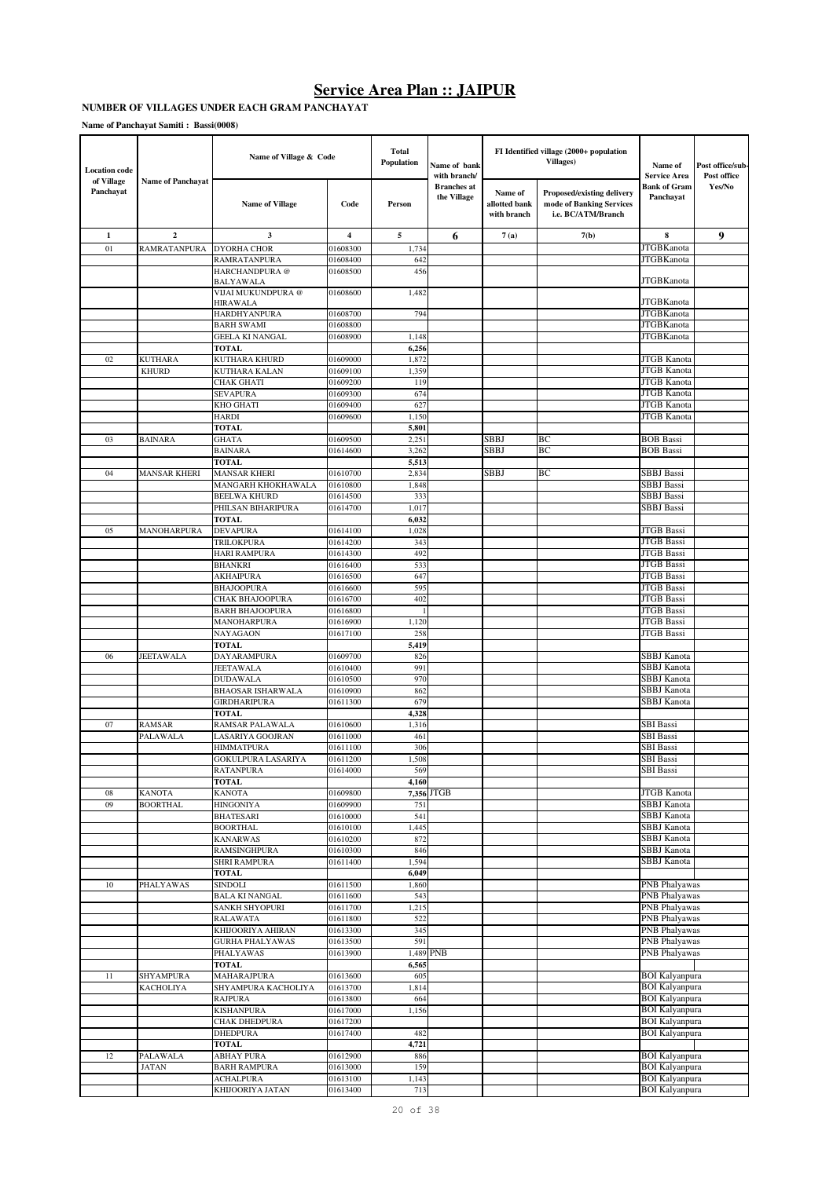#### **NUMBER OF VILLAGES UNDER EACH GRAM PANCHAYAT**

| <b>Location code</b>    |                                | Name of Village & Code                    |                      | Total<br>Population | Name of bank<br>with branch/      |                                         | FI Identified village (2000+ population<br>Villages)                                | Name of<br><b>Service Area</b>                 | Post office/sub-<br>Post office |
|-------------------------|--------------------------------|-------------------------------------------|----------------------|---------------------|-----------------------------------|-----------------------------------------|-------------------------------------------------------------------------------------|------------------------------------------------|---------------------------------|
| of Village<br>Panchayat | <b>Name of Panchayat</b>       | <b>Name of Village</b>                    | Code                 | Person              | <b>Branches</b> at<br>the Village | Name of<br>allotted bank<br>with branch | <b>Proposed/existing delivery</b><br>mode of Banking Services<br>i.e. BC/ATM/Branch | <b>Bank of Gram</b><br>Panchayat               | Yes/No                          |
| 1                       | $\overline{2}$                 | $\mathbf{3}$                              | $\overline{4}$       | 5                   | 6                                 | 7(a)                                    | 7(b)                                                                                | 8                                              | 9                               |
| 01                      | RAMRATANPURA                   | <b>DYORHA CHOR</b>                        | 01608300             | 1,734               |                                   |                                         |                                                                                     | <b>JTGBKanota</b>                              |                                 |
|                         |                                | RAMRATANPURA                              | 01608400             | 642                 |                                   |                                         |                                                                                     | <b>JTGBKanota</b>                              |                                 |
|                         |                                | HARCHANDPURA@                             | 01608500             | 456                 |                                   |                                         |                                                                                     |                                                |                                 |
|                         |                                | BALYAWALA<br>VIJAI MUKUNDPURA @           | 01608600             | 1,482               |                                   |                                         |                                                                                     | <b>JTGBKanota</b>                              |                                 |
|                         |                                | <b>HIRAWALA</b>                           |                      |                     |                                   |                                         |                                                                                     | <b>JTGBKanota</b>                              |                                 |
|                         |                                | <b>HARDHYANPURA</b>                       | 01608700             | 794                 |                                   |                                         |                                                                                     | <b>JTGBKanota</b>                              |                                 |
|                         |                                | <b>BARH SWAMI</b>                         | 01608800             |                     |                                   |                                         |                                                                                     | <b>JTGBKanota</b>                              |                                 |
|                         |                                | <b>GEELA KI NANGAL</b>                    | 01608900             | 1,148               |                                   |                                         |                                                                                     | <b>JTGBKanota</b>                              |                                 |
|                         |                                | <b>TOTAL</b>                              |                      | 6,256               |                                   |                                         |                                                                                     |                                                |                                 |
| 02                      | <b>KUTHARA</b><br><b>KHURD</b> | KUTHARA KHURD<br>KUTHARA KALAN            | 01609000<br>01609100 | 1,872<br>1,359      |                                   |                                         |                                                                                     | <b>JTGB</b> Kanota<br><b>JTGB</b> Kanota       |                                 |
|                         |                                | <b>CHAK GHATI</b>                         | 01609200             | 119                 |                                   |                                         |                                                                                     | <b>JTGB</b> Kanota                             |                                 |
|                         |                                | <b>SEVAPURA</b>                           | 01609300             | 674                 |                                   |                                         |                                                                                     | <b>JTGB</b> Kanota                             |                                 |
|                         |                                | KHO GHATI                                 | 01609400             | 627                 |                                   |                                         |                                                                                     | <b>JTGB</b> Kanota                             |                                 |
|                         |                                | <b>HARDI</b>                              | 01609600             | 1,150               |                                   |                                         |                                                                                     | <b>JTGB Kanota</b>                             |                                 |
|                         |                                | <b>TOTAL</b>                              |                      | 5,801               |                                   |                                         |                                                                                     |                                                |                                 |
| 03                      | <b>BAINARA</b>                 | <b>GHATA</b>                              | 01609500             | 2,251               |                                   | SBBJ                                    | BС                                                                                  | <b>BOB</b> Bassi                               |                                 |
|                         |                                | <b>BAINARA</b>                            | 01614600             | 3,262               |                                   | SBBJ                                    | BC                                                                                  | <b>BOB</b> Bassi                               |                                 |
|                         |                                | <b>TOTAL</b>                              |                      | 5,513               |                                   | SBBJ                                    | BC                                                                                  | SBBJ Bassi                                     |                                 |
| 04                      | <b>MANSAR KHERI</b>            | <b>MANSAR KHERI</b><br>MANGARH KHOKHAWALA | 01610700<br>01610800 | 2,834<br>1,848      |                                   |                                         |                                                                                     | <b>SBBJ</b> Bassi                              |                                 |
|                         |                                | <b>BEELWA KHURD</b>                       | 01614500             | 333                 |                                   |                                         |                                                                                     | <b>SBBJ</b> Bassi                              |                                 |
|                         |                                | PHILSAN BIHARIPURA                        | 01614700             | 1,017               |                                   |                                         |                                                                                     | SBBJ Bassi                                     |                                 |
|                         |                                | <b>TOTAL</b>                              |                      | 6,032               |                                   |                                         |                                                                                     |                                                |                                 |
| 05                      | MANOHARPURA                    | <b>DEVAPURA</b>                           | 01614100             | 1,028               |                                   |                                         |                                                                                     | <b>JTGB</b> Bassi                              |                                 |
|                         |                                | TRILOKPURA                                | 01614200             | 343                 |                                   |                                         |                                                                                     | <b>JTGB</b> Bassi                              |                                 |
|                         |                                | HARI RAMPURA                              | 01614300             | 492                 |                                   |                                         |                                                                                     | <b>JTGB</b> Bassi                              |                                 |
|                         |                                | <b>BHANKRI</b>                            | 01616400             | 533                 |                                   |                                         |                                                                                     | <b>JTGB</b> Bassi<br><b>JTGB</b> Bassi         |                                 |
|                         |                                | <b>AKHAIPURA</b><br><b>BHAJOOPURA</b>     | 01616500<br>01616600 | 647<br>595          |                                   |                                         |                                                                                     | <b>JTGB</b> Bassi                              |                                 |
|                         |                                | CHAK BHAJOOPURA                           | 01616700             | 402                 |                                   |                                         |                                                                                     | <b>JTGB</b> Bassi                              |                                 |
|                         |                                | <b>BARH BHAJOOPURA</b>                    | 01616800             |                     |                                   |                                         |                                                                                     | <b>JTGB</b> Bassi                              |                                 |
|                         |                                | MANOHARPURA                               | 01616900             | 1,120               |                                   |                                         |                                                                                     | JTGB Bassi                                     |                                 |
|                         |                                | NAYAGAON                                  | 01617100             | 258                 |                                   |                                         |                                                                                     | JTGB Bassi                                     |                                 |
|                         |                                | <b>TOTAL</b>                              |                      | 5,419               |                                   |                                         |                                                                                     |                                                |                                 |
| 06                      | JEETAWALA                      | DAYARAMPURA<br><b>JEETAWALA</b>           | 01609700<br>01610400 | 826<br>991          |                                   |                                         |                                                                                     | SBBJ Kanota<br><b>SBBJ</b> Kanota              |                                 |
|                         |                                | <b>DUDAWALA</b>                           | 01610500             | 970                 |                                   |                                         |                                                                                     | <b>SBBJ</b> Kanota                             |                                 |
|                         |                                | <b>BHAOSAR ISHARWALA</b>                  | 01610900             | 862                 |                                   |                                         |                                                                                     | <b>SBBJ</b> Kanota                             |                                 |
|                         |                                | <b>GIRDHARIPURA</b>                       | 01611300             | 679                 |                                   |                                         |                                                                                     | SBBJ Kanota                                    |                                 |
|                         |                                | TOTAL                                     |                      | 4,328               |                                   |                                         |                                                                                     |                                                |                                 |
| 07                      | RAMSAR                         | RAMSAR PALAWALA                           | 01610600             | 1,316               |                                   |                                         |                                                                                     | <b>SBI</b> Bassi                               |                                 |
|                         | PALAWALA                       | LASARIYA GOOJRAN                          | 01611000             | 461                 |                                   |                                         |                                                                                     | <b>SBI</b> Bassi                               |                                 |
|                         |                                | HIMMATPURA<br>GOKULPURA LASARIYA          | 01611100<br>01611200 | 306<br>1,508        |                                   |                                         |                                                                                     | SBI Bassi<br><b>SBI</b> Bassi                  |                                 |
|                         |                                | <b>RATANPURA</b>                          | 01614000             | 569                 |                                   |                                         |                                                                                     | <b>SBI</b> Bassi                               |                                 |
|                         |                                | <b>TOTAL</b>                              |                      | 4,160               |                                   |                                         |                                                                                     |                                                |                                 |
| 08                      | <b>KANOTA</b>                  | <b>KANOTA</b>                             | 01609800             |                     | 7,356 JTGB                        |                                         |                                                                                     | <b>JTGB</b> Kanota                             |                                 |
| 09                      | <b>BOORTHAL</b>                | <b>HINGONIYA</b>                          | 01609900             | 751                 |                                   |                                         |                                                                                     | <b>SBBJ</b> Kanota                             |                                 |
|                         |                                | <b>BHATESARI</b>                          | 01610000             | 541                 |                                   |                                         |                                                                                     | SBBJ Kanota                                    |                                 |
|                         |                                | <b>BOORTHAL</b>                           | 01610100             | 1,445               |                                   |                                         |                                                                                     | <b>SBBJ</b> Kanota<br><b>SBBJ</b> Kanota       |                                 |
|                         |                                | <b>KANARWAS</b><br>RAMSINGHPURA           | 01610200<br>01610300 | 872<br>846          |                                   |                                         |                                                                                     | <b>SBBJ</b> Kanota                             |                                 |
|                         |                                | SHRI RAMPURA                              | 01611400             | 1,594               |                                   |                                         |                                                                                     | <b>SBBJ</b> Kanota                             |                                 |
|                         |                                | <b>TOTAL</b>                              |                      | 6,049               |                                   |                                         |                                                                                     |                                                |                                 |
| 10                      | PHALYAWAS                      | <b>SINDOLI</b>                            | 01611500             | 1,860               |                                   |                                         |                                                                                     | <b>PNB</b> Phalyawas                           |                                 |
|                         |                                | <b>BALA KI NANGAL</b>                     | 01611600             | 543                 |                                   |                                         |                                                                                     | <b>PNB</b> Phalyawas                           |                                 |
|                         |                                | <b>SANKH SHYOPURI</b>                     | 01611700             | 1,215               |                                   |                                         |                                                                                     | <b>PNB</b> Phalyawas                           |                                 |
|                         |                                | <b>RALAWATA</b><br>KHIJOORIYA AHIRAN      | 01611800<br>01613300 | 522<br>345          |                                   |                                         |                                                                                     | <b>PNB</b> Phalyawas<br><b>PNB</b> Phalyawas   |                                 |
|                         |                                | <b>GURHA PHALYAWAS</b>                    | 01613500             | 591                 |                                   |                                         |                                                                                     | PNB Phalyawas                                  |                                 |
|                         |                                | PHALYAWAS                                 | 01613900             |                     | 1,489 PNB                         |                                         |                                                                                     | <b>PNB</b> Phalyawas                           |                                 |
|                         |                                | <b>TOTAL</b>                              |                      | 6,565               |                                   |                                         |                                                                                     |                                                |                                 |
| 11                      | <b>SHYAMPURA</b>               | MAHARAJPURA                               | 01613600             | 605                 |                                   |                                         |                                                                                     | <b>BOI</b> Kalyanpura                          |                                 |
|                         | <b>KACHOLIYA</b>               | SHYAMPURA KACHOLIYA                       | 01613700             | 1,814               |                                   |                                         |                                                                                     | <b>BOI</b> Kalyanpura                          |                                 |
|                         |                                | <b>RAJPURA</b>                            | 01613800             | 664                 |                                   |                                         |                                                                                     | <b>BOI</b> Kalyanpura                          |                                 |
|                         |                                | <b>KISHANPURA</b>                         | 01617000             | 1,156               |                                   |                                         |                                                                                     | <b>BOI</b> Kalyanpura                          |                                 |
|                         |                                | CHAK DHEDPURA<br><b>DHEDPURA</b>          | 01617200<br>01617400 | 482                 |                                   |                                         |                                                                                     | <b>BOI Kalyanpura</b><br><b>BOI Kalyanpura</b> |                                 |
|                         |                                | <b>TOTAL</b>                              |                      | 4,721               |                                   |                                         |                                                                                     |                                                |                                 |
| 12                      | PALAWALA                       | <b>ABHAY PURA</b>                         | 01612900             | 886                 |                                   |                                         |                                                                                     | <b>BOI Kalyanpura</b>                          |                                 |
|                         | <b>JATAN</b>                   | <b>BARH RAMPURA</b>                       | 01613000             | 159                 |                                   |                                         |                                                                                     | <b>BOI Kalyanpura</b>                          |                                 |
|                         |                                | <b>ACHALPURA</b>                          | 01613100             | 1,143               |                                   |                                         |                                                                                     | <b>BOI</b> Kalyanpura                          |                                 |
|                         |                                | KHIJOORIYA JATAN                          | 01613400             | 713                 |                                   |                                         |                                                                                     | <b>BOI</b> Kalyanpura                          |                                 |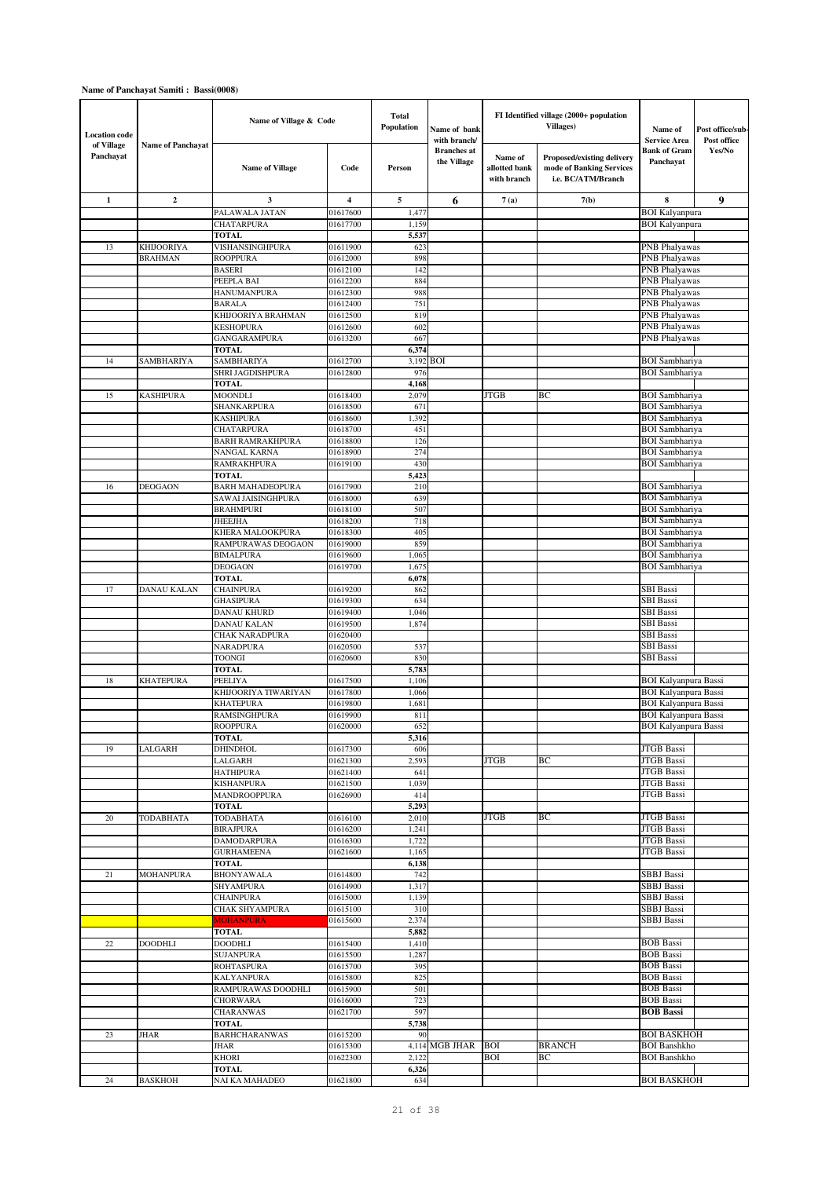| <b>Location</b> code    |                          | Name of Village & Code                    |                      | <b>Total</b><br>Population | Name of bank<br>with branch/      |                                         | FI Identified village (2000+ population<br>Villages)                         | Name of<br><b>Service Area</b>                      | Post office/sub-<br>Post office |
|-------------------------|--------------------------|-------------------------------------------|----------------------|----------------------------|-----------------------------------|-----------------------------------------|------------------------------------------------------------------------------|-----------------------------------------------------|---------------------------------|
| of Village<br>Panchayat | <b>Name of Panchayat</b> | <b>Name of Village</b>                    | Code                 | Person                     | <b>Branches</b> at<br>the Village | Name of<br>allotted bank<br>with branch | Proposed/existing delivery<br>mode of Banking Services<br>i.e. BC/ATM/Branch | <b>Bank of Gram</b><br>Panchayat                    | Yes/No                          |
| 1                       | $\overline{2}$           | 3                                         | $\overline{4}$       | 5                          | 6                                 | 7(a)                                    | 7(b)                                                                         | 8                                                   | 9                               |
|                         |                          | PALAWALA JATAN                            | 01617600             | 1,477                      |                                   |                                         |                                                                              | <b>BOI</b> Kalyanpura                               |                                 |
|                         |                          | <b>CHATARPURA</b><br><b>TOTAL</b>         | 01617700             | 1,159<br>5,537             |                                   |                                         |                                                                              | <b>BOI Kalyanpura</b>                               |                                 |
| 13                      | <b>KHIJOORIYA</b>        | VISHANSINGHPURA                           | 01611900             | 623                        |                                   |                                         |                                                                              | PNB Phalyawas                                       |                                 |
|                         | <b>BRAHMAN</b>           | <b>ROOPPURA</b>                           | 01612000             | 898                        |                                   |                                         |                                                                              | PNB Phalyawas                                       |                                 |
|                         |                          | <b>BASERI</b>                             | 01612100             | 142                        |                                   |                                         |                                                                              | PNB Phalyawas                                       |                                 |
|                         |                          | PEEPLA BAI<br><b>HANUMANPURA</b>          | 01612200<br>01612300 | 884<br>988                 |                                   |                                         |                                                                              | PNB Phalyawas<br>PNB Phalyawas                      |                                 |
|                         |                          | <b>BARALA</b>                             | 01612400             | 751                        |                                   |                                         |                                                                              | PNB Phalyawas                                       |                                 |
|                         |                          | KHIJOORIYA BRAHMAN                        | 01612500             | 819                        |                                   |                                         |                                                                              | PNB Phalyawas                                       |                                 |
|                         |                          | <b>KESHOPURA</b>                          | 01612600             | 602                        |                                   |                                         |                                                                              | PNB Phalyawas                                       |                                 |
|                         |                          | GANGARAMPURA<br><b>TOTAL</b>              | 01613200             | 667<br>6,374               |                                   |                                         |                                                                              | PNB Phalyawas                                       |                                 |
| 14                      | SAMBHARIYA               | SAMBHARIYA                                | 01612700             | 3,192 BOI                  |                                   |                                         |                                                                              | <b>BOI</b> Sambhariya                               |                                 |
|                         |                          | SHRI JAGDISHPURA                          | 01612800             | 976                        |                                   |                                         |                                                                              | <b>BOI</b> Sambhariya                               |                                 |
|                         |                          | <b>TOTAL</b>                              |                      | 4,168                      |                                   |                                         |                                                                              |                                                     |                                 |
| 15                      | KASHIPURA                | <b>MOONDLI</b>                            | 01618400             | 2,079                      |                                   | JTGB                                    | BС                                                                           | BOI Sambhariya<br><b>BOI</b> Sambhariya             |                                 |
|                         |                          | SHANKARPURA<br><b>KASHIPURA</b>           | 01618500<br>01618600 | 671<br>1,392               |                                   |                                         |                                                                              | <b>BOI</b> Sambhariya                               |                                 |
|                         |                          | <b>CHATARPURA</b>                         | 01618700             | 451                        |                                   |                                         |                                                                              | <b>BOI</b> Sambhariya                               |                                 |
|                         |                          | <b>BARH RAMRAKHPURA</b>                   | 01618800             | 126                        |                                   |                                         |                                                                              | <b>BOI</b> Sambhariya                               |                                 |
|                         |                          | NANGAL KARNA                              | 01618900             | 274                        |                                   |                                         |                                                                              | <b>BOI</b> Sambhariya<br><b>BOI</b> Sambhariya      |                                 |
|                         |                          | RAMRAKHPURA<br><b>TOTAL</b>               | 01619100             | 430<br>5,423               |                                   |                                         |                                                                              |                                                     |                                 |
| 16                      | <b>DEOGAON</b>           | <b>BARH MAHADEOPURA</b>                   | 01617900             | 210                        |                                   |                                         |                                                                              | <b>BOI</b> Sambhariya                               |                                 |
|                         |                          | SAWAI JAISINGHPURA                        | 01618000             | 639                        |                                   |                                         |                                                                              | <b>BOI</b> Sambhariya                               |                                 |
|                         |                          | <b>BRAHMPURI</b>                          | 01618100             | 507                        |                                   |                                         |                                                                              | <b>BOI</b> Sambhariya                               |                                 |
|                         |                          | <b>JHEEJHA</b><br>KHERA MALOOKPURA        | 01618200<br>01618300 | 718<br>405                 |                                   |                                         |                                                                              | <b>BOI</b> Sambhariya<br><b>BOI</b> Sambhariya      |                                 |
|                         |                          | RAMPURAWAS DEOGAON                        | 01619000             | 859                        |                                   |                                         |                                                                              | <b>BOI</b> Sambhariya                               |                                 |
|                         |                          | <b>BIMALPURA</b>                          | 01619600             | 1,065                      |                                   |                                         |                                                                              | <b>BOI</b> Sambhariya                               |                                 |
|                         |                          | <b>DEOGAON</b>                            | 01619700             | 1,675                      |                                   |                                         |                                                                              | <b>BOI</b> Sambhariya                               |                                 |
| 17                      | DANAU KALAN              | <b>TOTAL</b><br><b>CHAINPURA</b>          | 01619200             | 6,078<br>862               |                                   |                                         |                                                                              | SBI Bassi                                           |                                 |
|                         |                          | <b>GHASIPURA</b>                          | 01619300             | 634                        |                                   |                                         |                                                                              | SBI Bassi                                           |                                 |
|                         |                          | DANAU KHURD                               | 01619400             | 1,046                      |                                   |                                         |                                                                              | <b>SBI</b> Bassi                                    |                                 |
|                         |                          | DANAU KALAN                               | 01619500             | 1,874                      |                                   |                                         |                                                                              | SBI Bassi                                           |                                 |
|                         |                          | <b>CHAK NARADPURA</b><br><b>NARADPURA</b> | 01620400<br>01620500 | 537                        |                                   |                                         |                                                                              | <b>SBI</b> Bassi<br><b>SBI</b> Bassi                |                                 |
|                         |                          | <b>TOONGI</b>                             | 01620600             | 830                        |                                   |                                         |                                                                              | SBI Bassi                                           |                                 |
|                         |                          | <b>TOTAL</b>                              |                      | 5,783                      |                                   |                                         |                                                                              |                                                     |                                 |
| 18                      | <b>KHATEPURA</b>         | PEELIYA                                   | 01617500             | 1,106                      |                                   |                                         |                                                                              | <b>BOI Kalyanpura Bassi</b>                         |                                 |
|                         |                          | KHIJOORIYA TIWARIYAN<br><b>KHATEPURA</b>  | 01617800             | 1,066<br>1,681             |                                   |                                         |                                                                              | <b>BOI Kalyanpura Bassi</b>                         |                                 |
|                         |                          | RAMSINGHPURA                              | 01619800<br>01619900 | 811                        |                                   |                                         |                                                                              | BOI Kalyanpura Bassi<br><b>BOI Kalyanpura Bassi</b> |                                 |
|                         |                          | ROOPPURA                                  | 01620000             | 652                        |                                   |                                         |                                                                              | <b>BOI Kalyanpura Bassi</b>                         |                                 |
|                         |                          | <b>TOTAL</b>                              |                      | 5,316                      |                                   |                                         |                                                                              |                                                     |                                 |
| 19                      | LALGARH                  | DHINDHOL                                  | 01617300             | 606                        |                                   |                                         |                                                                              | <b>JTGB</b> Bassi                                   |                                 |
|                         |                          | LALGARH<br><b>HATHIPURA</b>               | 01621300<br>01621400 | 2,593<br>641               |                                   | JTGB                                    | BC                                                                           | <b>JTGB</b> Bassi<br><b>JTGB</b> Bassi              |                                 |
|                         |                          | <b>KISHANPURA</b>                         | 01621500             | 1,039                      |                                   |                                         |                                                                              | JTGB Bassi                                          |                                 |
|                         |                          | MANDROOPPURA                              | 01626900             | 414                        |                                   |                                         |                                                                              | JTGB Bassi                                          |                                 |
|                         |                          | <b>TOTAL</b>                              |                      | 5,293                      |                                   |                                         |                                                                              |                                                     |                                 |
| 20                      | TODABHATA                | TODABHATA<br><b>BIRAJPURA</b>             | 01616100<br>01616200 | 2,010<br>1,241             |                                   | JTGB                                    | ВC                                                                           | JTGB Bassi<br><b>JTGB</b> Bassi                     |                                 |
|                         |                          | DAMODARPURA                               | 01616300             | 1,722                      |                                   |                                         |                                                                              | <b>JTGB</b> Bassi                                   |                                 |
|                         |                          | <b>GURHAMEENA</b>                         | 01621600             | 1,165                      |                                   |                                         |                                                                              | <b>JTGB</b> Bassi                                   |                                 |
|                         |                          | <b>TOTAL</b>                              |                      | 6,138                      |                                   |                                         |                                                                              |                                                     |                                 |
| 21                      | MOHANPURA                | <b>BHONYAWALA</b><br><b>SHYAMPURA</b>     | 01614800<br>01614900 | 742<br>1,317               |                                   |                                         |                                                                              | SBBJ Bassi<br>SBBJ Bassi                            |                                 |
|                         |                          | <b>CHAINPURA</b>                          | 01615000             | 1,139                      |                                   |                                         |                                                                              | SBBJ Bassi                                          |                                 |
|                         |                          | CHAK SHY AMPURA                           | 01615100             | 310                        |                                   |                                         |                                                                              | SBBJ Bassi                                          |                                 |
|                         |                          | <b>MOHANPURA</b>                          | 01615600             | 2,374                      |                                   |                                         |                                                                              | SBBJ Bassi                                          |                                 |
| 22                      | <b>DOODHLI</b>           | TOTAL<br>DOODHLI                          | 01615400             | 5,882<br>1,410             |                                   |                                         |                                                                              | <b>BOB</b> Bassi                                    |                                 |
|                         |                          | <b>SUJANPURA</b>                          | 01615500             | 1,287                      |                                   |                                         |                                                                              | <b>BOB</b> Bassi                                    |                                 |
|                         |                          | <b>ROHTASPURA</b>                         | 01615700             | 395                        |                                   |                                         |                                                                              | <b>BOB</b> Bassi                                    |                                 |
|                         |                          | <b>KALYANPURA</b>                         | 01615800             | 825                        |                                   |                                         |                                                                              | <b>BOB</b> Bassi                                    |                                 |
|                         |                          | RAMPURAWAS DOODHLI<br><b>CHORWARA</b>     | 01615900<br>01616000 | 501<br>723                 |                                   |                                         |                                                                              | <b>BOB Bassi</b><br><b>BOB</b> Bassi                |                                 |
|                         |                          | CHARANWAS                                 | 01621700             | 597                        |                                   |                                         |                                                                              | <b>BOB Bassi</b>                                    |                                 |
|                         |                          | <b>TOTAL</b>                              |                      | 5,738                      |                                   |                                         |                                                                              |                                                     |                                 |
| 23                      | JHAR                     | <b>BARHCHARANWAS</b>                      | 01615200             | 90                         |                                   |                                         |                                                                              | <b>BOI BASKHOH</b>                                  |                                 |
|                         |                          | JHAR<br><b>KHORI</b>                      | 01615300<br>01622300 | 2,122                      | 4,114 MGB JHAR BOI                | <b>BOI</b>                              | <b>BRANCH</b><br>BС                                                          | <b>BOI</b> Banshkho<br><b>BOI Banshkho</b>          |                                 |
|                         |                          | <b>TOTAL</b>                              |                      | 6,326                      |                                   |                                         |                                                                              |                                                     |                                 |
| 24                      | <b>BASKHOH</b>           | NAI KA MAHADEO                            | 01621800             | 634                        |                                   |                                         |                                                                              | <b>BOI BASKHOH</b>                                  |                                 |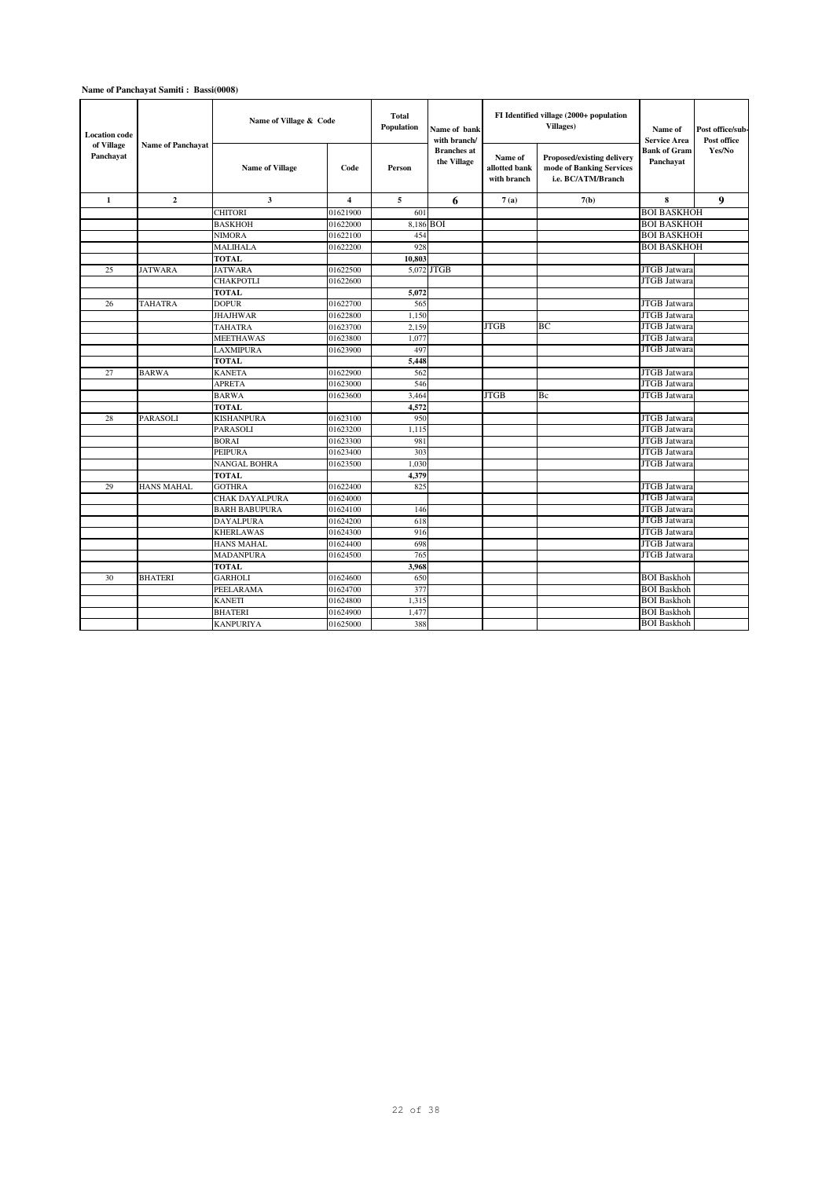| <b>Location</b> code<br>of Village<br>Panchayat | <b>Name of Panchayat</b> | Name of Village & Code |                         | <b>Total</b><br>Population | Name of bank<br>with branch/<br><b>Branches</b> at |                                         | FI Identified village (2000+ population<br>Villages)                         | Name of<br><b>Service Area</b><br><b>Bank of Gram</b> | Post office/sub-<br>Post office<br>Yes/No |
|-------------------------------------------------|--------------------------|------------------------|-------------------------|----------------------------|----------------------------------------------------|-----------------------------------------|------------------------------------------------------------------------------|-------------------------------------------------------|-------------------------------------------|
|                                                 |                          | <b>Name of Village</b> | Code                    | Person                     | the Village                                        | Name of<br>allotted bank<br>with branch | Proposed/existing delivery<br>mode of Banking Services<br>i.e. BC/ATM/Branch | Panchayat                                             |                                           |
| $\mathbf{1}$                                    | $\overline{2}$           | $\mathbf{3}$           | $\overline{\mathbf{4}}$ | 5                          | 6                                                  | 7(a)                                    | 7(b)                                                                         | 8                                                     | 9                                         |
|                                                 |                          | <b>CHITORI</b>         | 01621900                | 601                        |                                                    |                                         |                                                                              | <b>BOI BASKHOH</b>                                    |                                           |
|                                                 |                          | <b>BASKHOH</b>         | 01622000                | 8,186 BOI                  |                                                    |                                         |                                                                              | <b>BOI BASKHOH</b>                                    |                                           |
|                                                 |                          | <b>NIMORA</b>          | 01622100                | 454                        |                                                    |                                         |                                                                              | <b>BOI BASKHOH</b>                                    |                                           |
|                                                 |                          | MALIHALA               | 01622200                | 928                        |                                                    |                                         |                                                                              | <b>BOI BASKHOH</b>                                    |                                           |
|                                                 |                          | <b>TOTAL</b>           |                         | 10.803                     |                                                    |                                         |                                                                              |                                                       |                                           |
| 25                                              | <b>JATWARA</b>           | <b>JATWARA</b>         | 01622500                |                            | 5,072 JTGB                                         |                                         |                                                                              | JTGB Jatwara                                          |                                           |
|                                                 |                          | <b>CHAKPOTLI</b>       | 01622600                |                            |                                                    |                                         |                                                                              | JTGB Jatwara                                          |                                           |
|                                                 |                          | <b>TOTAL</b>           |                         | 5,072                      |                                                    |                                         |                                                                              |                                                       |                                           |
| 26                                              | <b>TAHATRA</b>           | <b>DOPUR</b>           | 01622700                | 565                        |                                                    |                                         |                                                                              | JTGB Jatwara                                          |                                           |
|                                                 |                          | <b>JHAJHWAR</b>        | 01622800                | 1,150                      |                                                    |                                         |                                                                              | <b>JTGB</b> Jatwara                                   |                                           |
|                                                 |                          | <b>TAHATRA</b>         | 01623700                | 2,159                      |                                                    | JTGB                                    | ВC                                                                           | JTGB Jatwara                                          |                                           |
|                                                 |                          | <b>MEETHAWAS</b>       | 01623800                | 1,077                      |                                                    |                                         |                                                                              | JTGB Jatwara                                          |                                           |
|                                                 |                          | LAXMIPURA              | 01623900                | 497                        |                                                    |                                         |                                                                              | <b>JTGB</b> Jatwara                                   |                                           |
|                                                 |                          | <b>TOTAL</b>           |                         | 5,448                      |                                                    |                                         |                                                                              |                                                       |                                           |
| 27                                              | <b>BARWA</b>             | <b>KANETA</b>          | 01622900                | 562                        |                                                    |                                         |                                                                              | <b>JTGB</b> Jatwara                                   |                                           |
|                                                 |                          | APRETA                 | 01623000                | 546                        |                                                    |                                         |                                                                              | JTGB Jatwara                                          |                                           |
|                                                 |                          | <b>BARWA</b>           | 01623600                | 3,464                      |                                                    | <b>JTGB</b>                             | Bc                                                                           | <b>JTGB</b> Jatwara                                   |                                           |
|                                                 |                          | <b>TOTAL</b>           |                         | 4,572                      |                                                    |                                         |                                                                              |                                                       |                                           |
| 28                                              | PARASOLI                 | KISHANPURA             | 01623100                | 950                        |                                                    |                                         |                                                                              | JTGB Jatwara                                          |                                           |
|                                                 |                          | PARASOLI               | 01623200                | 1,115                      |                                                    |                                         |                                                                              | JTGB Jatwara                                          |                                           |
|                                                 |                          | <b>BORAI</b>           | 01623300                | 981                        |                                                    |                                         |                                                                              | JTGB Jatwara                                          |                                           |
|                                                 |                          | <b>PEIPURA</b>         | 01623400                | 303                        |                                                    |                                         |                                                                              | <b>JTGB</b> Jatwara                                   |                                           |
|                                                 |                          | <b>NANGAL BOHRA</b>    | 01623500                | 1.030                      |                                                    |                                         |                                                                              | <b>JTGB</b> Jatwara                                   |                                           |
|                                                 |                          | <b>TOTAL</b>           |                         | 4,379                      |                                                    |                                         |                                                                              |                                                       |                                           |
| 29                                              | <b>HANS MAHAL</b>        | <b>GOTHRA</b>          | 01622400                | 825                        |                                                    |                                         |                                                                              | JTGB Jatwara                                          |                                           |
|                                                 |                          | CHAK DAYALPURA         | 01624000                |                            |                                                    |                                         |                                                                              | <b>JTGB</b> Jatwara                                   |                                           |
|                                                 |                          | <b>BARH BABUPURA</b>   | 01624100                | 146                        |                                                    |                                         |                                                                              | <b>JTGB</b> Jatwara                                   |                                           |
|                                                 |                          | <b>DAYALPURA</b>       | 01624200                | 618                        |                                                    |                                         |                                                                              | <b>JTGB</b> Jatwara                                   |                                           |
|                                                 |                          | <b>KHERLAWAS</b>       | 01624300                | 916                        |                                                    |                                         |                                                                              | <b>JTGB</b> Jatwara                                   |                                           |
|                                                 |                          | <b>HANS MAHAL</b>      | 01624400                | 698                        |                                                    |                                         |                                                                              | JTGB Jatwara                                          |                                           |
|                                                 |                          | MADANPURA              | 01624500                | 765                        |                                                    |                                         |                                                                              | <b>JTGB</b> Jatwara                                   |                                           |
|                                                 |                          | <b>TOTAL</b>           |                         | 3.968                      |                                                    |                                         |                                                                              |                                                       |                                           |
| 30                                              | <b>BHATERI</b>           | <b>GARHOLI</b>         | 01624600                | 650                        |                                                    |                                         |                                                                              | <b>BOI</b> Baskhoh                                    |                                           |
|                                                 |                          | PEELARAMA              | 01624700                | 377                        |                                                    |                                         |                                                                              | <b>BOI</b> Baskhoh                                    |                                           |
|                                                 |                          | <b>KANETI</b>          | 01624800                | 1.315                      |                                                    |                                         |                                                                              | <b>BOI</b> Baskhoh                                    |                                           |
|                                                 |                          | <b>BHATERI</b>         | 01624900                | 1,477                      |                                                    |                                         |                                                                              | <b>BOI</b> Baskhoh                                    |                                           |
|                                                 |                          | <b>KANPURIYA</b>       | 01625000                | 388                        |                                                    |                                         |                                                                              | <b>BOI</b> Baskhoh                                    |                                           |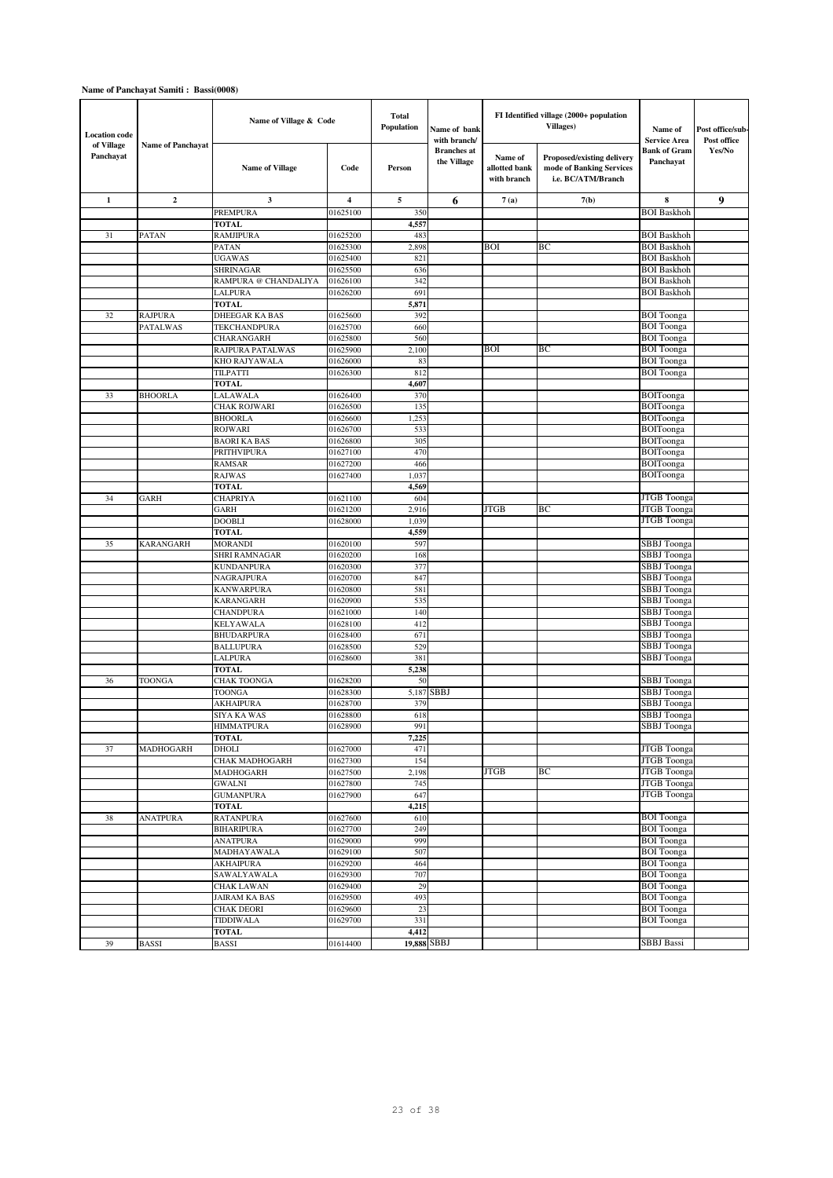| <b>Location</b> code<br>of Village | <b>Name of Panchavat</b> | Name of Village & Code                    |                      | <b>Total</b><br>Population | Name of bank<br>with branch/      |                                         | FI Identified village (2000+ population<br>Villages)                         | Name of<br><b>Service Area</b>           | Post office/sub-<br>Post office |
|------------------------------------|--------------------------|-------------------------------------------|----------------------|----------------------------|-----------------------------------|-----------------------------------------|------------------------------------------------------------------------------|------------------------------------------|---------------------------------|
| Panchayat                          |                          | <b>Name of Village</b>                    | Code                 | Person                     | <b>Branches</b> at<br>the Village | Name of<br>allotted bank<br>with branch | Proposed/existing delivery<br>mode of Banking Services<br>i.e. BC/ATM/Branch | <b>Bank of Gram</b><br>Panchayat         | Yes/No                          |
| $\mathbf{1}$                       | $\overline{2}$           | 3                                         | 4                    | 5                          | 6                                 | 7(a)                                    | 7(b)                                                                         | 8                                        | 9                               |
|                                    |                          | <b>PREMPURA</b>                           | 01625100             | 350                        |                                   |                                         |                                                                              | <b>BOI</b> Baskhoh                       |                                 |
|                                    |                          | <b>TOTAL</b>                              |                      | 4,557                      |                                   |                                         |                                                                              |                                          |                                 |
| 31                                 | <b>PATAN</b>             | <b>RAMJIPURA</b>                          | 01625200<br>01625300 | 483<br>2,898               |                                   | <b>BOI</b>                              | BC                                                                           | <b>BOI</b> Baskhoh<br><b>BOI</b> Baskhoh |                                 |
|                                    |                          | PATAN<br><b>UGAWAS</b>                    | 01625400             | 821                        |                                   |                                         |                                                                              | <b>BOI</b> Baskhoh                       |                                 |
|                                    |                          | <b>SHRINAGAR</b>                          | 01625500             | 636                        |                                   |                                         |                                                                              | <b>BOI</b> Baskhoh                       |                                 |
|                                    |                          | RAMPURA @ CHANDALIYA                      | 01626100             | 342                        |                                   |                                         |                                                                              | <b>BOI</b> Baskhoh                       |                                 |
|                                    |                          | LALPURA                                   | 01626200             | 691                        |                                   |                                         |                                                                              | <b>BOI</b> Baskhoh                       |                                 |
|                                    |                          | <b>TOTAL</b>                              |                      | 5,871                      |                                   |                                         |                                                                              |                                          |                                 |
| 32                                 | <b>RAJPURA</b>           | DHEEGAR KA BAS                            | 01625600             | 392                        |                                   |                                         |                                                                              | <b>BOI</b> Toonga                        |                                 |
|                                    | <b>PATALWAS</b>          | <b>TEKCHANDPURA</b>                       | 01625700             | 660                        |                                   |                                         |                                                                              | <b>BOI</b> Toonga                        |                                 |
|                                    |                          | CHARANGARH<br>RAJPURA PATALWAS            | 01625800<br>01625900 | 560<br>2,100               |                                   | <b>BOI</b>                              | BC                                                                           | <b>BOI</b> Toonga<br><b>BOI</b> Toonga   |                                 |
|                                    |                          | KHO RAJYAWALA                             | 01626000             | 83                         |                                   |                                         |                                                                              | <b>BOI</b> Toonga                        |                                 |
|                                    |                          | TILPATTI                                  | 01626300             | 812                        |                                   |                                         |                                                                              | <b>BOI</b> Toonga                        |                                 |
|                                    |                          | <b>TOTAL</b>                              |                      | 4,607                      |                                   |                                         |                                                                              |                                          |                                 |
| 33                                 | <b>BHOORLA</b>           | LALAWALA                                  | 01626400             | 370                        |                                   |                                         |                                                                              | <b>BOIToonga</b>                         |                                 |
|                                    |                          | <b>CHAK ROJWARI</b>                       | 01626500             | 135                        |                                   |                                         |                                                                              | BOIToonga                                |                                 |
|                                    |                          | <b>BHOORLA</b>                            | 01626600             | 1,253                      |                                   |                                         |                                                                              | BOIToonga                                |                                 |
|                                    |                          | <b>ROJWARI</b><br><b>BAORI KA BAS</b>     | 01626700             | 533                        |                                   |                                         |                                                                              | BOIToonga<br><b>BOIToonga</b>            |                                 |
|                                    |                          | PRITHVIPURA                               | 01626800<br>01627100 | 305<br>470                 |                                   |                                         |                                                                              | BOIToonga                                |                                 |
|                                    |                          | <b>RAMSAR</b>                             | 01627200             | 466                        |                                   |                                         |                                                                              | BOIToonga                                |                                 |
|                                    |                          | <b>RAJWAS</b>                             | 01627400             | 1,037                      |                                   |                                         |                                                                              | BOIToonga                                |                                 |
|                                    |                          | <b>TOTAL</b>                              |                      | 4,569                      |                                   |                                         |                                                                              |                                          |                                 |
| 34                                 | <b>GARH</b>              | <b>CHAPRIYA</b>                           | 01621100             | 604                        |                                   |                                         |                                                                              | <b>JTGB</b> Toonga                       |                                 |
|                                    |                          | <b>GARH</b>                               | 01621200             | 2,916                      |                                   | JTGB                                    | BC                                                                           | <b>JTGB</b> Toonga                       |                                 |
|                                    |                          | <b>DOOBLI</b>                             | 01628000             | 1,039                      |                                   |                                         |                                                                              | <b>JTGB</b> Toonga                       |                                 |
| 35                                 | <b>KARANGARH</b>         | <b>TOTAL</b><br><b>MORANDI</b>            | 01620100             | 4,559<br>597               |                                   |                                         |                                                                              | <b>SBBJ</b> Toonga                       |                                 |
|                                    |                          | SHRI RAMNAGAR                             | 01620200             | 168                        |                                   |                                         |                                                                              | <b>SBBJ</b> Toonga                       |                                 |
|                                    |                          | <b>KUNDANPURA</b>                         | 01620300             | 377                        |                                   |                                         |                                                                              | <b>SBBJ</b> Toonga                       |                                 |
|                                    |                          | NAGRAJPURA                                | 01620700             | 847                        |                                   |                                         |                                                                              | <b>SBBJ</b> Toonga                       |                                 |
|                                    |                          | <b>KANWARPURA</b>                         | 01620800             | 581                        |                                   |                                         |                                                                              | <b>SBBJ</b> Toonga                       |                                 |
|                                    |                          | KARANGARH                                 | 01620900             | 535                        |                                   |                                         |                                                                              | <b>SBBJ</b> Toonga                       |                                 |
|                                    |                          | <b>CHANDPURA</b>                          | 01621000             | 140                        |                                   |                                         |                                                                              | <b>SBBJ</b> Toonga                       |                                 |
|                                    |                          | <b>KELYAWALA</b><br><b>BHUDARPURA</b>     | 01628100<br>01628400 | 412<br>671                 |                                   |                                         |                                                                              | <b>SBBJ</b> Toonga<br><b>SBBJ</b> Toonga |                                 |
|                                    |                          | <b>BALLUPURA</b>                          | 01628500             | 529                        |                                   |                                         |                                                                              | <b>SBBJ</b> Toonga                       |                                 |
|                                    |                          | LALPURA                                   | 01628600             | 381                        |                                   |                                         |                                                                              | <b>SBBJ</b> Toonga                       |                                 |
|                                    |                          | <b>TOTAL</b>                              |                      | 5,238                      |                                   |                                         |                                                                              |                                          |                                 |
| 36                                 | TOONGA                   | <b>CHAK TOONGA</b>                        | 01628200             | 50                         |                                   |                                         |                                                                              | <b>SBBJ</b> Toonga                       |                                 |
|                                    |                          | TOONGA                                    | 01628300             | 5,187                      | SBBJ                              |                                         |                                                                              | <b>SBBJ</b> Toonga                       |                                 |
|                                    |                          | AKHAIPURA                                 | 01628700             | 379                        |                                   |                                         |                                                                              | <b>SBBJ</b> Toonga                       |                                 |
|                                    |                          | SIYA KA WAS                               | 01628800<br>01628900 | 618<br>991                 |                                   |                                         |                                                                              | <b>SBBJ</b> Toonga<br>SBBJ Toonga        |                                 |
|                                    |                          | <b>HIMMATPURA</b><br><b>TOTAL</b>         |                      | 7,225                      |                                   |                                         |                                                                              |                                          |                                 |
| 37                                 | <b>MADHOGARH</b>         | <b>DHOLI</b>                              | 01627000             | 471                        |                                   |                                         |                                                                              | <b>JTGB</b> Toonga                       |                                 |
|                                    |                          | CHAK MADHOGARH                            | 01627300             | 154                        |                                   |                                         |                                                                              | <b>JTGB</b> Toonga                       |                                 |
|                                    |                          | <b>MADHOGARH</b>                          | 01627500             | 2,198                      |                                   | <b>JTGB</b>                             | BC                                                                           | <b>JTGB</b> Toonga                       |                                 |
|                                    |                          | <b>GWALNI</b>                             | 01627800             | 745                        |                                   |                                         |                                                                              | JTGB Toonga                              |                                 |
|                                    |                          | <b>GUMANPURA</b><br><b>TOTAL</b>          | 01627900             | 647<br>4,215               |                                   |                                         |                                                                              | <b>JTGB</b> Toonga                       |                                 |
| 38                                 | <b>ANATPURA</b>          | <b>RATANPURA</b>                          | 01627600             | 610                        |                                   |                                         |                                                                              | <b>BOI</b> Toonga                        |                                 |
|                                    |                          | <b>BIHARIPURA</b>                         | 01627700             | 249                        |                                   |                                         |                                                                              | <b>BOI</b> Toonga                        |                                 |
|                                    |                          | <b>ANATPURA</b>                           | 01629000             | 999                        |                                   |                                         |                                                                              | <b>BOI</b> Toonga                        |                                 |
|                                    |                          | MADHAYAWALA                               | 01629100             | 507                        |                                   |                                         |                                                                              | <b>BOI</b> Toonga                        |                                 |
|                                    |                          | <b>AKHAIPURA</b>                          | 01629200             | 464                        |                                   |                                         |                                                                              | <b>BOI</b> Toonga                        |                                 |
|                                    |                          | SAWALYAWALA                               | 01629300             | 707                        |                                   |                                         |                                                                              | <b>BOI</b> Toonga                        |                                 |
|                                    |                          | <b>CHAK LAWAN</b>                         | 01629400             | 29                         |                                   |                                         |                                                                              | <b>BOI</b> Toonga                        |                                 |
|                                    |                          | <b>JAIRAM KA BAS</b><br><b>CHAK DEORI</b> | 01629500<br>01629600 | 493<br>23                  |                                   |                                         |                                                                              | <b>BOI</b> Toonga<br><b>BOI</b> Toonga   |                                 |
|                                    |                          | TIDDIWALA                                 | 01629700             | 331                        |                                   |                                         |                                                                              | <b>BOI</b> Toonga                        |                                 |
|                                    |                          | <b>TOTAL</b>                              |                      | 4,412                      |                                   |                                         |                                                                              |                                          |                                 |
| 39                                 | <b>BASSI</b>             | <b>BASSI</b>                              | 01614400             | 19,888 SBBJ                |                                   |                                         |                                                                              | <b>SBBJ</b> Bassi                        |                                 |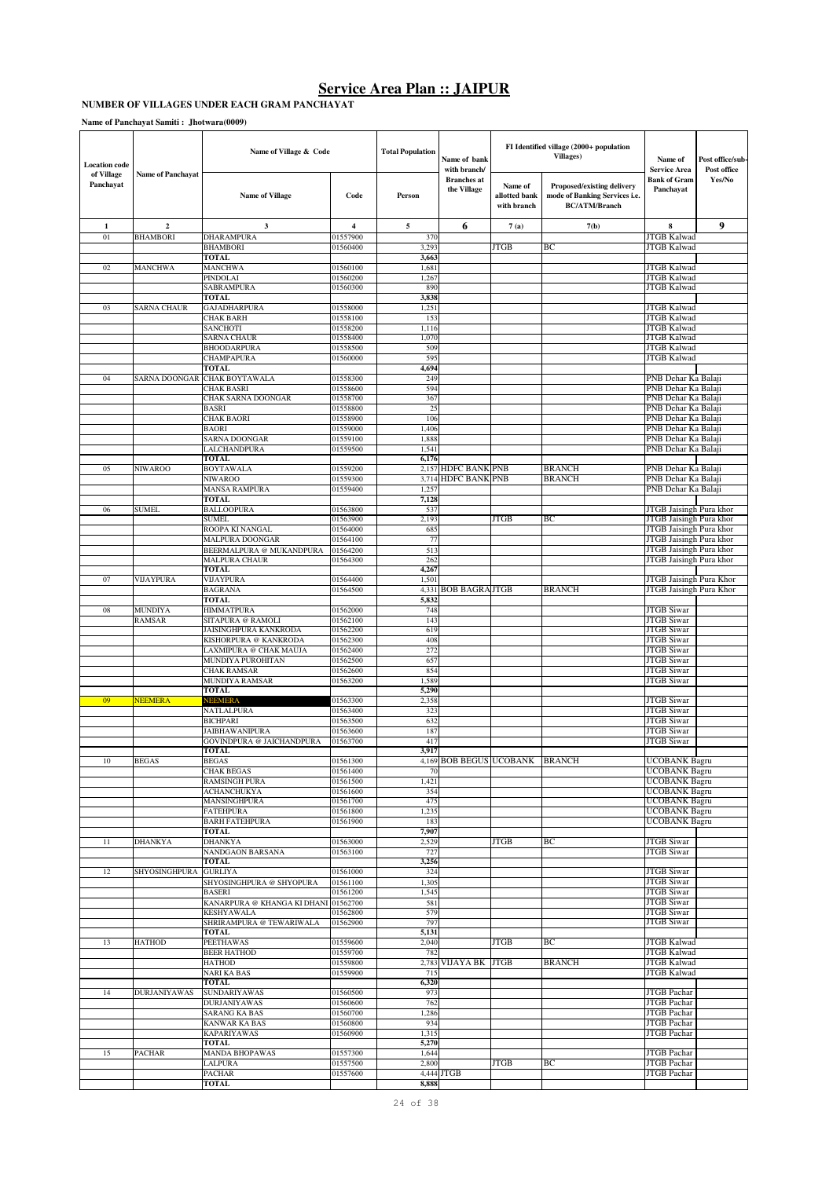#### **NUMBER OF VILLAGES UNDER EACH GRAM PANCHAYAT**

**Name of Panchayat Samiti : Jhotwara(0009)**

| <b>Location</b> code    |                          | Name of Village & Code                                |                      | <b>Total Population</b> | Name of bank<br>with branch/      |                                         | FI Identified village (2000+ population<br><b>Villages</b> )                        | Name of<br><b>Service Area</b>                     | Post office/sub-<br>Post office |
|-------------------------|--------------------------|-------------------------------------------------------|----------------------|-------------------------|-----------------------------------|-----------------------------------------|-------------------------------------------------------------------------------------|----------------------------------------------------|---------------------------------|
| of Village<br>Panchayat | <b>Name of Panchavat</b> | <b>Name of Village</b>                                | Code                 | Person                  | <b>Branches</b> at<br>the Village | Name of<br>allotted bank<br>with branch | Proposed/existing delivery<br>mode of Banking Services i.e.<br><b>BC/ATM/Branch</b> | <b>Bank of Gram</b><br>Panchayat                   | Yes/No                          |
| $\mathbf{1}$            | $\overline{2}$           | $\mathbf{3}$                                          | $\overline{4}$       | 5                       | 6                                 | 7(a)                                    | 7(b)                                                                                | 8                                                  | 9                               |
| 01                      | <b>BHAMBORI</b>          | <b>DHARAMPURA</b>                                     | 01557900             | 370                     |                                   |                                         |                                                                                     | <b>JTGB Kalwad</b>                                 |                                 |
|                         |                          | <b>BHAMBORI</b>                                       | 01560400             | 3,293                   |                                   | <b>JTGB</b>                             | BС                                                                                  | <b>JTGB Kalwad</b>                                 |                                 |
| 02                      |                          | TOTAL                                                 | 01560100             | 3,663<br>1,681          |                                   |                                         |                                                                                     | JTGB Kalwad                                        |                                 |
|                         | <b>MANCHWA</b>           | MANCHWA<br>PINDOLAI                                   | 01560200             | 1,267                   |                                   |                                         |                                                                                     | <b>JTGB Kalwad</b>                                 |                                 |
|                         |                          | SABRAMPURA                                            | 01560300             | 890                     |                                   |                                         |                                                                                     | JTGB Kalwad                                        |                                 |
|                         |                          | <b>TOTAL</b>                                          |                      | 3,838                   |                                   |                                         |                                                                                     |                                                    |                                 |
| 03                      | <b>SARNA CHAUR</b>       | <b>GAJADHARPURA</b>                                   | 01558000             | 1,251                   |                                   |                                         |                                                                                     | <b>JTGB Kalwad</b>                                 |                                 |
|                         |                          | <b>CHAK BARH</b><br>SANCHOTI                          | 01558100<br>01558200 | 153                     |                                   |                                         |                                                                                     | <b>JTGB Kalwad</b><br><b>JTGB</b> Kalwad           |                                 |
|                         |                          | SARNA CHAUR                                           | 01558400             | 1,116<br>1,070          |                                   |                                         |                                                                                     | <b>JTGB Kalwad</b>                                 |                                 |
|                         |                          | <b>BHOODARPURA</b>                                    | 01558500             | 509                     |                                   |                                         |                                                                                     | <b>JTGB Kalwad</b>                                 |                                 |
|                         |                          | CHAMPAPURA                                            | 01560000             | 595                     |                                   |                                         |                                                                                     | <b>JTGB Kalwad</b>                                 |                                 |
|                         |                          | <b>TOTAL</b>                                          |                      | 4,694                   |                                   |                                         |                                                                                     |                                                    |                                 |
| 04                      | SARNA DOONGAR            | <b>CHAK BOYTAWALA</b><br><b>CHAK BASRI</b>            | 01558300<br>01558600 | 249<br>594              |                                   |                                         |                                                                                     | PNB Dehar Ka Balaji<br>PNB Dehar Ka Balaji         |                                 |
|                         |                          | CHAK SARNA DOONGAR                                    | 01558700             | 367                     |                                   |                                         |                                                                                     | PNB Dehar Ka Balaji                                |                                 |
|                         |                          | BASRI                                                 | 01558800             | 25                      |                                   |                                         |                                                                                     | PNB Dehar Ka Balaji                                |                                 |
|                         |                          | <b>CHAK BAORI</b>                                     | 01558900             | 106                     |                                   |                                         |                                                                                     | PNB Dehar Ka Balaji                                |                                 |
|                         |                          | BAORI                                                 | 01559000             | 1,406                   |                                   |                                         |                                                                                     | PNB Dehar Ka Balaji                                |                                 |
|                         |                          | SARNA DOONGAR<br>LALCHANDPURA                         | 01559100<br>01559500 | 1,888<br>1,541          |                                   |                                         |                                                                                     | PNB Dehar Ka Balaji<br>PNB Dehar Ka Balaji         |                                 |
|                         |                          | TOTAL                                                 |                      | 6,176                   |                                   |                                         |                                                                                     |                                                    |                                 |
| 05                      | <b>NIWAROO</b>           | <b>BOYTAWALA</b>                                      | 01559200             |                         | 2,157 HDFC BANK PNB               |                                         | BRANCH                                                                              | PNB Dehar Ka Balaji                                |                                 |
|                         |                          | NIWAROO                                               | 01559300             |                         | 3,714 HDFC BANK PNB               |                                         | <b>BRANCH</b>                                                                       | PNB Dehar Ka Balaji                                |                                 |
|                         |                          | <b>MANSA RAMPURA</b><br><b>TOTAL</b>                  | 01559400             | 1,257<br>7,128          |                                   |                                         |                                                                                     | PNB Dehar Ka Balaji                                |                                 |
| 06                      | SUMEL                    | BALLOOPURA                                            | 01563800             | 537                     |                                   |                                         |                                                                                     | JTGB Jaisingh Pura khor                            |                                 |
|                         |                          | SUMEL                                                 | 01563900             | 2,193                   |                                   | <b>JTGB</b>                             | BС                                                                                  | JTGB Jaisingh Pura khor                            |                                 |
|                         |                          | ROOPA KI NANGAL                                       | 01564000             | 685                     |                                   |                                         |                                                                                     | JTGB Jaisingh Pura khor                            |                                 |
|                         |                          | MALPURA DOONGAR                                       | 01564100             | 77                      |                                   |                                         |                                                                                     | JTGB Jaisingh Pura khor                            |                                 |
|                         |                          | BEERMALPURA @ MUKANDPURA<br>MALPURA CHAUR             | 01564200<br>01564300 | 513<br>262              |                                   |                                         |                                                                                     | JTGB Jaisingh Pura khor<br>JTGB Jaisingh Pura khor |                                 |
|                         |                          | TOTAL                                                 |                      | 4,267                   |                                   |                                         |                                                                                     |                                                    |                                 |
| 07                      | <b>VIJAYPURA</b>         | VIJAYPURA                                             | 01564400             | 1,501                   |                                   |                                         |                                                                                     | JTGB Jaisingh Pura Khor                            |                                 |
|                         |                          | <b>BAGRANA</b>                                        | 01564500             | 4,331                   | <b>BOB BAGRAJTGB</b>              |                                         | <b>BRANCH</b>                                                                       | JTGB Jaisingh Pura Khor                            |                                 |
|                         |                          | <b>TOTAL</b>                                          |                      | 5,832                   |                                   |                                         |                                                                                     |                                                    |                                 |
| 08                      | MUNDIYA<br>RAMSAR        | HIMMATPURA<br>SITAPURA @ RAMOLI                       | 01562000<br>01562100 | 748<br>143              |                                   |                                         |                                                                                     | <b>JTGB</b> Siwar<br><b>JTGB Siwar</b>             |                                 |
|                         |                          | JAISINGHPURA KANKRODA                                 | 01562200             | 619                     |                                   |                                         |                                                                                     | <b>JTGB</b> Siwar                                  |                                 |
|                         |                          | KISHORPURA @ KANKRODA                                 | 01562300             | 408                     |                                   |                                         |                                                                                     | <b>JTGB</b> Siwar                                  |                                 |
|                         |                          | LAXMIPURA @ CHAK MAUJA                                | 01562400             | 272                     |                                   |                                         |                                                                                     | <b>JTGB</b> Siwar                                  |                                 |
|                         |                          | MUNDIYA PUROHITAN                                     | 01562500             | 657<br>854              |                                   |                                         |                                                                                     | <b>JTGB Siwar</b><br><b>JTGB</b> Siwar             |                                 |
|                         |                          | <b>CHAK RAMSAR</b><br>MUNDIYA RAMSAR                  | 01562600<br>01563200 | 1,589                   |                                   |                                         |                                                                                     | <b>JTGB</b> Siwar                                  |                                 |
|                         |                          | <b>TOTAL</b>                                          |                      | 5,290                   |                                   |                                         |                                                                                     |                                                    |                                 |
| 09                      | <b>NEEMERA</b>           | NEEMERA                                               | 01563300             | 2.358                   |                                   |                                         |                                                                                     | <b>JTGB</b> Siwar                                  |                                 |
|                         |                          | NATLALPURA                                            | 01563400             | 323                     |                                   |                                         |                                                                                     | <b>JTGB Siwar</b>                                  |                                 |
|                         |                          | <b>BICHPARI</b><br><b>JAIBHAWANIPURA</b>              | 01563500<br>01563600 | 632<br>187              |                                   |                                         |                                                                                     | <b>JTGB Siwar</b><br><b>JTGB Siwar</b>             |                                 |
|                         |                          | GOVINDPURA @ JAICHANDPURA                             | 01563700             | 417                     |                                   |                                         |                                                                                     | <b>JTGB Siwar</b>                                  |                                 |
|                         |                          | <b>TOTAL</b>                                          |                      | 3,917                   |                                   |                                         |                                                                                     |                                                    |                                 |
| 10                      | <b>BEGAS</b>             | BEGAS                                                 | 01201300             |                         |                                   | 4,169 BOB BEGUS UCOBANK BRANCH          |                                                                                     | UCOBANK Bagru                                      |                                 |
|                         |                          | <b>CHAK BEGAS</b>                                     | 01561400             | 70                      |                                   |                                         |                                                                                     | <b>UCOBANK Bagru</b><br><b>UCOBANK Bagru</b>       |                                 |
|                         |                          | <b>RAMSINGH PURA</b><br><b>ACHANCHUKYA</b>            | 01561500<br>01561600 | 1,421<br>354            |                                   |                                         |                                                                                     | UCOBANK Bagru                                      |                                 |
|                         |                          | MANSINGHPURA                                          | 01561700             | 475                     |                                   |                                         |                                                                                     | UCOBANK Bagru                                      |                                 |
|                         |                          | <b>FATEHPURA</b>                                      | 01561800             | 1,235                   |                                   |                                         |                                                                                     | <b>UCOBANK Bagru</b>                               |                                 |
|                         |                          | <b>BARH FATEHPURA</b>                                 | 01561900             | 183                     |                                   |                                         |                                                                                     | <b>UCOBANK Bagru</b>                               |                                 |
| 11                      | <b>DHANKYA</b>           | <b>TOTAL</b><br><b>DHANKYA</b>                        | 01563000             | 7,907<br>2,529          |                                   | <b>JTGB</b>                             | BС                                                                                  | JTGB Siwar                                         |                                 |
|                         |                          | NANDGAON BARSANA                                      | 01563100             | 727                     |                                   |                                         |                                                                                     | <b>JTGB</b> Siwar                                  |                                 |
|                         |                          | TOTAL                                                 |                      | 3,256                   |                                   |                                         |                                                                                     |                                                    |                                 |
| 12                      | SHYOSINGHPURA            | <b>GURLIYA</b>                                        | 01561000             | 324                     |                                   |                                         |                                                                                     | <b>JTGB</b> Siwar                                  |                                 |
|                         |                          | SHYOSINGHPURA @ SHYOPURA                              | 01561100             | 1,305                   |                                   |                                         |                                                                                     | <b>JTGB</b> Siwar                                  |                                 |
|                         |                          | <b>BASERI</b><br>KANARPURA @ KHANGA KI DHANI 01562700 | 01561200             | 1,545<br>581            |                                   |                                         |                                                                                     | <b>JTGB</b> Siwar<br>JTGB Siwar                    |                                 |
|                         |                          | <b>KESHYAWALA</b>                                     | 01562800             | 579                     |                                   |                                         |                                                                                     | JTGB Siwar                                         |                                 |
|                         |                          | SHRIRAMPURA @ TEWARIWALA                              | 01562900             | 797                     |                                   |                                         |                                                                                     | JTGB Siwar                                         |                                 |
|                         |                          | TOTAL                                                 |                      | 5,131                   |                                   |                                         |                                                                                     |                                                    |                                 |
| 13                      | <b>HATHOD</b>            | <b>PEETHAWAS</b><br><b>BEER HATHOD</b>                | 01559600<br>01559700 | 2,040<br>782            |                                   | <b>JTGB</b>                             | BС                                                                                  | <b>JTGB Kalwad</b><br><b>JTGB Kalwad</b>           |                                 |
|                         |                          | HATHOD                                                | 01559800             |                         | 2,783 VIJAYA BK JTGB              |                                         | <b>BRANCH</b>                                                                       | <b>JTGB Kalwad</b>                                 |                                 |
|                         |                          | <b>NARI KA BAS</b>                                    | 01559900             | 715                     |                                   |                                         |                                                                                     | <b>JTGB Kalwad</b>                                 |                                 |
|                         |                          | <b>TOTAL</b>                                          |                      | 6,320                   |                                   |                                         |                                                                                     |                                                    |                                 |
| 14                      | <b>DURJANIYAWAS</b>      | <b>SUNDARIYAWAS</b>                                   | 01560500             | 973                     |                                   |                                         |                                                                                     | JTGB Pachar                                        |                                 |
|                         |                          | <b>DURJANIYAWAS</b>                                   | 01560600             | 762                     |                                   |                                         |                                                                                     | <b>JTGB</b> Pachar                                 |                                 |
|                         |                          | SARANG KA BAS<br><b>KANWAR KA BAS</b>                 | 01560700<br>01560800 | 1,286<br>934            |                                   |                                         |                                                                                     | JTGB Pachar<br>JTGB Pachar                         |                                 |
|                         |                          | KAPARIYAWAS                                           | 01560900             | 1,315                   |                                   |                                         |                                                                                     | JTGB Pachar                                        |                                 |
|                         |                          | <b>TOTAL</b>                                          |                      | 5,270                   |                                   |                                         |                                                                                     |                                                    |                                 |
| 15                      | <b>PACHAR</b>            | MANDA BHOPAWAS                                        | 01557300             | 1,644                   |                                   |                                         |                                                                                     | <b>JTGB</b> Pachar                                 |                                 |
|                         |                          | LALPURA                                               | 01557500             | 2,800                   |                                   | <b>JTGB</b>                             | BС                                                                                  | JTGB Pachar                                        |                                 |
|                         |                          | <b>PACHAR</b><br>TOTAL                                | 01557600             | 8,888                   | 4,444 JTGB                        |                                         |                                                                                     | JTGB Pachar                                        |                                 |
|                         |                          |                                                       |                      |                         |                                   |                                         |                                                                                     |                                                    |                                 |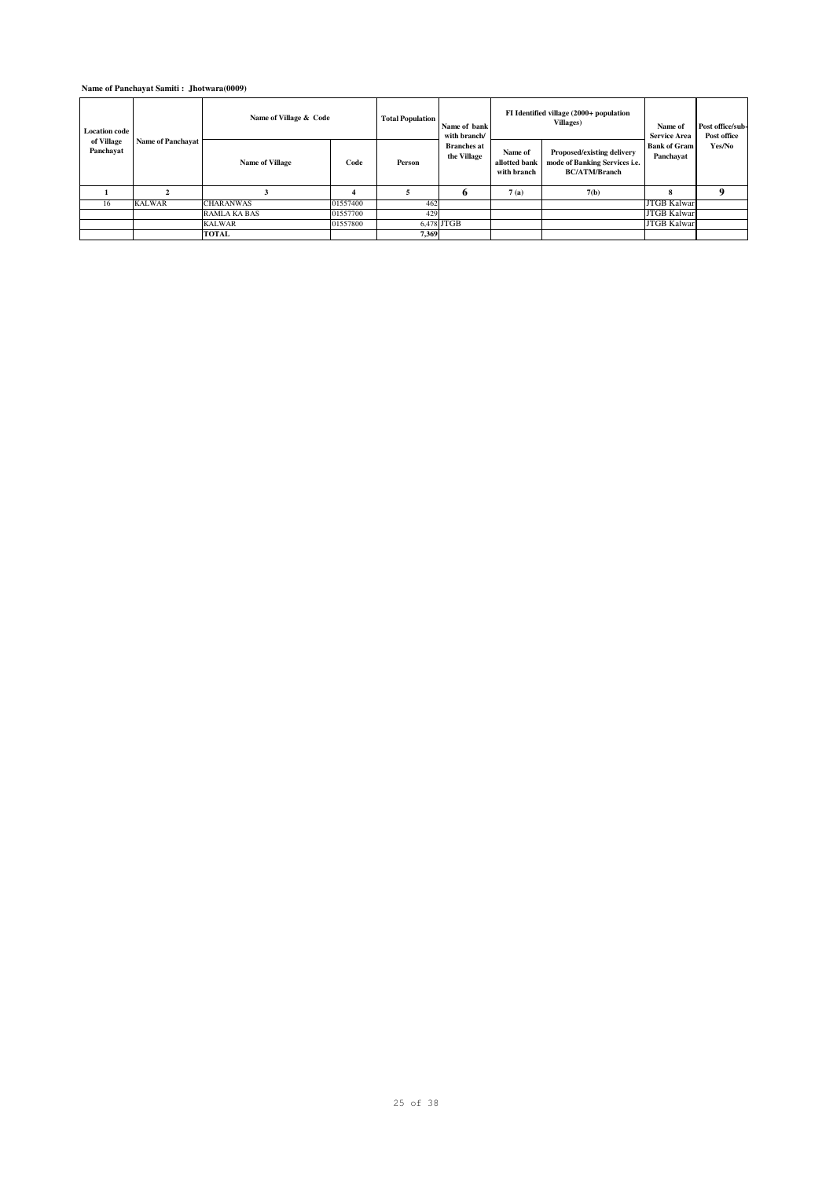### **Name of Panchayat Samiti : Jhotwara(0009)**

| <b>Location code</b>    | Name of Panchayat | Name of Village & Code |          | <b>Total Population</b> | Name of bank<br>with branch/      |                                         | FI Identified village (2000+ population<br>Villages)                                | Name of<br><b>Service Area</b>   | Post office/sub-<br>Post office |
|-------------------------|-------------------|------------------------|----------|-------------------------|-----------------------------------|-----------------------------------------|-------------------------------------------------------------------------------------|----------------------------------|---------------------------------|
| of Village<br>Panchayat |                   | <b>Name of Village</b> | Code     | Person                  | <b>Branches</b> at<br>the Village | Name of<br>allotted bank<br>with branch | Proposed/existing delivery<br>mode of Banking Services i.e.<br><b>BC/ATM/Branch</b> | <b>Bank of Gram</b><br>Panchayat | Yes/No                          |
|                         |                   |                        |          |                         |                                   | 7(a)                                    | 7(b)                                                                                | я                                | Q                               |
| 16                      | <b>KALWAR</b>     | <b>CHARANWAS</b>       | 01557400 | 462                     |                                   |                                         |                                                                                     | <b>JTGB Kalwar</b>               |                                 |
|                         |                   | <b>RAMLA KA BAS</b>    | 01557700 | 429                     |                                   |                                         |                                                                                     | <b>JTGB Kalwar</b>               |                                 |
|                         |                   | <b>KALWAR</b>          | 01557800 |                         | 6.478 JTGB                        |                                         |                                                                                     | <b>JTGB Kalwar</b>               |                                 |
|                         |                   | <b>TOTAL</b>           |          | 7,369                   |                                   |                                         |                                                                                     |                                  |                                 |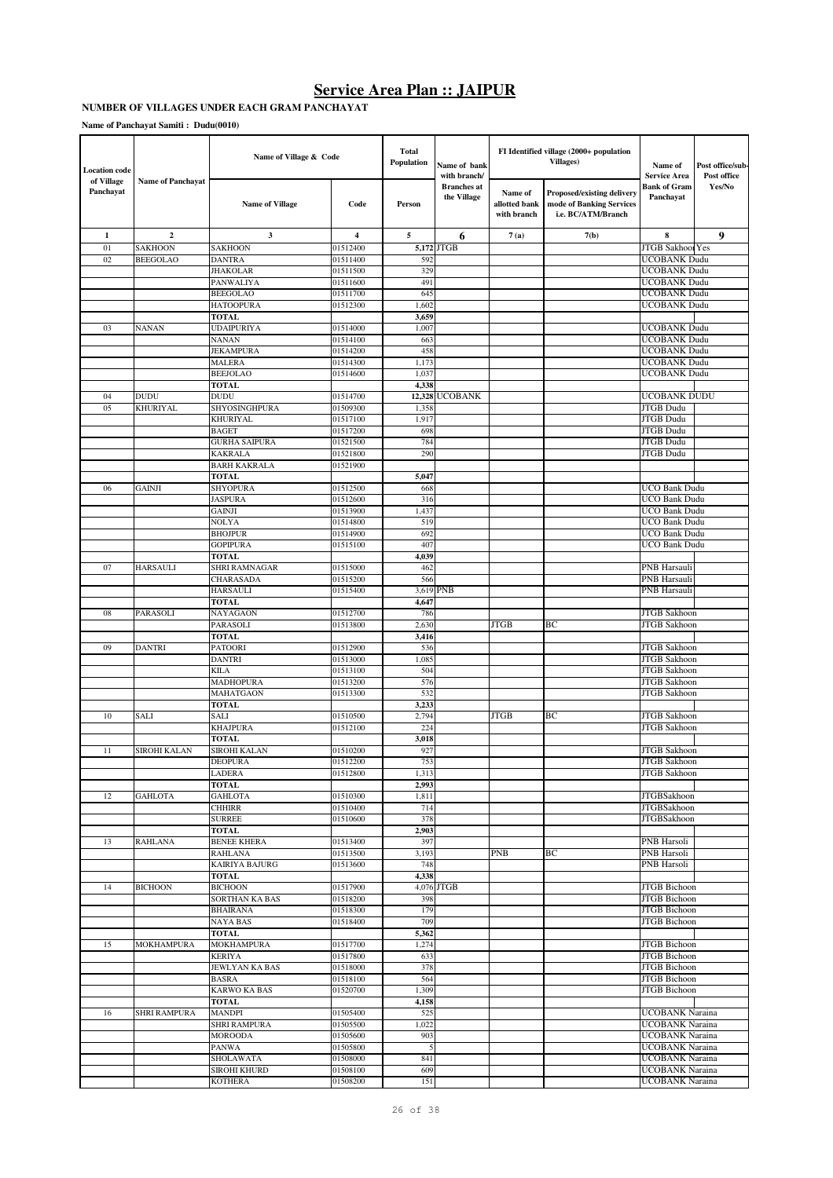#### **NUMBER OF VILLAGES UNDER EACH GRAM PANCHAYAT**

| <b>Location</b> code    |                          | Name of Village & Code            |                      | <b>Total</b><br>Population | Name of bank<br>with branch/      |                                         | FI Identified village (2000+ population<br>Villages)                         | Name of<br><b>Service Area</b>             | Post office/sub-<br>Post office |
|-------------------------|--------------------------|-----------------------------------|----------------------|----------------------------|-----------------------------------|-----------------------------------------|------------------------------------------------------------------------------|--------------------------------------------|---------------------------------|
| of Village<br>Panchayat | <b>Name of Panchayat</b> | <b>Name of Village</b>            | Code                 | Person                     | <b>Branches</b> at<br>the Village | Name of<br>allotted bank<br>with branch | Proposed/existing delivery<br>mode of Banking Services<br>i.e. BC/ATM/Branch | Bank of Gram<br>Panchayat                  | Yes/No                          |
| $\mathbf{1}$            | $\overline{2}$           | 3                                 | 4                    | 5                          | 6                                 | 7(a)                                    | 7(b)                                                                         | 8                                          | $\boldsymbol{9}$                |
| 01                      | <b>SAKHOON</b>           | SAKHOON                           | 01512400             |                            | 5,172 JTGB                        |                                         |                                                                              | JTGB Sakhool Yes                           |                                 |
| 02                      | <b>BEEGOLAO</b>          | <b>DANTRA</b>                     | 01511400             | 592                        |                                   |                                         |                                                                              | <b>UCOBANK Dudu</b>                        |                                 |
|                         |                          | <b>JHAKOLAR</b>                   | 01511500             | 329                        |                                   |                                         |                                                                              | <b>UCOBANK Dudu</b>                        |                                 |
|                         |                          | PANWALIYA<br><b>BEEGOLAO</b>      | 01511600<br>01511700 | 491<br>645                 |                                   |                                         |                                                                              | <b>UCOBANK Dudu</b>                        |                                 |
|                         |                          | <b>HATOOPURA</b>                  | 01512300             | 1,602                      |                                   |                                         |                                                                              | <b>UCOBANK Dudu</b><br><b>UCOBANK Dudu</b> |                                 |
|                         |                          | TOTAL                             |                      | 3,659                      |                                   |                                         |                                                                              |                                            |                                 |
| 03                      | <b>NANAN</b>             | <b>UDAIPURIYA</b>                 | 01514000             | 1,007                      |                                   |                                         |                                                                              | <b>UCOBANK Dudu</b>                        |                                 |
|                         |                          | <b>NANAN</b>                      | 01514100             | 663                        |                                   |                                         |                                                                              | <b>UCOBANK Dudu</b>                        |                                 |
|                         |                          | <b>JEKAMPURA</b>                  | 01514200             | 458                        |                                   |                                         |                                                                              | <b>UCOBANK Dudu</b>                        |                                 |
|                         |                          | <b>MALERA</b>                     | 01514300             | 1,173                      |                                   |                                         |                                                                              | <b>UCOBANK Dudu</b>                        |                                 |
|                         |                          | <b>BEEJOLAO</b>                   | 01514600             | 1,037                      |                                   |                                         |                                                                              | <b>UCOBANK Dudu</b>                        |                                 |
|                         |                          | <b>TOTAL</b>                      |                      | 4,338                      |                                   |                                         |                                                                              |                                            |                                 |
| 04                      | <b>DUDU</b>              | <b>DUDU</b>                       | 01514700             |                            | 12,328 UCOBANK                    |                                         |                                                                              | <b>UCOBANK DUDU</b>                        |                                 |
| 05                      | KHURIYAL                 | SHYOSINGHPURA<br><b>KHURIYAL</b>  | 01509300<br>01517100 | 1,358<br>1,917             |                                   |                                         |                                                                              | <b>JTGB</b> Dudu<br><b>JTGB</b> Dudu       |                                 |
|                         |                          | <b>BAGET</b>                      | 01517200             | 698                        |                                   |                                         |                                                                              | <b>JTGB</b> Dudu                           |                                 |
|                         |                          | <b>GURHA SAIPURA</b>              | 01521500             | 784                        |                                   |                                         |                                                                              | JTGB Dudu                                  |                                 |
|                         |                          | <b>KAKRALA</b>                    | 01521800             | 290                        |                                   |                                         |                                                                              | <b>JTGB</b> Dudu                           |                                 |
|                         |                          | <b>BARH KAKRALA</b>               | 01521900             |                            |                                   |                                         |                                                                              |                                            |                                 |
|                         |                          | <b>TOTAL</b>                      |                      | 5,047                      |                                   |                                         |                                                                              |                                            |                                 |
| 06                      | <b>GAINJI</b>            | <b>SHYOPURA</b>                   | 01512500             | 668                        |                                   |                                         |                                                                              | <b>UCO Bank Dudu</b>                       |                                 |
|                         |                          | <b>JASPURA</b>                    | 01512600             | 316                        |                                   |                                         |                                                                              | <b>UCO Bank Dudu</b>                       |                                 |
|                         |                          | <b>GAINJI</b>                     | 01513900             | 1,437                      |                                   |                                         |                                                                              | <b>UCO Bank Dudu</b>                       |                                 |
|                         |                          | NOLYA                             | 01514800             | 519                        |                                   |                                         |                                                                              | UCO Bank Dudu                              |                                 |
|                         |                          | <b>BHOJPUR</b><br><b>GOPIPURA</b> | 01514900<br>01515100 | 692<br>407                 |                                   |                                         |                                                                              | UCO Bank Dudu<br>UCO Bank Dudu             |                                 |
|                         |                          | TOTAL                             |                      | 4,039                      |                                   |                                         |                                                                              |                                            |                                 |
| 07                      | <b>HARSAULI</b>          | SHRI RAMNAGAR                     | 01515000             | 462                        |                                   |                                         |                                                                              | PNB Harsauli                               |                                 |
|                         |                          | CHARASADA                         | 01515200             | 566                        |                                   |                                         |                                                                              | <b>PNB</b> Harsauli                        |                                 |
|                         |                          | <b>HARSAULI</b>                   | 01515400             | 3,619                      | <b>PNB</b>                        |                                         |                                                                              | <b>PNB</b> Harsauli                        |                                 |
|                         |                          | TOTAL                             |                      | 4,647                      |                                   |                                         |                                                                              |                                            |                                 |
| 08                      | PARASOLI                 | NAYAGAON                          | 01512700             | 786                        |                                   |                                         |                                                                              | <b>JTGB</b> Sakhoon                        |                                 |
|                         |                          | PARASOLI                          | 01513800             | 2,630                      |                                   | <b>JTGB</b>                             | ВC                                                                           | <b>JTGB</b> Sakhoon                        |                                 |
| 09                      | <b>DANTRI</b>            | <b>TOTAL</b><br>PATOORI           | 01512900             | 3,416<br>536               |                                   |                                         |                                                                              | JTGB Sakhoon                               |                                 |
|                         |                          | <b>DANTRI</b>                     | 01513000             | 1,085                      |                                   |                                         |                                                                              | <b>JTGB</b> Sakhoon                        |                                 |
|                         |                          | <b>KILA</b>                       | 01513100             | 504                        |                                   |                                         |                                                                              | <b>JTGB</b> Sakhoon                        |                                 |
|                         |                          | MADHOPURA                         | 01513200             | 576                        |                                   |                                         |                                                                              | <b>JTGB</b> Sakhoon                        |                                 |
|                         |                          | MAHATGAON                         | 01513300             | 532                        |                                   |                                         |                                                                              | <b>JTGB</b> Sakhoon                        |                                 |
|                         |                          | <b>TOTAL</b>                      |                      | 3,233                      |                                   |                                         |                                                                              |                                            |                                 |
| $10\,$                  | <b>SALI</b>              | <b>SALI</b>                       | 01510500             | 2,794                      |                                   | <b>JTGB</b>                             | BC                                                                           | JTGB Sakhoon                               |                                 |
|                         |                          | <b>KHAJPURA</b>                   | 01512100             | 224                        |                                   |                                         |                                                                              | <b>JTGB</b> Sakhoon                        |                                 |
| 11                      | SIROHI KALAN             | TOTAL<br>SIROHI KALAN             | 01510200             | 3,018<br>927               |                                   |                                         |                                                                              | <b>JTGB</b> Sakhoon                        |                                 |
|                         |                          | DEOPURA                           | 01512200             | 753                        |                                   |                                         |                                                                              | <b>JTGB</b> Sakhoon                        |                                 |
|                         |                          | LADERA                            | 01512800             | 1,313                      |                                   |                                         |                                                                              | JTGB Sakhoon                               |                                 |
|                         |                          | <b>TOTAL</b>                      |                      | 2,993                      |                                   |                                         |                                                                              |                                            |                                 |
| 12                      | <b>GAHLOTA</b>           | <b>GAHLOTA</b>                    | 01510300             | 1,811                      |                                   |                                         |                                                                              | <b>JTGBSakhoon</b>                         |                                 |
|                         |                          | <b>CHHIRR</b>                     | 01510400             | 714                        |                                   |                                         |                                                                              | <b>JTGBSakhoon</b>                         |                                 |
|                         |                          | <b>SURREE</b>                     | 01510600             | 378                        |                                   |                                         |                                                                              | <b>JTGBSakhoon</b>                         |                                 |
| 13                      | RAHLANA                  | TOTAL<br><b>BENEE KHERA</b>       | 01513400             | 2,903<br>397               |                                   |                                         |                                                                              | PNB Harsoli                                |                                 |
|                         |                          | <b>RAHLANA</b>                    | 01513500             | 3,193                      |                                   | <b>PNB</b>                              | ВC                                                                           | PNB Harsoli                                |                                 |
|                         |                          | KAIRIYA BAJURG                    | 01513600             | 748                        |                                   |                                         |                                                                              | PNB Harsoli                                |                                 |
|                         |                          | TOTAL                             |                      | 4,338                      |                                   |                                         |                                                                              |                                            |                                 |
| 14                      | <b>BICHOON</b>           | <b>BICHOON</b>                    | 01517900             |                            | 4,076 JTGB                        |                                         |                                                                              | JTGB Bichoon                               |                                 |
|                         |                          | SORTHAN KA BAS                    | 01518200             | 398                        |                                   |                                         |                                                                              | JTGB Bichoon                               |                                 |
|                         |                          | <b>BHAIRANA</b>                   | 01518300             | 179                        |                                   |                                         |                                                                              | <b>JTGB</b> Bichoon                        |                                 |
|                         |                          | <b>NAYA BAS</b>                   | 01518400             | 709                        |                                   |                                         |                                                                              | <b>JTGB</b> Bichoon                        |                                 |
| 15                      | MOKHAMPURA               | TOTAL<br>MOKHAMPURA               | 01517700             | 5,362<br>1,274             |                                   |                                         |                                                                              | JTGB Bichoon                               |                                 |
|                         |                          | <b>KERIYA</b>                     | 01517800             | 633                        |                                   |                                         |                                                                              | JTGB Bichoon                               |                                 |
|                         |                          | JEWLYAN KA BAS                    | 01518000             | 378                        |                                   |                                         |                                                                              | <b>JTGB</b> Bichoon                        |                                 |
|                         |                          | <b>BASRA</b>                      | 01518100             | 564                        |                                   |                                         |                                                                              | JTGB Bichoon                               |                                 |
|                         |                          | <b>KARWO KA BAS</b>               | 01520700             | 1,309                      |                                   |                                         |                                                                              | JTGB Bichoon                               |                                 |
|                         |                          | <b>TOTAL</b>                      |                      | 4,158                      |                                   |                                         |                                                                              |                                            |                                 |
| 16                      | <b>SHRI RAMPURA</b>      | <b>MANDPI</b>                     | 01505400             | 525                        |                                   |                                         |                                                                              | UCOBANK Naraina                            |                                 |
|                         |                          | SHRI RAMPURA                      | 01505500             | 1,022                      |                                   |                                         |                                                                              | UCOBANK Naraina                            |                                 |
|                         |                          | <b>MOROODA</b><br><b>PANWA</b>    | 01505600<br>01505800 | 903<br>$\sqrt{5}$          |                                   |                                         |                                                                              | UCOBANK Naraina<br>UCOBANK Naraina         |                                 |
|                         |                          | SHOLAWATA                         | 01508000             | 841                        |                                   |                                         |                                                                              | UCOBANK Naraina                            |                                 |
|                         |                          | SIROHI KHURD                      | 01508100             | 609                        |                                   |                                         |                                                                              | UCOBANK Naraina                            |                                 |
|                         |                          | <b>KOTHERA</b>                    | 01508200             | 151                        |                                   |                                         |                                                                              | UCOBANK Naraina                            |                                 |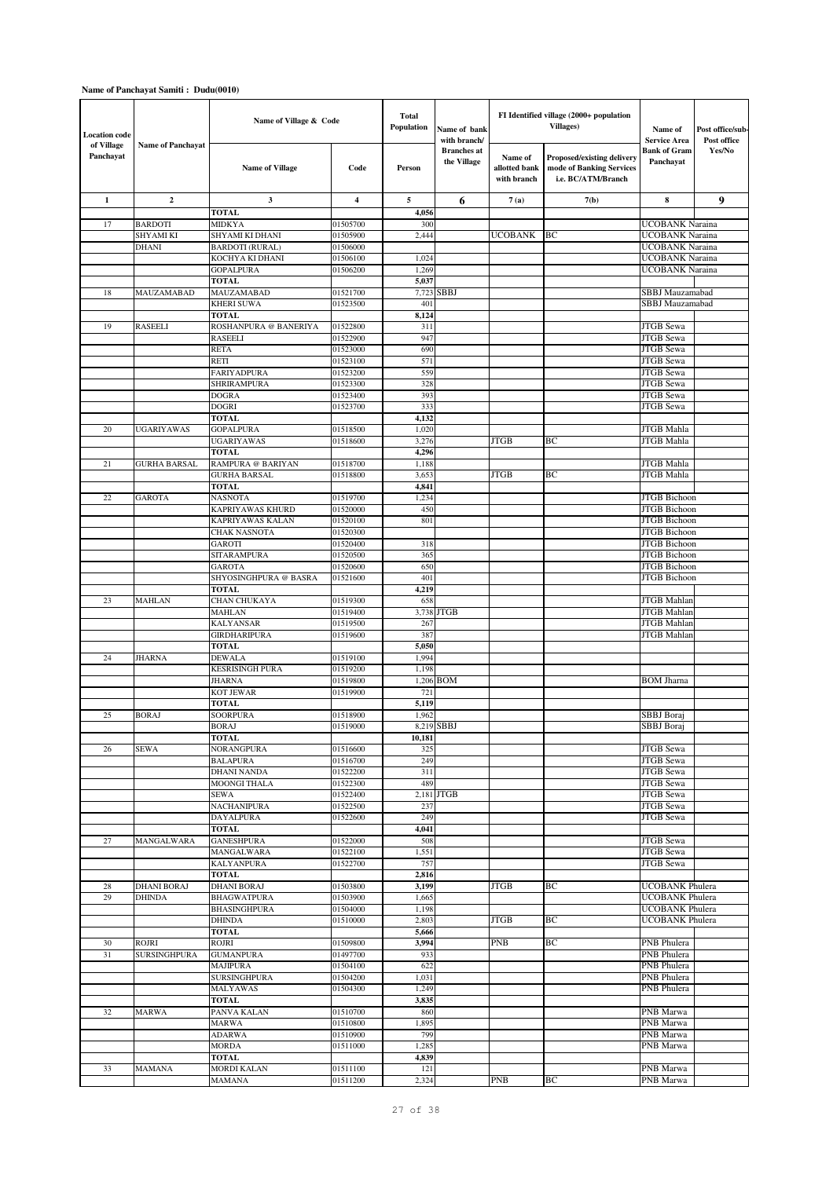| <b>Location</b> code    |                           | Name of Village & Code                    |                      | <b>Total</b><br>Population | Name of bank<br>with branch/      |                                         | FI Identified village (2000+ population<br><b>Villages</b> )                        | Name of<br><b>Service Area</b>     | Post office/sub-<br>Post office |
|-------------------------|---------------------------|-------------------------------------------|----------------------|----------------------------|-----------------------------------|-----------------------------------------|-------------------------------------------------------------------------------------|------------------------------------|---------------------------------|
| of Village<br>Panchayat | <b>Name of Panchayat</b>  | <b>Name of Village</b>                    | Code                 | Person                     | <b>Branches</b> at<br>the Village | Name of<br>allotted bank<br>with branch | <b>Proposed/existing delivery</b><br>mode of Banking Services<br>i.e. BC/ATM/Branch | Bank of Gram<br>Panchayat          | Yes/No                          |
| $\mathbf{1}$            | $\boldsymbol{2}$          | 3                                         | $\overline{4}$       | 5                          | 6                                 | 7(a)                                    | 7(b)                                                                                | 8                                  | 9                               |
|                         |                           | <b>TOTAL</b>                              |                      | 4,056                      |                                   |                                         |                                                                                     |                                    |                                 |
| 17                      | <b>BARDOTI</b>            | <b>MIDKYA</b>                             | 01505700             | 300                        |                                   |                                         |                                                                                     | UCOBANK Naraina                    |                                 |
|                         | SHYAMI KI<br><b>DHANI</b> | SHYAMI KI DHANI                           | 01505900<br>01506000 | 2,444                      |                                   | <b>UCOBANK</b>                          | BС                                                                                  | UCOBANK Naraina<br>UCOBANK Naraina |                                 |
|                         |                           | <b>BARDOTI</b> (RURAL)<br>KOCHYA KI DHANI | 01506100             | 1,024                      |                                   |                                         |                                                                                     | UCOBANK Naraina                    |                                 |
|                         |                           | <b>GOPALPURA</b>                          | 01506200             | 1,269                      |                                   |                                         |                                                                                     | <b>UCOBANK Naraina</b>             |                                 |
|                         |                           | <b>TOTAL</b>                              |                      | 5,037                      |                                   |                                         |                                                                                     |                                    |                                 |
| 18                      | MAUZAMABAD                | MAUZAMABAD                                | 01521700             | 7,723                      | <b>SBBJ</b>                       |                                         |                                                                                     | SBBJ Mauzamabad                    |                                 |
|                         |                           | <b>KHERI SUWA</b>                         | 01523500             | 401                        |                                   |                                         |                                                                                     | SBBJ Mauzamabad                    |                                 |
|                         |                           | <b>TOTAL</b>                              |                      | 8,124                      |                                   |                                         |                                                                                     |                                    |                                 |
| 19                      | <b>RASEELI</b>            | ROSHANPURA @ BANERIYA                     | 01522800             | 311                        |                                   |                                         |                                                                                     | JTGB Sewa                          |                                 |
|                         |                           | <b>RASEELI</b>                            | 01522900             | 947                        |                                   |                                         |                                                                                     | <b>JTGB</b> Sewa                   |                                 |
|                         |                           | <b>RETA</b><br>RETI                       | 01523000<br>01523100 | 690<br>571                 |                                   |                                         |                                                                                     | <b>JTGB</b> Sewa<br>JTGB Sewa      |                                 |
|                         |                           | <b>FARIYADPURA</b>                        | 01523200             | 559                        |                                   |                                         |                                                                                     | JTGB Sewa                          |                                 |
|                         |                           | <b>SHRIRAMPURA</b>                        | 01523300             | 328                        |                                   |                                         |                                                                                     | <b>JTGB</b> Sewa                   |                                 |
|                         |                           | <b>DOGRA</b>                              | 01523400             | 393                        |                                   |                                         |                                                                                     | <b>JTGB</b> Sewa                   |                                 |
|                         |                           | <b>DOGRI</b>                              | 01523700             | 333                        |                                   |                                         |                                                                                     | JTGB Sewa                          |                                 |
|                         |                           | <b>TOTAL</b>                              |                      | 4,132                      |                                   |                                         |                                                                                     |                                    |                                 |
| 20                      | <b>UGARIYAWAS</b>         | <b>GOPALPURA</b>                          | 01518500             | 1,020                      |                                   |                                         |                                                                                     | JTGB Mahla                         |                                 |
|                         |                           | <b>UGARIYAWAS</b>                         | 01518600             | 3,276                      |                                   | <b>JTGB</b>                             | BС                                                                                  | JTGB Mahla                         |                                 |
|                         |                           | <b>TOTAL</b>                              |                      | 4,296                      |                                   |                                         |                                                                                     |                                    |                                 |
| 21                      | <b>GURHA BARSAL</b>       | RAMPURA @ BARIYAN                         | 01518700             | 1,188                      |                                   |                                         |                                                                                     | JTGB Mahla                         |                                 |
|                         |                           | <b>GURHA BARSAL</b><br><b>TOTAL</b>       | 01518800             | 3,653<br>4,841             |                                   | <b>JTGB</b>                             | BC                                                                                  | JTGB Mahla                         |                                 |
| 22                      | <b>GAROTA</b>             | <b>NASNOTA</b>                            | 01519700             | 1,234                      |                                   |                                         |                                                                                     | <b>JTGB</b> Bichoon                |                                 |
|                         |                           | KAPRIYAWAS KHURD                          | 01520000             | 450                        |                                   |                                         |                                                                                     | <b>JTGB</b> Bichoon                |                                 |
|                         |                           | KAPRIYAWAS KALAN                          | 01520100             | 801                        |                                   |                                         |                                                                                     | <b>JTGB</b> Bichoon                |                                 |
|                         |                           | <b>CHAK NASNOTA</b>                       | 01520300             |                            |                                   |                                         |                                                                                     | <b>JTGB</b> Bichoon                |                                 |
|                         |                           | <b>GAROTI</b>                             | 01520400             | 318                        |                                   |                                         |                                                                                     | <b>JTGB</b> Bichoon                |                                 |
|                         |                           | SITARAMPURA                               | 01520500             | 365                        |                                   |                                         |                                                                                     | <b>JTGB</b> Bichoon                |                                 |
|                         |                           | <b>GAROTA</b>                             | 01520600             | 650                        |                                   |                                         |                                                                                     | JTGB Bichoon                       |                                 |
|                         |                           | SHYOSINGHPURA @ BASRA                     | 01521600             | 401                        |                                   |                                         |                                                                                     | <b>JTGB</b> Bichoon                |                                 |
| 23                      | <b>MAHLAN</b>             | <b>TOTAL</b><br>CHAN CHUKAYA              | 01519300             | 4,219<br>658               |                                   |                                         |                                                                                     | <b>JTGB</b> Mahlan                 |                                 |
|                         |                           | <b>MAHLAN</b>                             | 01519400             |                            | 3,738 JTGB                        |                                         |                                                                                     | <b>JTGB</b> Mahlan                 |                                 |
|                         |                           | <b>KALYANSAR</b>                          | 01519500             | 267                        |                                   |                                         |                                                                                     | <b>JTGB</b> Mahlan                 |                                 |
|                         |                           | <b>GIRDHARIPURA</b>                       | 01519600             | 387                        |                                   |                                         |                                                                                     | <b>JTGB</b> Mahlar                 |                                 |
|                         |                           | TOTAL                                     |                      | 5,050                      |                                   |                                         |                                                                                     |                                    |                                 |
| 24                      | <b>JHARNA</b>             | <b>DEWALA</b>                             | 01519100             | 1,994                      |                                   |                                         |                                                                                     |                                    |                                 |
|                         |                           | <b>KESRISINGH PURA</b>                    | 01519200             | 1,198                      |                                   |                                         |                                                                                     |                                    |                                 |
|                         |                           | <b>JHARNA</b>                             | 01519800             |                            | $1,206$ BOM                       |                                         |                                                                                     | <b>BOM Jharna</b>                  |                                 |
|                         |                           | <b>KOT JEWAR</b>                          | 01519900             | 721                        |                                   |                                         |                                                                                     |                                    |                                 |
|                         | <b>BORAJ</b>              | <b>TOTAL</b><br><b>SOORPURA</b>           |                      | 5,119                      |                                   |                                         |                                                                                     |                                    |                                 |
| 25                      |                           | <b>BORAJ</b>                              | 01518900<br>01519000 | 1,962                      | 8.219 SBBJ                        |                                         |                                                                                     | SBBJ Boraj<br>SBBJ Boraj           |                                 |
|                         |                           | <b>TOTAL</b>                              |                      | 10,181                     |                                   |                                         |                                                                                     |                                    |                                 |
| 26                      | SEWA                      | NORANGPURA                                | 01516600             | 325                        |                                   |                                         |                                                                                     | JTGB Sewa                          |                                 |
|                         |                           | <b>BALAPURA</b>                           | 01516700             | 249                        |                                   |                                         |                                                                                     | <b>JTGB</b> Sewa                   |                                 |
|                         |                           | <b>DHANI NANDA</b>                        | 01522200             | 311                        |                                   |                                         |                                                                                     | JTGB Sewa                          |                                 |
|                         |                           | MOONGI THALA                              | 01522300             | 489                        |                                   |                                         |                                                                                     | JTGB Sewa                          |                                 |
|                         |                           | SEWA                                      | 01522400             |                            | 2,181 JTGB                        |                                         |                                                                                     | JTGB Sewa                          |                                 |
|                         |                           | <b>NACHANIPURA</b>                        | 01522500             | 237                        |                                   |                                         |                                                                                     | JTGB Sewa                          |                                 |
|                         |                           | DAYALPURA<br>TOTAL                        | 01522600             | 249<br>4,041               |                                   |                                         |                                                                                     | JTGB Sewa                          |                                 |
| 27                      | MANGALWARA                | <b>GANESHPURA</b>                         | 01522000             | 508                        |                                   |                                         |                                                                                     | JTGB Sewa                          |                                 |
|                         |                           | MANGALWARA                                | 01522100             | 1,551                      |                                   |                                         |                                                                                     | JTGB Sewa                          |                                 |
|                         |                           | <b>KALYANPURA</b>                         | 01522700             | 757                        |                                   |                                         |                                                                                     | JTGB Sewa                          |                                 |
|                         |                           | <b>TOTAL</b>                              |                      | 2,816                      |                                   |                                         |                                                                                     |                                    |                                 |
| 28                      | <b>DHANI BORAJ</b>        | <b>DHANI BORAJ</b>                        | 01503800             | 3,199                      |                                   | <b>JTGB</b>                             | BС                                                                                  | <b>UCOBANK</b> Phulera             |                                 |
| 29                      | <b>DHINDA</b>             | <b>BHAGWATPURA</b>                        | 01503900             | 1,665                      |                                   |                                         |                                                                                     | UCOBANK Phulera                    |                                 |
|                         |                           | <b>BHASINGHPURA</b>                       | 01504000             | 1,198                      |                                   |                                         |                                                                                     | <b>UCOBANK</b> Phulera             |                                 |
|                         |                           |                                           | 01510000             | 2,803                      |                                   | JTGB                                    | ВC                                                                                  | UCOBANK Phulera                    |                                 |
|                         |                           | <b>DHINDA</b>                             |                      |                            |                                   |                                         |                                                                                     |                                    |                                 |
|                         |                           | TOTAL                                     |                      | 5,666                      |                                   |                                         |                                                                                     |                                    |                                 |
| 30                      | ROJRI                     | <b>ROJRI</b>                              | 01509800             | 3,994                      |                                   | PNB                                     | ВC                                                                                  | PNB Phulera                        |                                 |
| 31                      | <b>SURSINGHPURA</b>       | <b>GUMANPURA</b>                          | 01497700             | 933                        |                                   |                                         |                                                                                     | PNB Phulera                        |                                 |
|                         |                           | <b>MAJIPURA</b><br><b>SURSINGHPURA</b>    | 01504100<br>01504200 | 622<br>1,031               |                                   |                                         |                                                                                     | PNB Phulera<br>PNB Phulera         |                                 |
|                         |                           | MALYAWAS                                  | 01504300             | 1,249                      |                                   |                                         |                                                                                     | PNB Phulera                        |                                 |
|                         |                           | TOTAL                                     |                      | 3,835                      |                                   |                                         |                                                                                     |                                    |                                 |
| 32                      | <b>MARWA</b>              | PANVA KALAN                               | 01510700             | 860                        |                                   |                                         |                                                                                     | PNB Marwa                          |                                 |
|                         |                           | MARWA                                     | 01510800             | 1,895                      |                                   |                                         |                                                                                     | PNB Marwa                          |                                 |
|                         |                           | ADARWA                                    | 01510900             | 799                        |                                   |                                         |                                                                                     | PNB Marwa                          |                                 |
|                         |                           | <b>MORDA</b>                              | 01511000             | 1,285                      |                                   |                                         |                                                                                     | PNB Marwa                          |                                 |
| 33                      | MAMANA                    | TOTAL<br><b>MORDI KALAN</b>               | 01511100             | 4,839<br>121               |                                   |                                         |                                                                                     | PNB Marwa                          |                                 |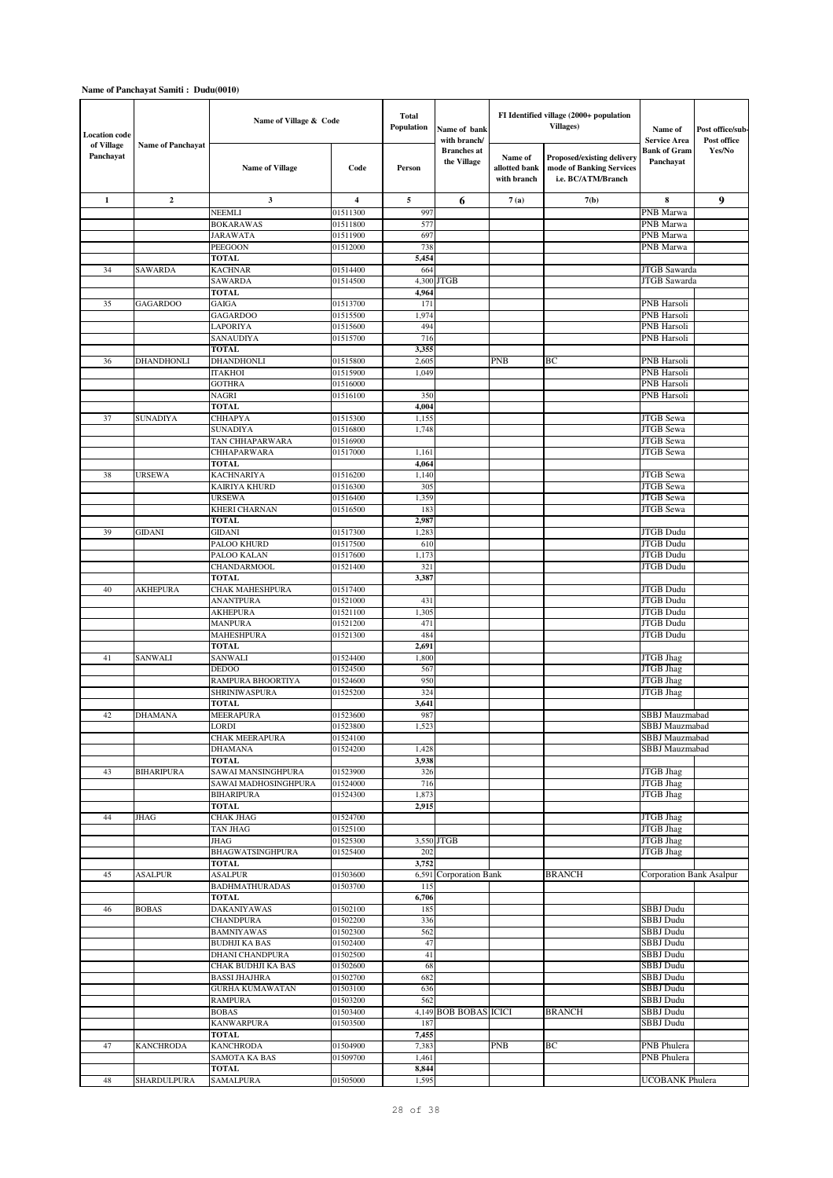| <b>Location</b> code    |                          | Name of Village & Code                    |                      | Total<br><b>Population</b> | Name of bank<br>with branch/      |                                                | FI Identified village (2000+ population<br><b>Villages</b> )                        | Name of<br><b>Service Area</b> | Post office/sub-<br>Post office |
|-------------------------|--------------------------|-------------------------------------------|----------------------|----------------------------|-----------------------------------|------------------------------------------------|-------------------------------------------------------------------------------------|--------------------------------|---------------------------------|
| of Village<br>Panchayat | <b>Name of Panchayat</b> | <b>Name of Village</b>                    | Code                 | Person                     | <b>Branches</b> at<br>the Village | <b>Name of</b><br>allotted bank<br>with branch | <b>Proposed/existing delivery</b><br>mode of Banking Services<br>i.e. BC/ATM/Branch | Bank of Gram<br>Panchayat      | Yes/No                          |
| $\mathbf{1}$            | $\mathbf{2}$             | 3                                         | 4                    | 5                          | 6                                 | 7(a)                                           | 7(b)                                                                                | 8                              | 9                               |
|                         |                          | NEEMLI                                    | 01511300             | 997                        |                                   |                                                |                                                                                     | PNB Marwa                      |                                 |
|                         |                          | <b>BOKARAWAS</b>                          | 01511800             | 577                        |                                   |                                                |                                                                                     | PNB Marwa                      |                                 |
|                         |                          | JARAWATA                                  | 01511900             | 697                        |                                   |                                                |                                                                                     | PNB Marwa                      |                                 |
|                         |                          | PEEGOON                                   | 01512000             | 738                        |                                   |                                                |                                                                                     | PNB Marwa                      |                                 |
|                         |                          | <b>TOTAL</b>                              |                      | 5,454                      |                                   |                                                |                                                                                     |                                |                                 |
| 34                      | <b>SAWARDA</b>           | <b>KACHNAR</b>                            | 01514400             | 664                        |                                   |                                                |                                                                                     | JTGB Sawarda                   |                                 |
|                         |                          | <b>SAWARDA</b><br><b>TOTAL</b>            | 01514500             | 4,964                      | 4,300 JTGB                        |                                                |                                                                                     | JTGB Sawarda                   |                                 |
| 35                      | <b>GAGARDOO</b>          | <b>GAIGA</b>                              | 01513700             | 171                        |                                   |                                                |                                                                                     | PNB Harsoli                    |                                 |
|                         |                          | <b>GAGARDOO</b>                           | 01515500             | 1,974                      |                                   |                                                |                                                                                     | PNB Harsoli                    |                                 |
|                         |                          | LAPORIYA                                  | 01515600             | 494                        |                                   |                                                |                                                                                     | PNB Harsoli                    |                                 |
|                         |                          | <b>SANAUDIYA</b>                          | 01515700             | 716                        |                                   |                                                |                                                                                     | PNB Harsoli                    |                                 |
|                         |                          | <b>TOTAL</b>                              |                      | 3,355                      |                                   |                                                |                                                                                     |                                |                                 |
| 36                      | DHANDHONLI               | DHANDHONLI                                | 01515800             | 2,605                      |                                   | <b>PNB</b>                                     | BC                                                                                  | PNB Harsoli                    |                                 |
|                         |                          | <b>ITAKHOI</b>                            | 01515900             | 1,049                      |                                   |                                                |                                                                                     | PNB Harsoli                    |                                 |
|                         |                          | <b>GOTHRA</b>                             | 01516000             |                            |                                   |                                                |                                                                                     | PNB Harsoli                    |                                 |
|                         |                          | NAGRI                                     | 01516100             | 350                        |                                   |                                                |                                                                                     | PNB Harsoli                    |                                 |
|                         |                          | <b>TOTAL</b>                              |                      | 4,004                      |                                   |                                                |                                                                                     |                                |                                 |
| 37                      | SUNADIYA                 | <b>CHHAPYA</b>                            | 01515300             | 1,155                      |                                   |                                                |                                                                                     | <b>JTGB</b> Sewa               |                                 |
|                         |                          | <b>SUNADIYA</b>                           | 01516800             | 1,748                      |                                   |                                                |                                                                                     | <b>JTGB</b> Sewa               |                                 |
|                         |                          | TAN CHHAPARWARA                           | 01516900             | 1,161                      |                                   |                                                |                                                                                     | JTGB Sewa<br>JTGB Sewa         |                                 |
|                         |                          | CHHAPARWARA<br>TOTAL                      | 01517000             | 4,064                      |                                   |                                                |                                                                                     |                                |                                 |
| 38                      | <b>URSEWA</b>            | <b>KACHNARIYA</b>                         | 01516200             | 1,140                      |                                   |                                                |                                                                                     | <b>JTGB</b> Sewa               |                                 |
|                         |                          | KAIRIYA KHURD                             | 01516300             | 305                        |                                   |                                                |                                                                                     | <b>JTGB</b> Sewa               |                                 |
|                         |                          | <b>URSEWA</b>                             | 01516400             | 1,359                      |                                   |                                                |                                                                                     | JTGB Sewa                      |                                 |
|                         |                          | <b>KHERI CHARNAN</b>                      | 01516500             | 183                        |                                   |                                                |                                                                                     | JTGB Sewa                      |                                 |
|                         |                          | TOTAL                                     |                      | 2,987                      |                                   |                                                |                                                                                     |                                |                                 |
| 39                      | GIDANI                   | <b>GIDANI</b>                             | 01517300             | 1,283                      |                                   |                                                |                                                                                     | <b>JTGB</b> Dudu               |                                 |
|                         |                          | PALOO KHURD                               | 01517500             | 610                        |                                   |                                                |                                                                                     | <b>JTGB</b> Dudu               |                                 |
|                         |                          | PALOO KALAN                               | 01517600             | 1,173                      |                                   |                                                |                                                                                     | <b>JTGB</b> Dudu               |                                 |
|                         |                          | CHANDARMOOL                               | 01521400             | 321                        |                                   |                                                |                                                                                     | <b>JTGB</b> Dudu               |                                 |
| 40                      | <b>AKHEPURA</b>          | TOTAL<br>CHAK MAHESHPURA                  | 01517400             | 3,387                      |                                   |                                                |                                                                                     | JTGB Dudu                      |                                 |
|                         |                          | ANANTPURA                                 | 01521000             | 431                        |                                   |                                                |                                                                                     | JTGB Dudu                      |                                 |
|                         |                          | <b>AKHEPURA</b>                           | 01521100             | 1,305                      |                                   |                                                |                                                                                     | JTGB Dudu                      |                                 |
|                         |                          | MANPURA                                   | 01521200             | 471                        |                                   |                                                |                                                                                     | JTGB Dudu                      |                                 |
|                         |                          | MAHESHPURA                                | 01521300             | 484                        |                                   |                                                |                                                                                     | JTGB Dudu                      |                                 |
|                         |                          | <b>TOTAL</b>                              |                      | 2,691                      |                                   |                                                |                                                                                     |                                |                                 |
| 41                      | SANWALI                  | SANWALI                                   | 01524400             | 1,800                      |                                   |                                                |                                                                                     | JTGB Jhag                      |                                 |
|                         |                          | <b>DEDOO</b><br>RAMPURA BHOORTIYA         | 01524500             | 567<br>950                 |                                   |                                                |                                                                                     | JTGB Jhag                      |                                 |
|                         |                          | <b>SHRINIWASPURA</b>                      | 01524600<br>01525200 | 324                        |                                   |                                                |                                                                                     | JTGB Jhag<br><b>JTGB</b> Jhag  |                                 |
|                         |                          | TOTAL                                     |                      | 3,641                      |                                   |                                                |                                                                                     |                                |                                 |
| 42                      | <b>DHAMANA</b>           | <b>MEERAPURA</b>                          | 01523600             | 987                        |                                   |                                                |                                                                                     | SBBJ Mauzmabad                 |                                 |
|                         |                          | LORDI                                     | 01523800             | .523                       |                                   |                                                |                                                                                     | SBBJ Mauzmabad                 |                                 |
|                         |                          | <b>CHAK MEERAPURA</b>                     | 01524100             |                            |                                   |                                                |                                                                                     | SBBJ Mauzmabad                 |                                 |
|                         |                          | <b>DHAMANA</b>                            | 01524200             | 1,428                      |                                   |                                                |                                                                                     | SBBJ Mauzmabad                 |                                 |
|                         |                          | <b>TOTAL</b>                              |                      | 3,938                      |                                   |                                                |                                                                                     |                                |                                 |
| 43                      | <b>BIHARIPURA</b>        | SAWAI MANSINGHPURA                        | 01523900             | 326                        |                                   |                                                |                                                                                     | JTGB Jhag                      |                                 |
|                         |                          | SAWAI MADHOSINGHPURA<br><b>BIHARIPURA</b> | 01524000<br>01524300 | 716<br>1,873               |                                   |                                                |                                                                                     | JTGB Jhag<br>JTGB Jhag         |                                 |
|                         |                          | <b>TOTAL</b>                              |                      | 2,915                      |                                   |                                                |                                                                                     |                                |                                 |
| 44                      | <b>JHAG</b>              | CHAK JHAG                                 | 01524700             |                            |                                   |                                                |                                                                                     | JTGB Jhag                      |                                 |
|                         |                          | <b>TAN JHAG</b>                           | 01525100             |                            |                                   |                                                |                                                                                     | JTGB Jhag                      |                                 |
|                         |                          | <b>JHAG</b>                               | 01525300             |                            | 3,550 JTGB                        |                                                |                                                                                     | JTGB Jhag                      |                                 |
|                         |                          | BHAGWATSINGHPURA                          | 01525400             | 202                        |                                   |                                                |                                                                                     | <b>JTGB</b> Jhag               |                                 |
|                         |                          | <b>TOTAL</b>                              |                      | 3,752                      |                                   |                                                |                                                                                     |                                |                                 |
| 45                      | <b>ASALPUR</b>           | <b>ASALPUR</b>                            | 01503600             |                            | 6,591 Corporation Bank            |                                                | <b>BRANCH</b>                                                                       | Corporation Bank Asalpur       |                                 |
|                         |                          | <b>BADHMATHURADAS</b>                     | 01503700             | 115                        |                                   |                                                |                                                                                     |                                |                                 |
|                         |                          | <b>TOTAL</b>                              |                      | 6,706                      |                                   |                                                |                                                                                     |                                |                                 |
| 46                      | <b>BOBAS</b>             | <b>DAKANIYAWAS</b>                        | 01502100             | 185                        |                                   |                                                |                                                                                     | <b>SBBJ</b> Dudu               |                                 |
|                         |                          | <b>CHANDPURA</b><br><b>BAMNIYAWAS</b>     | 01502200<br>01502300 | 336<br>562                 |                                   |                                                |                                                                                     | SBBJ Dudu<br>SBBJ Dudu         |                                 |
|                         |                          | <b>BUDHJI KA BAS</b>                      | 01502400             | 47                         |                                   |                                                |                                                                                     | SBBJ Dudu                      |                                 |
|                         |                          | DHANI CHANDPURA                           | 01502500             | 41                         |                                   |                                                |                                                                                     | SBBJ Dudu                      |                                 |
|                         |                          | CHAK BUDHJI KA BAS                        | 01502600             | 68                         |                                   |                                                |                                                                                     | SBBJ Dudu                      |                                 |
|                         |                          | <b>BASSI JHAJHRA</b>                      | 01502700             | 682                        |                                   |                                                |                                                                                     | SBBJ Dudu                      |                                 |
|                         |                          | <b>GURHA KUMAWATAN</b>                    | 01503100             | 636                        |                                   |                                                |                                                                                     | SBBJ Dudu                      |                                 |
|                         |                          | <b>RAMPURA</b>                            | 01503200             | 562                        |                                   |                                                |                                                                                     | SBBJ Dudu                      |                                 |
|                         |                          | <b>BOBAS</b>                              | 01503400             |                            | 4,149 BOB BOBAS ICICI             |                                                | <b>BRANCH</b>                                                                       | SBBJ Dudu                      |                                 |
|                         |                          | <b>KANWARPURA</b><br><b>TOTAL</b>         | 01503500             | 187<br>7,455               |                                   |                                                |                                                                                     | SBBJ Dudu                      |                                 |
| 47                      | <b>KANCHRODA</b>         | <b>KANCHRODA</b>                          | 01504900             | 7,383                      |                                   | <b>PNB</b>                                     | BC                                                                                  | <b>PNB</b> Phulera             |                                 |
|                         |                          | SAMOTA KA BAS                             | 01509700             | 1,461                      |                                   |                                                |                                                                                     | PNB Phulera                    |                                 |
|                         |                          | <b>TOTAL</b>                              |                      | 8,844                      |                                   |                                                |                                                                                     |                                |                                 |
| 48                      | SHARDULPURA              | SAMALPURA                                 | 01505000             | 1,595                      |                                   |                                                |                                                                                     | <b>UCOBANK</b> Phulera         |                                 |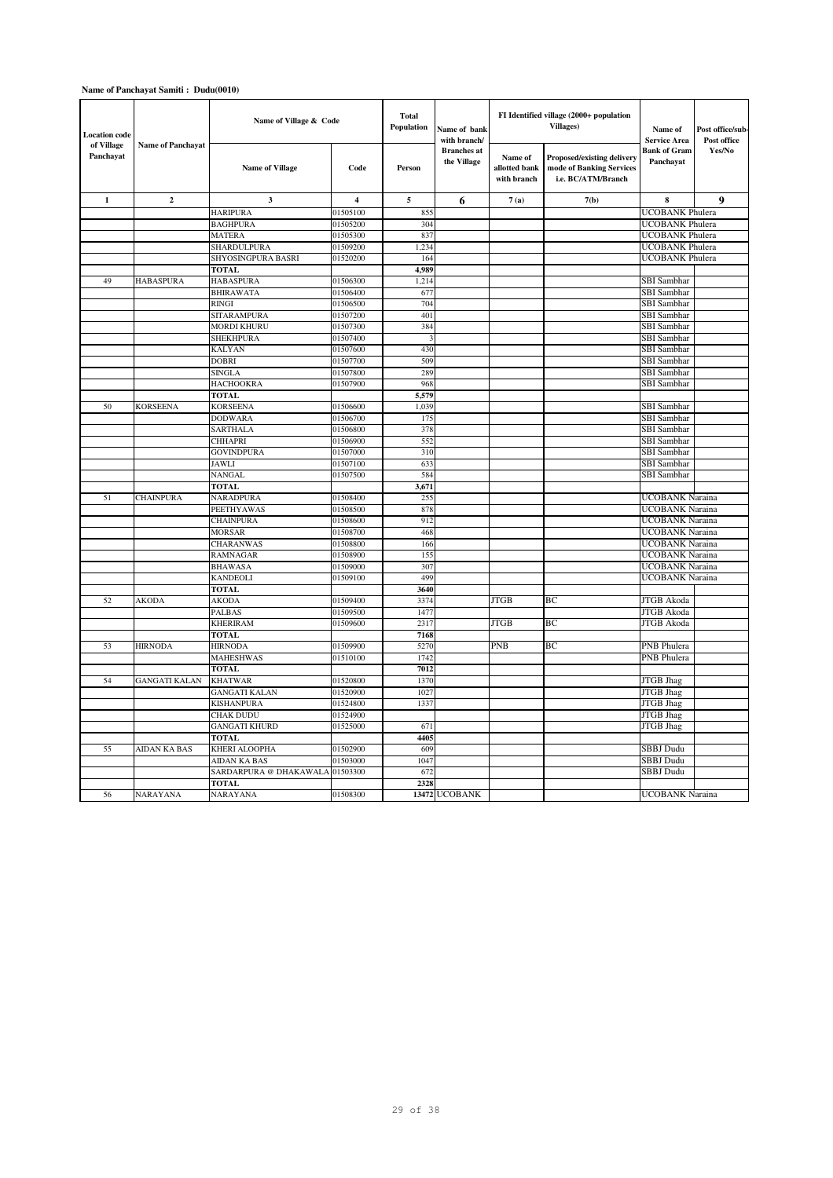| <b>Location</b> code    |                          | Name of Village & Code            |                         | <b>Total</b><br>Population | Name of bank<br>with branch/      |                                         | FI Identified village (2000+ population<br>Villages)                                | Name of<br><b>Service Area</b>            | Post office/sub<br>Post office |
|-------------------------|--------------------------|-----------------------------------|-------------------------|----------------------------|-----------------------------------|-----------------------------------------|-------------------------------------------------------------------------------------|-------------------------------------------|--------------------------------|
| of Village<br>Panchayat | <b>Name of Panchayat</b> | <b>Name of Village</b>            | Code                    | Person                     | <b>Branches</b> at<br>the Village | Name of<br>allotted bank<br>with branch | <b>Proposed/existing delivery</b><br>mode of Banking Services<br>i.e. BC/ATM/Branch | Bank of Gram<br>Panchayat                 | Yes/No                         |
| $\mathbf{1}$            | $\mathbf{2}$             | $\mathbf{3}$                      | $\overline{\mathbf{4}}$ | $\sqrt{5}$                 | 6                                 | 7(a)                                    | 7(b)                                                                                | 8                                         | 9                              |
|                         |                          | <b>HARIPURA</b>                   | 01505100                | 855                        |                                   |                                         |                                                                                     | <b>UCOBANK Phulera</b>                    |                                |
|                         |                          | <b>BAGHPURA</b>                   | 01505200                | 304                        |                                   |                                         |                                                                                     | <b>UCOBANK</b> Phulera                    |                                |
|                         |                          | <b>MATERA</b>                     | 01505300                | 837                        |                                   |                                         |                                                                                     | UCOBANK Phulera                           |                                |
|                         |                          | SHARDULPURA                       | 01509200                | 1,234                      |                                   |                                         |                                                                                     | <b>UCOBANK Phulera</b>                    |                                |
|                         |                          | SHYOSINGPURA BASRI                | 01520200                | 164                        |                                   |                                         |                                                                                     | <b>UCOBANK Phulera</b>                    |                                |
|                         |                          | <b>TOTAL</b>                      |                         | 4,989                      |                                   |                                         |                                                                                     |                                           |                                |
| 49                      | <b>HABASPURA</b>         | <b>HABASPURA</b>                  | 01506300                | 1,214                      |                                   |                                         |                                                                                     | SBI Sambhar                               |                                |
|                         |                          | <b>BHIRAWATA</b>                  | 01506400                | 677                        |                                   |                                         |                                                                                     | SBI Sambhar                               |                                |
|                         |                          | <b>RINGI</b>                      | 01506500                | 704                        |                                   |                                         |                                                                                     | SBI Sambhar                               |                                |
|                         |                          | SITARAMPURA                       | 01507200                | 401                        |                                   |                                         |                                                                                     | SBI Sambhar                               |                                |
|                         |                          | <b>MORDI KHURU</b>                | 01507300                | 384                        |                                   |                                         |                                                                                     | SBI Sambhar                               |                                |
|                         |                          | SHEKHPURA                         | 01507400                | 3                          |                                   |                                         |                                                                                     | SBI Sambhar                               |                                |
|                         |                          | <b>KALYAN</b>                     | 01507600                | 430                        |                                   |                                         |                                                                                     | SBI Sambhar                               |                                |
|                         |                          | <b>DOBRI</b>                      | 01507700                | 509                        |                                   |                                         |                                                                                     | <b>SBI</b> Sambhar                        |                                |
|                         |                          | <b>SINGLA</b>                     | 01507800                | 289                        |                                   |                                         |                                                                                     | SBI Sambhar                               |                                |
|                         |                          | <b>HACHOOKRA</b>                  | 01507900                | 968                        |                                   |                                         |                                                                                     | SBI Sambhar                               |                                |
|                         |                          | TOTAL                             |                         | 5,579                      |                                   |                                         |                                                                                     |                                           |                                |
| 50                      | <b>KORSEENA</b>          | <b>KORSEENA</b>                   | 01506600                | 1,039                      |                                   |                                         |                                                                                     | SBI Sambhar                               |                                |
|                         |                          | <b>DODWARA</b>                    | 01506700                | 175                        |                                   |                                         |                                                                                     | SBI Sambhar                               |                                |
|                         |                          | <b>SARTHALA</b>                   | 01506800                | 378                        |                                   |                                         |                                                                                     | SBI Sambhar                               |                                |
|                         |                          | <b>CHHAPRI</b>                    | 01506900                | 552                        |                                   |                                         |                                                                                     | SBI Sambhar                               |                                |
|                         |                          | <b>GOVINDPURA</b>                 | 01507000                | 310                        |                                   |                                         |                                                                                     | SBI Sambhar                               |                                |
|                         |                          | JAWLI                             | 01507100                | 633                        |                                   |                                         |                                                                                     | SBI Sambhar                               |                                |
|                         |                          | NANGAL                            | 01507500                | 584                        |                                   |                                         |                                                                                     | SBI Sambhar                               |                                |
|                         | <b>CHAINPURA</b>         | <b>TOTAL</b>                      |                         | 3,671<br>255               |                                   |                                         |                                                                                     |                                           |                                |
| 51                      |                          | NARADPURA<br>PEETHYAWAS           | 01508400                | 878                        |                                   |                                         |                                                                                     | UCOBANK Naraina<br><b>UCOBANK Naraina</b> |                                |
|                         |                          |                                   | 01508500<br>01508600    |                            |                                   |                                         |                                                                                     | <b>UCOBANK</b> Naraina                    |                                |
|                         |                          | <b>CHAINPURA</b><br><b>MORSAR</b> | 01508700                | 912<br>468                 |                                   |                                         |                                                                                     | <b>UCOBANK Naraina</b>                    |                                |
|                         |                          | CHARANWAS                         | 01508800                | 166                        |                                   |                                         |                                                                                     | <b>UCOBANK</b> Naraina                    |                                |
|                         |                          | <b>RAMNAGAR</b>                   | 01508900                | 155                        |                                   |                                         |                                                                                     | UCOBANK Naraina                           |                                |
|                         |                          | <b>BHAWASA</b>                    | 01509000                | 307                        |                                   |                                         |                                                                                     | <b>UCOBANK</b> Naraina                    |                                |
|                         |                          | <b>KANDEOLI</b>                   | 01509100                | 499                        |                                   |                                         |                                                                                     | UCOBANK Naraina                           |                                |
|                         |                          | <b>TOTAL</b>                      |                         | 3640                       |                                   |                                         |                                                                                     |                                           |                                |
| 52                      | <b>AKODA</b>             | AKODA                             | 01509400                | 3374                       |                                   | <b>JTGB</b>                             | BC                                                                                  | JTGB Akoda                                |                                |
|                         |                          | PALBAS                            | 01509500                | 1477                       |                                   |                                         |                                                                                     | <b>JTGB</b> Akoda                         |                                |
|                         |                          | <b>KHERIRAM</b>                   | 01509600                | 2317                       |                                   | <b>JTGB</b>                             | BC                                                                                  | JTGB Akoda                                |                                |
|                         |                          | <b>TOTAL</b>                      |                         | 7168                       |                                   |                                         |                                                                                     |                                           |                                |
| 53                      | <b>HIRNODA</b>           | <b>HIRNODA</b>                    | 01509900                | 5270                       |                                   | PNB                                     | BC                                                                                  | PNB Phulera                               |                                |
|                         |                          | <b>MAHESHWAS</b>                  | 01510100                | 1742                       |                                   |                                         |                                                                                     | PNB Phulera                               |                                |
|                         |                          | <b>TOTAL</b>                      |                         | 7012                       |                                   |                                         |                                                                                     |                                           |                                |
| 54                      | <b>GANGATI KALAN</b>     | <b>KHATWAR</b>                    | 01520800                | 1370                       |                                   |                                         |                                                                                     | <b>JTGB</b> Jhag                          |                                |
|                         |                          | <b>GANGATI KALAN</b>              | 01520900                | 1027                       |                                   |                                         |                                                                                     | JTGB Jhag                                 |                                |
|                         |                          | KISHANPURA                        | 01524800                | 1337                       |                                   |                                         |                                                                                     | JTGB Jhag                                 |                                |
|                         |                          | CHAK DUDU                         | 01524900                |                            |                                   |                                         |                                                                                     | <b>JTGB</b> Jhag                          |                                |
|                         |                          | GANGATI KHURD                     | 01525000                | 671                        |                                   |                                         |                                                                                     | <b>JTGB</b> Jhag                          |                                |
|                         |                          | TOTAL                             |                         | 4405                       |                                   |                                         |                                                                                     |                                           |                                |
| 55                      | AIDAN KA BAS             | KHERI ALOOPHA                     | 01502900                | 609                        |                                   |                                         |                                                                                     | SBBJ Dudu                                 |                                |
|                         |                          | AIDAN KA BAS                      | 01503000                | 1047                       |                                   |                                         |                                                                                     | SBBJ Dudu                                 |                                |
|                         |                          | SARDARPURA @ DHAKAWALA            | 01503300                | 672                        |                                   |                                         |                                                                                     | SBBJ Dudu                                 |                                |
|                         |                          | <b>TOTAL</b>                      |                         | 2328                       |                                   |                                         |                                                                                     |                                           |                                |
| 56                      | <b>NARAYANA</b>          | NARAYANA                          | 01508300                |                            | 13472 UCOBANK                     |                                         |                                                                                     | <b>UCOBANK</b> Naraina                    |                                |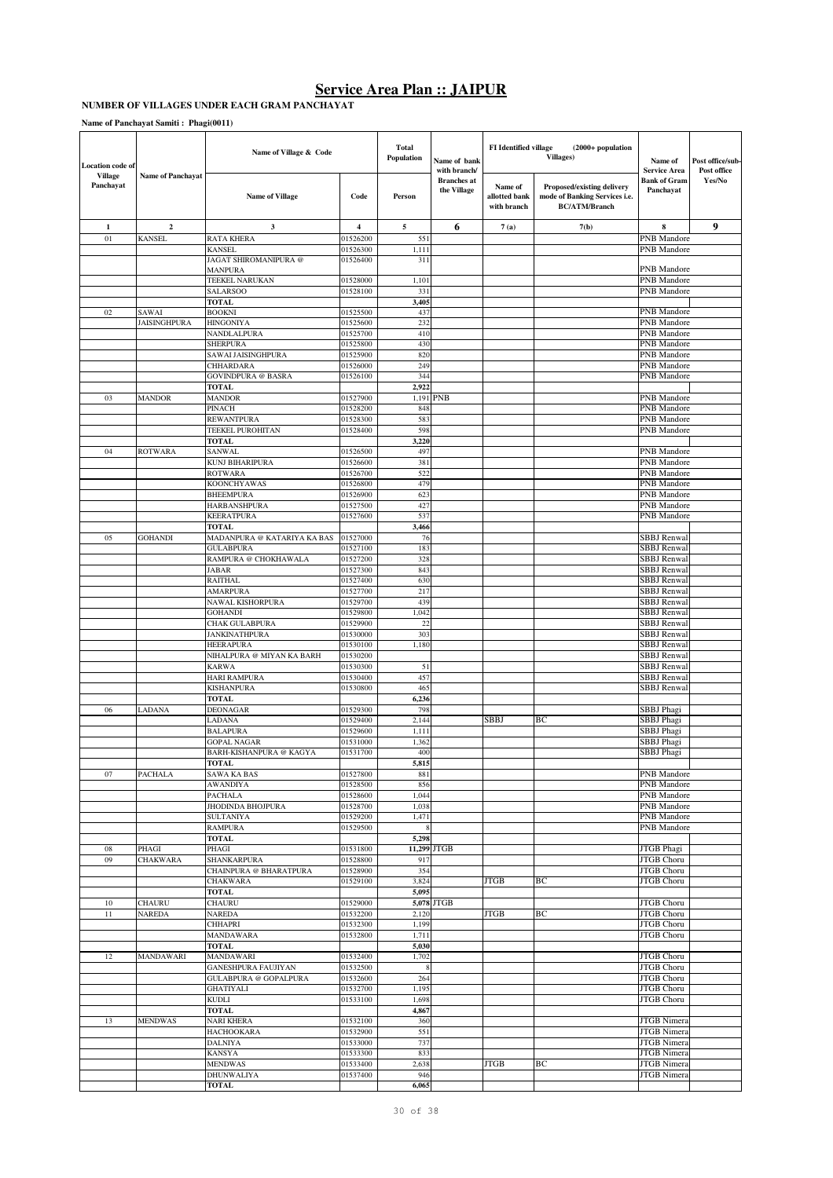#### **NUMBER OF VILLAGES UNDER EACH GRAM PANCHAYAT**

**Name of Panchayat Samiti : Phagi(0011)**

| <b>Location</b> code of<br><b>Village</b> |                              | Name of Village & Code                                     |                      | <b>Total</b><br>Population | Name of bank<br>with branch/      | FI Identified village                   | (2000+ population<br><b>Villages)</b>                                               | Name of<br><b>Service Area</b>           | Post office/sub-<br>Post office |
|-------------------------------------------|------------------------------|------------------------------------------------------------|----------------------|----------------------------|-----------------------------------|-----------------------------------------|-------------------------------------------------------------------------------------|------------------------------------------|---------------------------------|
| Panchayat                                 | <b>Name of Panchayat</b>     | <b>Name of Village</b>                                     | Code                 | Person                     | <b>Branches</b> at<br>the Village | Name of<br>allotted bank<br>with branch | Proposed/existing delivery<br>mode of Banking Services i.e.<br><b>BC/ATM/Branch</b> | Bank of Gram<br>Panchayat                | Yes/No                          |
| $\mathbf{1}$                              | $\mathbf{2}$                 | 3                                                          | 4                    | 5                          | 6                                 | 7(a)                                    | 7(b)                                                                                | 8                                        | 9                               |
| 01                                        | KANSEL                       | <b>RATA KHERA</b>                                          | 01526200             | 551                        |                                   |                                         |                                                                                     | PNB Mandore                              |                                 |
|                                           |                              | KANSEL                                                     | 01526300             | 1,111                      |                                   |                                         |                                                                                     | PNB Mandore                              |                                 |
|                                           |                              | JAGAT SHIROMANIPURA @<br>MANPURA                           | 01526400             | 311                        |                                   |                                         |                                                                                     | PNB Mandore                              |                                 |
|                                           |                              | TEEKEL NARUKAN                                             | 01528000             | 1,101                      |                                   |                                         |                                                                                     | PNB Mandore                              |                                 |
|                                           |                              | SALARSOO                                                   | 01528100             | 331                        |                                   |                                         |                                                                                     | PNB Mandore                              |                                 |
|                                           |                              | <b>TOTAL</b>                                               |                      | 3,405                      |                                   |                                         |                                                                                     |                                          |                                 |
| 02                                        | SAWAI<br><b>JAISINGHPURA</b> | <b>BOOKNI</b><br>HINGONIYA                                 | 01525500<br>01525600 | 437<br>232                 |                                   |                                         |                                                                                     | PNB Mandore<br><b>PNB</b> Mandore        |                                 |
|                                           |                              | NANDLALPURA                                                | 01525700             | 410                        |                                   |                                         |                                                                                     | PNB Mandore                              |                                 |
|                                           |                              | <b>SHERPURA</b>                                            | 01525800             | 430                        |                                   |                                         |                                                                                     | PNB Mandore                              |                                 |
|                                           |                              | SAWAI JAISINGHPURA                                         | 01525900             | 820<br>249                 |                                   |                                         |                                                                                     | PNB Mandore                              |                                 |
|                                           |                              | CHHARDARA<br>GOVINDPURA @ BASRA                            | 01526000<br>01526100 | 344                        |                                   |                                         |                                                                                     | PNB Mandore<br>PNB Mandore               |                                 |
|                                           |                              | TOTAL                                                      |                      | 2,922                      |                                   |                                         |                                                                                     |                                          |                                 |
| 03                                        | MANDOR                       | <b>MANDOR</b>                                              | 01527900             | 1,191                      | <b>PNB</b>                        |                                         |                                                                                     | PNB Mandore                              |                                 |
|                                           |                              | PINACH                                                     | 01528200             | 848                        |                                   |                                         |                                                                                     | PNB Mandore                              |                                 |
|                                           |                              | REWANTPURA<br>TEEKEL PUROHITAN                             | 01528300<br>01528400 | 583<br>598                 |                                   |                                         |                                                                                     | PNB Mandore<br>PNB Mandore               |                                 |
|                                           |                              | <b>TOTAL</b>                                               |                      | 3,220                      |                                   |                                         |                                                                                     |                                          |                                 |
| 04                                        | <b>ROTWARA</b>               | SANWAL                                                     | 01526500             | 497                        |                                   |                                         |                                                                                     | PNB Mandore                              |                                 |
|                                           |                              | KUNJ BIHARIPURA                                            | 01526600             | 381                        |                                   |                                         |                                                                                     | PNB Mandore                              |                                 |
|                                           |                              | ROTWARA<br>KOONCHYAWAS                                     | 01526700<br>01526800 | 522<br>479                 |                                   |                                         |                                                                                     | PNB Mandore<br>PNB Mandore               |                                 |
|                                           |                              | <b>BHEEMPURA</b>                                           | 01526900             | 623                        |                                   |                                         |                                                                                     | <b>PNB</b> Mandore                       |                                 |
|                                           |                              | <b>HARBANSHPURA</b>                                        | 01527500             | 427                        |                                   |                                         |                                                                                     | <b>PNB</b> Mandore                       |                                 |
|                                           |                              | KEERATPURA                                                 | 01527600             | 537                        |                                   |                                         |                                                                                     | <b>PNB</b> Mandore                       |                                 |
|                                           |                              | TOTAL                                                      |                      | 3,466                      |                                   |                                         |                                                                                     |                                          |                                 |
| 05                                        | <b>GOHANDI</b>               | MADANPURA @ KATARIYA KA BAS<br>GULABPURA                   | 01527000<br>01527100 | 76<br>183                  |                                   |                                         |                                                                                     | <b>SBBJ</b> Renwal<br><b>SBBJ</b> Renwal |                                 |
|                                           |                              | RAMPURA @ CHOKHAWALA                                       | 01527200             | 328                        |                                   |                                         |                                                                                     | <b>SBBJ</b> Renwal                       |                                 |
|                                           |                              | JABAR                                                      | 01527300             | 843                        |                                   |                                         |                                                                                     | <b>SBBJ</b> Renwal                       |                                 |
|                                           |                              | RAITHAL                                                    | 01527400             | 630                        |                                   |                                         |                                                                                     | <b>SBBJ</b> Renwal                       |                                 |
|                                           |                              | <b>AMARPURA</b><br>NAWAL KISHORPURA                        | 01527700<br>01529700 | 217<br>439                 |                                   |                                         |                                                                                     | <b>SBBJ</b> Renwal<br><b>SBBJ</b> Renwal |                                 |
|                                           |                              | <b>GOHANDI</b>                                             | 01529800             | 1,042                      |                                   |                                         |                                                                                     | <b>SBBJ</b> Renwal                       |                                 |
|                                           |                              | CHAK GULABPURA                                             | 01529900             | 22                         |                                   |                                         |                                                                                     | <b>SBBJ</b> Renwal                       |                                 |
|                                           |                              | <b>JANKINATHPURA</b>                                       | 01530000             | 303                        |                                   |                                         |                                                                                     | <b>SBBJ</b> Renwal                       |                                 |
|                                           |                              | HEERAPURA<br>NIHALPURA @ MIYAN KA BARH                     | 01530100<br>01530200 | 1,180                      |                                   |                                         |                                                                                     | <b>SBBJ</b> Renwal<br><b>SBBJ</b> Renwal |                                 |
|                                           |                              | KARWA                                                      | 01530300             | 51                         |                                   |                                         |                                                                                     | <b>SBBJ</b> Renwal                       |                                 |
|                                           |                              | <b>HARI RAMPURA</b>                                        | 01530400             | 457                        |                                   |                                         |                                                                                     | <b>SBBJ</b> Renwal                       |                                 |
|                                           |                              | KISHANPURA                                                 | 01530800             | 465                        |                                   |                                         |                                                                                     | <b>SBBJ</b> Renwal                       |                                 |
| 06                                        | LADANA                       | TOTAL<br><b>DEONAGAR</b>                                   | 01529300             | 6,236<br>798               |                                   |                                         |                                                                                     | SBBJ Phagi                               |                                 |
|                                           |                              | LADANA                                                     | 01529400             | 2,144                      |                                   | <b>SBBJ</b>                             | BС                                                                                  | SBBJ Phagi                               |                                 |
|                                           |                              | <b>BALAPURA</b>                                            | 01529600             | 1,111                      |                                   |                                         |                                                                                     | SBBJ Phagi                               |                                 |
|                                           |                              | <b>GOPAL NAGAR</b>                                         | 01531000             | 1,362                      |                                   |                                         |                                                                                     | SBBJ Phagi                               |                                 |
|                                           |                              | <b>BARH-KISHANPURA @ KAGYA</b><br>TOTAL                    | 01531700             | 400<br>5,815               |                                   |                                         |                                                                                     | SBBJ Phagi                               |                                 |
| 07                                        | PACHALA                      | SAWA KA BAS                                                | 01527800             | 881                        |                                   |                                         |                                                                                     | PNB Mandore                              |                                 |
|                                           |                              | <b>AWANDIYA</b>                                            | 01528500             | 856                        |                                   |                                         |                                                                                     | PNB Mandore                              |                                 |
|                                           |                              | <b>PACHALA</b>                                             | 01528600             | 1,044                      |                                   |                                         |                                                                                     | PNB Mandore                              |                                 |
|                                           |                              | <b>JHODINDA BHOJPURA</b><br><b>SULTANIYA</b>               | 01528700<br>01529200 | 1,038<br>1,471             |                                   |                                         |                                                                                     | PNB Mandore<br>PNB Mandore               |                                 |
|                                           |                              | <b>RAMPURA</b>                                             | 01529500             |                            |                                   |                                         |                                                                                     | PNB Mandore                              |                                 |
|                                           |                              | TOTAL                                                      |                      | 5,298                      |                                   |                                         |                                                                                     |                                          |                                 |
| 08                                        | PHAGI                        | PHAGI                                                      | 01531800             |                            | 11,299 JTGB                       |                                         |                                                                                     | JTGB Phagi                               |                                 |
| 09                                        | <b>CHAKWARA</b>              | SHANKARPURA<br>CHAINPURA @ BHARATPURA                      | 01528800<br>01528900 | 917<br>354                 |                                   |                                         |                                                                                     | <b>JTGB</b> Choru<br>JTGB Choru          |                                 |
|                                           |                              | <b>CHAKWARA</b>                                            | 01529100             | 3,824                      |                                   | <b>JTGB</b>                             | BС                                                                                  | JTGB Choru                               |                                 |
|                                           |                              | TOTAL                                                      |                      | 5,095                      |                                   |                                         |                                                                                     |                                          |                                 |
| 10                                        | <b>CHAURU</b>                | CHAURU                                                     | 01529000             |                            | 5,078 JTGB                        |                                         |                                                                                     | <b>JTGB</b> Choru                        |                                 |
| 11                                        | NAREDA                       | <b>NAREDA</b><br>CHHAPRI                                   | 01532200<br>01532300 | 2,120<br>1,199             |                                   | JTGB                                    | BС                                                                                  | JTGB Choru<br>JTGB Choru                 |                                 |
|                                           |                              | MANDAWARA                                                  | 01532800             | 1,711                      |                                   |                                         |                                                                                     | <b>JTGB</b> Choru                        |                                 |
|                                           |                              | <b>TOTAL</b>                                               |                      | 5,030                      |                                   |                                         |                                                                                     |                                          |                                 |
| 12                                        | MANDAWARI                    | <b>MANDAWARI</b>                                           | 01532400             | 1,702                      |                                   |                                         |                                                                                     | JTGB Choru                               |                                 |
|                                           |                              | <b>GANESHPURA FAUJIYAN</b><br><b>GULABPURA @ GOPALPURA</b> | 01532500<br>01532600 | 8<br>264                   |                                   |                                         |                                                                                     | JTGB Choru<br>JTGB Choru                 |                                 |
|                                           |                              | <b>GHATIYALI</b>                                           | 01532700             | 1,195                      |                                   |                                         |                                                                                     | JTGB Choru                               |                                 |
|                                           |                              | KUDLI                                                      | 01533100             | 1,698                      |                                   |                                         |                                                                                     | <b>JTGB</b> Choru                        |                                 |
|                                           |                              | TOTAL                                                      |                      | 4,867                      |                                   |                                         |                                                                                     |                                          |                                 |
| 13                                        | <b>MENDWAS</b>               | <b>NARI KHERA</b><br><b>HACHOOKARA</b>                     | 01532100<br>01532900 | 360<br>551                 |                                   |                                         |                                                                                     | <b>JTGB</b> Nimera<br><b>JTGB</b> Nimera |                                 |
|                                           |                              | <b>DALNIYA</b>                                             | 01533000             | 737                        |                                   |                                         |                                                                                     | <b>JTGB</b> Nimera                       |                                 |
|                                           |                              | <b>KANSYA</b>                                              | 01533300             | 833                        |                                   |                                         |                                                                                     | <b>JTGB</b> Nimera                       |                                 |
|                                           |                              | <b>MENDWAS</b>                                             | 01533400             | 2,638                      |                                   | <b>JTGB</b>                             | BС                                                                                  | <b>JTGB</b> Nimera                       |                                 |
|                                           |                              | <b>DHUNWALIYA</b><br>TOTAL                                 | 01537400             | 946<br>6,065               |                                   |                                         |                                                                                     | <b>JTGB</b> Nimera                       |                                 |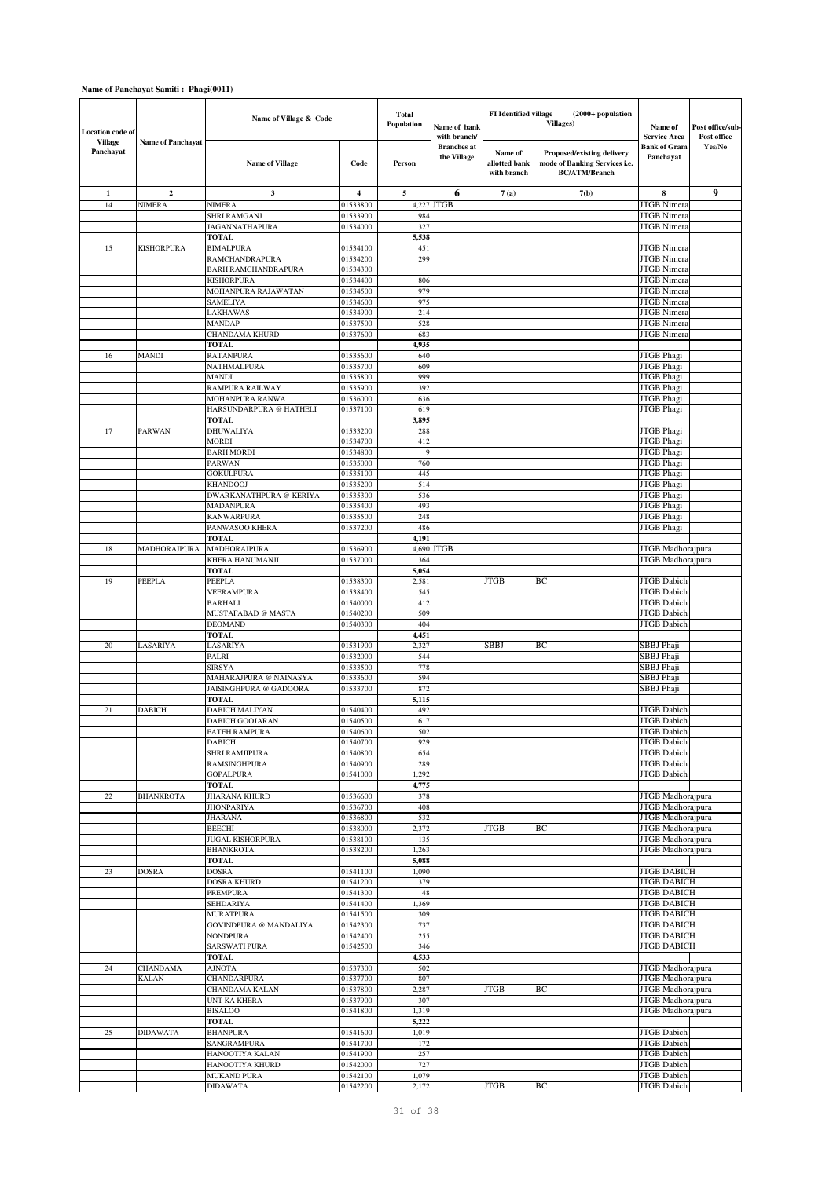## **Name of Panchayat Samiti : Phagi(0011)**

| <b>Location</b> code of     |                          | Name of Village & Code                           |                      | <b>Total</b><br>Population | Name of bank<br>with branch/      | FI Identified village                   | (2000+ population<br><b>Villages)</b>                                               | Name of<br><b>Service Area</b>           | Post office/sub-<br>Post office |
|-----------------------------|--------------------------|--------------------------------------------------|----------------------|----------------------------|-----------------------------------|-----------------------------------------|-------------------------------------------------------------------------------------|------------------------------------------|---------------------------------|
| <b>Village</b><br>Panchayat | <b>Name of Panchayat</b> | <b>Name of Village</b>                           | Code                 | Person                     | <b>Branches</b> at<br>the Village | Name of<br>allotted bank<br>with branch | Proposed/existing delivery<br>mode of Banking Services i.e.<br><b>BC/ATM/Branch</b> | Bank of Gram<br>Panchayat                | Yes/No                          |
| $\mathbf 1$                 | $\mathbf{2}$             | 3                                                | 4                    | 5                          | 6                                 | 7(a)                                    | 7(b)                                                                                | 8                                        | 9                               |
| 14                          | <b>NIMERA</b>            | <b>NIMERA</b>                                    | 01533800             | 4,227                      | <b>JTGB</b>                       |                                         |                                                                                     | <b>JTGB</b> Nimera                       |                                 |
|                             |                          | <b>SHRI RAMGANJ</b>                              | 01533900             | 984                        |                                   |                                         |                                                                                     | <b>JTGB</b> Nimera                       |                                 |
|                             |                          | <b>JAGANNATHAPURA</b>                            | 01534000             | 327                        |                                   |                                         |                                                                                     | <b>JTGB</b> Nimera                       |                                 |
| 15                          | KISHORPURA               | <b>TOTAL</b><br><b>BIMALPURA</b>                 | 01534100             | 5,538<br>451               |                                   |                                         |                                                                                     | <b>JTGB</b> Nimera                       |                                 |
|                             |                          | <b>RAMCHANDRAPURA</b>                            | 01534200             | 299                        |                                   |                                         |                                                                                     | <b>JTGB</b> Nimera                       |                                 |
|                             |                          | <b>BARH RAMCHANDRAPURA</b>                       | 01534300             |                            |                                   |                                         |                                                                                     | <b>JTGB</b> Nimera                       |                                 |
|                             |                          | <b>KISHORPURA</b>                                | 01534400             | 806                        |                                   |                                         |                                                                                     | <b>JTGB</b> Nimera                       |                                 |
|                             |                          | MOHANPURA RAJAWATAN                              | 01534500             | 979                        |                                   |                                         |                                                                                     | <b>JTGB</b> Nimera                       |                                 |
|                             |                          | <b>SAMELIYA</b><br>LAKHAWAS                      | 01534600<br>01534900 | 975<br>214                 |                                   |                                         |                                                                                     | <b>JTGB</b> Nimera<br><b>JTGB</b> Nimera |                                 |
|                             |                          | <b>MANDAP</b>                                    | 01537500             | 528                        |                                   |                                         |                                                                                     | <b>JTGB</b> Nimera                       |                                 |
|                             |                          | CHANDAMA KHURD                                   | 01537600             | 683                        |                                   |                                         |                                                                                     | <b>JTGB</b> Nimera                       |                                 |
|                             |                          | <b>TOTAL</b>                                     |                      | 4,935                      |                                   |                                         |                                                                                     |                                          |                                 |
| 16                          | MANDI                    | <b>RATANPURA</b>                                 | 01535600             | 640                        |                                   |                                         |                                                                                     | JTGB Phagi                               |                                 |
|                             |                          | NATHMALPURA<br><b>MANDI</b>                      | 01535700<br>01535800 | 609<br>999                 |                                   |                                         |                                                                                     | JTGB Phagi<br>JTGB Phagi                 |                                 |
|                             |                          | RAMPURA RAILWAY                                  | 01535900             | 392                        |                                   |                                         |                                                                                     | JTGB Phagi                               |                                 |
|                             |                          | MOHANPURA RANWA                                  | 01536000             | 636                        |                                   |                                         |                                                                                     | <b>JTGB</b> Phagi                        |                                 |
|                             |                          | HARSUNDARPURA @ HATHELI                          | 01537100             | 619                        |                                   |                                         |                                                                                     | JTGB Phagi                               |                                 |
|                             |                          | <b>TOTAL</b>                                     |                      | 3,895                      |                                   |                                         |                                                                                     |                                          |                                 |
| 17                          | PARWAN                   | <b>DHUWALIYA</b>                                 | 01533200             | 288                        |                                   |                                         |                                                                                     | JTGB Phagi                               |                                 |
|                             |                          | <b>MORDI</b><br><b>BARH MORDI</b>                | 01534700<br>01534800 | 412<br>9                   |                                   |                                         |                                                                                     | JTGB Phagi<br>JTGB Phagi                 |                                 |
|                             |                          | <b>PARWAN</b>                                    | 01535000             | 760                        |                                   |                                         |                                                                                     | JTGB Phagi                               |                                 |
|                             |                          | <b>GOKULPURA</b>                                 | 01535100             | 445                        |                                   |                                         |                                                                                     | JTGB Phagi                               |                                 |
|                             |                          | <b>KHANDOOJ</b>                                  | 01535200             | 514                        |                                   |                                         |                                                                                     | <b>JTGB</b> Phagi                        |                                 |
|                             |                          | <b>DWARKANATHPURA @ KERIYA</b>                   | 01535300             | 536                        |                                   |                                         |                                                                                     | JTGB Phagi                               |                                 |
|                             |                          | <b>MADANPURA</b>                                 | 01535400             | 493                        |                                   |                                         |                                                                                     | JTGB Phagi                               |                                 |
|                             |                          | <b>KANWARPURA</b><br>PANWASOO KHERA              | 01535500<br>01537200 | 248<br>486                 |                                   |                                         |                                                                                     | JTGB Phagi<br>JTGB Phagi                 |                                 |
|                             |                          | <b>TOTAL</b>                                     |                      | 4,191                      |                                   |                                         |                                                                                     |                                          |                                 |
| 18                          | <b>MADHORAJPURA</b>      | MADHORAJPURA                                     | 01536900             |                            | 4,690 JTGB                        |                                         |                                                                                     | JTGB Madhorajpura                        |                                 |
|                             |                          | <b>KHERA HANUMANJI</b>                           | 01537000             | 364                        |                                   |                                         |                                                                                     | JTGB Madhorajpura                        |                                 |
|                             |                          | <b>TOTAL</b>                                     |                      | 5,054                      |                                   |                                         |                                                                                     |                                          |                                 |
| 19                          | PEEPLA                   | PEEPLA<br>VEERAMPURA                             | 01538300<br>01538400 | 2,581<br>545               |                                   | <b>JTGB</b>                             | BС                                                                                  | <b>JTGB</b> Dabich<br><b>JTGB</b> Dabich |                                 |
|                             |                          | <b>BARHALI</b>                                   | 01540000             | 412                        |                                   |                                         |                                                                                     | <b>JTGB</b> Dabich                       |                                 |
|                             |                          | MUSTAFABAD @ MASTA                               | 01540200             | 509                        |                                   |                                         |                                                                                     | <b>JTGB</b> Dabich                       |                                 |
|                             |                          | <b>DEOMAND</b>                                   | 01540300             | 404                        |                                   |                                         |                                                                                     | <b>JTGB</b> Dabich                       |                                 |
|                             |                          | <b>TOTAL</b>                                     |                      | 4,451                      |                                   |                                         |                                                                                     |                                          |                                 |
| 20                          | LASARIYA                 | LASARIYA                                         | 01531900             | 2,327                      |                                   | SBBJ                                    | BС                                                                                  | SBBJ Phaji                               |                                 |
|                             |                          | PALRI<br><b>SIRSYA</b>                           | 01532000<br>01533500 | 544<br>778                 |                                   |                                         |                                                                                     | SBBJ Phaji<br>SBBJ Phaji                 |                                 |
|                             |                          | MAHARAJPURA @ NAINASYA                           | 01533600             | 594                        |                                   |                                         |                                                                                     | SBBJ Phaji                               |                                 |
|                             |                          | JAISINGHPURA @ GADOORA                           | 01533700             | 872                        |                                   |                                         |                                                                                     | SBBJ Phaji                               |                                 |
|                             |                          | <b>TOTAL</b>                                     |                      | 5,115                      |                                   |                                         |                                                                                     |                                          |                                 |
| 21                          | <b>DABICH</b>            | <b>DABICH MALIYAN</b>                            | 01540400             | 492                        |                                   |                                         |                                                                                     | <b>JTGB</b> Dabich                       |                                 |
|                             |                          | <b>DABICH GOOJARAN</b><br><b>FATEH RAMPURA</b>   | 01540500<br>01540600 | 617<br>502                 |                                   |                                         |                                                                                     | <b>JTGB</b> Dabich<br><b>JTGB</b> Dabich |                                 |
|                             |                          | <b>DABICH</b>                                    | 01540700             | 929                        |                                   |                                         |                                                                                     | <b>JTGB</b> Dabich                       |                                 |
|                             |                          | SHRI RAMJIPURA                                   | 01540800             | 654                        |                                   |                                         |                                                                                     | <b>JTGB</b> Dabich                       |                                 |
|                             |                          | <b>RAMSINGHPURA</b>                              | 01540900             | 289                        |                                   |                                         |                                                                                     | <b>JTGB</b> Dabich                       |                                 |
|                             |                          | <b>GOPALPURA</b>                                 | 01541000             | 1,292                      |                                   |                                         |                                                                                     | <b>JTGB</b> Dabich                       |                                 |
| 22                          | <b>BHANKROTA</b>         | TOTAL<br><b>JHARANA KHURD</b>                    | 01536600             | 4,775<br>378               |                                   |                                         |                                                                                     | JTGB Madhorajpura                        |                                 |
|                             |                          | <b>JHONPARIYA</b>                                | 01536700             | 408                        |                                   |                                         |                                                                                     | JTGB Madhorajpura                        |                                 |
|                             |                          | <b>JHARANA</b>                                   | 01536800             | 532                        |                                   |                                         |                                                                                     | JTGB Madhorajpura                        |                                 |
|                             |                          | <b>BEECHI</b>                                    | 01538000             | 2,372                      |                                   | <b>JTGB</b>                             | BC                                                                                  | JTGB Madhorajpura                        |                                 |
|                             |                          | <b>JUGAL KISHORPURA</b>                          | 01538100             | 135                        |                                   |                                         |                                                                                     | JTGB Madhorajpura                        |                                 |
|                             |                          | <b>BHANKROTA</b>                                 | 01538200             | 1,263                      |                                   |                                         |                                                                                     | JTGB Madhorajpura                        |                                 |
| 23                          | <b>DOSRA</b>             | TOTAL<br><b>DOSRA</b>                            | 01541100             | 5,088<br>1,090             |                                   |                                         |                                                                                     | <b>JTGB DABICH</b>                       |                                 |
|                             |                          | <b>DOSRA KHURD</b>                               | 01541200             | 379                        |                                   |                                         |                                                                                     | <b>JTGB DABICH</b>                       |                                 |
|                             |                          | <b>PREMPURA</b>                                  | 01541300             | 48                         |                                   |                                         |                                                                                     | <b>JTGB DABICH</b>                       |                                 |
|                             |                          | <b>SEHDARIYA</b>                                 | 01541400             | 1,369                      |                                   |                                         |                                                                                     | <b>JTGB DABICH</b>                       |                                 |
|                             |                          | <b>MURATPURA</b>                                 | 01541500             | 309                        |                                   |                                         |                                                                                     | <b>JTGB DABICH</b>                       |                                 |
|                             |                          | <b>GOVINDPURA @ MANDALIYA</b><br><b>NONDPURA</b> | 01542300<br>01542400 | 737<br>255                 |                                   |                                         |                                                                                     | <b>JTGB DABICH</b><br><b>JTGB DABICH</b> |                                 |
|                             |                          | <b>SARSWATI PURA</b>                             | 01542500             | 346                        |                                   |                                         |                                                                                     | <b>JTGB DABICH</b>                       |                                 |
|                             |                          | TOTAL                                            |                      | 4,533                      |                                   |                                         |                                                                                     |                                          |                                 |
| 24                          | <b>CHANDAMA</b>          | <b>AJNOTA</b>                                    | 01537300             | 502                        |                                   |                                         |                                                                                     | JTGB Madhorajpura                        |                                 |
|                             | <b>KALAN</b>             | CHANDARPURA                                      | 01537700             | 807                        |                                   |                                         |                                                                                     | JTGB Madhorajpura                        |                                 |
|                             |                          | <b>CHANDAMA KALAN</b>                            | 01537800             | 2,287                      |                                   | <b>JTGB</b>                             | BC                                                                                  | JTGB Madhorajpura                        |                                 |
|                             |                          | <b>UNT KA KHERA</b><br><b>BISALOO</b>            | 01537900<br>01541800 | 307<br>1,319               |                                   |                                         |                                                                                     | JTGB Madhorajpura<br>JTGB Madhorajpura   |                                 |
|                             |                          | <b>TOTAL</b>                                     |                      | 5,222                      |                                   |                                         |                                                                                     |                                          |                                 |
| 25                          | <b>DIDAWATA</b>          | <b>BHANPURA</b>                                  | 01541600             | 1,019                      |                                   |                                         |                                                                                     | <b>JTGB</b> Dabich                       |                                 |
|                             |                          | SANGRAMPURA                                      | 01541700             | 172                        |                                   |                                         |                                                                                     | <b>JTGB</b> Dabich                       |                                 |
|                             |                          | HANOOTIYA KALAN                                  | 01541900             | 257                        |                                   |                                         |                                                                                     | <b>JTGB</b> Dabich                       |                                 |
|                             |                          | HANOOTIYA KHURD                                  | 01542000             | 727                        |                                   |                                         |                                                                                     | <b>JTGB</b> Dabich<br><b>JTGB</b> Dabich |                                 |
|                             |                          | <b>MUKAND PURA</b><br><b>DIDAWATA</b>            | 01542100<br>01542200 | 1,079<br>2,172             |                                   | <b>JTGB</b>                             | BC                                                                                  | <b>JTGB</b> Dabich                       |                                 |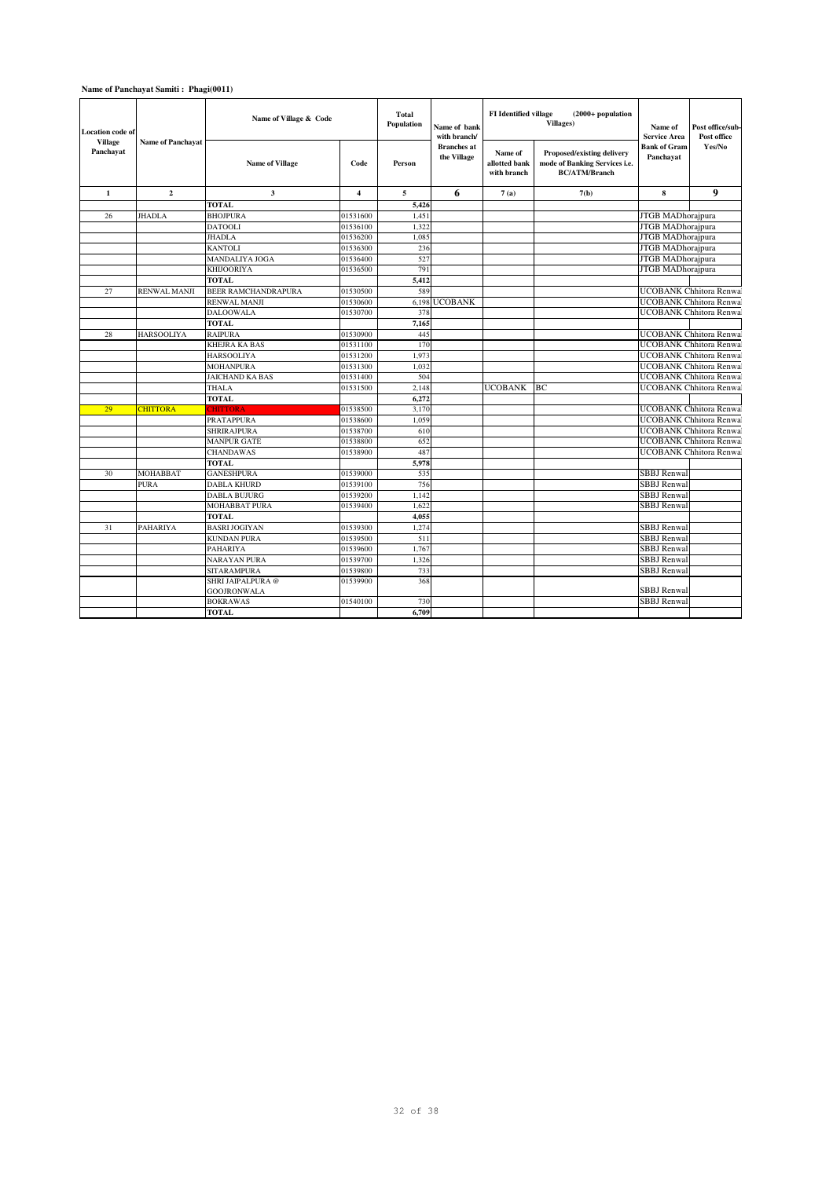## **Name of Panchayat Samiti : Phagi(0011)**

| <b>Location</b> code of<br><b>Village</b> | <b>Name of Panchayat</b> | Name of Village & Code     |                | Total<br>Population | Name of bank<br>with branch/      | <b>FI</b> Identified village<br>$(2000+$ population<br>Villages) |                                                                                     | Name of<br><b>Service Area</b>   | Post office/sub-<br>Post office |
|-------------------------------------------|--------------------------|----------------------------|----------------|---------------------|-----------------------------------|------------------------------------------------------------------|-------------------------------------------------------------------------------------|----------------------------------|---------------------------------|
| Panchayat                                 |                          | <b>Name of Village</b>     | Code           | Person              | <b>Branches</b> at<br>the Village | Name of<br>allotted bank<br>with branch                          | Proposed/existing delivery<br>mode of Banking Services i.e.<br><b>BC/ATM/Branch</b> | <b>Bank of Gram</b><br>Panchayat | Yes/No                          |
| $\mathbf{1}$                              | $\overline{2}$           | 3                          | $\overline{4}$ | 5                   | 6                                 | 7(a)                                                             | 7(b)                                                                                | 8                                | 9                               |
|                                           |                          | <b>TOTAL</b>               |                | 5.426               |                                   |                                                                  |                                                                                     |                                  |                                 |
| 26                                        | <b>JHADLA</b>            | <b>BHOJPURA</b>            | 01531600       | 1.451               |                                   |                                                                  |                                                                                     | JTGB MADhorajpura                |                                 |
|                                           |                          | <b>DATOOLI</b>             | 01536100       | 1,322               |                                   |                                                                  |                                                                                     | <b>JTGB MADhorajpura</b>         |                                 |
|                                           |                          | <b>JHADLA</b>              | 01536200       | 1,085               |                                   |                                                                  |                                                                                     | <b>JTGB</b> MADhorajpura         |                                 |
|                                           |                          | <b>KANTOLI</b>             | 01536300       | 236                 |                                   |                                                                  |                                                                                     | JTGB MADhorajpura                |                                 |
|                                           |                          | <b>MANDALIYA JOGA</b>      | 01536400       | 527                 |                                   |                                                                  |                                                                                     | JTGB MADhorajpura                |                                 |
|                                           |                          | <b>KHIJOORIYA</b>          | 01536500       | 791                 |                                   |                                                                  |                                                                                     | JTGB MADhorajpura                |                                 |
|                                           |                          | <b>TOTAL</b>               |                | 5,412               |                                   |                                                                  |                                                                                     |                                  |                                 |
| 27                                        | <b>RENWAL MANJI</b>      | <b>BEER RAMCHANDRAPURA</b> | 01530500       | 589                 |                                   |                                                                  |                                                                                     |                                  | <b>UCOBANK Chhitora Renwal</b>  |
|                                           |                          | <b>RENWAL MANJI</b>        | 01530600       | 6,198               | <b>UCOBANK</b>                    |                                                                  |                                                                                     |                                  | <b>UCOBANK Chhitora Renwal</b>  |
|                                           |                          | <b>DALOOWALA</b>           | 01530700       | 378                 |                                   |                                                                  |                                                                                     |                                  | <b>UCOBANK Chhitora Renwal</b>  |
|                                           |                          | <b>TOTAL</b>               |                | 7,165               |                                   |                                                                  |                                                                                     |                                  |                                 |
| 28                                        | <b>HARSOOLIYA</b>        | <b>RAIPURA</b>             | 01530900       | 445                 |                                   |                                                                  |                                                                                     |                                  | <b>UCOBANK Chhitora Renwal</b>  |
|                                           |                          | <b>KHEJRA KA BAS</b>       | 01531100       | 170                 |                                   |                                                                  |                                                                                     |                                  | <b>UCOBANK Chhitora Renwal</b>  |
|                                           |                          | <b>HARSOOLIYA</b>          | 01531200       | 1,973               |                                   |                                                                  |                                                                                     |                                  | <b>UCOBANK Chhitora Renwal</b>  |
|                                           |                          | <b>MOHANPURA</b>           | 01531300       | 1,032               |                                   |                                                                  |                                                                                     |                                  | <b>UCOBANK Chhitora Renwal</b>  |
|                                           |                          | <b>JAICHAND KA BAS</b>     | 01531400       | 504                 |                                   |                                                                  |                                                                                     |                                  | <b>UCOBANK Chhitora Renwal</b>  |
|                                           |                          | <b>THALA</b>               | 01531500       | 2.148               |                                   | <b>UCOBANK</b>                                                   | BC                                                                                  |                                  | <b>UCOBANK Chhitora Renwal</b>  |
|                                           |                          | <b>TOTAL</b>               |                | 6,272               |                                   |                                                                  |                                                                                     |                                  |                                 |
| 29                                        | <b>CHITTORA</b>          | <b>CHITTORA</b>            | 01538500       | 3,170               |                                   |                                                                  |                                                                                     |                                  | <b>UCOBANK Chhitora Renwal</b>  |
|                                           |                          | <b>PRATAPPURA</b>          | 01538600       | 1.059               |                                   |                                                                  |                                                                                     |                                  | <b>UCOBANK Chhitora Renwal</b>  |
|                                           |                          | <b>SHRIRAJPURA</b>         | 01538700       | 610                 |                                   |                                                                  |                                                                                     |                                  | <b>UCOBANK</b> Chhitora Renwal  |
|                                           |                          | <b>MANPUR GATE</b>         | 01538800       | 652                 |                                   |                                                                  |                                                                                     |                                  | <b>UCOBANK Chhitora Renwal</b>  |
|                                           |                          | <b>CHANDAWAS</b>           | 01538900       | 487                 |                                   |                                                                  |                                                                                     |                                  | <b>UCOBANK Chhitora Renwal</b>  |
|                                           |                          | <b>TOTAL</b>               |                | 5,978               |                                   |                                                                  |                                                                                     |                                  |                                 |
| 30                                        | <b>MOHABBAT</b>          | <b>GANESHPURA</b>          | 01539000       | 535                 |                                   |                                                                  |                                                                                     | <b>SBBJ</b> Renwal               |                                 |
|                                           | <b>PURA</b>              | <b>DABLA KHURD</b>         | 01539100       | 756                 |                                   |                                                                  |                                                                                     | <b>SBBJ</b> Renwal               |                                 |
|                                           |                          | <b>DABLA BUJURG</b>        | 01539200       | 1,142               |                                   |                                                                  |                                                                                     | <b>SBBJ</b> Renwal               |                                 |
|                                           |                          | <b>MOHABBAT PURA</b>       | 01539400       | 1.622               |                                   |                                                                  |                                                                                     | <b>SBBJ</b> Renwal               |                                 |
|                                           |                          | <b>TOTAL</b>               |                | 4,055               |                                   |                                                                  |                                                                                     |                                  |                                 |
| 31                                        | <b>PAHARIYA</b>          | <b>BASRI JOGIYAN</b>       | 01539300       | 1,274               |                                   |                                                                  |                                                                                     | <b>SBBJ</b> Renwal               |                                 |
|                                           |                          | <b>KUNDAN PURA</b>         | 01539500       | 511                 |                                   |                                                                  |                                                                                     | <b>SBBJ</b> Renwal               |                                 |
|                                           |                          | <b>PAHARIYA</b>            | 01539600       | 1,767               |                                   |                                                                  |                                                                                     | <b>SBBJ</b> Renwal               |                                 |
|                                           |                          | <b>NARAYAN PURA</b>        | 01539700       | 1.326               |                                   |                                                                  |                                                                                     | <b>SBBJ</b> Renwal               |                                 |
|                                           |                          | <b>SITARAMPURA</b>         | 01539800       | 733                 |                                   |                                                                  |                                                                                     | <b>SBBJ</b> Renwal               |                                 |
|                                           |                          | SHRI JAIPALPURA @          | 01539900       | 368                 |                                   |                                                                  |                                                                                     |                                  |                                 |
|                                           |                          | <b>GOOJRONWALA</b>         |                |                     |                                   |                                                                  |                                                                                     | <b>SBBJ</b> Renwal               |                                 |
|                                           |                          | <b>BOKRAWAS</b>            | 01540100       | 730                 |                                   |                                                                  |                                                                                     | <b>SBBJ</b> Renwal               |                                 |
|                                           |                          | <b>TOTAL</b>               |                | 6.709               |                                   |                                                                  |                                                                                     |                                  |                                 |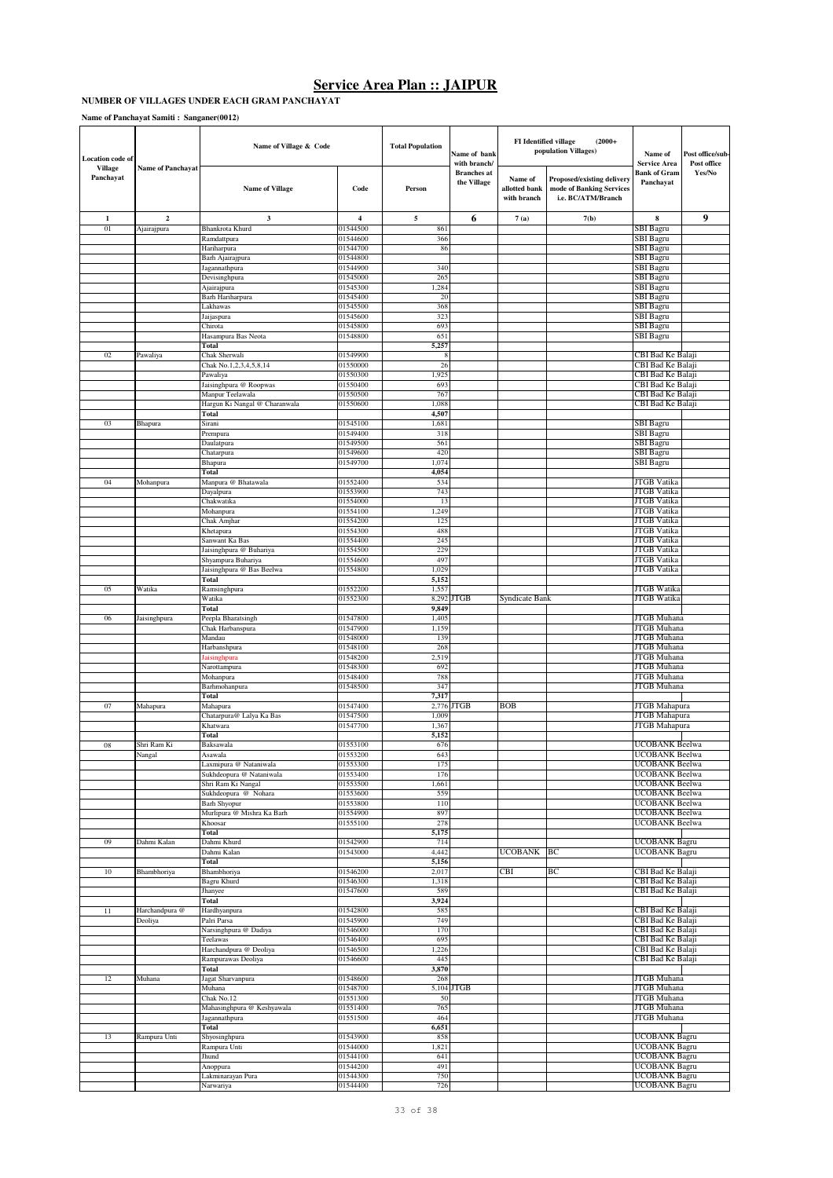### **NUMBER OF VILLAGES UNDER EACH GRAM PANCHAYAT**

**Name of Panchayat Samiti : Sanganer(0012)**

| Location code of            |                          | Name of Village & Code                      |                         | <b>Total Population</b> | Name of bank<br>with branch/      | <b>FI</b> Identified village            | $(2000+$<br>population Villages)                                             | Name of<br><b>Service Area</b>               | Post office/sub-<br>Post office |
|-----------------------------|--------------------------|---------------------------------------------|-------------------------|-------------------------|-----------------------------------|-----------------------------------------|------------------------------------------------------------------------------|----------------------------------------------|---------------------------------|
| <b>Village</b><br>Panchayat | <b>Name of Panchayat</b> | <b>Name of Village</b>                      | Code                    | Person                  | <b>Branches</b> at<br>the Village | Name of<br>allotted bank<br>with branch | Proposed/existing delivery<br>mode of Banking Services<br>i.e. BC/ATM/Branch | Bank of Gram<br>Panchayat                    | Yes/No                          |
| 1                           | $\overline{\mathbf{c}}$  | $\mathbf{3}$                                | $\overline{\mathbf{4}}$ | 5                       | 6                                 | 7(a)                                    | 7(b)                                                                         | 8                                            | 9                               |
| 01                          | Ajairajpura              | Bhankrota Khurd                             | 01544500                | 861                     |                                   |                                         |                                                                              | SBI Bagru                                    |                                 |
|                             |                          | Ramdattpura<br>Hariharpura                  | 01544600<br>01544700    | 366<br>86               |                                   |                                         |                                                                              | SBI Bagru<br>SBI Bagru                       |                                 |
|                             |                          | Barh Ajairajpura                            | 01544800                |                         |                                   |                                         |                                                                              | SBI Bagru                                    |                                 |
|                             |                          | Jagannathpura                               | 01544900                | 340                     |                                   |                                         |                                                                              | SBI Bagru                                    |                                 |
|                             |                          | Devisinghpura                               | 01545000                | 265                     |                                   |                                         |                                                                              | SBI Bagru                                    |                                 |
|                             |                          | Ajairajpura<br>Barh Hariharpura             | 01545300<br>01545400    | 1,284<br>20             |                                   |                                         |                                                                              | SBI Bagru<br>SBI Bagru                       |                                 |
|                             |                          | Lakhawas                                    | 01545500                | 368                     |                                   |                                         |                                                                              | SBI Bagru                                    |                                 |
|                             |                          | Jaijaspura                                  | 01545600                | 323                     |                                   |                                         |                                                                              | SBI Bagru                                    |                                 |
|                             |                          | Chirota                                     | 01545800                | 693                     |                                   |                                         |                                                                              | SBI Bagru                                    |                                 |
|                             |                          | Hasampura Bas Neota<br>Total                | 01548800                | 651<br>5,257            |                                   |                                         |                                                                              | SBI Bagru                                    |                                 |
| 02                          | Pawaliya                 | Chak Sherwali                               | 01549900                | 8                       |                                   |                                         |                                                                              | CBI Bad Ke Balaji                            |                                 |
|                             |                          | Chak No.1,2,3,4,5,8,14                      | 01550000                | 26                      |                                   |                                         |                                                                              | CBI Bad Ke Balaji                            |                                 |
|                             |                          | Pawaliya                                    | 01550300                | 1,925                   |                                   |                                         |                                                                              | CBI Bad Ke Balaji                            |                                 |
|                             |                          | Jaisinghpura @ Roopwas<br>Manpur Teelawala  | 01550400<br>01550500    | 693<br>767              |                                   |                                         |                                                                              | CBI Bad Ke Balaji<br>CBI Bad Ke Balaji       |                                 |
|                             |                          | Hargun Ki Nangal @ Charanwala               | 01550600                | 1,088                   |                                   |                                         |                                                                              | CBI Bad Ke Balaji                            |                                 |
|                             |                          | Total                                       |                         | 4,507                   |                                   |                                         |                                                                              |                                              |                                 |
| 03                          | Bhapura                  | Sirani                                      | 01545100                | 1,681                   |                                   |                                         |                                                                              | <b>SBI</b> Bagru                             |                                 |
|                             |                          | Prempura                                    | 01549400                | 318                     |                                   |                                         |                                                                              | SBI Bagru                                    |                                 |
|                             |                          | Daulatpura<br>Chatarpura                    | 01549500<br>01549600    | 561<br>420              |                                   |                                         |                                                                              | <b>SBI</b> Bagru<br>SBI Bagru                |                                 |
|                             |                          | Bhapura                                     | 01549700                | 1,074                   |                                   |                                         |                                                                              | <b>SBI</b> Bagru                             |                                 |
|                             |                          | Total                                       |                         | 4,054                   |                                   |                                         |                                                                              |                                              |                                 |
| 04                          | Mohanpura                | Manpura @ Bhatawala                         | 01552400                | 534                     |                                   |                                         |                                                                              | JTGB Vatika                                  |                                 |
|                             |                          | Dayalpura<br>Chakwatika                     | 01553900<br>01554000    | 743<br>13               |                                   |                                         |                                                                              | <b>JTGB</b> Vatika<br>JTGB Vatika            |                                 |
|                             |                          | Mohanpura                                   | 01554100                | 1,249                   |                                   |                                         |                                                                              | <b>JTGB</b> Vatika                           |                                 |
|                             |                          | Chak Amjhar                                 | 01554200                | 125                     |                                   |                                         |                                                                              | JTGB Vatika                                  |                                 |
|                             |                          | Khetapura                                   | 01554300                | 488                     |                                   |                                         |                                                                              | JTGB Vatika                                  |                                 |
|                             |                          | Sanwant Ka Bas<br>Jaisinghpura @ Buhariya   | 01554400<br>01554500    | 245<br>229              |                                   |                                         |                                                                              | <b>JTGB</b> Vatika<br><b>JTGB</b> Vatika     |                                 |
|                             |                          | Shyampura Buhariya                          | 01554600                | 497                     |                                   |                                         |                                                                              | JTGB Vatika                                  |                                 |
|                             |                          | Jaisinghpura @ Bas Beelwa                   | 01554800                | 1,029                   |                                   |                                         |                                                                              | JTGB Vatika                                  |                                 |
|                             |                          | Total                                       |                         | 5,152                   |                                   |                                         |                                                                              |                                              |                                 |
| 05                          | Watika                   | Ramsinghpura                                | 01552200                | 1,557                   |                                   |                                         |                                                                              | <b>JTGB</b> Watika<br><b>JTGB</b> Watika     |                                 |
|                             |                          | Watika<br>Total                             | 01552300                | 8,292<br>9,849          | <b>JTGB</b>                       | Syndicate Bank                          |                                                                              |                                              |                                 |
| 06                          | Jaisinghpura             | Peepla Bharatsingh                          | 01547800                | 1,405                   |                                   |                                         |                                                                              | JTGB Muhana                                  |                                 |
|                             |                          | Chak Harbanspura                            | 01547900                | 1,159                   |                                   |                                         |                                                                              | <b>JTGB</b> Muhana                           |                                 |
|                             |                          | Mandau                                      | 01548000                | 139                     |                                   |                                         |                                                                              | JTGB Muhana                                  |                                 |
|                             |                          | Harbanshpura<br>laisinghpura                | 01548100<br>01548200    | 268<br>2,519            |                                   |                                         |                                                                              | <b>JTGB</b> Muhana<br>JTGB Muhana            |                                 |
|                             |                          | Narottampura                                | 01548300                | 692                     |                                   |                                         |                                                                              | JTGB Muhana                                  |                                 |
|                             |                          | Mohanpura                                   | 01548400                | 788                     |                                   |                                         |                                                                              | JTGB Muhana                                  |                                 |
|                             |                          | Barhmohanpura                               | 01548500                | 347                     |                                   |                                         |                                                                              | JTGB Muhana                                  |                                 |
| 07                          |                          | Total                                       | 01547400                | 7,317<br>2,776          | JTGB                              | <b>BOB</b>                              |                                                                              | JTGB Mahapura                                |                                 |
|                             | Mahapura                 | Mahapura<br>Chatarpura@ Lalya Ka Bas        | 01547500                | 1,009                   |                                   |                                         |                                                                              | JTGB Mahapura                                |                                 |
|                             |                          | Khatwara                                    | 01547700                | 1,367                   |                                   |                                         |                                                                              | JTGB Mahapura                                |                                 |
|                             |                          | Total                                       |                         | 5,152                   |                                   |                                         |                                                                              |                                              |                                 |
| $08\,$                      | Shri Ram Ki<br>Nangai    | Baksawala<br>Asawala                        | 01553100<br>01553200    | 676<br>643              |                                   |                                         |                                                                              | UCOBANK Beelwa<br><b>UCOBANK</b> Beelwa      |                                 |
|                             |                          | Laxmipura @ Nataniwala                      | 01553300                | 175                     |                                   |                                         |                                                                              | <b>UCOBANK Beelwa</b>                        |                                 |
|                             |                          | Sukhdeopura @ Nataniwala                    | 01553400                | 176                     |                                   |                                         |                                                                              | UCOBANK Beelwa                               |                                 |
|                             |                          | Shri Ram Ki Nangal                          | 01553500                | 1,661                   |                                   |                                         |                                                                              | UCOBANK Beelwa                               |                                 |
|                             |                          | Sukhdeopura @ Nohara<br><b>Barh Shyopur</b> | 01553600<br>01553800    | 559<br>110              |                                   |                                         |                                                                              | UCOBANK Beelwa<br>UCOBANK Beelwa             |                                 |
|                             |                          | Murlipura @ Mishra Ka Barh                  | 01554900                | 897                     |                                   |                                         |                                                                              | UCOBANK Beelwa                               |                                 |
|                             |                          | Khoosar                                     | 01555100                | 278                     |                                   |                                         |                                                                              | UCOBANK Beelwa                               |                                 |
|                             |                          | Total                                       |                         | 5,175                   |                                   |                                         |                                                                              |                                              |                                 |
| 09                          | Dahmi Kalan              | Dahmi Khurd<br>Dahmi Kalan                  | 01542900<br>01543000    | 714<br>4,442            |                                   | <b>UCOBANK</b>                          | BC                                                                           | <b>UCOBANK Bagru</b><br><b>UCOBANK Bagru</b> |                                 |
|                             |                          | Total                                       |                         | 5,156                   |                                   |                                         |                                                                              |                                              |                                 |
| 10                          | Bhambhoriya              | Bhambhoriya                                 | 01546200                | 2,017                   |                                   | <b>CBI</b>                              | BC                                                                           | CBI Bad Ke Balaji                            |                                 |
|                             |                          | Bagru Khurd                                 | 01546300                | 1,318                   |                                   |                                         |                                                                              | CBI Bad Ke Balaji                            |                                 |
|                             |                          | Jhanyee<br>Total                            | 01547600                | 589<br>3,924            |                                   |                                         |                                                                              | CBI Bad Ke Balaji                            |                                 |
| 11                          | Harchandpura @           | Hardhyanpura                                | 01542800                | 585                     |                                   |                                         |                                                                              | CBI Bad Ke Balaji                            |                                 |
|                             | Deoliya                  | Palri Parsa                                 | 01545900                | 749                     |                                   |                                         |                                                                              | CBI Bad Ke Balaji                            |                                 |
|                             |                          | Narsinghpura @ Dadiya                       | 01546000                | 170                     |                                   |                                         |                                                                              | CBI Bad Ke Balaji                            |                                 |
|                             |                          | Teelawas<br>Harchandpura @ Deoliya          | 01546400<br>01546500    | 695<br>1,226            |                                   |                                         |                                                                              | CBI Bad Ke Balaji<br>CBI Bad Ke Balaji       |                                 |
|                             |                          | Rampurawas Deoliya                          | 01546600                | 445                     |                                   |                                         |                                                                              | CBI Bad Ke Balaji                            |                                 |
|                             |                          | Total                                       |                         | 3,870                   |                                   |                                         |                                                                              |                                              |                                 |
| 12                          | Muhana                   | Jagat Sharvanpura                           | 01548600                | 268                     |                                   |                                         |                                                                              | JTGB Muhana                                  |                                 |
|                             |                          | Muhana                                      | 01548700                |                         | 5,104 JTGB                        |                                         |                                                                              | JTGB Muhana                                  |                                 |
|                             |                          | Chak No.12<br>Mahasinghpura @ Keshyawala    | 01551300<br>01551400    | 50<br>765               |                                   |                                         |                                                                              | JTGB Muhana<br>JTGB Muhana                   |                                 |
|                             |                          | Jagannathpura                               | 01551500                | 464                     |                                   |                                         |                                                                              | JTGB Muhana                                  |                                 |
|                             |                          | Total                                       |                         | 6,651                   |                                   |                                         |                                                                              |                                              |                                 |
| 13                          | Rampura Unti             | Shyosinghpura                               | 01543900                | 858                     |                                   |                                         |                                                                              | UCOBANK Bagru                                |                                 |
|                             |                          | Rampura Unti<br>Jhund                       | 01544000<br>01544100    | 1,821<br>641            |                                   |                                         |                                                                              | <b>UCOBANK Bagru</b><br>UCOBANK Bagru        |                                 |
|                             |                          | Anoppura                                    | 01544200                | 491                     |                                   |                                         |                                                                              | <b>UCOBANK Bagru</b>                         |                                 |
|                             |                          | Lakminarayan Pura                           | 01544300                | 750                     |                                   |                                         |                                                                              | UCOBANK Bagru                                |                                 |
|                             |                          | Narwariya                                   | 01544400                | 726                     |                                   |                                         |                                                                              | UCOBANK Bagru                                |                                 |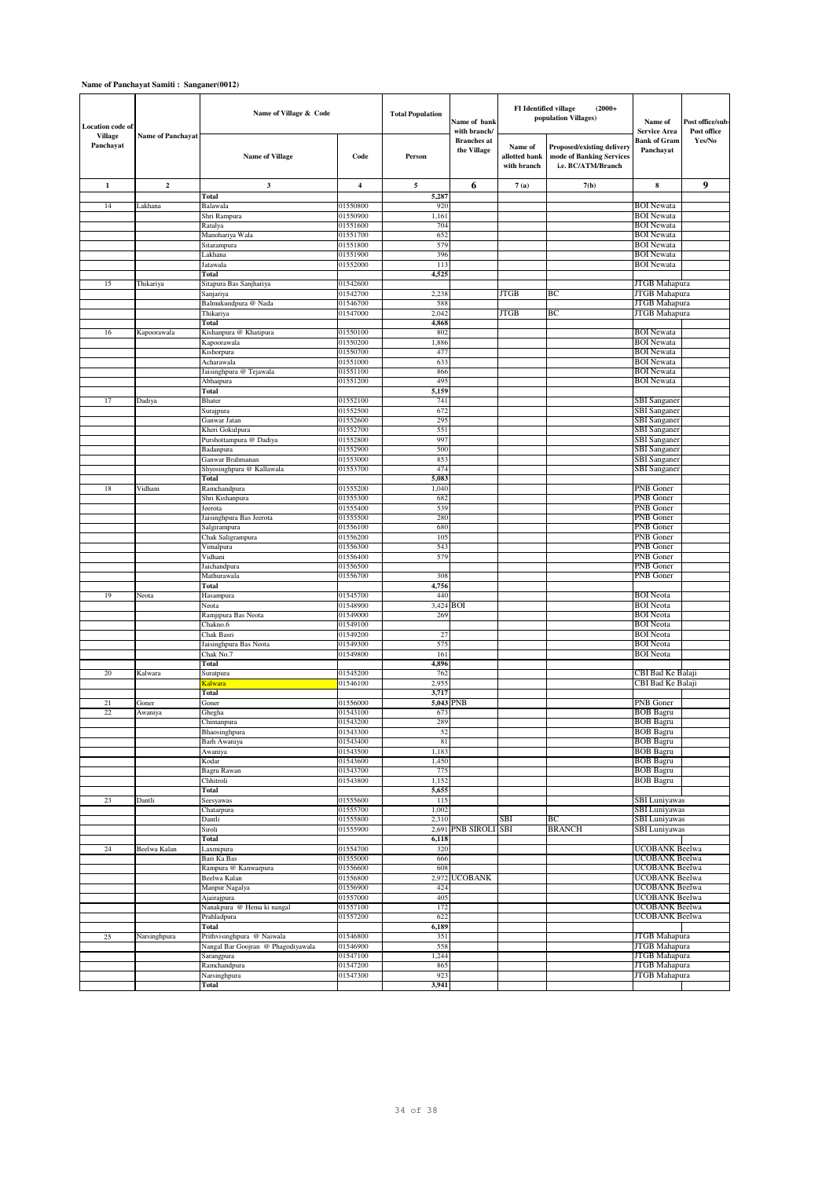### **Name of Panchayat Samiti : Sanganer(0012)**

| <b>Location</b> code of<br><b>Village</b> | <b>Name of Panchayat</b> | Name of Village & Code                           |                      | <b>Total Population</b> | Name of bank<br>with branch/      | FI Identified village                   | $(2000+$<br>population Villages)                                             | Name of<br><b>Service Area</b>         | Post office/sub-<br>Post office |
|-------------------------------------------|--------------------------|--------------------------------------------------|----------------------|-------------------------|-----------------------------------|-----------------------------------------|------------------------------------------------------------------------------|----------------------------------------|---------------------------------|
| Panchayat                                 |                          | <b>Name of Village</b>                           | Code                 | Person                  | <b>Branches</b> at<br>the Village | Name of<br>allotted bank<br>with branch | Proposed/existing delivery<br>mode of Banking Services<br>i.e. BC/ATM/Branch | <b>Bank of Gram</b><br>Panchayat       | Yes/No                          |
| $\mathbf{1}$                              | $\overline{2}$           | $\mathbf{3}$                                     | $\overline{4}$       | 5                       | 6                                 | 7(a)                                    | 7(b)                                                                         | 8                                      | 9                               |
|                                           |                          | Total                                            |                      | 5,287                   |                                   |                                         |                                                                              |                                        |                                 |
| 14                                        | Lakhana                  | Balawala<br>Shri Rampura                         | 01550800<br>01550900 | 920<br>1,161            |                                   |                                         |                                                                              | <b>BOI</b> Newata<br><b>BOI</b> Newata |                                 |
|                                           |                          | Ratalya                                          | 01551600             | 704                     |                                   |                                         |                                                                              | <b>BOI</b> Newata                      |                                 |
|                                           |                          | Manohariya Wala                                  | 01551700             | 652                     |                                   |                                         |                                                                              | <b>BOI</b> Newata                      |                                 |
|                                           |                          | Sitarampura                                      | 01551800             | 579                     |                                   |                                         |                                                                              | <b>BOI</b> Newata                      |                                 |
|                                           |                          | Lakhana                                          | 01551900             | 396                     |                                   |                                         |                                                                              | <b>BOI</b> Newata                      |                                 |
|                                           |                          | Jatawala<br>Total                                | 01552000             | 113<br>4,525            |                                   |                                         |                                                                              | <b>BOI</b> Newata                      |                                 |
| 15                                        | Thikariya                | Sitapura Bas Sanjhariya                          | 01542600             |                         |                                   |                                         |                                                                              | JTGB Mahapura                          |                                 |
|                                           |                          | Sanjariya                                        | 01542700             | 2,23                    |                                   | <b>JTGB</b>                             | BC                                                                           | JTGB Mahapura                          |                                 |
|                                           |                          | Balmukundpura @ Nada                             | 01546700             | 588                     |                                   |                                         |                                                                              | JTGB Mahapura                          |                                 |
|                                           |                          | Thikariya                                        | 01547000             | 2,042<br>4,868          |                                   | <b>JTGB</b>                             | BC                                                                           | <b>JTGB</b> Mahapura                   |                                 |
| 16                                        | Kapoorawala              | Total<br>Kishanpura @ Khatipura                  | 01550100             | 802                     |                                   |                                         |                                                                              | <b>BOI</b> Newata                      |                                 |
|                                           |                          | Kapoorawala                                      | 01550200             | 1,886                   |                                   |                                         |                                                                              | <b>BOI</b> Newata                      |                                 |
|                                           |                          | Kishorpura                                       | 01550700             | 477                     |                                   |                                         |                                                                              | <b>BOI</b> Newata                      |                                 |
|                                           |                          | Acharawala                                       | 01551000             | 633                     |                                   |                                         |                                                                              | <b>BOI</b> Newata                      |                                 |
|                                           |                          | Jaisinghpura @ Tejawala<br>Abhaipura             | 01551100<br>01551200 | 866<br>495              |                                   |                                         |                                                                              | <b>BOI</b> Newata<br><b>BOI</b> Newata |                                 |
|                                           |                          | Total                                            |                      | 5,159                   |                                   |                                         |                                                                              |                                        |                                 |
| 17                                        | Dadiya                   | <b>Bhater</b>                                    | 01552100             | 741                     |                                   |                                         |                                                                              | <b>SBI</b> Sanganer                    |                                 |
|                                           |                          | Surajpura                                        | 01552500             | 672                     |                                   |                                         |                                                                              | <b>SBI</b> Sanganer                    |                                 |
|                                           |                          | Ganwar Jatan                                     | 01552600             | 295                     |                                   |                                         |                                                                              | SBI Sanganer                           |                                 |
|                                           |                          | Kheri Gokulpura<br>Purshottampura @ Dadiya       | 01552700<br>01552800 | 551<br>997              |                                   |                                         |                                                                              | SBI Sanganeı<br><b>SBI</b> Sanganer    |                                 |
|                                           |                          | Badanpura                                        | 01552900             | 500                     |                                   |                                         |                                                                              | SBI Sanganer                           |                                 |
|                                           |                          | Ganwar Brahmanan                                 | 01553000             | 853                     |                                   |                                         |                                                                              | SBI Sanganer                           |                                 |
|                                           |                          | Shyosinghpura @ Kallawala                        | 01553700             | 474                     |                                   |                                         |                                                                              | <b>SBI</b> Sanganer                    |                                 |
| 18                                        | Vidhani                  | Total                                            | 01555200             | 5,083<br>1,040          |                                   |                                         |                                                                              | PNB Goner                              |                                 |
|                                           |                          | Ramchandpura<br>Shri Kishanpura                  | 01555300             | 682                     |                                   |                                         |                                                                              | PNB Goner                              |                                 |
|                                           |                          | Jeerota                                          | 01555400             | 539                     |                                   |                                         |                                                                              | PNB Goner                              |                                 |
|                                           |                          | Jaisinghpura Bas Jeerota                         | 01555500             | 280                     |                                   |                                         |                                                                              | PNB Goner                              |                                 |
|                                           |                          | Salgirampura                                     | 01556100             | 680                     |                                   |                                         |                                                                              | PNB Goner                              |                                 |
|                                           |                          | Chak Saligrampura<br>Vimalpura                   | 01556200<br>01556300 | 105<br>543              |                                   |                                         |                                                                              | <b>PNB</b> Goner<br>PNB Goner          |                                 |
|                                           |                          | Vidhani                                          | 01556400             | 579                     |                                   |                                         |                                                                              | PNB Goner                              |                                 |
|                                           |                          | Jaichandpura                                     | 01556500             |                         |                                   |                                         |                                                                              | <b>PNB</b> Goner                       |                                 |
|                                           |                          | Mathurawala                                      | 01556700             | 308                     |                                   |                                         |                                                                              | PNB Goner                              |                                 |
| 19                                        | Neota                    | Total<br>Hasampura                               | 01545700             | 4,756<br>440            |                                   |                                         |                                                                              | <b>BOI</b> Neota                       |                                 |
|                                           |                          | Neota                                            | 01548900             | 3,424 BOI               |                                   |                                         |                                                                              | <b>BOI</b> Neota                       |                                 |
|                                           |                          | Ramjipura Bas Neota                              | 01549000             | 269                     |                                   |                                         |                                                                              | <b>BOI</b> Neota                       |                                 |
|                                           |                          | Chakno.6                                         | 01549100             |                         |                                   |                                         |                                                                              | <b>BOI</b> Neota                       |                                 |
|                                           |                          | Chak Basri                                       | 01549200             | 27                      |                                   |                                         |                                                                              | <b>BOI</b> Neota                       |                                 |
|                                           |                          | Jaisinghpura Bas Neota<br>Chak No.7              | 01549300<br>01549800 | 575<br>161              |                                   |                                         |                                                                              | <b>BOI</b> Neota<br><b>BOI</b> Neota   |                                 |
|                                           |                          | Total                                            |                      | 4,896                   |                                   |                                         |                                                                              |                                        |                                 |
| 20                                        | Kalwara                  | Suratpura                                        | 01545200             | 762                     |                                   |                                         |                                                                              | CBI Bad Ke Balaji                      |                                 |
|                                           |                          | Kalwara                                          | 01546100             | 2,955                   |                                   |                                         |                                                                              | CBI Bad Ke Balaji                      |                                 |
| 21                                        | Goner                    | Total<br>Goner                                   | 01556000             | 3,717<br>5,043 PNB      |                                   |                                         |                                                                              | PNB Goner                              |                                 |
| 22                                        | Awaniya                  | Ghegha                                           | 01543100             | 673                     |                                   |                                         |                                                                              | <b>BOB Bagru</b>                       |                                 |
|                                           |                          | Chimanpura                                       | 01543200             | 289                     |                                   |                                         |                                                                              | <b>BOB Bagru</b>                       |                                 |
|                                           |                          | Bhaosinghpura                                    | 01543300             | 52                      |                                   |                                         |                                                                              | <b>BOB Bagru</b>                       |                                 |
|                                           |                          | Barh Awaniya<br>Awaniya                          | 01543400<br>01543500 | 81<br>1,183             |                                   |                                         |                                                                              | <b>BOB</b> Bagru<br><b>BOB</b> Bagru   |                                 |
|                                           |                          | Kodar                                            | 01543600             | 1,450                   |                                   |                                         |                                                                              | <b>BOB</b> Bagru                       |                                 |
|                                           |                          | Bagru Rawan                                      | 01543700             | 775                     |                                   |                                         |                                                                              | <b>BOB</b> Bagru                       |                                 |
|                                           |                          | Chhitroli                                        | 01543800             | 1,152                   |                                   |                                         |                                                                              | <b>BOB Bagru</b>                       |                                 |
| 23                                        | Dantli                   | Total<br>Seesyawas                               | 01555600             | 5,655<br>115            |                                   |                                         |                                                                              | <b>SBI</b> Luniyawas                   |                                 |
|                                           |                          | Chatarpura                                       | 01555700             | 1,002                   |                                   |                                         |                                                                              | SBI Luniyawas                          |                                 |
|                                           |                          | Dantli                                           | 01555800             | 2,310                   |                                   | SBI                                     | BС                                                                           | <b>SBI</b> Luniyawas                   |                                 |
|                                           |                          | Siroli                                           | 01555900             | 2,691                   | PNB SIROLI                        | <b>SBI</b>                              | <b>BRANCH</b>                                                                | <b>SBI</b> Luniyawas                   |                                 |
| 24                                        | Beelwa Kalan             | Total<br>Laxmipura                               | 01554700             | 6,118<br>320            |                                   |                                         |                                                                              | UCOBANK Beelwa                         |                                 |
|                                           |                          | Bari Ka Bas                                      | 01555000             | 666                     |                                   |                                         |                                                                              | <b>UCOBANK</b> Beelwa                  |                                 |
|                                           |                          | Rampura @ Kanwarpura                             | 01556600             | 608                     |                                   |                                         |                                                                              | UCOBANK Beelwa                         |                                 |
|                                           |                          | Beelwa Kalan                                     | 01556800             | 2,972                   | <b>UCOBANK</b>                    |                                         |                                                                              | UCOBANK Beelwa                         |                                 |
|                                           |                          | Manpur Nagalya<br>Ajairajpura                    | 01556900             | 424<br>405              |                                   |                                         |                                                                              | UCOBANK Beelwa                         |                                 |
|                                           |                          | Nanakpura @ Hema ki nangal                       | 01557000<br>01557100 | 172                     |                                   |                                         |                                                                              | UCOBANK Beelwa<br>UCOBANK Beelwa       |                                 |
|                                           |                          | Prahladpura                                      | 01557200             | 622                     |                                   |                                         |                                                                              | UCOBANK Beelwa                         |                                 |
|                                           |                          | Total                                            |                      | 6,189                   |                                   |                                         |                                                                              |                                        |                                 |
| 25                                        | Narsinghpura             | Prithvisinghpura @ Naiwala                       | 01546800             | 351                     |                                   |                                         |                                                                              | JTGB Mahapura                          |                                 |
|                                           |                          | Nangal Bar Goojran @ Phagodiyawala<br>Sarangpura | 01546900<br>01547100 | 558<br>1,244            |                                   |                                         |                                                                              | <b>JTGB</b> Mahapura<br>JTGB Mahapura  |                                 |
|                                           |                          | Ramchandpura                                     | 01547200             | 865                     |                                   |                                         |                                                                              | <b>JTGB</b> Mahapura                   |                                 |
|                                           |                          | Narsinghpura                                     | 01547300             | 923                     |                                   |                                         |                                                                              | <b>JTGB</b> Mahapura                   |                                 |
|                                           |                          | Total                                            |                      | 3,941                   |                                   |                                         |                                                                              |                                        |                                 |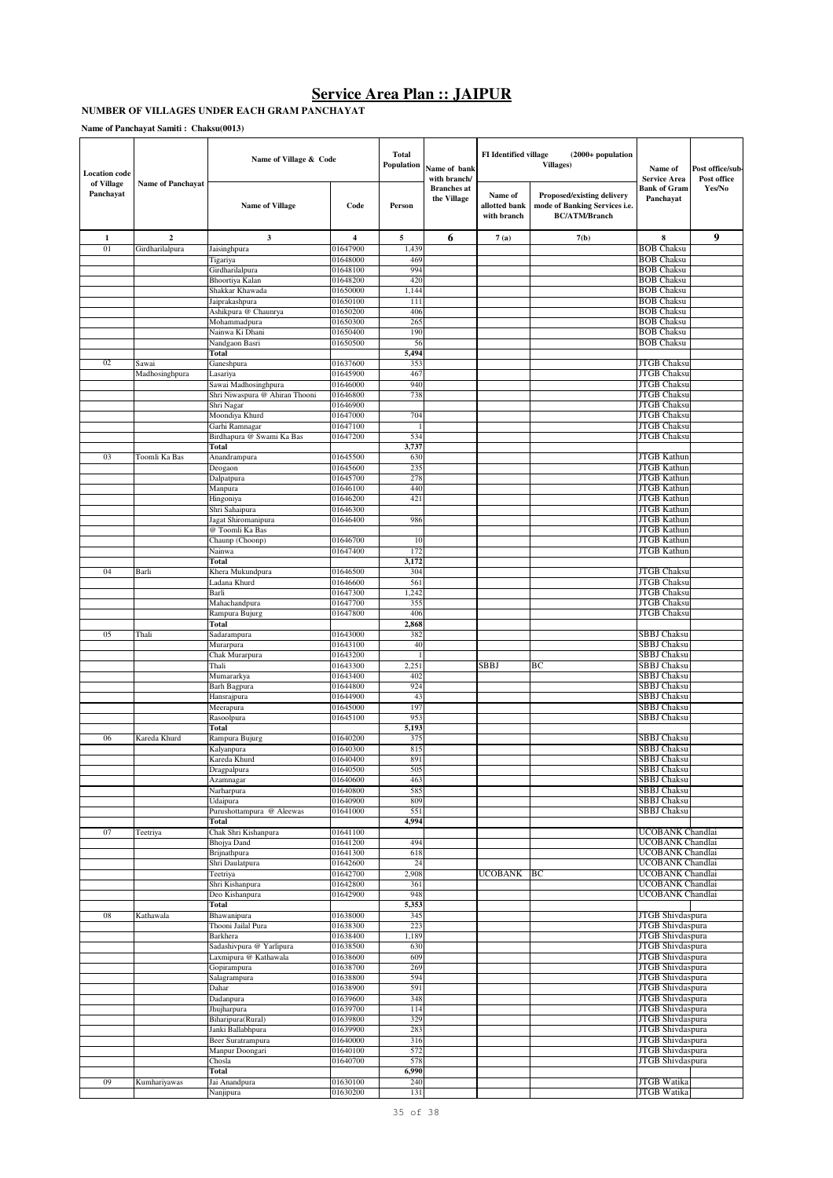#### **NUMBER OF VILLAGES UNDER EACH GRAM PANCHAYAT**

| <b>Location</b> code    |                          | Name of Village & Code                       |                      | <b>Total</b><br>Population | Name of bank<br>with branch/      | <b>FI</b> Identified village            | $(2000+$ population<br>Villages)                                                    | Name of<br><b>Service Area</b>           | Post office/sub-<br>Post office |
|-------------------------|--------------------------|----------------------------------------------|----------------------|----------------------------|-----------------------------------|-----------------------------------------|-------------------------------------------------------------------------------------|------------------------------------------|---------------------------------|
| of Village<br>Panchayat | <b>Name of Panchayat</b> | <b>Name of Village</b>                       | Code                 | Person                     | <b>Branches</b> at<br>the Village | Name of<br>allotted bank<br>with branch | Proposed/existing delivery<br>mode of Banking Services i.e.<br><b>BC/ATM/Branch</b> | Bank of Gram<br>Panchavat                | Yes/No                          |
| $\mathbf{1}$            | $\mathbf{2}$             | 3                                            | 4                    | 5                          | 6                                 | 7(a)                                    | 7(b)                                                                                | 8                                        | 9                               |
| 01                      | Girdharilalpura          | Jaisinghpura                                 | 01647900             | 1,439                      |                                   |                                         |                                                                                     | <b>BOB</b> Chaksu                        |                                 |
|                         |                          | Tigariya                                     | 01648000             | 469                        |                                   |                                         |                                                                                     | <b>BOB Chaksu</b>                        |                                 |
|                         |                          | Girdharilalpura                              | 01648100             | 994                        |                                   |                                         |                                                                                     | <b>BOB Chaksu</b>                        |                                 |
|                         |                          | Bhoortiya Kalan<br>Shakkar Khawada           | 01648200<br>01650000 | 420<br>1,144               |                                   |                                         |                                                                                     | <b>BOB</b> Chaksu<br><b>BOB Chaksu</b>   |                                 |
|                         |                          | Jaiprakashpura                               | 01650100             | 111                        |                                   |                                         |                                                                                     | <b>BOB Chaksu</b>                        |                                 |
|                         |                          | Ashikpura @ Chaunrya                         | 01650200             | 406                        |                                   |                                         |                                                                                     | <b>BOB Chaksu</b>                        |                                 |
|                         |                          | Mohammadpura                                 | 01650300             | 265                        |                                   |                                         |                                                                                     | <b>BOB Chaksu</b>                        |                                 |
|                         |                          | Nainwa Ki Dhani                              | 01650400             | 190                        |                                   |                                         |                                                                                     | <b>BOB Chaksu</b><br><b>BOB Chaksu</b>   |                                 |
|                         |                          | Nandgaon Basri<br>Total                      | 01650500             | 56<br>5,494                |                                   |                                         |                                                                                     |                                          |                                 |
| 02                      | Sawai                    | Ganeshpura                                   | 01637600             | 353                        |                                   |                                         |                                                                                     | JTGB Chaksu                              |                                 |
|                         | Madhosinghpura           | Lasariya                                     | 01645900             | 467                        |                                   |                                         |                                                                                     | <b>JTGB</b> Chaksu                       |                                 |
|                         |                          | Sawai Madhosinghpura                         | 01646000             | 940                        |                                   |                                         |                                                                                     | <b>JTGB</b> Chaksu                       |                                 |
|                         |                          | Shri Niwaspura @ Ahiran Thooni<br>Shri Nagar | 01646800<br>01646900 | 738                        |                                   |                                         |                                                                                     | <b>JTGB</b> Chaksu<br><b>JTGB Chaksu</b> |                                 |
|                         |                          | Moondiya Khurd                               | 01647000             | 704                        |                                   |                                         |                                                                                     | <b>JTGB</b> Chaksu                       |                                 |
|                         |                          | Garhi Ramnagar                               | 01647100             |                            |                                   |                                         |                                                                                     | <b>JTGB</b> Chaksu                       |                                 |
|                         |                          | Birdhapura @ Swami Ka Bas                    | 01647200             | 534                        |                                   |                                         |                                                                                     | JTGB Chaksu                              |                                 |
| 03                      | Toomli Ka Bas            | Total<br>Anandrampura                        | 01645500             | 3,737<br>630               |                                   |                                         |                                                                                     | <b>JTGB</b> Kathun                       |                                 |
|                         |                          | Deogaon                                      | 01645600             | 235                        |                                   |                                         |                                                                                     | <b>JTGB</b> Kathun                       |                                 |
|                         |                          | Dalpatpura                                   | 01645700             | 278                        |                                   |                                         |                                                                                     | <b>JTGB</b> Kathun                       |                                 |
|                         |                          | Manpura                                      | 01646100             | 440                        |                                   |                                         |                                                                                     | <b>JTGB</b> Kathun                       |                                 |
|                         |                          | Hingoniya                                    | 01646200             | 421                        |                                   |                                         |                                                                                     | <b>JTGB</b> Kathun                       |                                 |
|                         |                          | Shri Sahaipura<br>Jagat Shiromanipura        | 01646300<br>01646400 | 986                        |                                   |                                         |                                                                                     | <b>JTGB</b> Kathun<br>JTGB Kathun        |                                 |
|                         |                          | @ Toomli Ka Bas                              |                      |                            |                                   |                                         |                                                                                     | JTGB Kathun                              |                                 |
|                         |                          | Chaunp (Choonp)                              | 01646700             | 10                         |                                   |                                         |                                                                                     | JTGB Kathun                              |                                 |
|                         |                          | Nainwa                                       | 01647400             | 172                        |                                   |                                         |                                                                                     | JTGB Kathun                              |                                 |
| 04                      |                          | Total                                        |                      | 3,172<br>304               |                                   |                                         |                                                                                     |                                          |                                 |
|                         | Barli                    | Khera Mukundpura<br>Ladana Khurd             | 01646500<br>01646600 | 561                        |                                   |                                         |                                                                                     | JTGB Chaksu<br>JTGB Chaksu               |                                 |
|                         |                          | Barli                                        | 01647300             | 1,242                      |                                   |                                         |                                                                                     | JTGB Chaksu                              |                                 |
|                         |                          | Mahachandpura                                | 01647700             | 355                        |                                   |                                         |                                                                                     | JTGB Chaksu                              |                                 |
|                         |                          | Rampura Bujurg                               | 01647800             | 406                        |                                   |                                         |                                                                                     | JTGB Chaksu                              |                                 |
| 05                      | Thali                    | Total<br>Sadarampura                         | 01643000             | 2,868<br>382               |                                   |                                         |                                                                                     | SBBJ Chaksu                              |                                 |
|                         |                          | Murarpura                                    | 01643100             | 40                         |                                   |                                         |                                                                                     | <b>SBBJ Chaksu</b>                       |                                 |
|                         |                          | Chak Murarpura                               | 01643200             | -1                         |                                   |                                         |                                                                                     | <b>SBBJ</b> Chaksu                       |                                 |
|                         |                          | Thali                                        | 01643300             | 2,251                      |                                   | SBBJ                                    | ВC                                                                                  | <b>SBBJ</b> Chaksu                       |                                 |
|                         |                          | Mumararkya<br>Barh Bagpura                   | 01643400<br>01644800 | 402<br>924                 |                                   |                                         |                                                                                     | <b>SBBJ</b> Chaksu<br><b>SBBJ Chaksu</b> |                                 |
|                         |                          | Hansrajpura                                  | 01644900             | 43                         |                                   |                                         |                                                                                     | SBBJ Chaksu                              |                                 |
|                         |                          | Meerapura                                    | 01645000             | 197                        |                                   |                                         |                                                                                     | <b>SBBJ</b> Chaksu                       |                                 |
|                         |                          | Rasoolpura                                   | 01645100             | 953                        |                                   |                                         |                                                                                     | <b>SBBJ Chaksu</b>                       |                                 |
|                         |                          | Total                                        | 01640200             | 5,193                      |                                   |                                         |                                                                                     |                                          |                                 |
| 06                      | Kareda Khurd             | Rampura Bujurg<br>Kalyanpura                 | 01640300             | 375<br>815                 |                                   |                                         |                                                                                     | SBBJ Chaksu<br>SBBJ Chaksu               |                                 |
|                         |                          | Kareda Khurd                                 | 01640400             | 891                        |                                   |                                         |                                                                                     | SBBJ Chaksu                              |                                 |
|                         |                          | Dragpalpura                                  | 01640500             | 505                        |                                   |                                         |                                                                                     | <b>SBBJ Chaksu</b>                       |                                 |
|                         |                          | Azamnagar                                    | 01640600             | 463                        |                                   |                                         |                                                                                     | <b>SBBJ Chaksu</b>                       |                                 |
|                         |                          | Narharpura<br>Udaipura                       | 01640800<br>01640900 | 585<br>809                 |                                   |                                         |                                                                                     | <b>SBBJ</b> Chaksu<br>SBBJ Chaksu        |                                 |
|                         |                          | Purushottampura @ Aleewas                    | 01641000             | 551                        |                                   |                                         |                                                                                     | SBBJ Chaksu                              |                                 |
|                         |                          | Total                                        |                      | 4,994                      |                                   |                                         |                                                                                     |                                          |                                 |
| 07                      | Teetriya                 | Chak Shri Kishanpura                         | 01641100             |                            |                                   |                                         |                                                                                     | UCOBANK Chandlai                         |                                 |
|                         |                          | <b>Bhojya</b> Dand<br>Brijnathpura           | 01641200<br>01641300 | 494<br>618                 |                                   |                                         |                                                                                     | UCOBANK Chandlai<br>UCOBANK Chandlai     |                                 |
|                         |                          | Shri Daulatpura                              | 01642600             | 24                         |                                   |                                         |                                                                                     | UCOBANK Chandlai                         |                                 |
|                         |                          | Teetriya                                     | 01642700             | 2,908                      |                                   | UCOBANK                                 | BC                                                                                  | UCOBANK Chandlai                         |                                 |
|                         |                          | Shri Kishanpura                              | 01642800             | 361                        |                                   |                                         |                                                                                     | UCOBANK Chandlai                         |                                 |
|                         |                          | Deo Kishanpura<br>Total                      | 01642900             | 948<br>5,353               |                                   |                                         |                                                                                     | UCOBANK Chandlai                         |                                 |
| 08                      | Kathawala                | Bhawanipura                                  | 01638000             | 345                        |                                   |                                         |                                                                                     | JTGB Shivdaspura                         |                                 |
|                         |                          | Thooni Jailal Pura                           | 01638300             | 223                        |                                   |                                         |                                                                                     | JTGB Shivdaspura                         |                                 |
|                         |                          | Barkhera                                     | 01638400             | 1,189                      |                                   |                                         |                                                                                     | JTGB Shivdaspura                         |                                 |
|                         |                          | Sadashivpura @ Yarlipura                     | 01638500             | 630<br>609                 |                                   |                                         |                                                                                     | JTGB Shivdaspura<br>JTGB Shivdaspura     |                                 |
|                         |                          | Laxmipura @ Kathawala<br>Gopirampura         | 01638600<br>01638700 | 269                        |                                   |                                         |                                                                                     | JTGB Shivdaspura                         |                                 |
|                         |                          | Salagrampura                                 | 01638800             | 594                        |                                   |                                         |                                                                                     | JTGB Shivdaspura                         |                                 |
|                         |                          | Dahar                                        | 01638900             | 591                        |                                   |                                         |                                                                                     | JTGB Shivdaspura                         |                                 |
|                         |                          | Dadanpura                                    | 01639600             | 348                        |                                   |                                         |                                                                                     | JTGB Shivdaspura                         |                                 |
|                         |                          | Jhujharpura<br>Biharipura(Rural)             | 01639700<br>01639800 | 114<br>329                 |                                   |                                         |                                                                                     | JTGB Shivdaspura<br>JTGB Shivdaspura     |                                 |
|                         |                          | Janki Ballabhpura                            | 01639900             | 283                        |                                   |                                         |                                                                                     | JTGB Shivdaspura                         |                                 |
|                         |                          | Beer Suratrampura                            | 01640000             | 316                        |                                   |                                         |                                                                                     | JTGB Shivdaspura                         |                                 |
|                         |                          | Manpur Doongari                              | 01640100             | 572                        |                                   |                                         |                                                                                     | JTGB Shivdaspura                         |                                 |
|                         |                          | Chosla<br>Total                              | 01640700             | 578<br>6,990               |                                   |                                         |                                                                                     | JTGB Shivdaspura                         |                                 |
| 09                      | Kumhariyawas             | Jai Anandpura                                | 01630100             | 240                        |                                   |                                         |                                                                                     | JTGB Watika                              |                                 |
|                         |                          | Nanjipura                                    | 01630200             | 131                        |                                   |                                         |                                                                                     | <b>JTGB</b> Watika                       |                                 |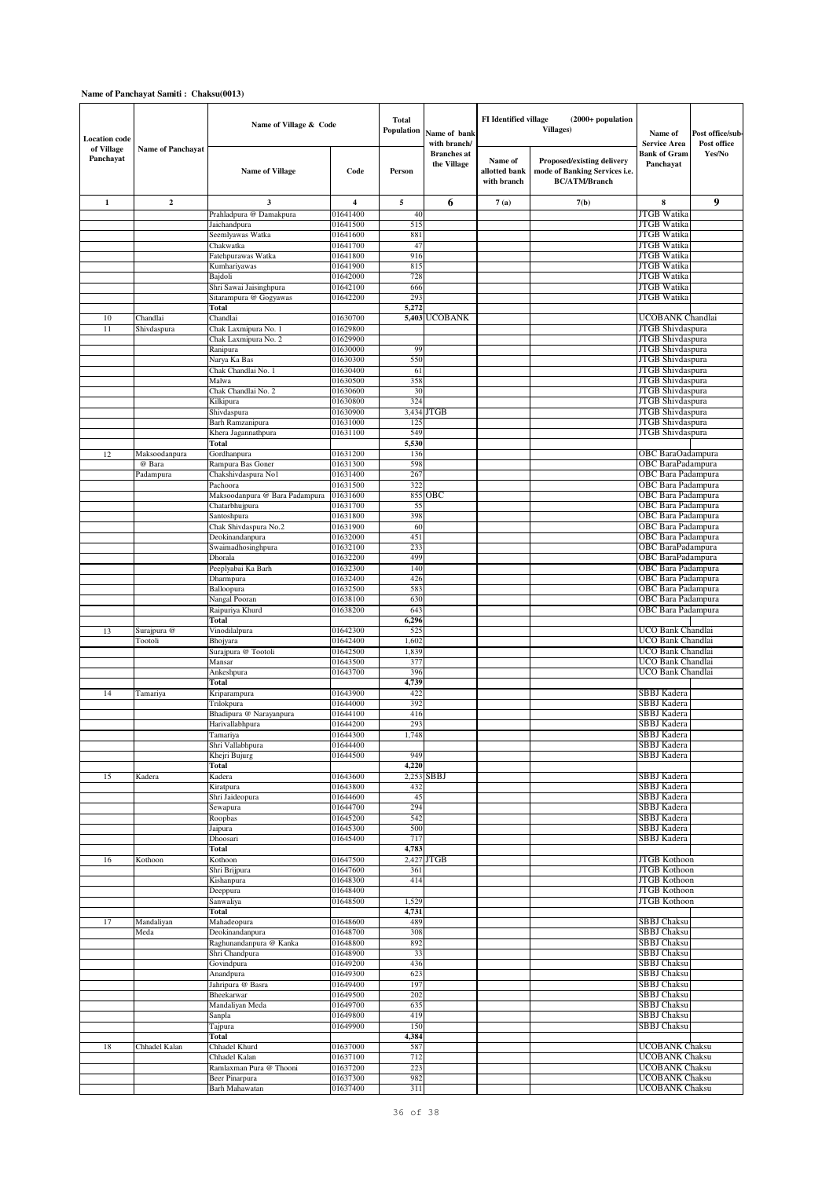| <b>Location</b> code<br>of Village | <b>Name of Panchayat</b> | Name of Village & Code                            |                      | Total<br>Population | Name of bank<br>with branch/      |                                         | <b>FI</b> Identified village<br>$(2000+$ population<br><b>Villages)</b>             | Name of<br><b>Service Area</b>                  | Post office/sub-<br>Post office |
|------------------------------------|--------------------------|---------------------------------------------------|----------------------|---------------------|-----------------------------------|-----------------------------------------|-------------------------------------------------------------------------------------|-------------------------------------------------|---------------------------------|
| Panchayat                          |                          | <b>Name of Village</b>                            | Code                 | Person              | <b>Branches</b> at<br>the Village | Name of<br>allotted bank<br>with branch | Proposed/existing delivery<br>mode of Banking Services i.e.<br><b>BC/ATM/Branch</b> | <b>Bank of Gram</b><br>Panchayat                | Yes/No                          |
| 1                                  | $\overline{2}$           | 3                                                 | 4                    | 5                   | 6                                 | 7(a)                                    | 7(b)                                                                                | 8                                               | 9                               |
|                                    |                          | Prahladpura @ Damakpura                           | 01641400             | 40                  |                                   |                                         |                                                                                     | JTGB Watika                                     |                                 |
|                                    |                          | Jaichandpura                                      | 01641500             | 515                 |                                   |                                         |                                                                                     | JTGB Watika<br><b>JTGB</b> Watika               |                                 |
|                                    |                          | Seemlyawas Watka<br>Chakwatka                     | 01641600<br>01641700 | 881<br>47           |                                   |                                         |                                                                                     | JTGB Watika                                     |                                 |
|                                    |                          | Fatehpurawas Watka                                | 01641800             | 916                 |                                   |                                         |                                                                                     | JTGB Watika                                     |                                 |
|                                    |                          | Kumhariyawas                                      | 01641900             | 815                 |                                   |                                         |                                                                                     | <b>JTGB</b> Watika                              |                                 |
|                                    |                          | Bajdoli                                           | 01642000             | 728                 |                                   |                                         |                                                                                     | <b>JTGB</b> Watika                              |                                 |
|                                    |                          | Shri Sawai Jaisinghpura<br>Sitarampura @ Gogyawas | 01642100<br>01642200 | 666<br>293          |                                   |                                         |                                                                                     | <b>JTGB</b> Watika<br><b>JTGB</b> Watika        |                                 |
|                                    |                          | Total                                             |                      | 5,272               |                                   |                                         |                                                                                     |                                                 |                                 |
| 10                                 | Chandlai                 | Chandlai                                          | 01630700             |                     | 5,403 UCOBANK                     |                                         |                                                                                     | UCOBANK Chandlai                                |                                 |
| 11                                 | Shivdaspura              | Chak Laxmipura No. 1<br>Chak Laxmipura No. 2      | 01629800<br>01629900 |                     |                                   |                                         |                                                                                     | JTGB Shivdaspura<br>JTGB Shivdaspura            |                                 |
|                                    |                          | Ranipura                                          | 01630000             | 99                  |                                   |                                         |                                                                                     | JTGB Shivdaspura                                |                                 |
|                                    |                          | Narya Ka Bas                                      | 01630300             | 550                 |                                   |                                         |                                                                                     | <b>JTGB</b> Shivdaspura                         |                                 |
|                                    |                          | Chak Chandlai No. 1                               | 01630400             | 61                  |                                   |                                         |                                                                                     | JTGB Shivdaspura                                |                                 |
|                                    |                          | Malwa<br>Chak Chandlai No. 2                      | 01630500<br>01630600 | 358<br>30           |                                   |                                         |                                                                                     | JTGB Shivdaspura<br>JTGB Shivdaspura            |                                 |
|                                    |                          | Kilkipura                                         | 01630800             | 324                 |                                   |                                         |                                                                                     | JTGB Shivdaspura                                |                                 |
|                                    |                          | Shivdaspura                                       | 01630900             |                     | 3,434 JTGB                        |                                         |                                                                                     | JTGB Shivdaspura                                |                                 |
|                                    |                          | Barh Ramzanipura                                  | 01631000             | 12.5                |                                   |                                         |                                                                                     | JTGB Shivdaspura                                |                                 |
|                                    |                          | Khera Jagannathpura<br>Total                      | 01631100             | 549<br>5,530        |                                   |                                         |                                                                                     | <b>JTGB</b> Shivdaspura                         |                                 |
| 12                                 | Maksoodanpura            | Gordhanpura                                       | 01631200             | 136                 |                                   |                                         |                                                                                     | OBC BaraOadampura                               |                                 |
|                                    | @ Bara                   | Rampura Bas Goner                                 | 01631300             | 598                 |                                   |                                         |                                                                                     | OBC BaraPadampura                               |                                 |
|                                    | Padampura                | Chakshivdaspura No1                               | 01631400             | 267                 |                                   |                                         |                                                                                     | OBC Bara Padampura                              |                                 |
|                                    |                          | Pachoora<br>Maksoodanpura @ Bara Padampura        | 01631500<br>01631600 | 322<br>855          | OBC                               |                                         |                                                                                     | OBC Bara Padampura<br><b>OBC</b> Bara Padampura |                                 |
|                                    |                          | Chatarbhujpura                                    | 01631700             | 55                  |                                   |                                         |                                                                                     | OBC Bara Padampura                              |                                 |
|                                    |                          | Santoshpura                                       | 01631800             | 398                 |                                   |                                         |                                                                                     | OBC Bara Padampura                              |                                 |
|                                    |                          | Chak Shivdaspura No.2<br>Deokinandanpura          | 01631900<br>01632000 | 60<br>451           |                                   |                                         |                                                                                     | OBC Bara Padampura<br>OBC Bara Padampura        |                                 |
|                                    |                          | Swaimadhosinghpura                                | 01632100             | 233                 |                                   |                                         |                                                                                     | <b>OBC</b> BaraPadampura                        |                                 |
|                                    |                          | Dhorala                                           | 01632200             | 499                 |                                   |                                         |                                                                                     | OBC BaraPadampura                               |                                 |
|                                    |                          | Peeplyabai Ka Barh                                | 01632300             | 140                 |                                   |                                         |                                                                                     | OBC Bara Padampura                              |                                 |
|                                    |                          | Dharmpura<br>Balloopura                           | 01632400<br>01632500 | 426<br>583          |                                   |                                         |                                                                                     | OBC Bara Padampura<br>OBC Bara Padampura        |                                 |
|                                    |                          | Nangal Pooran                                     | 01638100             | 630                 |                                   |                                         |                                                                                     | OBC Bara Padampura                              |                                 |
|                                    |                          | Raipuriya Khurd                                   | 01638200             | 643                 |                                   |                                         |                                                                                     | <b>OBC</b> Bara Padampura                       |                                 |
|                                    |                          | Total                                             |                      | 6,296               |                                   |                                         |                                                                                     |                                                 |                                 |
| 13                                 | Surajpura @<br>Tootoli   | Vinodilalpura<br>Bhojyara                         | 01642300<br>01642400 | 525<br>1,602        |                                   |                                         |                                                                                     | UCO Bank Chandlai<br>UCO Bank Chandlai          |                                 |
|                                    |                          | Surajpura @ Tootoli                               | 01642500             | 1,839               |                                   |                                         |                                                                                     | UCO Bank Chandlai                               |                                 |
|                                    |                          | Mansar                                            | 01643500             | 377                 |                                   |                                         |                                                                                     | UCO Bank Chandlai                               |                                 |
|                                    |                          | Ankeshpura<br>Total                               | 01643700             | 396<br>4,739        |                                   |                                         |                                                                                     | UCO Bank Chandlai                               |                                 |
| 14                                 | Tamariya                 | Kriparampura                                      | 01643900             | 422                 |                                   |                                         |                                                                                     | SBBJ Kadera                                     |                                 |
|                                    |                          | Trilokpura                                        | 01644000             | 392                 |                                   |                                         |                                                                                     | SBBJ Kadera                                     |                                 |
|                                    |                          | Bhadipura @ Narayanpura                           | 01644100             | 416                 |                                   |                                         |                                                                                     | SBBJ Kadera                                     |                                 |
|                                    |                          | Harivallabhpura<br>Tamariya                       | 01644200<br>01644300 | 293<br>1,748        |                                   |                                         |                                                                                     | SBBJ Kadera<br>SBBJ Kadera                      |                                 |
|                                    |                          | Shri Vallabhpura                                  | 01644400             |                     |                                   |                                         |                                                                                     | SBBJ Kadera                                     |                                 |
|                                    |                          | Khejri Bujurg                                     | 01644500             | 949                 |                                   |                                         |                                                                                     | SBBJ Kadera                                     |                                 |
|                                    |                          | Total                                             | 01643600             | 4,220               | 2,253 SBBJ                        |                                         |                                                                                     | SBBJ Kadera                                     |                                 |
| 15                                 | Kadera                   | Kadera<br>Kiratpura                               | 01643800             | 432                 |                                   |                                         |                                                                                     | SBBJ Kadera                                     |                                 |
|                                    |                          | Shri Jaideopura                                   | 01644600             | 45                  |                                   |                                         |                                                                                     | SBBJ Kadera                                     |                                 |
|                                    |                          | Sewapura                                          | 01644700             | 294                 |                                   |                                         |                                                                                     | SBBJ Kadera<br>SBBJ Kadera                      |                                 |
|                                    |                          | Roopbas<br>Jaipura                                | 01645200<br>01645300 | 542<br>500          |                                   |                                         |                                                                                     | SBBJ Kadera                                     |                                 |
|                                    |                          | Dhoosari                                          | 01645400             | 717                 |                                   |                                         |                                                                                     | SBBJ Kadera                                     |                                 |
|                                    |                          | Total                                             |                      | 4,783               |                                   |                                         |                                                                                     |                                                 |                                 |
| 16                                 | Kothoon                  | Kothoon<br>Shri Brijpura                          | 01647500<br>01647600 | 361                 | 2,427 JTGB                        |                                         |                                                                                     | <b>JTGB</b> Kothoon<br>JTGB Kothoon             |                                 |
|                                    |                          | Kishanpura                                        | 01648300             | 414                 |                                   |                                         |                                                                                     | <b>JTGB</b> Kothoon                             |                                 |
|                                    |                          | Deeppura                                          | 01648400             |                     |                                   |                                         |                                                                                     | <b>JTGB</b> Kothoon                             |                                 |
|                                    |                          | Sanwaliya                                         | 01648500             | 1,529               |                                   |                                         |                                                                                     | <b>JTGB</b> Kothoon                             |                                 |
| 17                                 | Mandaliyan               | Total<br>Mahadeopura                              | 01648600             | 4,731<br>489        |                                   |                                         |                                                                                     | <b>SBBJ</b> Chaksu                              |                                 |
|                                    | Meda                     | Deokinandanpura                                   | 01648700             | 308                 |                                   |                                         |                                                                                     | SBBJ Chaksu                                     |                                 |
|                                    |                          | Raghunandanpura @ Kanka                           | 01648800             | 892                 |                                   |                                         |                                                                                     | <b>SBBJ</b> Chaksu                              |                                 |
|                                    |                          | Shri Chandpura                                    | 01648900<br>01649200 | 33<br>436           |                                   |                                         |                                                                                     | <b>SBBJ Chaksu</b><br><b>SBBJ</b> Chaksu        |                                 |
|                                    |                          | Govindpura<br>Anandpura                           | 01649300             | 623                 |                                   |                                         |                                                                                     | <b>SBBJ Chaksu</b>                              |                                 |
|                                    |                          | Jahripura @ Basra                                 | 01649400             | 197                 |                                   |                                         |                                                                                     | SBBJ Chaksu                                     |                                 |
|                                    |                          | Bheekarwar                                        | 01649500             | 202                 |                                   |                                         |                                                                                     | <b>SBBJ Chaksu</b>                              |                                 |
|                                    |                          | Mandaliyan Meda<br>Sanpla                         | 01649700<br>01649800 | 635<br>419          |                                   |                                         |                                                                                     | SBBJ Chaksu<br><b>SBBJ</b> Chaksu               |                                 |
|                                    |                          | Tajpura                                           | 01649900             | 150                 |                                   |                                         |                                                                                     | SBBJ Chaksu                                     |                                 |
|                                    |                          | Total                                             |                      | 4,384               |                                   |                                         |                                                                                     |                                                 |                                 |
| 18                                 | Chhadel Kalan            | Chhadel Khurd                                     | 01637000<br>01637100 | 587<br>712          |                                   |                                         |                                                                                     | <b>UCOBANK Chaksu</b>                           |                                 |
|                                    |                          | Chhadel Kalan<br>Ramlaxman Pura @ Thooni          | 01637200             | 223                 |                                   |                                         |                                                                                     | UCOBANK Chaksu<br>UCOBANK Chaksu                |                                 |
|                                    |                          | Beer Pinarpura                                    | 01637300             | 982                 |                                   |                                         |                                                                                     | <b>UCOBANK Chaksu</b>                           |                                 |
|                                    |                          | Barh Mahawatan                                    | 01637400             | 311                 |                                   |                                         |                                                                                     | <b>UCOBANK Chaksu</b>                           |                                 |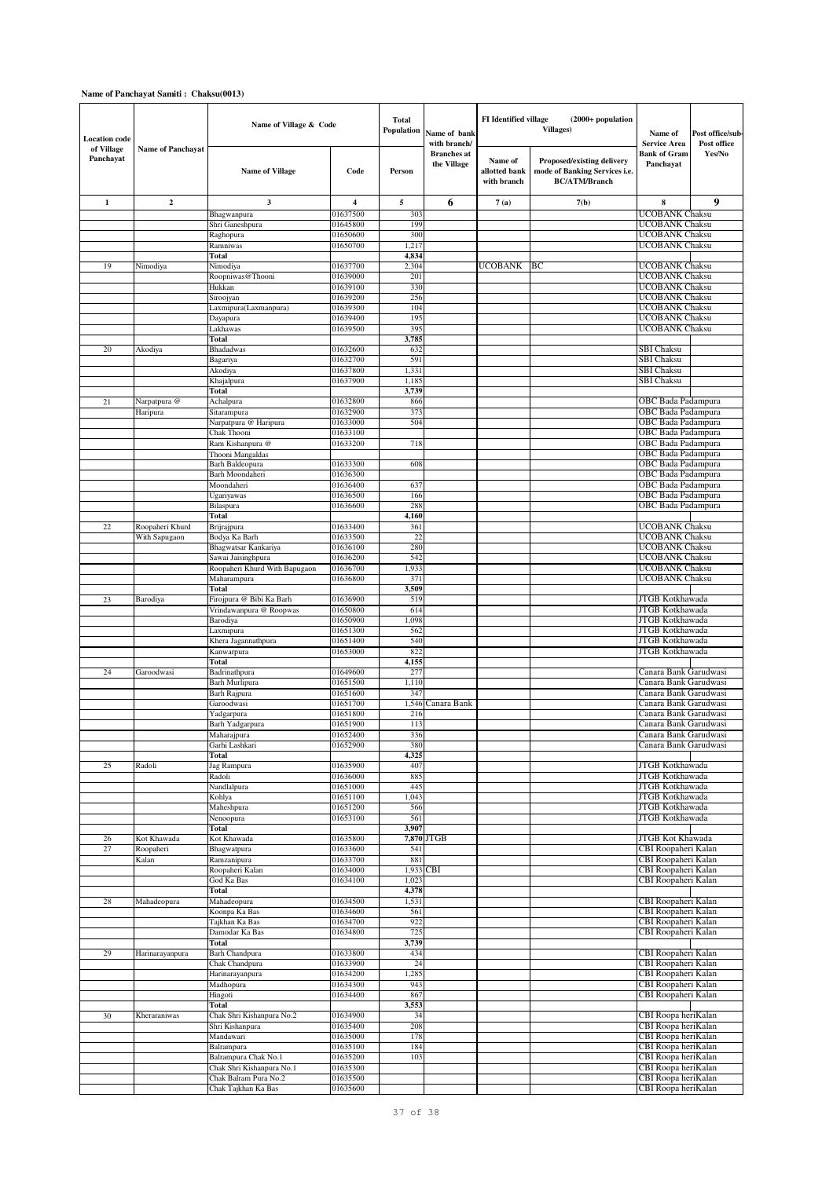| <b>Location</b> code<br>of Village<br>Panchayat | <b>Name of Panchavat</b> | Name of Village & Code                              |                      | <b>Total</b><br>Population | Name of bank<br>with branch/      | <b>FI</b> Identified village<br>(2000+ population<br>Villages) |                                                                                     | Name of<br>Service Area                         | Post office/sub-<br>Post office |
|-------------------------------------------------|--------------------------|-----------------------------------------------------|----------------------|----------------------------|-----------------------------------|----------------------------------------------------------------|-------------------------------------------------------------------------------------|-------------------------------------------------|---------------------------------|
|                                                 |                          | <b>Name of Village</b>                              | Code                 | Person                     | <b>Branches</b> at<br>the Village | Name of<br>allotted bank<br>with branch                        | Proposed/existing delivery<br>mode of Banking Services i.e.<br><b>BC/ATM/Branch</b> | Bank of Gram<br>Panchayat                       | Yes/No                          |
| 1                                               | 2                        | 3                                                   | 4                    | 5                          | 6                                 | 7(a)                                                           | 7(b)                                                                                | 8                                               | 9                               |
|                                                 |                          | Bhagwanpura                                         | 01637500             | 303                        |                                   |                                                                |                                                                                     | <b>UCOBANK Chaksu</b>                           |                                 |
|                                                 |                          | Shri Ganeshpura                                     | 01645800             | 199                        |                                   |                                                                |                                                                                     | <b>UCOBANK Chaksu</b>                           |                                 |
|                                                 |                          | Raghopura                                           | 01650600             | 300                        |                                   |                                                                |                                                                                     | <b>UCOBANK Chaksu</b>                           |                                 |
|                                                 |                          | Ramniwas<br>Total                                   | 01650700             | 1,217<br>4,834             |                                   |                                                                |                                                                                     | UCOBANK Chaksu                                  |                                 |
| 19                                              | Nimodiya                 | Nimodiya                                            | 01637700             | 2,304                      |                                   | UCOBANK                                                        | ВC                                                                                  | UCOBANK Chaksu                                  |                                 |
|                                                 |                          | Roopniwas@Thooni                                    | 01639000             | 201                        |                                   |                                                                |                                                                                     | <b>UCOBANK Chaksu</b>                           |                                 |
|                                                 |                          | Hukkan                                              | 01639100             | 330                        |                                   |                                                                |                                                                                     | <b>UCOBANK Chaksu</b>                           |                                 |
|                                                 |                          | Siroojyan                                           | 01639200             | 256                        |                                   |                                                                |                                                                                     | <b>UCOBANK Chaksu</b>                           |                                 |
|                                                 |                          | Laxmipura(Laxmanpura)                               | 01639300<br>01639400 | 104<br>195                 |                                   |                                                                |                                                                                     | UCOBANK Chaksu<br>UCOBANK Chaksu                |                                 |
|                                                 |                          | Dayapura<br>Lakhawas                                | 01639500             | 395                        |                                   |                                                                |                                                                                     | UCOBANK Chaksu                                  |                                 |
|                                                 |                          | Total                                               |                      | 3,785                      |                                   |                                                                |                                                                                     |                                                 |                                 |
| 20                                              | Akodiya                  | Bhadadwas                                           | 01632600             | 632                        |                                   |                                                                |                                                                                     | SBI Chaksu                                      |                                 |
|                                                 |                          | Bagariya                                            | 01632700             | 591                        |                                   |                                                                |                                                                                     | SBI Chaksu                                      |                                 |
|                                                 |                          | Akodiya                                             | 01637800             | 1,331                      |                                   |                                                                |                                                                                     | SBI Chaksu                                      |                                 |
|                                                 |                          | Khajalpura<br>Total                                 | 01637900             | 1,185<br>3,739             |                                   |                                                                |                                                                                     | SBI Chaksu                                      |                                 |
| 21                                              | Narpatpura @             | Achalpura                                           | 01632800             | 866                        |                                   |                                                                |                                                                                     | OBC Bada Padampura                              |                                 |
|                                                 | Haripura                 | Sitarampura                                         | 01632900             | 373                        |                                   |                                                                |                                                                                     | OBC Bada Padampura                              |                                 |
|                                                 |                          | Narpatpura @ Haripura                               | 01633000             | 504                        |                                   |                                                                |                                                                                     | OBC Bada Padampura                              |                                 |
|                                                 |                          | Chak Thooni<br>Ram Kishanpura @                     | 01633100             | 718                        |                                   |                                                                |                                                                                     | OBC Bada Padampura<br>OBC Bada Padampura        |                                 |
|                                                 |                          | Thooni Mangaldas                                    | 01633200             |                            |                                   |                                                                |                                                                                     | OBC Bada Padampura                              |                                 |
|                                                 |                          | Barh Baldeopura                                     | 01633300             | 608                        |                                   |                                                                |                                                                                     | OBC Bada Padampura                              |                                 |
|                                                 |                          | Barh Moondaheri                                     | 01636300             |                            |                                   |                                                                |                                                                                     | OBC Bada Padampura                              |                                 |
|                                                 |                          | Moondaheri                                          | 01636400             | 637                        |                                   |                                                                |                                                                                     | OBC Bada Padampura                              |                                 |
|                                                 |                          | Ugariyawas<br>Bilaspura                             | 01636500<br>01636600 | 166<br>288                 |                                   |                                                                |                                                                                     | OBC Bada Padampura<br><b>OBC</b> Bada Padampura |                                 |
|                                                 |                          | Total                                               |                      | 4,160                      |                                   |                                                                |                                                                                     |                                                 |                                 |
| 22                                              | Roopaheri Khurd          | Brijrajpura                                         | 01633400             | 361                        |                                   |                                                                |                                                                                     | UCOBANK Chaksu                                  |                                 |
|                                                 | With Sapugaon            | Bodya Ka Barh                                       | 01633500             | 22                         |                                   |                                                                |                                                                                     | <b>UCOBANK Chaksu</b>                           |                                 |
|                                                 |                          | Bhagwatsar Kankariya<br>Sawai Jaisinghpura          | 01636100<br>01636200 | 280<br>542                 |                                   |                                                                |                                                                                     | <b>UCOBANK Chaksu</b><br><b>UCOBANK Chaksu</b>  |                                 |
|                                                 |                          | Roopaheri Khurd With Bapugaon                       | 01636700             | 1,933                      |                                   |                                                                |                                                                                     | <b>UCOBANK Chaksu</b>                           |                                 |
|                                                 |                          | Maharampura                                         | 01636800             | 371                        |                                   |                                                                |                                                                                     | UCOBANK Chaksu                                  |                                 |
|                                                 |                          | Total                                               |                      | 3,509                      |                                   |                                                                |                                                                                     |                                                 |                                 |
| 23                                              | Barodiya                 | Firojpura @ Bibi Ka Barh<br>Vrindawanpura @ Roopwas | 01636900<br>01650800 | 519<br>614                 |                                   |                                                                |                                                                                     | JTGB Kotkhawada<br>JTGB Kotkhawada              |                                 |
|                                                 |                          | Barodiya                                            | 01650900             | 1,098                      |                                   |                                                                |                                                                                     | JTGB Kotkhawada                                 |                                 |
|                                                 |                          | Laxmipura                                           | 01651300             | 562                        |                                   |                                                                |                                                                                     | JTGB Kotkhawada                                 |                                 |
|                                                 |                          | Khera Jagannathpura                                 | 01651400<br>01653000 | 540                        |                                   |                                                                |                                                                                     | JTGB Kotkhawada                                 |                                 |
|                                                 |                          | Kanwarpura<br>Total                                 |                      | 822<br>4,155               |                                   |                                                                |                                                                                     | JTGB Kotkhawada                                 |                                 |
| 24                                              | Garoodwasi               | Badrinathpura                                       | 01649600             | 277                        |                                   |                                                                |                                                                                     | Canara Bank Garudwasi                           |                                 |
|                                                 |                          | <b>Barh Murlipura</b>                               | 01651500             | 1,110                      |                                   |                                                                |                                                                                     | Canara Bank Garudwasi                           |                                 |
|                                                 |                          | Barh Rajpura                                        | 01651600             | 347                        |                                   |                                                                |                                                                                     | Canara Bank Garudwasi                           |                                 |
|                                                 |                          | Garoodwasi<br>Yadgarpura                            | 01651700<br>01651800 | 1,546<br>216               | Canara Bank                       |                                                                |                                                                                     | Canara Bank Garudwasi<br>Canara Bank Garudwasi  |                                 |
|                                                 |                          | Barh Yadgarpura                                     | 01651900             | 113                        |                                   |                                                                |                                                                                     | Canara Bank Garudwasi                           |                                 |
|                                                 |                          | Maharajpura                                         | 01652400             | 336                        |                                   |                                                                |                                                                                     | Canara Bank Garudwasi                           |                                 |
|                                                 |                          | Garhi Lashkari<br>Total                             | 01652900             | 380<br>4,325               |                                   |                                                                |                                                                                     | Canara Bank Garudwasi                           |                                 |
| 25                                              | Radoli                   | Jag Rampura                                         | 01635900             | 407                        |                                   |                                                                |                                                                                     | JTGB Kotkhawada                                 |                                 |
|                                                 |                          | Radoli                                              | 01636000             | 885                        |                                   |                                                                |                                                                                     | JTGB Kotkhawada                                 |                                 |
|                                                 |                          | Nandlalpura                                         | 01651000             | 445                        |                                   |                                                                |                                                                                     | JTGB Kotkhawada                                 |                                 |
|                                                 |                          | Kohlya<br>Maheshpura                                | 01651100<br>01651200 | 1,043<br>566               |                                   |                                                                |                                                                                     | JTGB Kotkhawada<br>JTGB Kotkhawada              |                                 |
|                                                 |                          | Nenoopura                                           | 01653100             | 561                        |                                   |                                                                |                                                                                     | JTGB Kotkhawada                                 |                                 |
|                                                 |                          | Total                                               |                      | 3,907                      |                                   |                                                                |                                                                                     |                                                 |                                 |
| 26                                              | Kot Khawada              | Kot Khawada                                         | 01635800             |                            | 7,870 JTGB                        |                                                                |                                                                                     | JTGB Kot Khawada                                |                                 |
| 27                                              | Roopaheri<br>Kalan       | Bhagwatpura<br>Ramzanipura                          | 01633600<br>01633700 | 541<br>881                 |                                   |                                                                |                                                                                     | CBI Roopaheri Kalan<br>CBI Roopaheri Kalan      |                                 |
|                                                 |                          | Roopaheri Kalan                                     | 01634000             |                            | 1,933 CBI                         |                                                                |                                                                                     | CBI Roopaheri Kalan                             |                                 |
|                                                 |                          | God Ka Bas                                          | 01634100             | 1,023                      |                                   |                                                                |                                                                                     | CBI Roopaheri Kalan                             |                                 |
|                                                 |                          | Total                                               |                      | 4,378                      |                                   |                                                                |                                                                                     |                                                 |                                 |
| 28                                              | Mahadeopura              | Mahadeopura<br>Koonpa Ka Bas                        | 01634500<br>01634600 | 1,531<br>561               |                                   |                                                                |                                                                                     | CBI Roopaheri Kalan<br>CBI Roopaheri Kalan      |                                 |
|                                                 |                          | Tajkhan Ka Bas                                      | 01634700             | 922                        |                                   |                                                                |                                                                                     | CBI Roopaheri Kalan                             |                                 |
|                                                 |                          | Damodar Ka Bas                                      | 01634800             | 725                        |                                   |                                                                |                                                                                     | CBI Roopaheri Kalan                             |                                 |
|                                                 |                          | Total                                               |                      | 3,739                      |                                   |                                                                |                                                                                     |                                                 |                                 |
| 29                                              | Harinarayanpura          | <b>Barh Chandpura</b><br>Chak Chandpura             | 01633800<br>01633900 | 434<br>24                  |                                   |                                                                |                                                                                     | CBI Roopaheri Kalan<br>CBI Roopaheri Kalan      |                                 |
|                                                 |                          | Harinarayanpura                                     | 01634200             | 1,285                      |                                   |                                                                |                                                                                     | CBI Roopaheri Kalan                             |                                 |
|                                                 |                          | Madhopura                                           | 01634300             | 943                        |                                   |                                                                |                                                                                     | CBI Roopaheri Kalan                             |                                 |
|                                                 |                          | Hingoti                                             | 01634400             | 867                        |                                   |                                                                |                                                                                     | CBI Roopaheri Kalan                             |                                 |
| 30                                              | Kheraraniwas             | Total<br>Chak Shri Kishanpura No.2                  | 01634900             | 3,553<br>34                |                                   |                                                                |                                                                                     | CBI Roopa heriKalan                             |                                 |
|                                                 |                          | Shri Kishanpura                                     | 01635400             | 208                        |                                   |                                                                |                                                                                     | CBI Roopa heriKalan                             |                                 |
|                                                 |                          | Mandawari                                           | 01635000             | 178                        |                                   |                                                                |                                                                                     | CBI Roopa heriKalan                             |                                 |
|                                                 |                          | Balrampura<br>Balrampura Chak No.1                  | 01635100<br>01635200 | 184<br>103                 |                                   |                                                                |                                                                                     | CBI Roopa heriKalan<br>CBI Roopa heriKalan      |                                 |
|                                                 |                          | Chak Shri Kishanpura No.1                           | 01635300             |                            |                                   |                                                                |                                                                                     | CBI Roopa heriKalan                             |                                 |
|                                                 |                          | Chak Balram Pura No.2                               | 01635500             |                            |                                   |                                                                |                                                                                     | CBI Roopa heriKalan                             |                                 |
|                                                 |                          | Chak Tajkhan Ka Bas                                 | 01635600             |                            |                                   |                                                                |                                                                                     | CBI Roopa heriKalan                             |                                 |